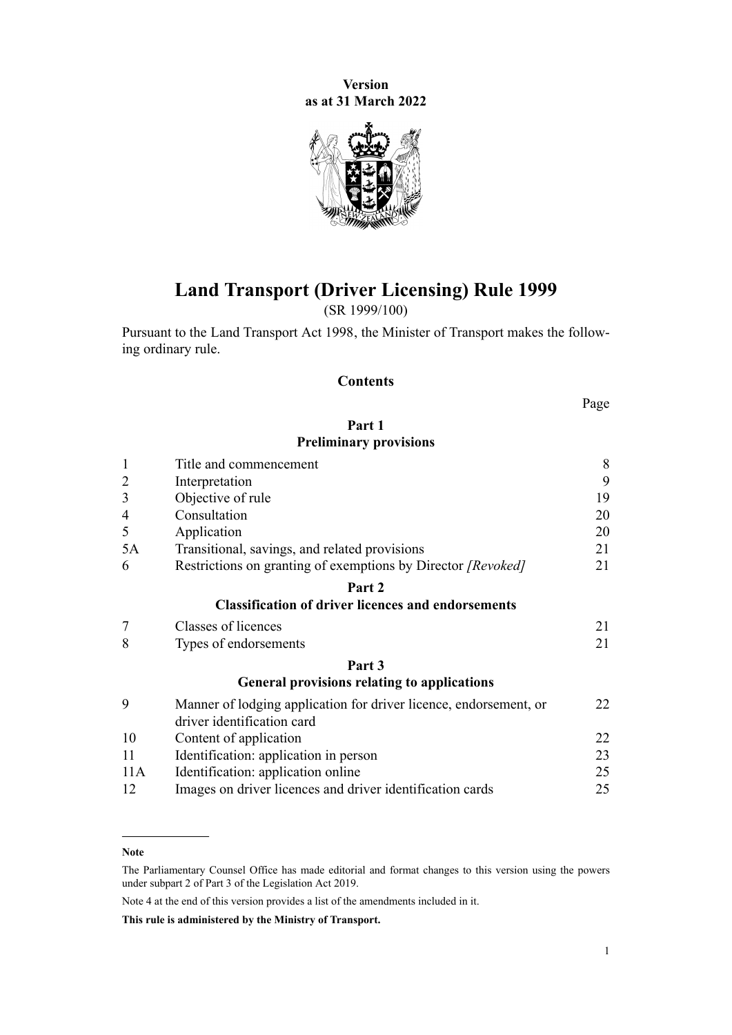**Version as at 31 March 2022**



# **Land Transport (Driver Licensing) Rule 1999**

(SR 1999/100)

Pursuant to the [Land Transport Act 1998,](http://legislation.govt.nz/pdflink.aspx?id=DLM433612) the Minister of Transport makes the follow‐ ing ordinary rule.

## **Contents**

Page

## **[Part 1](#page-7-0) [Preliminary provisions](#page-7-0)**

| $\mathbf{1}$   | Title and commencement                                                                          |    |  |  |
|----------------|-------------------------------------------------------------------------------------------------|----|--|--|
| $\overline{2}$ | Interpretation                                                                                  |    |  |  |
| 3              | Objective of rule                                                                               |    |  |  |
| $\overline{4}$ | Consultation                                                                                    | 20 |  |  |
| 5              | Application                                                                                     | 20 |  |  |
| 5A             | Transitional, savings, and related provisions                                                   | 21 |  |  |
| 6              | Restrictions on granting of exemptions by Director [Revoked]                                    | 21 |  |  |
|                | Part 2                                                                                          |    |  |  |
|                | <b>Classification of driver licences and endorsements</b>                                       |    |  |  |
| $\overline{7}$ | Classes of licences                                                                             | 21 |  |  |
| 8              | Types of endorsements                                                                           | 21 |  |  |
|                | Part 3                                                                                          |    |  |  |
|                | <b>General provisions relating to applications</b>                                              |    |  |  |
| 9              | Manner of lodging application for driver licence, endorsement, or<br>driver identification card | 22 |  |  |
| 10             | Content of application                                                                          | 22 |  |  |
| 11             | Identification: application in person                                                           | 23 |  |  |
| 11A            | Identification: application online                                                              | 25 |  |  |
| 12             | Images on driver licences and driver identification cards                                       | 25 |  |  |

Note 4 at the end of this version provides a list of the amendments included in it.

**This rule is administered by the Ministry of Transport.**

**Note**

The Parliamentary Counsel Office has made editorial and format changes to this version using the powers under [subpart 2](http://legislation.govt.nz/pdflink.aspx?id=DLM7298371) of Part 3 of the Legislation Act 2019.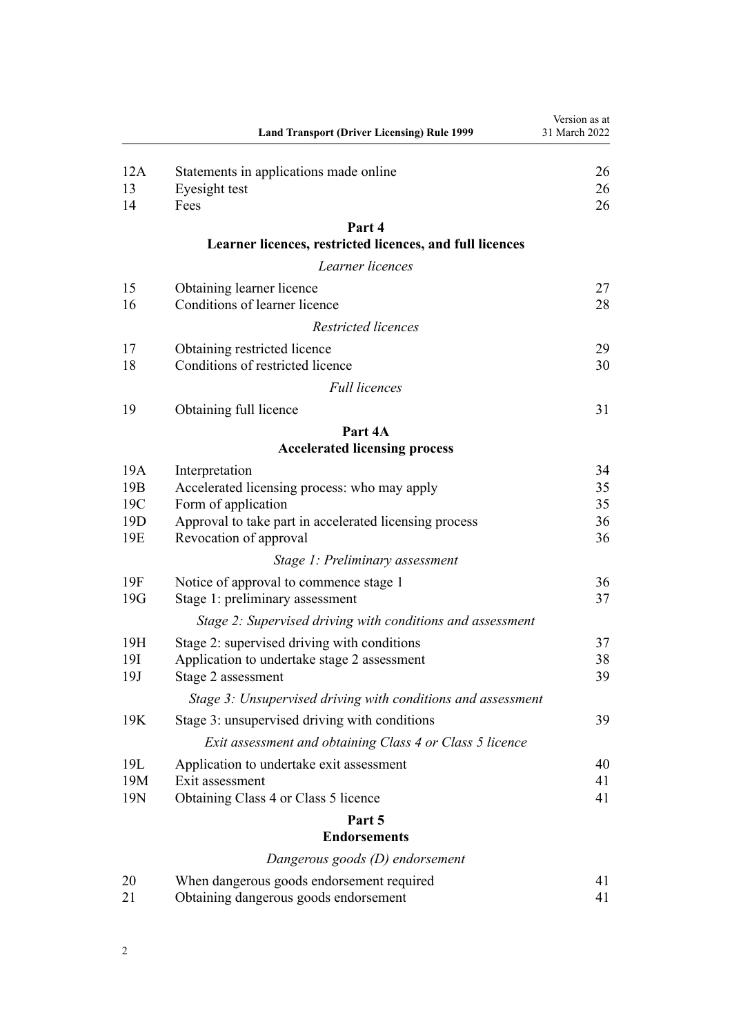|                               | <b>Land Transport (Driver Licensing) Rule 1999</b>                                                               | Version as at<br>31 March 2022 |
|-------------------------------|------------------------------------------------------------------------------------------------------------------|--------------------------------|
| 12A<br>13<br>14               | Statements in applications made online<br>Eyesight test<br>Fees                                                  | 26<br>26<br>26                 |
|                               | Part 4                                                                                                           |                                |
|                               | Learner licences, restricted licences, and full licences                                                         |                                |
|                               | Learner licences                                                                                                 |                                |
| 15<br>16                      | Obtaining learner licence<br>Conditions of learner licence                                                       | 27<br>28                       |
|                               | Restricted licences                                                                                              |                                |
| 17<br>18                      | Obtaining restricted licence<br>Conditions of restricted licence                                                 | 29<br>30                       |
|                               | <b>Full licences</b>                                                                                             |                                |
| 19                            | Obtaining full licence                                                                                           | 31                             |
|                               | Part 4A                                                                                                          |                                |
|                               | <b>Accelerated licensing process</b>                                                                             |                                |
| 19A<br>19 <sub>B</sub><br>19C | Interpretation<br>Accelerated licensing process: who may apply<br>Form of application                            | 34<br>35<br>35                 |
| 19 <sub>D</sub><br>19E        | Approval to take part in accelerated licensing process<br>Revocation of approval                                 | 36<br>36                       |
|                               | Stage 1: Preliminary assessment                                                                                  |                                |
| 19F<br>19G                    | Notice of approval to commence stage 1<br>Stage 1: preliminary assessment                                        | 36<br>37                       |
|                               | Stage 2: Supervised driving with conditions and assessment                                                       |                                |
| 19H<br>19I<br>19J             | Stage 2: supervised driving with conditions<br>Application to undertake stage 2 assessment<br>Stage 2 assessment | 37<br>38<br>39                 |
|                               | Stage 3: Unsupervised driving with conditions and assessment                                                     |                                |
| 19K                           | Stage 3: unsupervised driving with conditions                                                                    | 39                             |
|                               | Exit assessment and obtaining Class 4 or Class 5 licence                                                         |                                |
| 19L<br>19M<br>19N             | Application to undertake exit assessment<br>Exit assessment                                                      | 40<br>41<br>41                 |
|                               | Obtaining Class 4 or Class 5 licence<br>Part 5                                                                   |                                |
|                               | <b>Endorsements</b>                                                                                              |                                |
|                               | Dangerous goods (D) endorsement                                                                                  |                                |
| 20<br>21                      | When dangerous goods endorsement required<br>Obtaining dangerous goods endorsement                               | 41<br>41                       |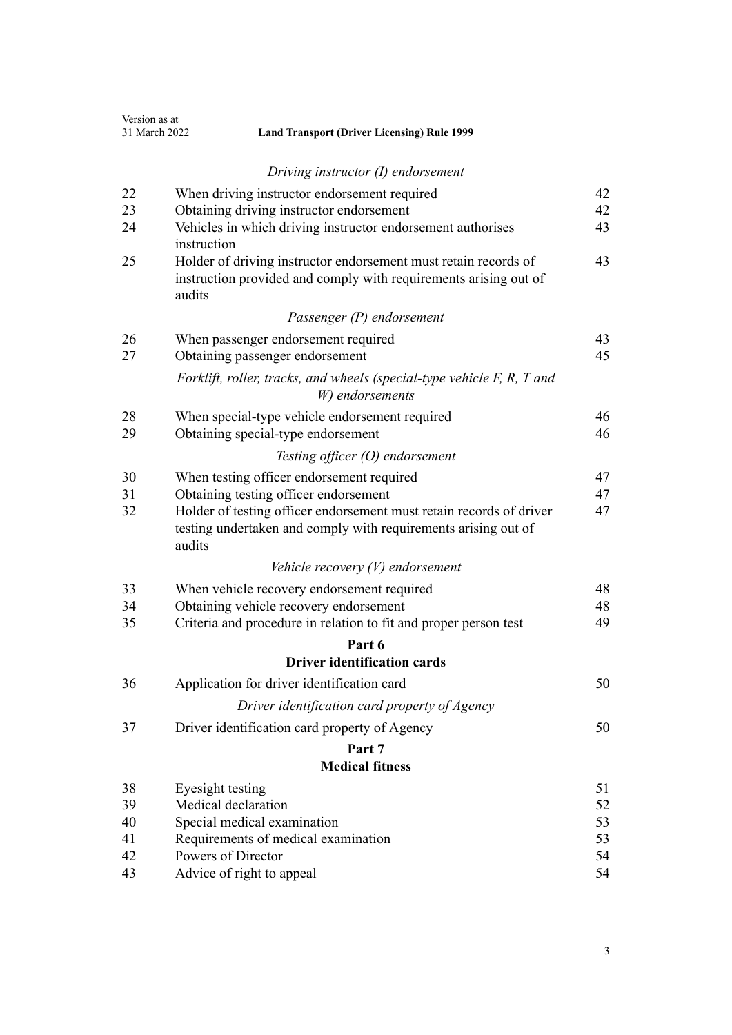| Version as at |               |  |  |  |
|---------------|---------------|--|--|--|
|               | 31 March 2022 |  |  |  |

| <b>Land Transport (Driver Licensing) Rule 1999</b> |
|----------------------------------------------------|
|                                                    |

|    | Driving instructor (I) endorsement                                                                                                              |    |
|----|-------------------------------------------------------------------------------------------------------------------------------------------------|----|
| 22 | When driving instructor endorsement required                                                                                                    | 42 |
| 23 | Obtaining driving instructor endorsement                                                                                                        | 42 |
| 24 | Vehicles in which driving instructor endorsement authorises<br>instruction                                                                      | 43 |
| 25 | Holder of driving instructor endorsement must retain records of<br>instruction provided and comply with requirements arising out of<br>audits   | 43 |
|    | Passenger (P) endorsement                                                                                                                       |    |
| 26 | When passenger endorsement required                                                                                                             | 43 |
| 27 | Obtaining passenger endorsement                                                                                                                 | 45 |
|    | Forklift, roller, tracks, and wheels (special-type vehicle F, R, T and<br>W) endorsements                                                       |    |
| 28 | When special-type vehicle endorsement required                                                                                                  | 46 |
| 29 | Obtaining special-type endorsement                                                                                                              | 46 |
|    | Testing officer $(O)$ endorsement                                                                                                               |    |
| 30 | When testing officer endorsement required                                                                                                       | 47 |
| 31 | Obtaining testing officer endorsement                                                                                                           | 47 |
| 32 | Holder of testing officer endorsement must retain records of driver<br>testing undertaken and comply with requirements arising out of<br>audits | 47 |
|    | Vehicle recovery $(V)$ endorsement                                                                                                              |    |
| 33 | When vehicle recovery endorsement required                                                                                                      | 48 |
| 34 | Obtaining vehicle recovery endorsement                                                                                                          | 48 |
| 35 | Criteria and procedure in relation to fit and proper person test                                                                                | 49 |
|    | Part 6                                                                                                                                          |    |
|    | <b>Driver identification cards</b>                                                                                                              |    |
| 36 | Application for driver identification card                                                                                                      | 50 |
|    | Driver identification card property of Agency                                                                                                   |    |
| 37 | Driver identification card property of Agency                                                                                                   | 50 |
|    | Part 7                                                                                                                                          |    |
|    | <b>Medical fitness</b>                                                                                                                          |    |
| 38 | Eyesight testing                                                                                                                                | 51 |
| 39 | Medical declaration                                                                                                                             | 52 |
| 40 | Special medical examination                                                                                                                     | 53 |
| 41 | Requirements of medical examination                                                                                                             | 53 |
| 42 | Powers of Director                                                                                                                              | 54 |

[43](#page-53-0) [Advice of right to appeal](#page-53-0) [54](#page-53-0)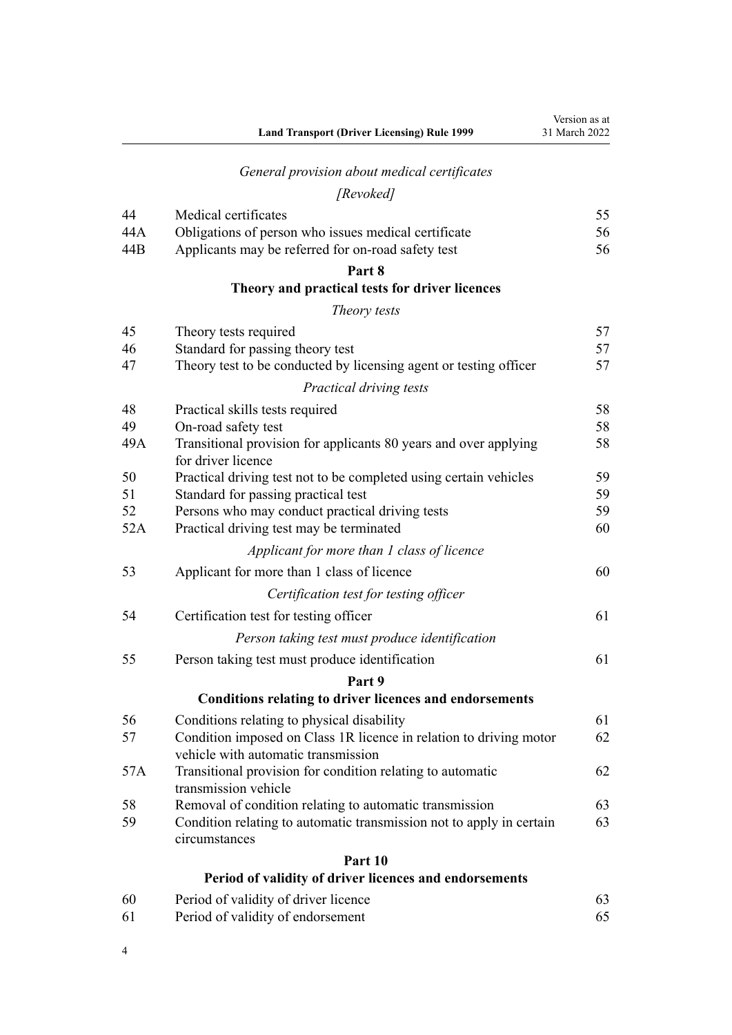|           | <b>Land Transport (Driver Licensing) Rule 1999</b>                                      | Version as at<br>31 March 2022 |
|-----------|-----------------------------------------------------------------------------------------|--------------------------------|
|           | General provision about medical certificates                                            |                                |
|           | [Revoked]                                                                               |                                |
| 44        | Medical certificates                                                                    | 55                             |
| 44A       | Obligations of person who issues medical certificate                                    | 56                             |
| 44B       | Applicants may be referred for on-road safety test                                      | 56                             |
|           | Part 8                                                                                  |                                |
|           | Theory and practical tests for driver licences                                          |                                |
|           | Theory tests                                                                            |                                |
| 45        | Theory tests required                                                                   | 57                             |
| 46        | Standard for passing theory test                                                        | 57                             |
| 47        | Theory test to be conducted by licensing agent or testing officer                       | 57                             |
|           | Practical driving tests                                                                 |                                |
| 48        | Practical skills tests required                                                         | 58                             |
| 49<br>49A | On-road safety test<br>Transitional provision for applicants 80 years and over applying | 58<br>58                       |
|           | for driver licence                                                                      |                                |
| 50        | Practical driving test not to be completed using certain vehicles                       | 59                             |
| 51        | Standard for passing practical test                                                     | 59                             |
| 52        | Persons who may conduct practical driving tests                                         | 59                             |
| 52A       | Practical driving test may be terminated                                                | 60                             |
|           | Applicant for more than 1 class of licence                                              |                                |
| 53        | Applicant for more than 1 class of licence                                              | 60                             |
|           | Certification test for testing officer                                                  |                                |
| 54        | Certification test for testing officer                                                  | 61                             |
|           | Person taking test must produce identification                                          |                                |
| 55        | Person taking test must produce identification                                          | 61                             |
|           | Part 9                                                                                  |                                |
|           | <b>Conditions relating to driver licences and endorsements</b>                          |                                |
| 56        | Conditions relating to physical disability                                              | 61                             |
| 57        | Condition imposed on Class 1R licence in relation to driving motor                      | 62                             |
|           | vehicle with automatic transmission                                                     |                                |
| 57A       | Transitional provision for condition relating to automatic<br>transmission vehicle      | 62                             |
| 58        | Removal of condition relating to automatic transmission                                 | 63                             |
| 59        | Condition relating to automatic transmission not to apply in certain                    | 63                             |
|           | circumstances                                                                           |                                |
|           | Part 10                                                                                 |                                |
|           | Period of validity of driver licences and endorsements                                  |                                |
| 60        | Period of validity of driver licence                                                    | 63                             |
| 61        | Period of validity of endorsement                                                       | 65                             |

4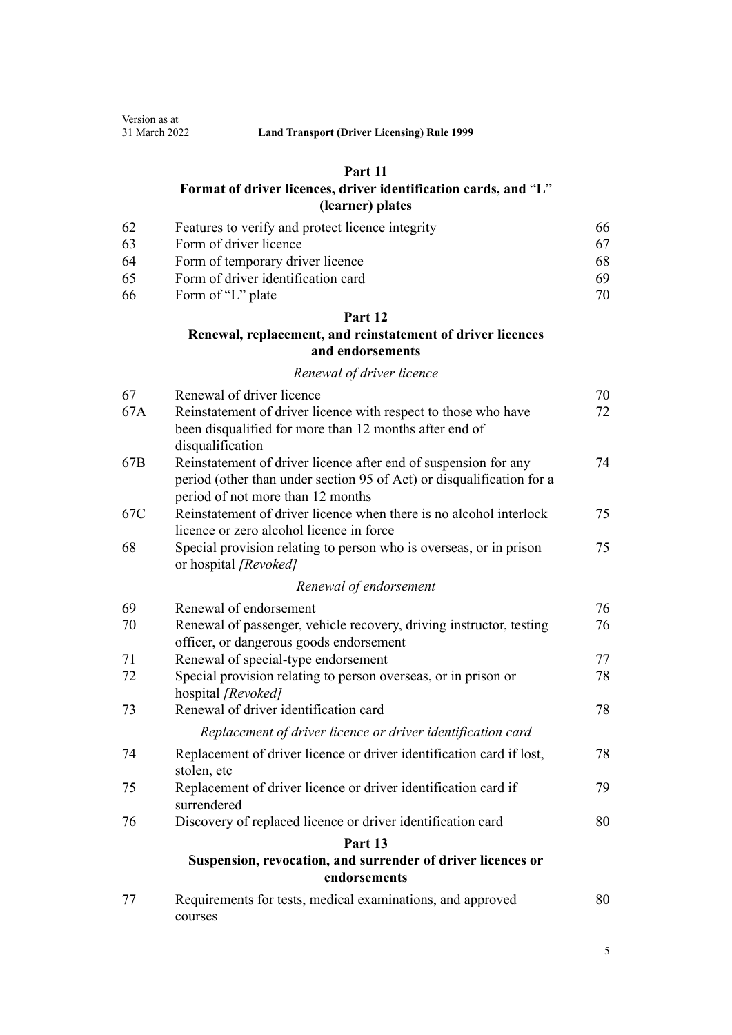## **[Part 11](#page-65-0)**

## **[Format of driver licences, driver identification cards, and](#page-65-0)** "**[L](#page-65-0)**" **[\(learner\) plates](#page-65-0)**

| -62 | Features to verify and protect licence integrity | 66 |
|-----|--------------------------------------------------|----|
| -63 | Form of driver licence                           |    |
| -64 | Form of temporary driver licence                 | 68 |
| -65 | Form of driver identification card               | 69 |
| -66 | Form of "L" plate                                | 70 |

## **[Part 12](#page-69-0)**

## **[Renewal, replacement, and reinstatement of driver licences](#page-69-0) [and endorsements](#page-69-0)**

## *[Renewal of driver licence](#page-69-0)*

| 67  | Renewal of driver licence                                                                                                | 70 |
|-----|--------------------------------------------------------------------------------------------------------------------------|----|
| 67A | Reinstatement of driver licence with respect to those who have<br>been disqualified for more than 12 months after end of | 72 |
|     | disqualification                                                                                                         |    |
| 67B | Reinstatement of driver licence after end of suspension for any                                                          | 74 |
|     | period (other than under section 95 of Act) or disqualification for a<br>period of not more than 12 months               |    |
| 67C | Reinstatement of driver licence when there is no alcohol interlock                                                       | 75 |
|     | licence or zero alcohol licence in force                                                                                 |    |
| 68  | Special provision relating to person who is overseas, or in prison<br>or hospital [Revoked]                              | 75 |
|     | Renewal of endorsement                                                                                                   |    |
| 69  | Renewal of endorsement                                                                                                   | 76 |
| 70  | Renewal of passenger, vehicle recovery, driving instructor, testing                                                      | 76 |
|     | officer, or dangerous goods endorsement                                                                                  |    |
| 71  | Renewal of special-type endorsement                                                                                      | 77 |
| 72  | Special provision relating to person overseas, or in prison or<br>hospital [Revoked]                                     | 78 |
| 73  | Renewal of driver identification card                                                                                    | 78 |
|     | Replacement of driver licence or driver identification card                                                              |    |
| 74  | Replacement of driver licence or driver identification card if lost,<br>stolen, etc                                      | 78 |
| 75  | Replacement of driver licence or driver identification card if<br>surrendered                                            | 79 |
| 76  | Discovery of replaced licence or driver identification card                                                              | 80 |
|     | Part 13                                                                                                                  |    |
|     | Suspension, revocation, and surrender of driver licences or<br>endorsements                                              |    |
| 77  | Requirements for tests, medical examinations, and approved<br>courses                                                    | 80 |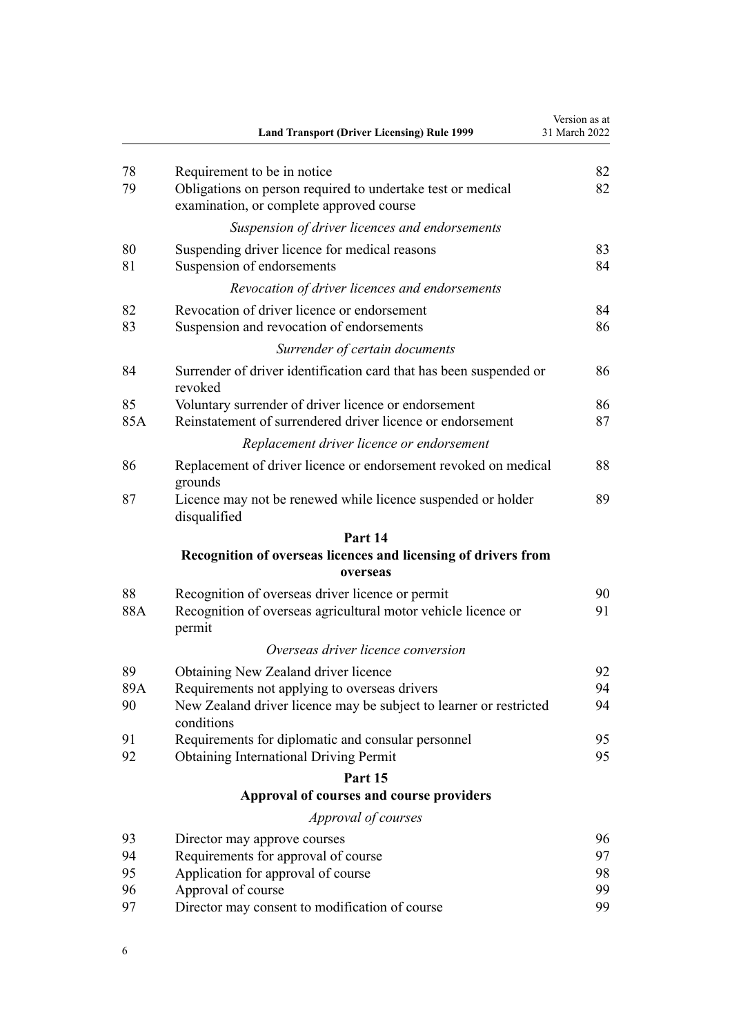|          | <b>Land Transport (Driver Licensing) Rule 1999</b>                                         | Version as at<br>31 March 2022 |
|----------|--------------------------------------------------------------------------------------------|--------------------------------|
| 78<br>79 | Requirement to be in notice<br>Obligations on person required to undertake test or medical | 82<br>82                       |
|          | examination, or complete approved course                                                   |                                |
|          | Suspension of driver licences and endorsements                                             |                                |
| 80       | Suspending driver licence for medical reasons                                              | 83                             |
| 81       | Suspension of endorsements                                                                 | 84                             |
|          | Revocation of driver licences and endorsements                                             |                                |
| 82       | Revocation of driver licence or endorsement                                                | 84                             |
| 83       | Suspension and revocation of endorsements                                                  | 86                             |
|          | Surrender of certain documents                                                             |                                |
| 84       | Surrender of driver identification card that has been suspended or<br>revoked              | 86                             |
| 85       | Voluntary surrender of driver licence or endorsement                                       | 86                             |
| 85A      | Reinstatement of surrendered driver licence or endorsement                                 | 87                             |
|          | Replacement driver licence or endorsement                                                  |                                |
| 86       | Replacement of driver licence or endorsement revoked on medical<br>grounds                 | 88                             |
| 87       | Licence may not be renewed while licence suspended or holder<br>disqualified               | 89                             |
|          | Part 14                                                                                    |                                |
|          | Recognition of overseas licences and licensing of drivers from<br>overseas                 |                                |
| 88       | Recognition of overseas driver licence or permit                                           | 90                             |
| 88A      | Recognition of overseas agricultural motor vehicle licence or<br>permit                    | 91                             |
|          | Overseas driver licence conversion                                                         |                                |
| 89       | Obtaining New Zealand driver licence                                                       | 92                             |
| 89A      | Requirements not applying to overseas drivers                                              | 94                             |
| 90       | New Zealand driver licence may be subject to learner or restricted<br>conditions           | 94                             |
| 91       | Requirements for diplomatic and consular personnel                                         | 95                             |
| 92       | <b>Obtaining International Driving Permit</b>                                              | 95                             |
|          | Part 15                                                                                    |                                |
|          | Approval of courses and course providers                                                   |                                |
|          | Approval of courses                                                                        |                                |
| 93       | Director may approve courses                                                               | 96                             |
| 94       | Requirements for approval of course                                                        | 97                             |
| 95       | Application for approval of course                                                         | 98                             |
| 96<br>97 | Approval of course<br>Director may consent to modification of course                       | 99<br>99                       |
|          |                                                                                            |                                |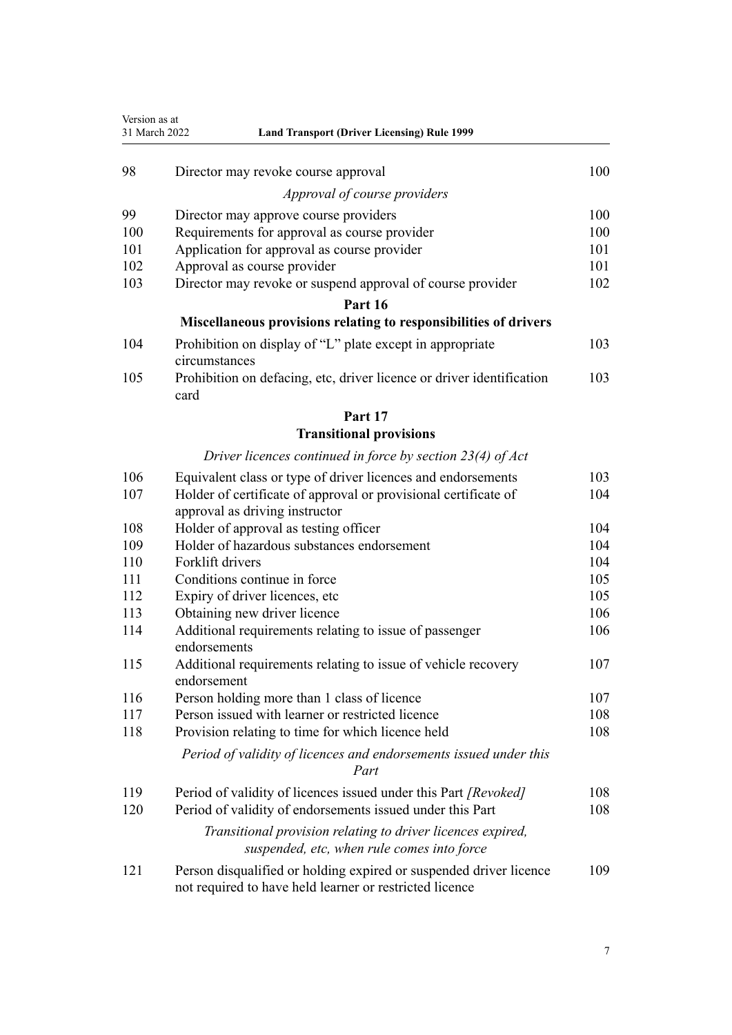| Version as at<br>31 March 2022<br><b>Land Transport (Driver Licensing) Rule 1999</b> |                                                                                                                               |     |
|--------------------------------------------------------------------------------------|-------------------------------------------------------------------------------------------------------------------------------|-----|
| 98                                                                                   | Director may revoke course approval                                                                                           | 100 |
|                                                                                      | Approval of course providers                                                                                                  |     |
| 99                                                                                   | Director may approve course providers                                                                                         | 100 |
| 100                                                                                  | Requirements for approval as course provider                                                                                  | 100 |
| 101                                                                                  | Application for approval as course provider                                                                                   | 101 |
| 102                                                                                  | Approval as course provider                                                                                                   | 101 |
| 103                                                                                  | Director may revoke or suspend approval of course provider                                                                    | 102 |
|                                                                                      | Part 16                                                                                                                       |     |
|                                                                                      | Miscellaneous provisions relating to responsibilities of drivers                                                              |     |
| 104                                                                                  | Prohibition on display of "L" plate except in appropriate<br>circumstances                                                    | 103 |
| 105                                                                                  | Prohibition on defacing, etc, driver licence or driver identification<br>card                                                 | 103 |
|                                                                                      | Part 17                                                                                                                       |     |
|                                                                                      | <b>Transitional provisions</b>                                                                                                |     |
|                                                                                      | Driver licences continued in force by section $23(4)$ of Act                                                                  |     |
| 106                                                                                  | Equivalent class or type of driver licences and endorsements                                                                  | 103 |
| 107                                                                                  | Holder of certificate of approval or provisional certificate of<br>approval as driving instructor                             | 104 |
| 108                                                                                  | Holder of approval as testing officer                                                                                         | 104 |
| 109                                                                                  | Holder of hazardous substances endorsement                                                                                    | 104 |
| 110                                                                                  | Forklift drivers                                                                                                              | 104 |
| 111                                                                                  | Conditions continue in force                                                                                                  | 105 |
| 112                                                                                  | Expiry of driver licences, etc                                                                                                | 105 |
| 113                                                                                  | Obtaining new driver licence                                                                                                  | 106 |
| 114                                                                                  | Additional requirements relating to issue of passenger<br>endorsements                                                        | 106 |
| 115                                                                                  | Additional requirements relating to issue of vehicle recovery<br>endorsement                                                  | 107 |
| 116                                                                                  | Person holding more than 1 class of licence                                                                                   | 107 |
| 117                                                                                  | Person issued with learner or restricted licence                                                                              | 108 |
| 118                                                                                  | Provision relating to time for which licence held                                                                             | 108 |
|                                                                                      | Period of validity of licences and endorsements issued under this<br>Part                                                     |     |
| 119                                                                                  | Period of validity of licences issued under this Part [Revoked]                                                               | 108 |
| 120                                                                                  | Period of validity of endorsements issued under this Part                                                                     | 108 |
|                                                                                      | Transitional provision relating to driver licences expired,<br>suspended, etc, when rule comes into force                     |     |
| 121                                                                                  | Person disqualified or holding expired or suspended driver licence<br>not required to have held learner or restricted licence | 109 |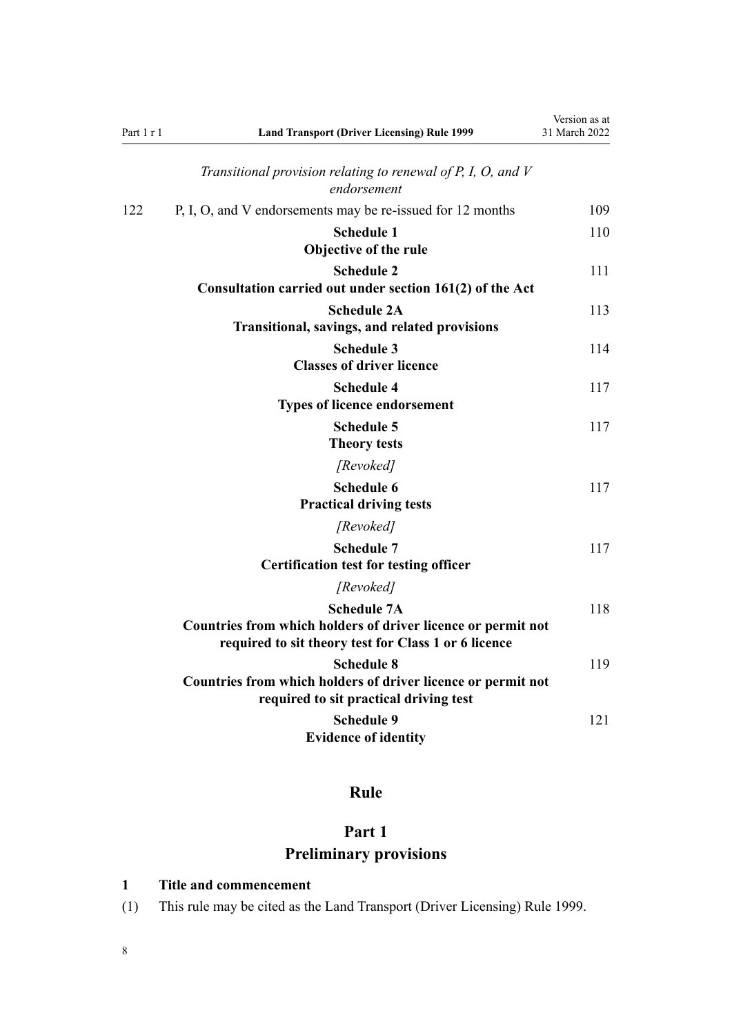<span id="page-7-0"></span>

| Part 1 r 1 | <b>Land Transport (Driver Licensing) Rule 1999</b>                                                                                         | Version as at<br>31 March 2022 |
|------------|--------------------------------------------------------------------------------------------------------------------------------------------|--------------------------------|
|            | Transitional provision relating to renewal of P, I, O, and $V$<br>endorsement                                                              |                                |
| 122        | P, I, O, and V endorsements may be re-issued for 12 months                                                                                 | 109                            |
|            | <b>Schedule 1</b><br>Objective of the rule                                                                                                 | 110                            |
|            | <b>Schedule 2</b><br>Consultation carried out under section 161(2) of the Act                                                              | 111                            |
|            | <b>Schedule 2A</b><br><b>Transitional, savings, and related provisions</b>                                                                 | 113                            |
|            | <b>Schedule 3</b><br><b>Classes of driver licence</b>                                                                                      | 114                            |
|            | <b>Schedule 4</b><br><b>Types of licence endorsement</b>                                                                                   | 117                            |
|            | <b>Schedule 5</b><br><b>Theory tests</b>                                                                                                   | 117                            |
|            | [Revoked]                                                                                                                                  |                                |
|            | Schedule 6<br><b>Practical driving tests</b>                                                                                               | 117                            |
|            | [Revoked]                                                                                                                                  |                                |
|            | <b>Schedule 7</b><br><b>Certification test for testing officer</b>                                                                         | 117                            |
|            | [Revoked]                                                                                                                                  |                                |
|            | <b>Schedule 7A</b><br>Countries from which holders of driver licence or permit not<br>required to sit theory test for Class 1 or 6 licence | 118                            |
|            | <b>Schedule 8</b><br>Countries from which holders of driver licence or permit not<br>required to sit practical driving test                | 119                            |
|            | <b>Schedule 9</b><br><b>Evidence of identity</b>                                                                                           | 121                            |

# **Rule**

# **Part 1 Preliminary provisions**

## **1 Title and commencement**

(1) This rule may be cited as the Land Transport (Driver Licensing) Rule 1999.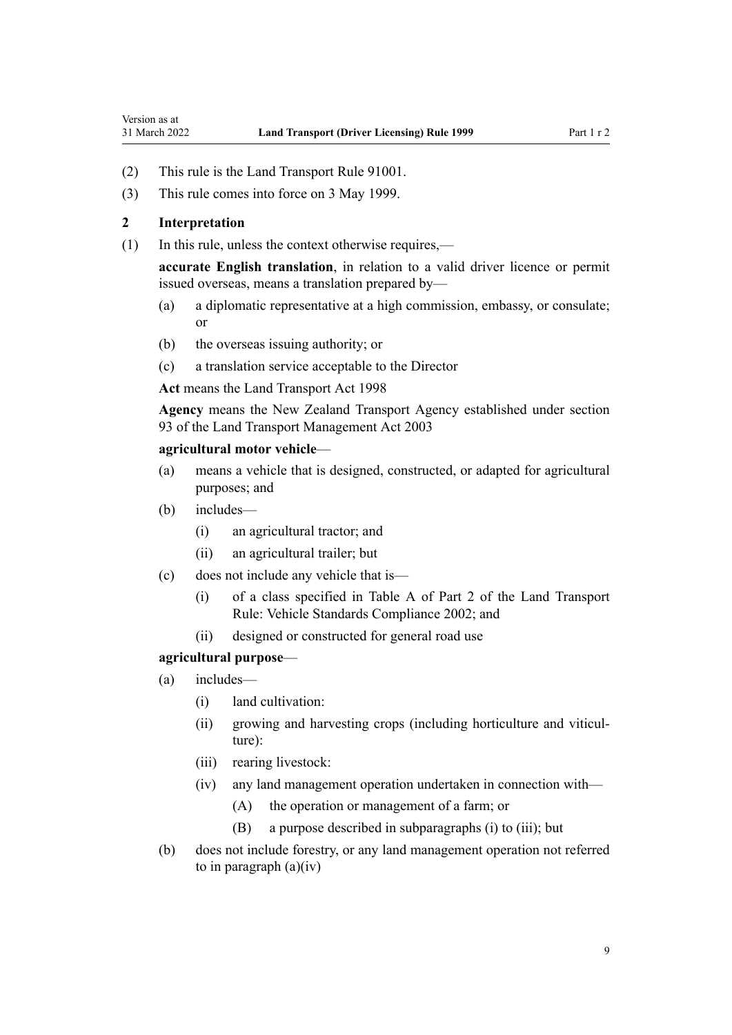- <span id="page-8-0"></span>(2) This rule is the Land Transport Rule 91001.
- (3) This rule comes into force on 3 May 1999.

#### **2 Interpretation**

(1) In this rule, unless the context otherwise requires,—

**accurate English translation**, in relation to a valid driver licence or permit issued overseas, means a translation prepared by—

- (a) a diplomatic representative at a high commission, embassy, or consulate; or
- (b) the overseas issuing authority; or
- (c) a translation service acceptable to the Director

**Act** means the [Land Transport Act 1998](http://legislation.govt.nz/pdflink.aspx?id=DLM433612)

**Agency** means the New Zealand Transport Agency established under [section](http://legislation.govt.nz/pdflink.aspx?id=DLM228044) [93](http://legislation.govt.nz/pdflink.aspx?id=DLM228044) of the Land Transport Management Act 2003

#### **agricultural motor vehicle**—

- (a) means a vehicle that is designed, constructed, or adapted for agricultural purposes; and
- (b) includes—
	- (i) an agricultural tractor; and
	- (ii) an agricultural trailer; but
- (c) does not include any vehicle that is—
	- (i) of a class specified in Table A of Part 2 of the Land Transport Rule: Vehicle Standards Compliance 2002; and
	- (ii) designed or constructed for general road use

#### **agricultural purpose**—

- (a) includes—
	- (i) land cultivation:
	- (ii) growing and harvesting crops (including horticulture and viticulture):
	- (iii) rearing livestock:
	- (iv) any land management operation undertaken in connection with—
		- (A) the operation or management of a farm; or
		- (B) a purpose described in subparagraphs (i) to (iii); but
- (b) does not include forestry, or any land management operation not referred to in paragraph  $(a)(iv)$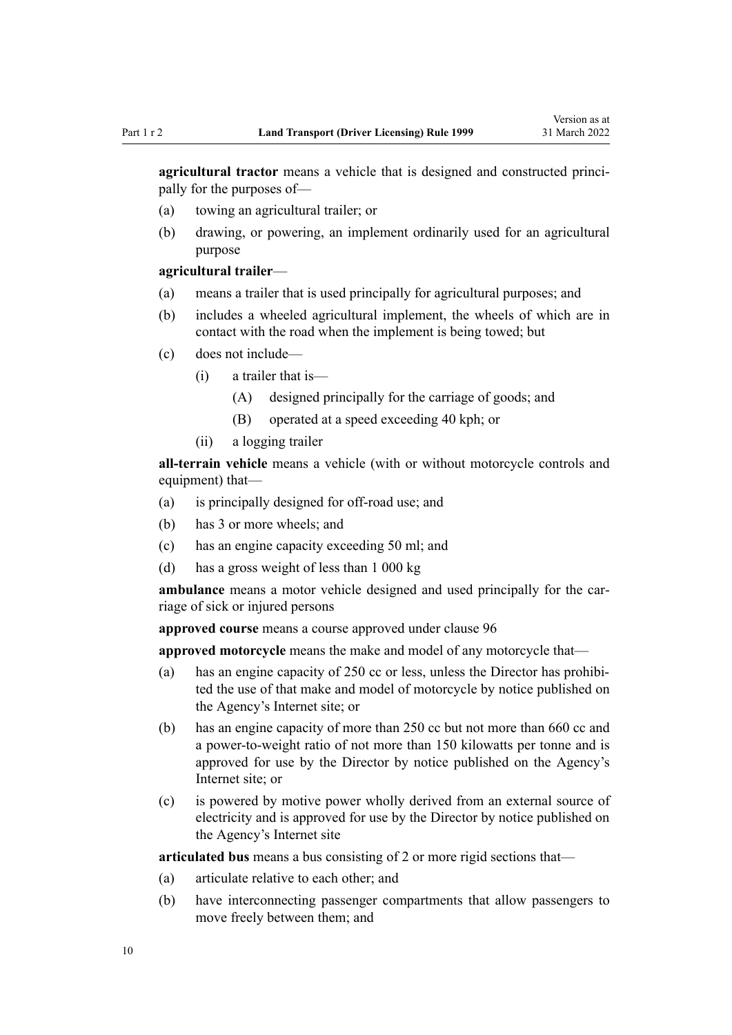**agricultural tractor** means a vehicle that is designed and constructed principally for the purposes of—

- (a) towing an agricultural trailer; or
- (b) drawing, or powering, an implement ordinarily used for an agricultural purpose

#### **agricultural trailer**—

- (a) means a trailer that is used principally for agricultural purposes; and
- (b) includes a wheeled agricultural implement, the wheels of which are in contact with the road when the implement is being towed; but
- (c) does not include—
	- (i) a trailer that is—
		- (A) designed principally for the carriage of goods; and
		- (B) operated at a speed exceeding 40 kph; or
	- (ii) a logging trailer

**all-terrain vehicle** means a vehicle (with or without motorcycle controls and equipment) that—

- (a) is principally designed for off-road use; and
- (b) has 3 or more wheels; and
- (c) has an engine capacity exceeding 50 ml; and
- (d) has a gross weight of less than 1 000 kg

ambulance means a motor vehicle designed and used principally for the carriage of sick or injured persons

**approved course** means a course approved under [clause 96](#page-98-0)

**approved motorcycle** means the make and model of any motorcycle that—

- (a) has an engine capacity of 250 cc or less, unless the Director has prohibited the use of that make and model of motorcycle by notice published on the Agency's Internet site; or
- (b) has an engine capacity of more than 250 cc but not more than 660 cc and a power-to-weight ratio of not more than 150 kilowatts per tonne and is approved for use by the Director by notice published on the Agency's Internet site; or
- (c) is powered by motive power wholly derived from an external source of electricity and is approved for use by the Director by notice published on the Agency's Internet site

**articulated bus** means a bus consisting of 2 or more rigid sections that—

- (a) articulate relative to each other; and
- (b) have interconnecting passenger compartments that allow passengers to move freely between them; and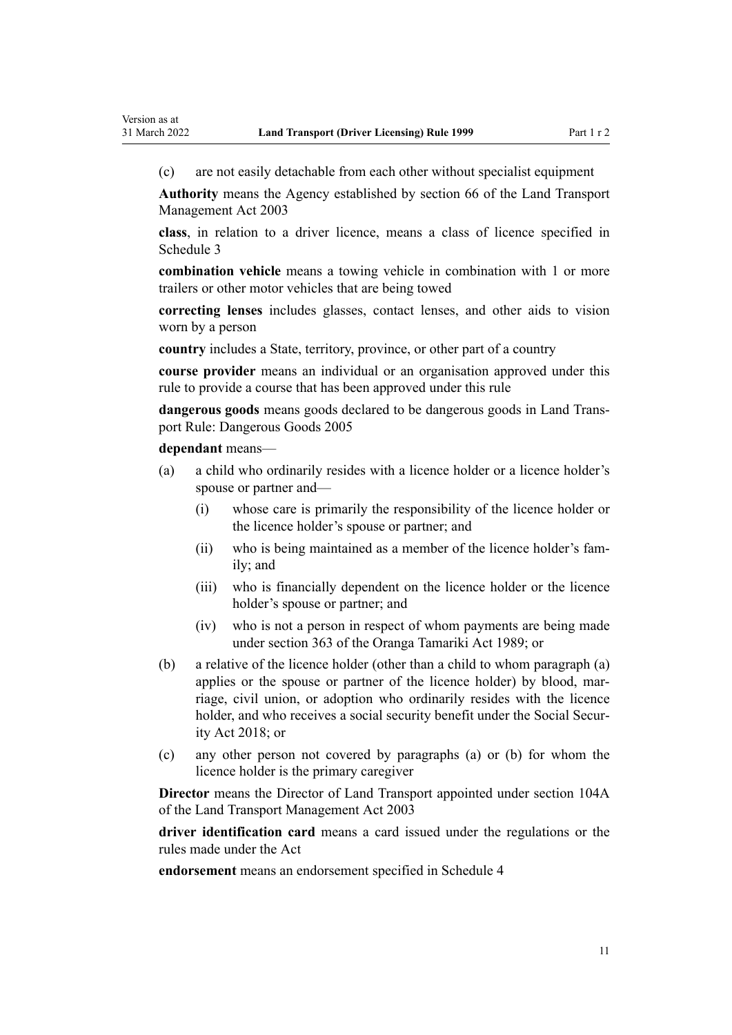(c) are not easily detachable from each other without specialist equipment

**Authority** means the Agency established by [section 66](http://legislation.govt.nz/pdflink.aspx?id=DLM227581) of the Land Transport Management Act 2003

**class**, in relation to a driver licence, means a class of licence specified in [Schedule 3](#page-113-0)

**combination vehicle** means a towing vehicle in combination with 1 or more trailers or other motor vehicles that are being towed

**correcting lenses** includes glasses, contact lenses, and other aids to vision worn by a person

**country** includes a State, territory, province, or other part of a country

**course provider** means an individual or an organisation approved under this rule to provide a course that has been approved under this rule

**dangerous goods** means goods declared to be dangerous goods in Land Trans‐ port Rule: Dangerous Goods 2005

**dependant** means—

- (a) a child who ordinarily resides with a licence holder or a licence holder's spouse or partner and—
	- (i) whose care is primarily the responsibility of the licence holder or the licence holder's spouse or partner; and
	- (ii) who is being maintained as a member of the licence holder's fam‐ ily; and
	- (iii) who is financially dependent on the licence holder or the licence holder's spouse or partner; and
	- (iv) who is not a person in respect of whom payments are being made under [section 363](http://legislation.govt.nz/pdflink.aspx?id=DLM154316) of the Oranga Tamariki Act 1989; or
- (b) a relative of the licence holder (other than a child to whom paragraph (a) applies or the spouse or partner of the licence holder) by blood, marriage, civil union, or adoption who ordinarily resides with the licence holder, and who receives a social security benefit under the Social Secur[ity Act 2018;](http://legislation.govt.nz/pdflink.aspx?id=DLM6783102) or
- (c) any other person not covered by paragraphs (a) or (b) for whom the licence holder is the primary caregiver

**Director** means the Director of Land Transport appointed under [section 104A](http://legislation.govt.nz/pdflink.aspx?id=LMS475458) of the Land Transport Management Act 2003

**driver identification card** means a card issued under the regulations or the rules made under the Act

**endorsement** means an endorsement specified in [Schedule 4](#page-116-0)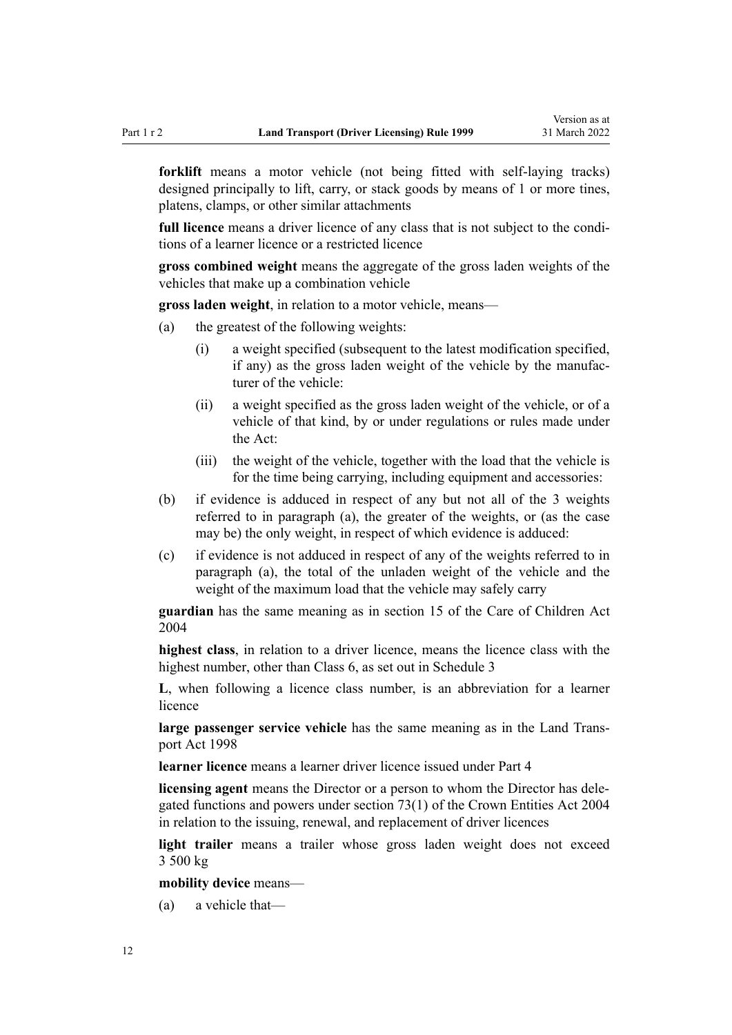**forklift** means a motor vehicle (not being fitted with self-laying tracks) designed principally to lift, carry, or stack goods by means of 1 or more tines, platens, clamps, or other similar attachments

full licence means a driver licence of any class that is not subject to the conditions of a learner licence or a restricted licence

**gross combined weight** means the aggregate of the gross laden weights of the vehicles that make up a combination vehicle

**gross laden weight**, in relation to a motor vehicle, means—

- (a) the greatest of the following weights:
	- (i) a weight specified (subsequent to the latest modification specified, if any) as the gross laden weight of the vehicle by the manufac‐ turer of the vehicle:
	- (ii) a weight specified as the gross laden weight of the vehicle, or of a vehicle of that kind, by or under regulations or rules made under the Act:
	- (iii) the weight of the vehicle, together with the load that the vehicle is for the time being carrying, including equipment and accessories:
- (b) if evidence is adduced in respect of any but not all of the 3 weights referred to in paragraph (a), the greater of the weights, or (as the case may be) the only weight, in respect of which evidence is adduced:
- (c) if evidence is not adduced in respect of any of the weights referred to in paragraph (a), the total of the unladen weight of the vehicle and the weight of the maximum load that the vehicle may safely carry

**guardian** has the same meaning as in [section 15](http://legislation.govt.nz/pdflink.aspx?id=DLM317411) of the Care of Children Act 2004

**highest class**, in relation to a driver licence, means the licence class with the highest number, other than Class 6, as set out in [Schedule 3](#page-113-0)

**L**, when following a licence class number, is an abbreviation for a learner licence

large passenger service vehicle has the same meaning as in the Land Trans[port Act 1998](http://legislation.govt.nz/pdflink.aspx?id=DLM433612)

**learner licence** means a learner driver licence issued under [Part 4](#page-26-0)

**licensing agent** means the Director or a person to whom the Director has dele‐ gated functions and powers under [section 73\(1\)](http://legislation.govt.nz/pdflink.aspx?id=DLM330308) of the Crown Entities Act 2004 in relation to the issuing, renewal, and replacement of driver licences

**light trailer** means a trailer whose gross laden weight does not exceed 3 500 kg

**mobility device** means—

(a) a vehicle that—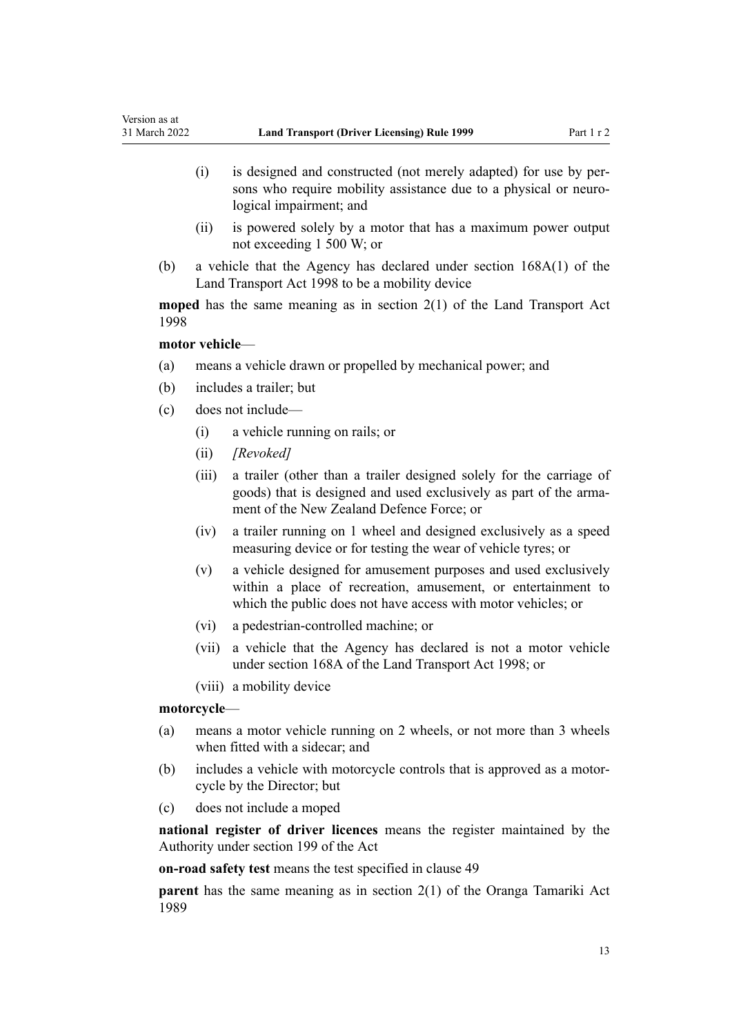- (i) is designed and constructed (not merely adapted) for use by per‐ sons who require mobility assistance due to a physical or neurological impairment; and
- (ii) is powered solely by a motor that has a maximum power output not exceeding 1 500 W; or
- (b) a vehicle that the Agency has declared under [section 168A\(1\)](http://legislation.govt.nz/pdflink.aspx?id=DLM435415) of the Land Transport Act 1998 to be a mobility device

**moped** has the same meaning as in [section 2\(1\)](http://legislation.govt.nz/pdflink.aspx?id=DLM433619) of the Land Transport Act 1998

#### **motor vehicle**—

Version as at

- (a) means a vehicle drawn or propelled by mechanical power; and
- (b) includes a trailer; but
- (c) does not include—
	- (i) a vehicle running on rails; or
	- (ii) *[Revoked]*
	- (iii) a trailer (other than a trailer designed solely for the carriage of goods) that is designed and used exclusively as part of the armament of the New Zealand Defence Force; or
	- (iv) a trailer running on 1 wheel and designed exclusively as a speed measuring device or for testing the wear of vehicle tyres; or
	- (v) a vehicle designed for amusement purposes and used exclusively within a place of recreation, amusement, or entertainment to which the public does not have access with motor vehicles; or
	- (vi) a pedestrian-controlled machine; or
	- (vii) a vehicle that the Agency has declared is not a motor vehicle under [section 168A](http://legislation.govt.nz/pdflink.aspx?id=DLM435415) of the Land Transport Act 1998; or
	- (viii) a mobility device

#### **motorcycle**—

- (a) means a motor vehicle running on 2 wheels, or not more than 3 wheels when fitted with a sidecar; and
- (b) includes a vehicle with motorcycle controls that is approved as a motor‐ cycle by the Director; but
- (c) does not include a moped

**national register of driver licences** means the register maintained by the Authority under [section 199](http://legislation.govt.nz/pdflink.aspx?id=DLM435603) of the Act

**on-road safety test** means the test specified in [clause 49](#page-57-0)

**parent** has the same meaning as in [section 2\(1\)](http://legislation.govt.nz/pdflink.aspx?id=DLM147094) of the Oranga Tamariki Act 1989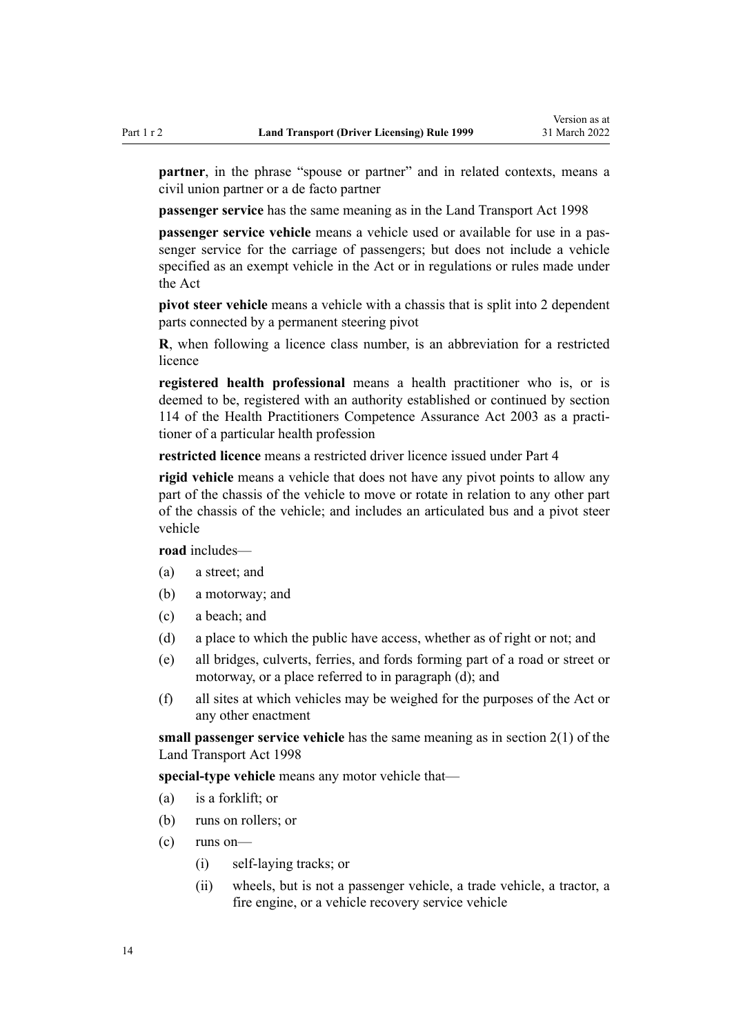**partner**, in the phrase "spouse or partner" and in related contexts, means a civil union partner or a de facto partner

**passenger service** has the same meaning as in the [Land Transport Act 1998](http://legislation.govt.nz/pdflink.aspx?id=DLM433612)

**passenger service vehicle** means a vehicle used or available for use in a passenger service for the carriage of passengers; but does not include a vehicle specified as an exempt vehicle in the Act or in regulations or rules made under the Act

**pivot steer vehicle** means a vehicle with a chassis that is split into 2 dependent parts connected by a permanent steering pivot

**R**, when following a licence class number, is an abbreviation for a restricted licence

**registered health professional** means a health practitioner who is, or is deemed to be, registered with an authority established or continued by [section](http://legislation.govt.nz/pdflink.aspx?id=DLM204329) [114](http://legislation.govt.nz/pdflink.aspx?id=DLM204329) of the Health Practitioners Competence Assurance Act 2003 as a practi‐ tioner of a particular health profession

**restricted licence** means a restricted driver licence issued under [Part 4](#page-26-0)

**rigid vehicle** means a vehicle that does not have any pivot points to allow any part of the chassis of the vehicle to move or rotate in relation to any other part of the chassis of the vehicle; and includes an articulated bus and a pivot steer vehicle

**road** includes—

- (a) a street; and
- (b) a motorway; and
- (c) a beach; and
- (d) a place to which the public have access, whether as of right or not; and
- (e) all bridges, culverts, ferries, and fords forming part of a road or street or motorway, or a place referred to in paragraph (d); and
- (f) all sites at which vehicles may be weighed for the purposes of the Act or any other enactment

**small passenger service vehicle** has the same meaning as in [section 2\(1\)](http://legislation.govt.nz/pdflink.aspx?id=DLM433619) of the Land Transport Act 1998

**special-type vehicle** means any motor vehicle that—

- (a) is a forklift; or
- (b) runs on rollers; or
- (c) runs on—
	- (i) self-laying tracks; or
	- (ii) wheels, but is not a passenger vehicle, a trade vehicle, a tractor, a fire engine, or a vehicle recovery service vehicle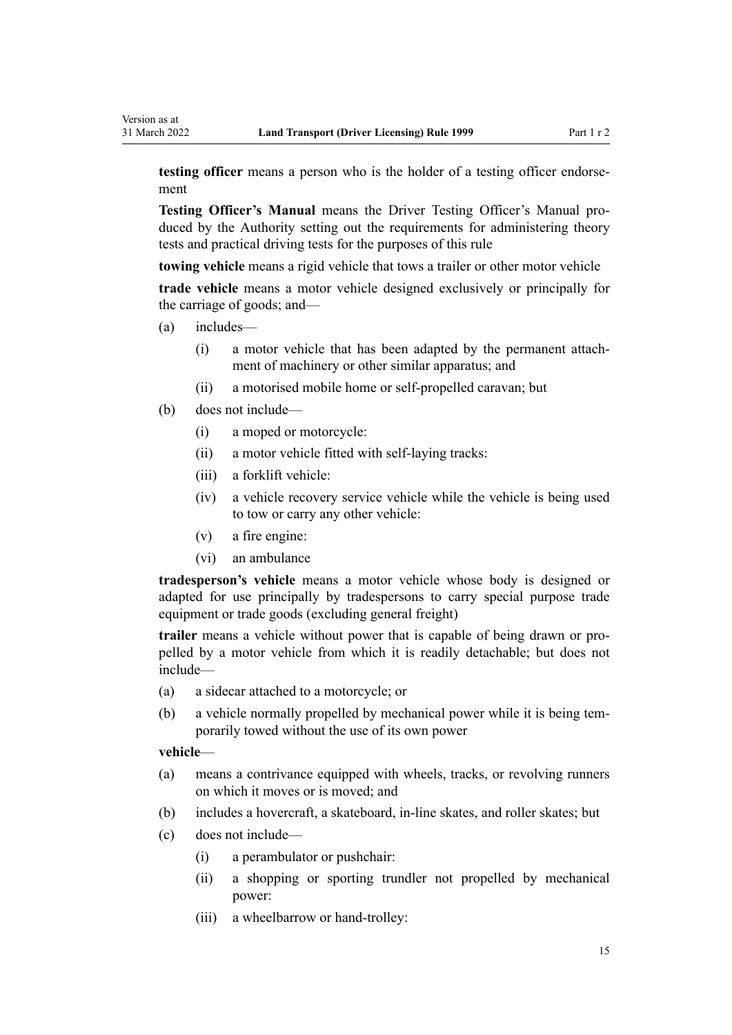**testing officer** means a person who is the holder of a testing officer endorsement

**Testing Officer's Manual** means the Driver Testing Officer's Manual pro‐ duced by the Authority setting out the requirements for administering theory tests and practical driving tests for the purposes of this rule

**towing vehicle** means a rigid vehicle that tows a trailer or other motor vehicle

**trade vehicle** means a motor vehicle designed exclusively or principally for the carriage of goods; and—

- (a) includes—
	- (i) a motor vehicle that has been adapted by the permanent attach‐ ment of machinery or other similar apparatus; and
	- (ii) a motorised mobile home or self-propelled caravan; but
- (b) does not include—
	- (i) a moped or motorcycle:
	- (ii) a motor vehicle fitted with self-laying tracks:
	- (iii) a forklift vehicle:
	- (iv) a vehicle recovery service vehicle while the vehicle is being used to tow or carry any other vehicle:
	- (v) a fire engine:
	- (vi) an ambulance

**tradesperson's vehicle** means a motor vehicle whose body is designed or adapted for use principally by tradespersons to carry special purpose trade equipment or trade goods (excluding general freight)

**trailer** means a vehicle without power that is capable of being drawn or pro‐ pelled by a motor vehicle from which it is readily detachable; but does not include—

- (a) a sidecar attached to a motorcycle; or
- (b) a vehicle normally propelled by mechanical power while it is being temporarily towed without the use of its own power

#### **vehicle**—

- (a) means a contrivance equipped with wheels, tracks, or revolving runners on which it moves or is moved; and
- (b) includes a hovercraft, a skateboard, in-line skates, and roller skates; but
- (c) does not include—
	- (i) a perambulator or pushchair:
	- (ii) a shopping or sporting trundler not propelled by mechanical power:
	- (iii) a wheelbarrow or hand-trolley: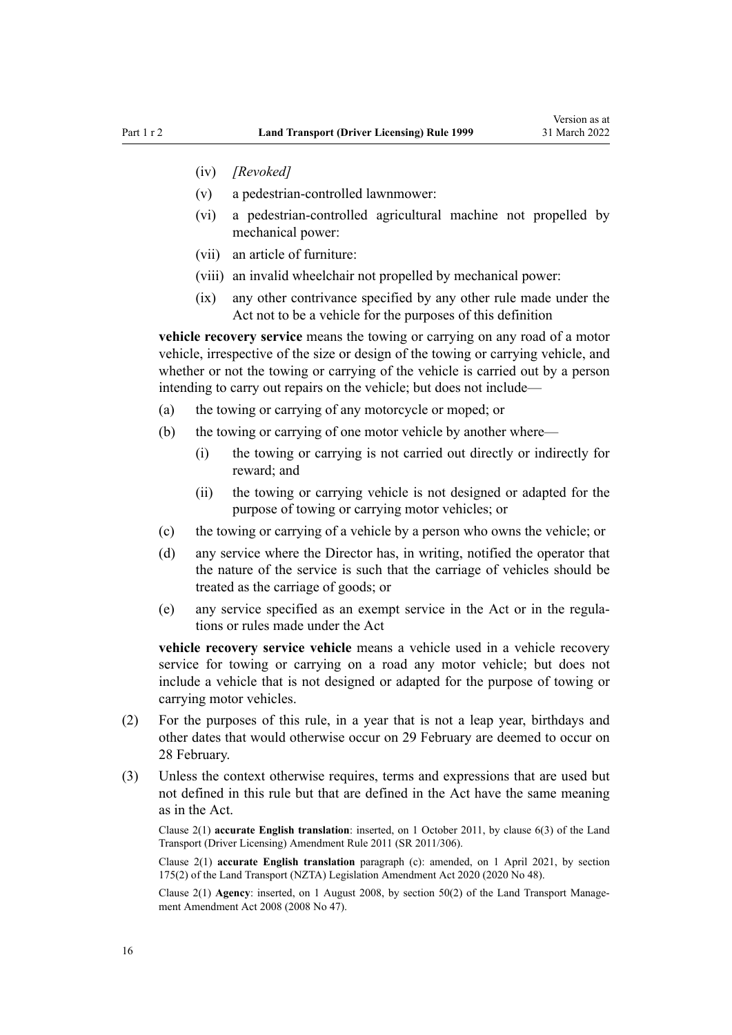- (iv) *[Revoked]*
- (v) a pedestrian-controlled lawnmower:
- (vi) a pedestrian-controlled agricultural machine not propelled by mechanical power:
- (vii) an article of furniture:
- (viii) an invalid wheelchair not propelled by mechanical power:
- (ix) any other contrivance specified by any other rule made under the Act not to be a vehicle for the purposes of this definition

**vehicle recovery service** means the towing or carrying on any road of a motor vehicle, irrespective of the size or design of the towing or carrying vehicle, and whether or not the towing or carrying of the vehicle is carried out by a person intending to carry out repairs on the vehicle; but does not include—

- (a) the towing or carrying of any motorcycle or moped; or
- (b) the towing or carrying of one motor vehicle by another where—
	- (i) the towing or carrying is not carried out directly or indirectly for reward; and
	- (ii) the towing or carrying vehicle is not designed or adapted for the purpose of towing or carrying motor vehicles; or
- (c) the towing or carrying of a vehicle by a person who owns the vehicle; or
- (d) any service where the Director has, in writing, notified the operator that the nature of the service is such that the carriage of vehicles should be treated as the carriage of goods; or
- (e) any service specified as an exempt service in the Act or in the regula‐ tions or rules made under the Act

**vehicle recovery service vehicle** means a vehicle used in a vehicle recovery service for towing or carrying on a road any motor vehicle; but does not include a vehicle that is not designed or adapted for the purpose of towing or carrying motor vehicles.

- (2) For the purposes of this rule, in a year that is not a leap year, birthdays and other dates that would otherwise occur on 29 February are deemed to occur on 28 February.
- (3) Unless the context otherwise requires, terms and expressions that are used but not defined in this rule but that are defined in the Act have the same meaning as in the Act.

Clause 2(1) **accurate English translation**: inserted, on 1 October 2011, by [clause 6\(3\)](http://legislation.govt.nz/pdflink.aspx?id=DLM3956501) of the Land Transport (Driver Licensing) Amendment Rule 2011 (SR 2011/306).

Clause 2(1) **accurate English translation** paragraph (c): amended, on 1 April 2021, by [section](http://legislation.govt.nz/pdflink.aspx?id=LMS286883) [175\(2\)](http://legislation.govt.nz/pdflink.aspx?id=LMS286883) of the Land Transport (NZTA) Legislation Amendment Act 2020 (2020 No 48).

Clause 2(1) **Agency**: inserted, on 1 August 2008, by [section 50\(2\)](http://legislation.govt.nz/pdflink.aspx?id=DLM1313622) of the Land Transport Management Amendment Act 2008 (2008 No 47).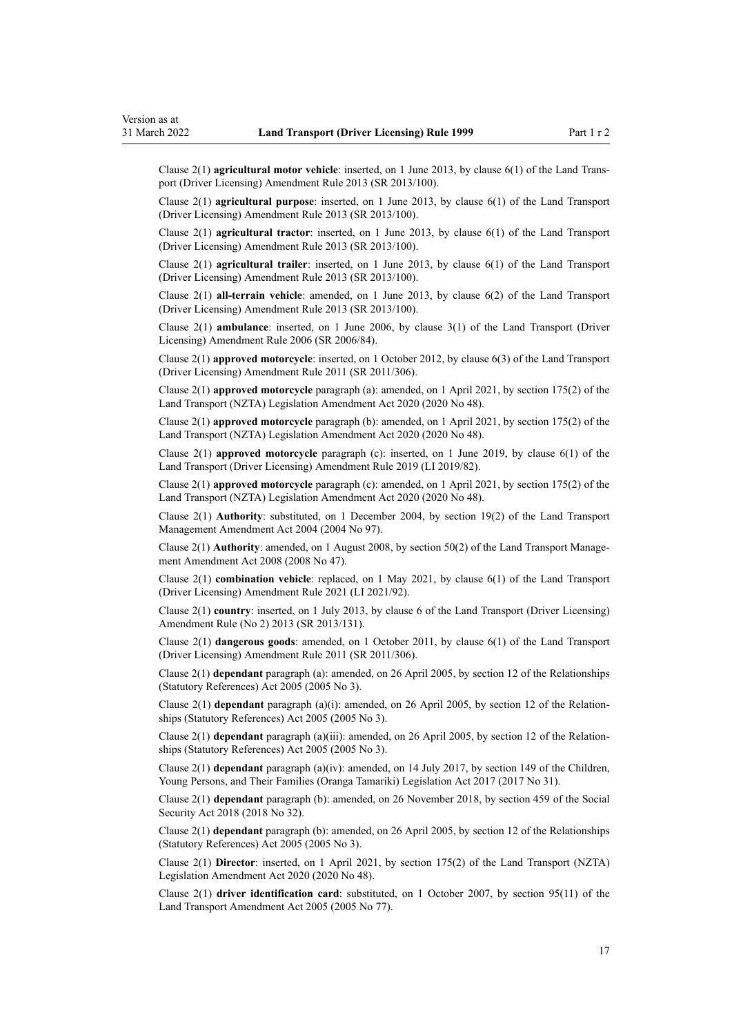Clause 2(1) **agricultural motor vehicle**: inserted, on 1 June 2013, by [clause 6\(1\)](http://legislation.govt.nz/pdflink.aspx?id=DLM5102233) of the Land Trans‐ port (Driver Licensing) Amendment Rule 2013 (SR 2013/100).

Clause 2(1) **agricultural purpose**: inserted, on 1 June 2013, by [clause 6\(1\)](http://legislation.govt.nz/pdflink.aspx?id=DLM5102233) of the Land Transport (Driver Licensing) Amendment Rule 2013 (SR 2013/100).

Clause 2(1) **agricultural tractor**: inserted, on 1 June 2013, by [clause 6\(1\)](http://legislation.govt.nz/pdflink.aspx?id=DLM5102233) of the Land Transport (Driver Licensing) Amendment Rule 2013 (SR 2013/100).

Clause 2(1) **agricultural trailer**: inserted, on 1 June 2013, by [clause 6\(1\)](http://legislation.govt.nz/pdflink.aspx?id=DLM5102233) of the Land Transport (Driver Licensing) Amendment Rule 2013 (SR 2013/100).

Clause 2(1) **all-terrain vehicle**: amended, on 1 June 2013, by [clause 6\(2\)](http://legislation.govt.nz/pdflink.aspx?id=DLM5102233) of the Land Transport (Driver Licensing) Amendment Rule 2013 (SR 2013/100).

Clause 2(1) **ambulance**: inserted, on 1 June 2006, by [clause 3\(1\)](http://legislation.govt.nz/pdflink.aspx?id=DLM375678) of the Land Transport (Driver Licensing) Amendment Rule 2006 (SR 2006/84).

Clause 2(1) **approved motorcycle**: inserted, on 1 October 2012, by [clause 6\(3\)](http://legislation.govt.nz/pdflink.aspx?id=DLM3956501) of the Land Transport (Driver Licensing) Amendment Rule 2011 (SR 2011/306).

Clause 2(1) **approved motorcycle** paragraph (a): amended, on 1 April 2021, by [section 175\(2\)](http://legislation.govt.nz/pdflink.aspx?id=LMS286883) of the Land Transport (NZTA) Legislation Amendment Act 2020 (2020 No 48).

Clause 2(1) **approved motorcycle** paragraph (b): amended, on 1 April 2021, by [section 175\(2\)](http://legislation.govt.nz/pdflink.aspx?id=LMS286883) of the Land Transport (NZTA) Legislation Amendment Act 2020 (2020 No 48).

Clause 2(1) **approved motorcycle** paragraph (c): inserted, on 1 June 2019, by [clause 6\(1\)](http://legislation.govt.nz/pdflink.aspx?id=LMS136011) of the Land Transport (Driver Licensing) Amendment Rule 2019 (LI 2019/82).

Clause 2(1) **approved motorcycle** paragraph (c): amended, on 1 April 2021, by [section 175\(2\)](http://legislation.govt.nz/pdflink.aspx?id=LMS286883) of the Land Transport (NZTA) Legislation Amendment Act 2020 (2020 No 48).

Clause 2(1) **Authority**: substituted, on 1 December 2004, by [section 19\(2\)](http://legislation.govt.nz/pdflink.aspx?id=DLM321838) of the Land Transport Management Amendment Act 2004 (2004 No 97).

Clause 2(1) **Authority**: amended, on 1 August 2008, by [section 50\(2\)](http://legislation.govt.nz/pdflink.aspx?id=DLM1313622) of the Land Transport Management Amendment Act 2008 (2008 No 47).

Clause 2(1) **combination vehicle**: replaced, on 1 May 2021, by [clause 6\(1\)](http://legislation.govt.nz/pdflink.aspx?id=LMS453277) of the Land Transport (Driver Licensing) Amendment Rule 2021 (LI 2021/92).

Clause 2(1) **country**: inserted, on 1 July 2013, by [clause 6](http://legislation.govt.nz/pdflink.aspx?id=DLM5159809) of the Land Transport (Driver Licensing) Amendment Rule (No 2) 2013 (SR 2013/131).

Clause 2(1) **dangerous goods**: amended, on 1 October 2011, by [clause 6\(1\)](http://legislation.govt.nz/pdflink.aspx?id=DLM3956501) of the Land Transport (Driver Licensing) Amendment Rule 2011 (SR 2011/306).

Clause 2(1) **dependant** paragraph (a): amended, on 26 April 2005, by [section 12](http://legislation.govt.nz/pdflink.aspx?id=DLM334004) of the Relationships (Statutory References) Act 2005 (2005 No 3).

Clause 2(1) **dependant** paragraph (a)(i): amended, on 26 April 2005, by [section 12](http://legislation.govt.nz/pdflink.aspx?id=DLM334004) of the Relation‐ ships (Statutory References) Act 2005 (2005 No 3).

Clause 2(1) **dependant** paragraph (a)(iii): amended, on 26 April 2005, by [section 12](http://legislation.govt.nz/pdflink.aspx?id=DLM334004) of the Relation‐ ships (Statutory References) Act 2005 (2005 No 3).

Clause 2(1) **dependant** paragraph (a)(iv): amended, on 14 July 2017, by [section 149](http://legislation.govt.nz/pdflink.aspx?id=DLM7287401) of the Children, Young Persons, and Their Families (Oranga Tamariki) Legislation Act 2017 (2017 No 31).

Clause 2(1) **dependant** paragraph (b): amended, on 26 November 2018, by [section 459](http://legislation.govt.nz/pdflink.aspx?id=DLM6784038) of the Social Security Act 2018 (2018 No 32).

Clause 2(1) **dependant** paragraph (b): amended, on 26 April 2005, by [section 12](http://legislation.govt.nz/pdflink.aspx?id=DLM334004) of the Relationships (Statutory References) Act 2005 (2005 No 3).

Clause 2(1) **Director**: inserted, on 1 April 2021, by [section 175\(2\)](http://legislation.govt.nz/pdflink.aspx?id=LMS286883) of the Land Transport (NZTA) Legislation Amendment Act 2020 (2020 No 48).

Clause 2(1) **driver identification card**: substituted, on 1 October 2007, by [section 95\(11\)](http://legislation.govt.nz/pdflink.aspx?id=DLM353501) of the Land Transport Amendment Act 2005 (2005 No 77).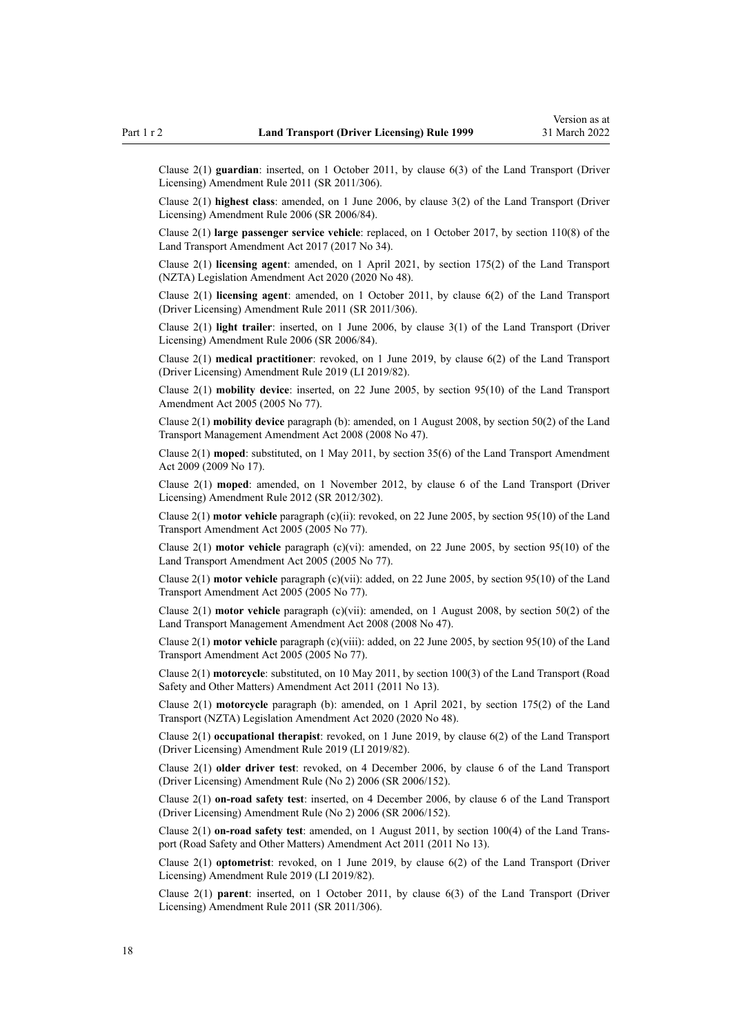Clause 2(1) **guardian**: inserted, on 1 October 2011, by [clause 6\(3\)](http://legislation.govt.nz/pdflink.aspx?id=DLM3956501) of the Land Transport (Driver Licensing) Amendment Rule 2011 (SR 2011/306).

Clause 2(1) **highest class**: amended, on 1 June 2006, by [clause 3\(2\)](http://legislation.govt.nz/pdflink.aspx?id=DLM375678) of the Land Transport (Driver Licensing) Amendment Rule 2006 (SR 2006/84).

Clause 2(1) **large passenger service vehicle**: replaced, on 1 October 2017, by [section 110\(8\)](http://legislation.govt.nz/pdflink.aspx?id=DLM6960929) of the Land Transport Amendment Act 2017 (2017 No 34).

Clause 2(1) **licensing agent**: amended, on 1 April 2021, by [section 175\(2\)](http://legislation.govt.nz/pdflink.aspx?id=LMS286883) of the Land Transport (NZTA) Legislation Amendment Act 2020 (2020 No 48).

Clause 2(1) **licensing agent**: amended, on 1 October 2011, by [clause 6\(2\)](http://legislation.govt.nz/pdflink.aspx?id=DLM3956501) of the Land Transport (Driver Licensing) Amendment Rule 2011 (SR 2011/306).

Clause 2(1) **light trailer**: inserted, on 1 June 2006, by [clause 3\(1\)](http://legislation.govt.nz/pdflink.aspx?id=DLM375678) of the Land Transport (Driver Licensing) Amendment Rule 2006 (SR 2006/84).

Clause 2(1) **medical practitioner**: revoked, on 1 June 2019, by [clause 6\(2\)](http://legislation.govt.nz/pdflink.aspx?id=LMS136011) of the Land Transport (Driver Licensing) Amendment Rule 2019 (LI 2019/82).

Clause 2(1) **mobility device**: inserted, on 22 June 2005, by [section 95\(10\)](http://legislation.govt.nz/pdflink.aspx?id=DLM353501) of the Land Transport Amendment Act 2005 (2005 No 77).

Clause 2(1) **mobility device** paragraph (b): amended, on 1 August 2008, by [section 50\(2\)](http://legislation.govt.nz/pdflink.aspx?id=DLM1313622) of the Land Transport Management Amendment Act 2008 (2008 No 47).

Clause 2(1) **moped**: substituted, on 1 May 2011, by [section 35\(6\)](http://legislation.govt.nz/pdflink.aspx?id=DLM2015063) of the Land Transport Amendment Act 2009 (2009 No 17).

Clause 2(1) **moped**: amended, on 1 November 2012, by [clause 6](http://legislation.govt.nz/pdflink.aspx?id=DLM4773435) of the Land Transport (Driver Licensing) Amendment Rule 2012 (SR 2012/302).

Clause 2(1) **motor vehicle** paragraph (c)(ii): revoked, on 22 June 2005, by [section 95\(10\)](http://legislation.govt.nz/pdflink.aspx?id=DLM353501) of the Land Transport Amendment Act 2005 (2005 No 77).

Clause 2(1) **motor vehicle** paragraph (c)(vi): amended, on 22 June 2005, by [section 95\(10\)](http://legislation.govt.nz/pdflink.aspx?id=DLM353501) of the Land Transport Amendment Act 2005 (2005 No 77).

Clause 2(1) **motor vehicle** paragraph (c)(vii): added, on 22 June 2005, by [section 95\(10\)](http://legislation.govt.nz/pdflink.aspx?id=DLM353501) of the Land Transport Amendment Act 2005 (2005 No 77).

Clause 2(1) **motor vehicle** paragraph (c)(vii): amended, on 1 August 2008, by [section 50\(2\)](http://legislation.govt.nz/pdflink.aspx?id=DLM1313622) of the Land Transport Management Amendment Act 2008 (2008 No 47).

Clause 2(1) **motor vehicle** paragraph (c)(viii): added, on 22 June 2005, by [section 95\(10\)](http://legislation.govt.nz/pdflink.aspx?id=DLM353501) of the Land Transport Amendment Act 2005 (2005 No 77).

Clause 2(1) **motorcycle**: substituted, on 10 May 2011, by [section 100\(3\)](http://legislation.govt.nz/pdflink.aspx?id=DLM3231293) of the Land Transport (Road Safety and Other Matters) Amendment Act 2011 (2011 No 13).

Clause 2(1) **motorcycle** paragraph (b): amended, on 1 April 2021, by [section 175\(2\)](http://legislation.govt.nz/pdflink.aspx?id=LMS286883) of the Land Transport (NZTA) Legislation Amendment Act 2020 (2020 No 48).

Clause 2(1) **occupational therapist**: revoked, on 1 June 2019, by [clause 6\(2\)](http://legislation.govt.nz/pdflink.aspx?id=LMS136011) of the Land Transport (Driver Licensing) Amendment Rule 2019 (LI 2019/82).

Clause 2(1) **older driver test**: revoked, on 4 December 2006, by [clause 6](http://legislation.govt.nz/pdflink.aspx?id=DLM386141) of the Land Transport (Driver Licensing) Amendment Rule (No 2) 2006 (SR 2006/152).

Clause 2(1) **on-road safety test**: inserted, on 4 December 2006, by [clause 6](http://legislation.govt.nz/pdflink.aspx?id=DLM386141) of the Land Transport (Driver Licensing) Amendment Rule (No 2) 2006 (SR 2006/152).

Clause 2(1) **on-road safety test**: amended, on 1 August 2011, by [section 100\(4\)](http://legislation.govt.nz/pdflink.aspx?id=DLM3231293) of the Land Trans‐ port (Road Safety and Other Matters) Amendment Act 2011 (2011 No 13).

Clause 2(1) **optometrist**: revoked, on 1 June 2019, by [clause 6\(2\)](http://legislation.govt.nz/pdflink.aspx?id=LMS136011) of the Land Transport (Driver Licensing) Amendment Rule 2019 (LI 2019/82).

Clause 2(1) **parent**: inserted, on 1 October 2011, by [clause 6\(3\)](http://legislation.govt.nz/pdflink.aspx?id=DLM3956501) of the Land Transport (Driver Licensing) Amendment Rule 2011 (SR 2011/306).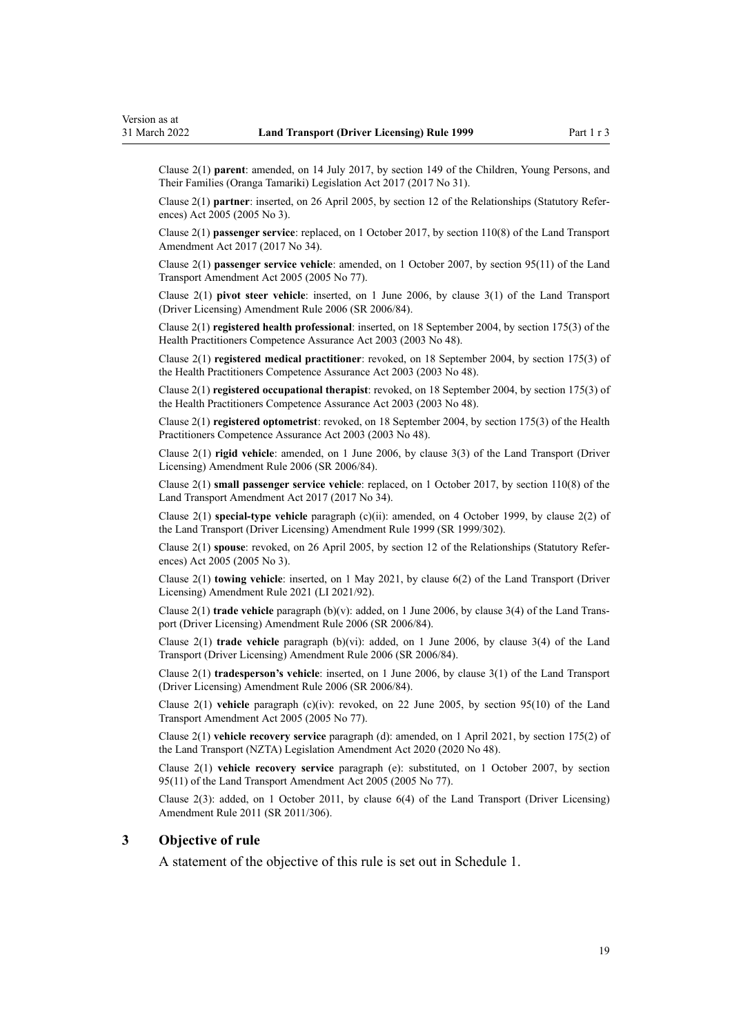<span id="page-18-0"></span>Clause 2(1) **parent**: amended, on 14 July 2017, by [section 149](http://legislation.govt.nz/pdflink.aspx?id=DLM7287401) of the Children, Young Persons, and Their Families (Oranga Tamariki) Legislation Act 2017 (2017 No 31).

Clause 2(1) **partner**: inserted, on 26 April 2005, by [section 12](http://legislation.govt.nz/pdflink.aspx?id=DLM334004) of the Relationships (Statutory Refer‐ ences) Act 2005 (2005 No 3).

Clause 2(1) **passenger service**: replaced, on 1 October 2017, by [section 110\(8\)](http://legislation.govt.nz/pdflink.aspx?id=DLM6960929) of the Land Transport Amendment Act 2017 (2017 No 34).

Clause 2(1) **passenger service vehicle**: amended, on 1 October 2007, by [section 95\(11\)](http://legislation.govt.nz/pdflink.aspx?id=DLM353501) of the Land Transport Amendment Act 2005 (2005 No 77).

Clause 2(1) **pivot steer vehicle**: inserted, on 1 June 2006, by [clause 3\(1\)](http://legislation.govt.nz/pdflink.aspx?id=DLM375678) of the Land Transport (Driver Licensing) Amendment Rule 2006 (SR 2006/84).

Clause 2(1) **registered health professional**: inserted, on 18 September 2004, by [section 175\(3\)](http://legislation.govt.nz/pdflink.aspx?id=DLM205009) of the Health Practitioners Competence Assurance Act 2003 (2003 No 48).

Clause 2(1) **registered medical practitioner**: revoked, on 18 September 2004, by [section 175\(3\)](http://legislation.govt.nz/pdflink.aspx?id=DLM205009) of the Health Practitioners Competence Assurance Act 2003 (2003 No 48).

Clause 2(1) **registered occupational therapist**: revoked, on 18 September 2004, by [section 175\(3\)](http://legislation.govt.nz/pdflink.aspx?id=DLM205009) of the Health Practitioners Competence Assurance Act 2003 (2003 No 48).

Clause 2(1) **registered optometrist**: revoked, on 18 September 2004, by [section 175\(3\)](http://legislation.govt.nz/pdflink.aspx?id=DLM205009) of the Health Practitioners Competence Assurance Act 2003 (2003 No 48).

Clause 2(1) **rigid vehicle**: amended, on 1 June 2006, by [clause 3\(3\)](http://legislation.govt.nz/pdflink.aspx?id=DLM375678) of the Land Transport (Driver Licensing) Amendment Rule 2006 (SR 2006/84).

Clause 2(1) **small passenger service vehicle**: replaced, on 1 October 2017, by [section 110\(8\)](http://legislation.govt.nz/pdflink.aspx?id=DLM6960929) of the Land Transport Amendment Act 2017 (2017 No 34).

Clause 2(1) **special-type vehicle** paragraph (c)(ii): amended, on 4 October 1999, by [clause 2\(2\)](http://legislation.govt.nz/pdflink.aspx?id=DLM293670) of the Land Transport (Driver Licensing) Amendment Rule 1999 (SR 1999/302).

Clause 2(1) **spouse**: revoked, on 26 April 2005, by [section 12](http://legislation.govt.nz/pdflink.aspx?id=DLM334004) of the Relationships (Statutory Refer‐ ences) Act 2005 (2005 No 3).

Clause 2(1) **towing vehicle**: inserted, on 1 May 2021, by [clause 6\(2\)](http://legislation.govt.nz/pdflink.aspx?id=LMS453277) of the Land Transport (Driver Licensing) Amendment Rule 2021 (LI 2021/92).

Clause 2(1) **trade vehicle** paragraph (b)(v): added, on 1 June 2006, by [clause 3\(4\)](http://legislation.govt.nz/pdflink.aspx?id=DLM375678) of the Land Trans‐ port (Driver Licensing) Amendment Rule 2006 (SR 2006/84).

Clause 2(1) **trade vehicle** paragraph (b)(vi): added, on 1 June 2006, by [clause 3\(4\)](http://legislation.govt.nz/pdflink.aspx?id=DLM375678) of the Land Transport (Driver Licensing) Amendment Rule 2006 (SR 2006/84).

Clause 2(1) **tradesperson's vehicle**: inserted, on 1 June 2006, by [clause 3\(1\)](http://legislation.govt.nz/pdflink.aspx?id=DLM375678) of the Land Transport (Driver Licensing) Amendment Rule 2006 (SR 2006/84).

Clause 2(1) **vehicle** paragraph (c)(iv): revoked, on 22 June 2005, by [section 95\(10\)](http://legislation.govt.nz/pdflink.aspx?id=DLM353501) of the Land Transport Amendment Act 2005 (2005 No 77).

Clause 2(1) **vehicle recovery service** paragraph (d): amended, on 1 April 2021, by [section 175\(2\)](http://legislation.govt.nz/pdflink.aspx?id=LMS286883) of the Land Transport (NZTA) Legislation Amendment Act 2020 (2020 No 48).

Clause 2(1) **vehicle recovery service** paragraph (e): substituted, on 1 October 2007, by [section](http://legislation.govt.nz/pdflink.aspx?id=DLM353501) [95\(11\)](http://legislation.govt.nz/pdflink.aspx?id=DLM353501) of the Land Transport Amendment Act 2005 (2005 No 77).

Clause 2(3): added, on 1 October 2011, by [clause 6\(4\)](http://legislation.govt.nz/pdflink.aspx?id=DLM3956501) of the Land Transport (Driver Licensing) Amendment Rule 2011 (SR 2011/306).

#### **3 Objective of rule**

A statement of the objective of this rule is set out in [Schedule 1.](#page-109-0)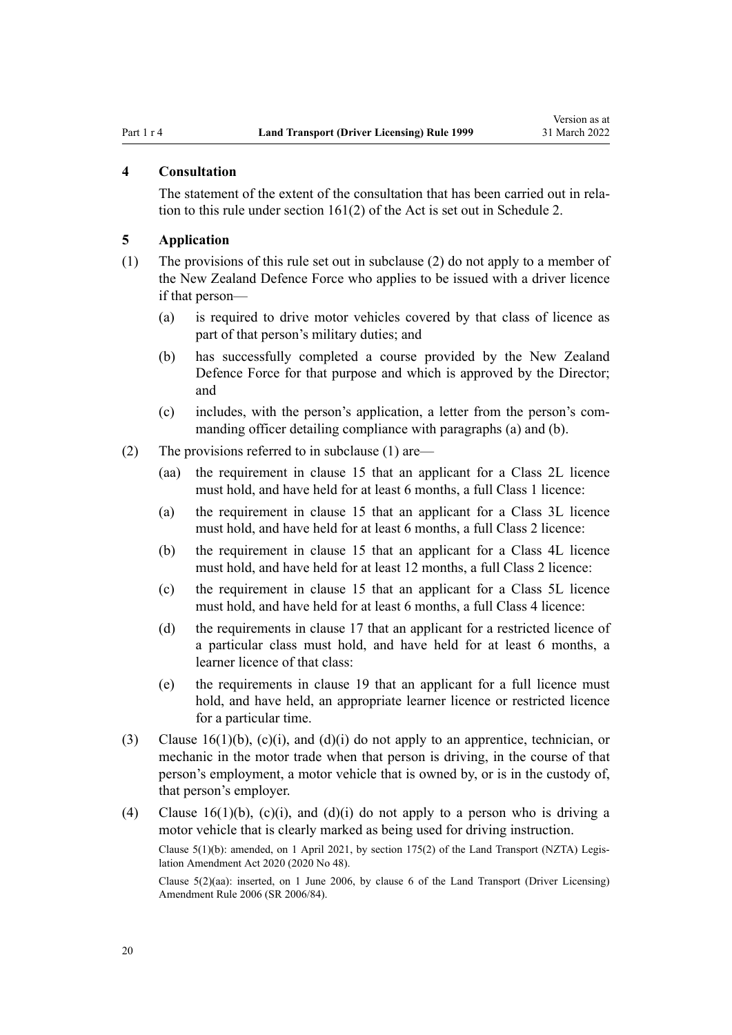#### <span id="page-19-0"></span>**4 Consultation**

The statement of the extent of the consultation that has been carried out in relation to this rule under [section 161\(2\)](http://legislation.govt.nz/pdflink.aspx?id=DLM435195) of the Act is set out in [Schedule 2](#page-110-0).

#### **5 Application**

- (1) The provisions of this rule set out in subclause (2) do not apply to a member of the New Zealand Defence Force who applies to be issued with a driver licence if that person—
	- (a) is required to drive motor vehicles covered by that class of licence as part of that person's military duties; and
	- (b) has successfully completed a course provided by the New Zealand Defence Force for that purpose and which is approved by the Director; and
	- (c) includes, with the person's application, a letter from the person's com‐ manding officer detailing compliance with paragraphs (a) and (b).
- (2) The provisions referred to in subclause (1) are—
	- (aa) the requirement in [clause 15](#page-26-0) that an applicant for a Class 2L licence must hold, and have held for at least 6 months, a full Class 1 licence:
	- (a) the requirement in [clause 15](#page-26-0) that an applicant for a Class 3L licence must hold, and have held for at least 6 months, a full Class 2 licence:
	- (b) the requirement in [clause 15](#page-26-0) that an applicant for a Class 4L licence must hold, and have held for at least 12 months, a full Class 2 licence:
	- (c) the requirement in [clause 15](#page-26-0) that an applicant for a Class 5L licence must hold, and have held for at least 6 months, a full Class 4 licence:
	- (d) the requirements in [clause 17](#page-28-0) that an applicant for a restricted licence of a particular class must hold, and have held for at least 6 months, a learner licence of that class:
	- (e) the requirements in [clause 19](#page-30-0) that an applicant for a full licence must hold, and have held, an appropriate learner licence or restricted licence for a particular time.
- (3) Clause  $16(1)(b)$ , (c)(i), and (d)(i) do not apply to an apprentice, technician, or mechanic in the motor trade when that person is driving, in the course of that person's employment, a motor vehicle that is owned by, or is in the custody of, that person's employer.
- (4) [Clause 16\(1\)\(b\), \(c\)\(i\), and \(d\)\(i\)](#page-27-0) do not apply to a person who is driving a motor vehicle that is clearly marked as being used for driving instruction.

Clause 5(1)(b): amended, on 1 April 2021, by [section 175\(2\)](http://legislation.govt.nz/pdflink.aspx?id=LMS286883) of the Land Transport (NZTA) Legis‐ lation Amendment Act 2020 (2020 No 48).

Clause 5(2)(aa): inserted, on 1 June 2006, by [clause 6](http://legislation.govt.nz/pdflink.aspx?id=DLM375691) of the Land Transport (Driver Licensing) Amendment Rule 2006 (SR 2006/84).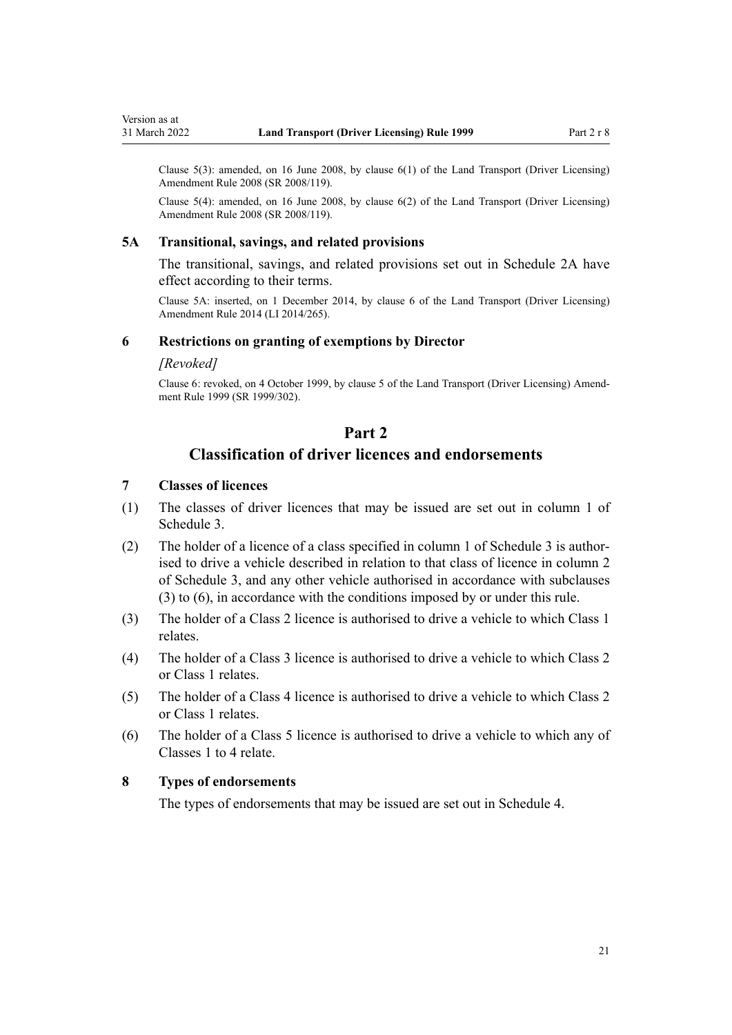Clause  $5(3)$ : amended, on 16 June 2008, by clause  $6(1)$  of the Land Transport (Driver Licensing) Amendment Rule 2008 (SR 2008/119).

Clause 5(4): amended, on 16 June 2008, by [clause 6\(2\)](http://legislation.govt.nz/pdflink.aspx?id=DLM1317909) of the Land Transport (Driver Licensing) Amendment Rule 2008 (SR 2008/119).

#### **5A Transitional, savings, and related provisions**

The transitional, savings, and related provisions set out in [Schedule 2A](#page-112-0) have effect according to their terms.

Clause 5A: inserted, on 1 December 2014, by [clause 6](http://legislation.govt.nz/pdflink.aspx?id=DLM6216910) of the Land Transport (Driver Licensing) Amendment Rule 2014 (LI 2014/265).

#### **6 Restrictions on granting of exemptions by Director**

#### *[Revoked]*

<span id="page-20-0"></span>Version as at

Clause 6: revoked, on 4 October 1999, by [clause 5](http://legislation.govt.nz/pdflink.aspx?id=DLM293673) of the Land Transport (Driver Licensing) Amend‐ ment Rule 1999 (SR 1999/302).

## **Part 2**

## **Classification of driver licences and endorsements**

## **7 Classes of licences**

- (1) The classes of driver licences that may be issued are set out in column 1 of [Schedule 3.](#page-113-0)
- (2) The holder of a licence of a class specified in column 1 of [Schedule 3](#page-113-0) is author‐ ised to drive a vehicle described in relation to that class of licence in column 2 of Schedule 3, and any other vehicle authorised in accordance with subclauses (3) to (6), in accordance with the conditions imposed by or under this rule.
- (3) The holder of a Class 2 licence is authorised to drive a vehicle to which Class 1 relates.
- (4) The holder of a Class 3 licence is authorised to drive a vehicle to which Class 2 or Class 1 relates.
- (5) The holder of a Class 4 licence is authorised to drive a vehicle to which Class 2 or Class 1 relates.
- (6) The holder of a Class 5 licence is authorised to drive a vehicle to which any of Classes 1 to 4 relate.

#### **8 Types of endorsements**

The types of endorsements that may be issued are set out in [Schedule 4.](#page-116-0)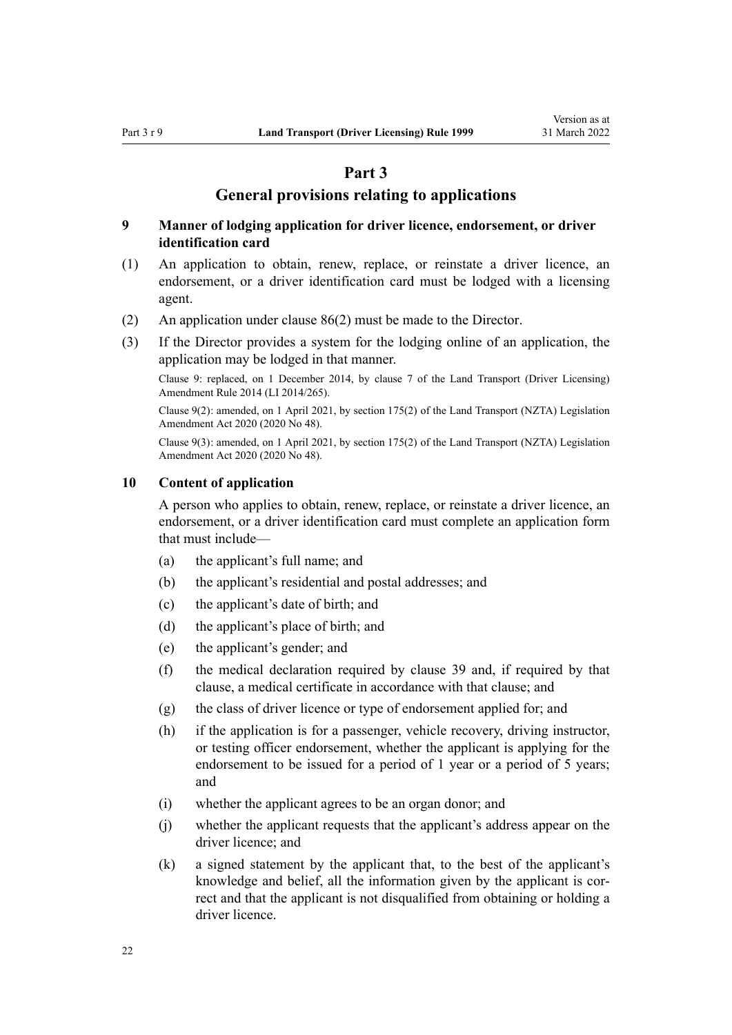## **Part 3**

### **General provisions relating to applications**

#### <span id="page-21-0"></span>**9 Manner of lodging application for driver licence, endorsement, or driver identification card**

- (1) An application to obtain, renew, replace, or reinstate a driver licence, an endorsement, or a driver identification card must be lodged with a licensing agent.
- (2) An application under [clause 86\(2\)](#page-87-0) must be made to the Director.
- (3) If the Director provides a system for the lodging online of an application, the application may be lodged in that manner.

Clause 9: replaced, on 1 December 2014, by [clause 7](http://legislation.govt.nz/pdflink.aspx?id=DLM6216912) of the Land Transport (Driver Licensing) Amendment Rule 2014 (LI 2014/265).

Clause 9(2): amended, on 1 April 2021, by [section 175\(2\)](http://legislation.govt.nz/pdflink.aspx?id=LMS286883) of the Land Transport (NZTA) Legislation Amendment Act 2020 (2020 No 48).

Clause 9(3): amended, on 1 April 2021, by [section 175\(2\)](http://legislation.govt.nz/pdflink.aspx?id=LMS286883) of the Land Transport (NZTA) Legislation Amendment Act 2020 (2020 No 48).

#### **10 Content of application**

A person who applies to obtain, renew, replace, or reinstate a driver licence, an endorsement, or a driver identification card must complete an application form that must include—

- (a) the applicant's full name; and
- (b) the applicant's residential and postal addresses; and
- (c) the applicant's date of birth; and
- (d) the applicant's place of birth; and
- (e) the applicant's gender; and
- (f) the medical declaration required by [clause 39](#page-51-0) and, if required by that clause, a medical certificate in accordance with that clause; and
- (g) the class of driver licence or type of endorsement applied for; and
- (h) if the application is for a passenger, vehicle recovery, driving instructor, or testing officer endorsement, whether the applicant is applying for the endorsement to be issued for a period of 1 year or a period of 5 years; and
- (i) whether the applicant agrees to be an organ donor; and
- (j) whether the applicant requests that the applicant's address appear on the driver licence; and
- (k) a signed statement by the applicant that, to the best of the applicant's knowledge and belief, all the information given by the applicant is correct and that the applicant is not disqualified from obtaining or holding a driver licence.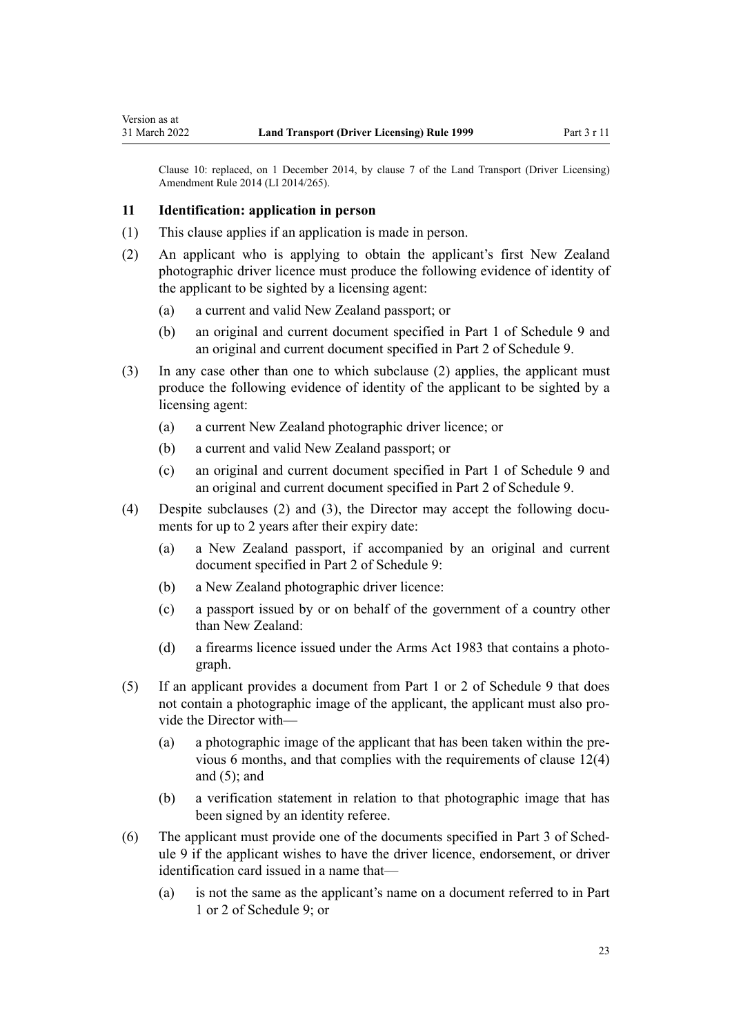Clause 10: replaced, on 1 December 2014, by [clause 7](http://legislation.govt.nz/pdflink.aspx?id=DLM6216912) of the Land Transport (Driver Licensing) Amendment Rule 2014 (LI 2014/265).

#### **11 Identification: application in person**

<span id="page-22-0"></span>Version as at

- (1) This clause applies if an application is made in person.
- (2) An applicant who is applying to obtain the applicant's first New Zealand photographic driver licence must produce the following evidence of identity of the applicant to be sighted by a licensing agent:
	- (a) a current and valid New Zealand passport; or
	- (b) an original and current document specified in [Part 1](#page-120-0) of Schedule 9 and an original and current document specified in [Part 2](#page-120-0) of Schedule 9.
- (3) In any case other than one to which subclause (2) applies, the applicant must produce the following evidence of identity of the applicant to be sighted by a licensing agent:
	- (a) a current New Zealand photographic driver licence; or
	- (b) a current and valid New Zealand passport; or
	- (c) an original and current document specified in [Part 1](#page-120-0) of Schedule 9 and an original and current document specified in [Part 2](#page-120-0) of Schedule 9.
- (4) Despite subclauses (2) and (3), the Director may accept the following documents for up to 2 years after their expiry date:
	- (a) a New Zealand passport, if accompanied by an original and current document specified in [Part 2](#page-120-0) of Schedule 9:
	- (b) a New Zealand photographic driver licence:
	- (c) a passport issued by or on behalf of the government of a country other than New Zealand:
	- (d) a firearms licence issued under the [Arms Act 1983](http://legislation.govt.nz/pdflink.aspx?id=DLM72621) that contains a photograph.
- (5) If an applicant provides a document from [Part 1](#page-120-0) or [2](#page-120-0) of Schedule 9 that does not contain a photographic image of the applicant, the applicant must also provide the Director with—
	- (a) a photographic image of the applicant that has been taken within the pre‐ vious 6 months, and that complies with the requirements of [clause 12\(4\)](#page-24-0) and  $(5)$ ; and
	- (b) a verification statement in relation to that photographic image that has been signed by an identity referee.
- (6) The applicant must provide one of the documents specified in [Part 3](#page-121-0) of Sched‐ ule 9 if the applicant wishes to have the driver licence, endorsement, or driver identification card issued in a name that—
	- (a) is not the same as the applicant's name on a document referred to in [Part](#page-120-0) [1](#page-120-0) or [2](#page-120-0) of Schedule 9; or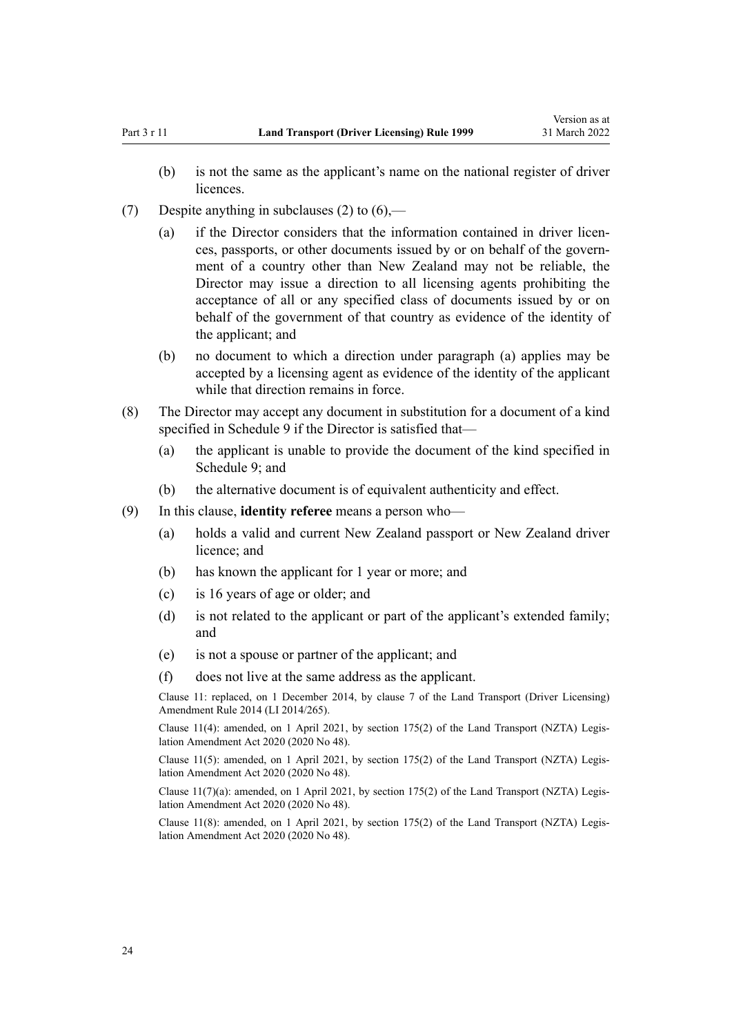- (b) is not the same as the applicant's name on the national register of driver licences.
- (7) Despite anything in subclauses (2) to  $(6)$ ,—
	- (a) if the Director considers that the information contained in driver licences, passports, or other documents issued by or on behalf of the govern‐ ment of a country other than New Zealand may not be reliable, the Director may issue a direction to all licensing agents prohibiting the acceptance of all or any specified class of documents issued by or on behalf of the government of that country as evidence of the identity of the applicant; and
	- (b) no document to which a direction under paragraph (a) applies may be accepted by a licensing agent as evidence of the identity of the applicant while that direction remains in force.
- (8) The Director may accept any document in substitution for a document of a kind specified in [Schedule 9](#page-120-0) if the Director is satisfied that—
	- (a) the applicant is unable to provide the document of the kind specified in [Schedule 9;](#page-120-0) and
	- (b) the alternative document is of equivalent authenticity and effect.
- (9) In this clause, **identity referee** means a person who—
	- (a) holds a valid and current New Zealand passport or New Zealand driver licence; and
	- (b) has known the applicant for 1 year or more; and
	- (c) is 16 years of age or older; and
	- (d) is not related to the applicant or part of the applicant's extended family; and
	- (e) is not a spouse or partner of the applicant; and
	- (f) does not live at the same address as the applicant.

Clause 11: replaced, on 1 December 2014, by [clause 7](http://legislation.govt.nz/pdflink.aspx?id=DLM6216912) of the Land Transport (Driver Licensing) Amendment Rule 2014 (LI 2014/265).

Clause 11(4): amended, on 1 April 2021, by [section 175\(2\)](http://legislation.govt.nz/pdflink.aspx?id=LMS286883) of the Land Transport (NZTA) Legis‐ lation Amendment Act 2020 (2020 No 48).

Clause 11(5): amended, on 1 April 2021, by [section 175\(2\)](http://legislation.govt.nz/pdflink.aspx?id=LMS286883) of the Land Transport (NZTA) Legis‐ lation Amendment Act 2020 (2020 No 48).

Clause  $11(7)(a)$ : amended, on 1 April 2021, by [section 175\(2\)](http://legislation.govt.nz/pdflink.aspx?id=LMS286883) of the Land Transport (NZTA) Legislation Amendment Act 2020 (2020 No 48).

Clause 11(8): amended, on 1 April 2021, by [section 175\(2\)](http://legislation.govt.nz/pdflink.aspx?id=LMS286883) of the Land Transport (NZTA) Legis‐ lation Amendment Act 2020 (2020 No 48).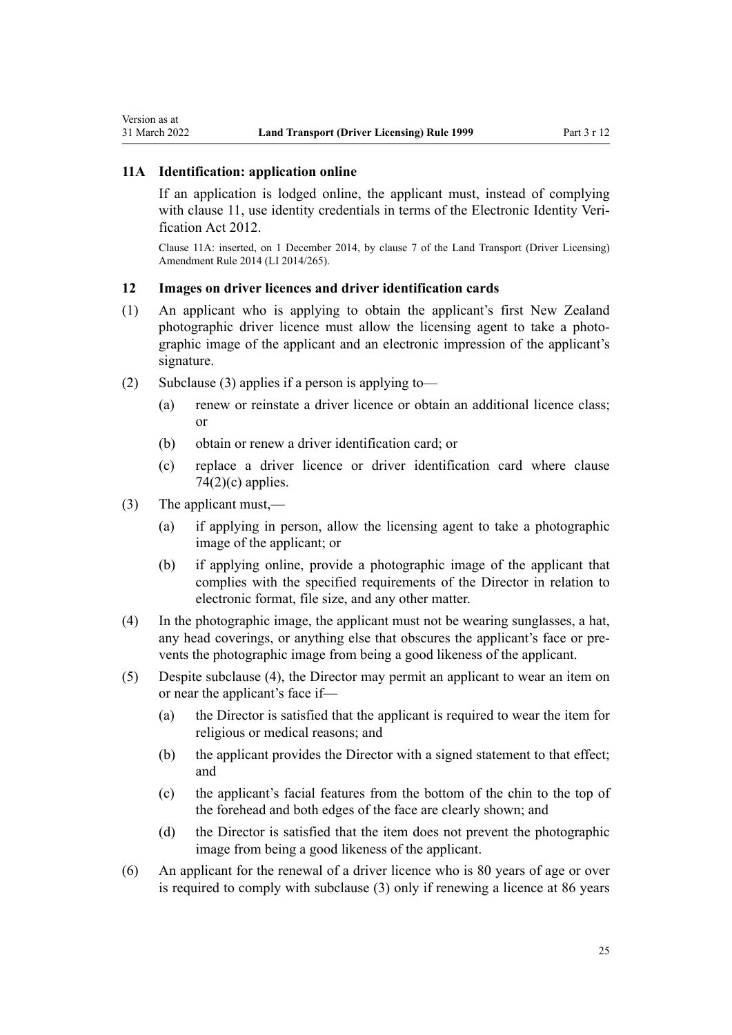## <span id="page-24-0"></span>**11A Identification: application online**

If an application is lodged online, the applicant must, instead of complying with [clause 11](#page-22-0), use identity credentials in terms of the Electronic Identity Veri[fication Act 2012.](http://legislation.govt.nz/pdflink.aspx?id=DLM1777800)

Clause 11A: inserted, on 1 December 2014, by [clause 7](http://legislation.govt.nz/pdflink.aspx?id=DLM6216912) of the Land Transport (Driver Licensing) Amendment Rule 2014 (LI 2014/265).

## **12 Images on driver licences and driver identification cards**

- (1) An applicant who is applying to obtain the applicant's first New Zealand photographic driver licence must allow the licensing agent to take a photographic image of the applicant and an electronic impression of the applicant's signature.
- (2) Subclause (3) applies if a person is applying to-
	- (a) renew or reinstate a driver licence or obtain an additional licence class; or
	- (b) obtain or renew a driver identification card; or
	- (c) replace a driver licence or driver identification card where [clause](#page-77-0)  $74(2)(c)$  applies.
- (3) The applicant must,—
	- (a) if applying in person, allow the licensing agent to take a photographic image of the applicant; or
	- (b) if applying online, provide a photographic image of the applicant that complies with the specified requirements of the Director in relation to electronic format, file size, and any other matter.
- (4) In the photographic image, the applicant must not be wearing sunglasses, a hat, any head coverings, or anything else that obscures the applicant's face or pre‐ vents the photographic image from being a good likeness of the applicant.
- (5) Despite subclause (4), the Director may permit an applicant to wear an item on or near the applicant's face if—
	- (a) the Director is satisfied that the applicant is required to wear the item for religious or medical reasons; and
	- (b) the applicant provides the Director with a signed statement to that effect; and
	- (c) the applicant's facial features from the bottom of the chin to the top of the forehead and both edges of the face are clearly shown; and
	- (d) the Director is satisfied that the item does not prevent the photographic image from being a good likeness of the applicant.
- (6) An applicant for the renewal of a driver licence who is 80 years of age or over is required to comply with subclause (3) only if renewing a licence at 86 years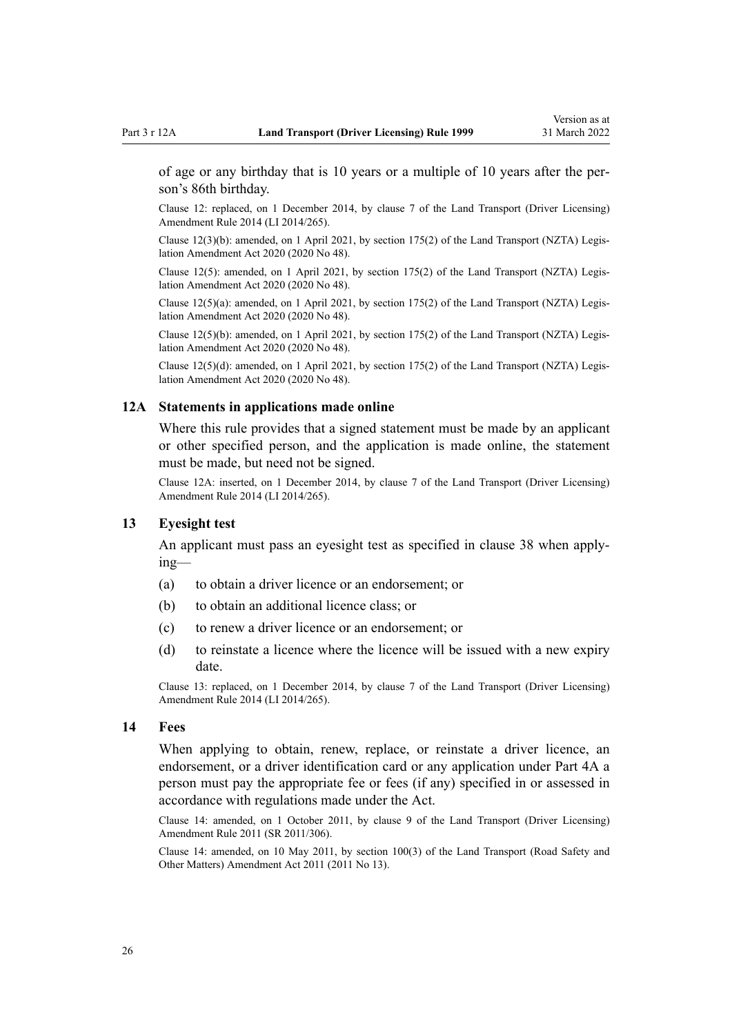<span id="page-25-0"></span>of age or any birthday that is 10 years or a multiple of 10 years after the per‐ son's 86th birthday.

Clause 12: replaced, on 1 December 2014, by [clause 7](http://legislation.govt.nz/pdflink.aspx?id=DLM6216912) of the Land Transport (Driver Licensing) Amendment Rule 2014 (LI 2014/265).

Clause 12(3)(b): amended, on 1 April 2021, by [section 175\(2\)](http://legislation.govt.nz/pdflink.aspx?id=LMS286883) of the Land Transport (NZTA) Legis‐ lation Amendment Act 2020 (2020 No 48).

Clause 12(5): amended, on 1 April 2021, by [section 175\(2\)](http://legislation.govt.nz/pdflink.aspx?id=LMS286883) of the Land Transport (NZTA) Legislation Amendment Act 2020 (2020 No 48).

Clause 12(5)(a): amended, on 1 April 2021, by [section 175\(2\)](http://legislation.govt.nz/pdflink.aspx?id=LMS286883) of the Land Transport (NZTA) Legis‐ lation Amendment Act 2020 (2020 No 48).

Clause 12(5)(b): amended, on 1 April 2021, by [section 175\(2\)](http://legislation.govt.nz/pdflink.aspx?id=LMS286883) of the Land Transport (NZTA) Legis‐ lation Amendment Act 2020 (2020 No 48).

Clause 12(5)(d): amended, on 1 April 2021, by [section 175\(2\)](http://legislation.govt.nz/pdflink.aspx?id=LMS286883) of the Land Transport (NZTA) Legis‐ lation Amendment Act 2020 (2020 No 48).

#### **12A Statements in applications made online**

Where this rule provides that a signed statement must be made by an applicant or other specified person, and the application is made online, the statement must be made, but need not be signed.

Clause 12A: inserted, on 1 December 2014, by [clause 7](http://legislation.govt.nz/pdflink.aspx?id=DLM6216912) of the Land Transport (Driver Licensing) Amendment Rule 2014 (LI 2014/265).

#### **13 Eyesight test**

An applicant must pass an eyesight test as specified in [clause 38](#page-50-0) when apply‐ ing—

- (a) to obtain a driver licence or an endorsement; or
- (b) to obtain an additional licence class; or
- (c) to renew a driver licence or an endorsement; or
- (d) to reinstate a licence where the licence will be issued with a new expiry date.

Clause 13: replaced, on 1 December 2014, by [clause 7](http://legislation.govt.nz/pdflink.aspx?id=DLM6216912) of the Land Transport (Driver Licensing) Amendment Rule 2014 (LI 2014/265).

#### **14 Fees**

When applying to obtain, renew, replace, or reinstate a driver licence, an endorsement, or a driver identification card or any application under [Part 4A](#page-33-0) a person must pay the appropriate fee or fees (if any) specified in or assessed in accordance with regulations made under the Act.

Clause 14: amended, on 1 October 2011, by [clause 9](http://legislation.govt.nz/pdflink.aspx?id=DLM3956593) of the Land Transport (Driver Licensing) Amendment Rule 2011 (SR 2011/306).

Clause 14: amended, on 10 May 2011, by [section 100\(3\)](http://legislation.govt.nz/pdflink.aspx?id=DLM3231293) of the Land Transport (Road Safety and Other Matters) Amendment Act 2011 (2011 No 13).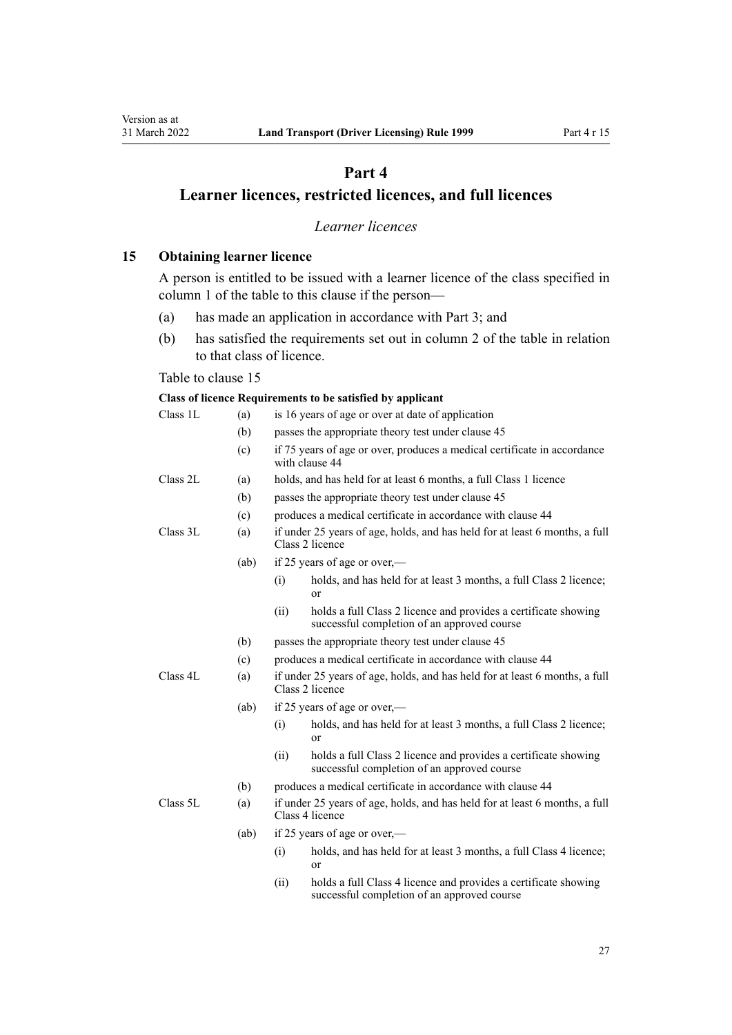## **Part 4**

## <span id="page-26-0"></span>**Learner licences, restricted licences, and full licences**

## *Learner licences*

**15 Obtaining learner licence**

A person is entitled to be issued with a learner licence of the class specified in column 1 of the table to this clause if the person—

- (a) has made an application in accordance with [Part 3;](#page-21-0) and
- (b) has satisfied the requirements set out in column 2 of the table in relation to that class of licence.

#### Table to clause 15

#### **Class of licence Requirements to be satisfied by applicant**

| Class 1L | (a)  |      | is 16 years of age or over at date of application                                                              |
|----------|------|------|----------------------------------------------------------------------------------------------------------------|
|          | (b)  |      | passes the appropriate theory test under clause 45                                                             |
|          | (c)  |      | if 75 years of age or over, produces a medical certificate in accordance<br>with clause 44                     |
| Class 2L | (a)  |      | holds, and has held for at least 6 months, a full Class 1 licence                                              |
|          | (b)  |      | passes the appropriate theory test under clause 45                                                             |
|          | (c)  |      | produces a medical certificate in accordance with clause 44                                                    |
| Class 3L | (a)  |      | if under 25 years of age, holds, and has held for at least 6 months, a full<br>Class 2 licence                 |
|          | (ab) |      | if 25 years of age or over,—                                                                                   |
|          |      | (i)  | holds, and has held for at least 3 months, a full Class 2 licence;<br>or                                       |
|          |      | (ii) | holds a full Class 2 licence and provides a certificate showing<br>successful completion of an approved course |
|          | (b)  |      | passes the appropriate theory test under clause 45                                                             |
|          | (c)  |      | produces a medical certificate in accordance with clause 44                                                    |
| Class 4L | (a)  |      | if under 25 years of age, holds, and has held for at least 6 months, a full<br>Class 2 licence                 |
|          | (ab) |      | if 25 years of age or over,—                                                                                   |
|          |      | (i)  | holds, and has held for at least 3 months, a full Class 2 licence;<br>or                                       |
|          |      | (ii) | holds a full Class 2 licence and provides a certificate showing<br>successful completion of an approved course |
|          | (b)  |      | produces a medical certificate in accordance with clause 44                                                    |
| Class 5L | (a)  |      | if under 25 years of age, holds, and has held for at least 6 months, a full<br>Class 4 licence                 |
|          | (ab) |      | if 25 years of age or over,—                                                                                   |
|          |      | (i)  | holds, and has held for at least 3 months, a full Class 4 licence;<br>or                                       |
|          |      |      |                                                                                                                |

(ii) holds a full Class 4 licence and provides a certificate showing successful completion of an approved course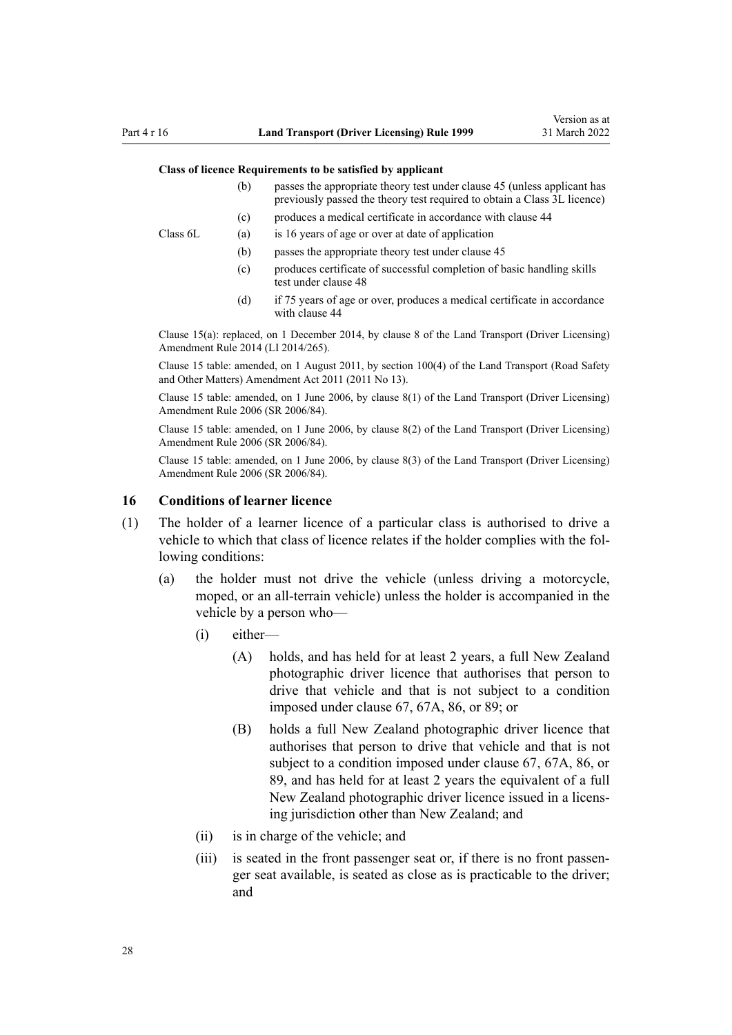#### <span id="page-27-0"></span>**Class of licence Requirements to be satisfied by applicant**

- (b) passes the appropriate theory test under [clause 45](#page-56-0) (unless applicant has previously passed the theory test required to obtain a Class 3L licence)
- (c) produces a medical certificate in accordance with [clause 44](#page-54-0)

Class 6L (a) is 16 years of age or over at date of application

- (b) passes the appropriate theory test under [clause 45](#page-56-0)
- (c) produces certificate of successful completion of basic handling skills test under [clause 48](#page-57-0)
- (d) if 75 years of age or over, produces a medical certificate in accordance with [clause 44](#page-54-0)

Clause 15(a): replaced, on 1 December 2014, by [clause 8](http://legislation.govt.nz/pdflink.aspx?id=DLM6216921) of the Land Transport (Driver Licensing) Amendment Rule 2014 (LI 2014/265).

Clause 15 table: amended, on 1 August 2011, by [section 100\(4\)](http://legislation.govt.nz/pdflink.aspx?id=DLM3231293) of the Land Transport (Road Safety and Other Matters) Amendment Act 2011 (2011 No 13).

Clause 15 table: amended, on 1 June 2006, by [clause 8\(1\)](http://legislation.govt.nz/pdflink.aspx?id=DLM375693) of the Land Transport (Driver Licensing) Amendment Rule 2006 (SR 2006/84).

Clause 15 table: amended, on 1 June 2006, by [clause 8\(2\)](http://legislation.govt.nz/pdflink.aspx?id=DLM375693) of the Land Transport (Driver Licensing) Amendment Rule 2006 (SR 2006/84).

Clause 15 table: amended, on 1 June 2006, by [clause 8\(3\)](http://legislation.govt.nz/pdflink.aspx?id=DLM375693) of the Land Transport (Driver Licensing) Amendment Rule 2006 (SR 2006/84).

#### **16 Conditions of learner licence**

- (1) The holder of a learner licence of a particular class is authorised to drive a vehicle to which that class of licence relates if the holder complies with the following conditions:
	- (a) the holder must not drive the vehicle (unless driving a motorcycle, moped, or an all-terrain vehicle) unless the holder is accompanied in the vehicle by a person who—
		- (i) either—
			- (A) holds, and has held for at least 2 years, a full New Zealand photographic driver licence that authorises that person to drive that vehicle and that is not subject to a condition imposed under [clause 67](#page-69-0), [67A,](#page-71-0) [86](#page-87-0), or [89;](#page-91-0) or
			- (B) holds a full New Zealand photographic driver licence that authorises that person to drive that vehicle and that is not subject to a condition imposed under [clause 67,](#page-69-0) [67A,](#page-71-0) [86](#page-87-0), or [89,](#page-91-0) and has held for at least 2 years the equivalent of a full New Zealand photographic driver licence issued in a licens‐ ing jurisdiction other than New Zealand; and
		- (ii) is in charge of the vehicle; and
		- (iii) is seated in the front passenger seat or, if there is no front passenger seat available, is seated as close as is practicable to the driver; and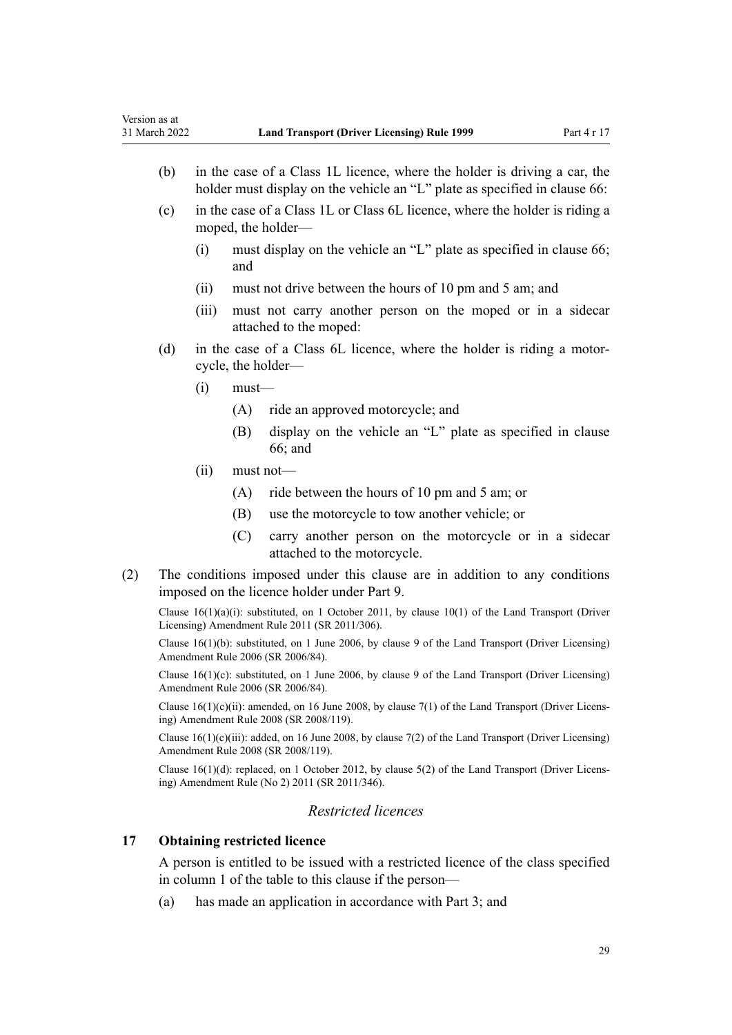- <span id="page-28-0"></span>(b) in the case of a Class 1L licence, where the holder is driving a car, the holder must display on the vehicle an "L" plate as specified in [clause 66](#page-69-0):
- (c) in the case of a Class 1L or Class 6L licence, where the holder is riding a moped, the holder—
	- (i) must display on the vehicle an "L" plate as specified in [clause 66;](#page-69-0) and
	- (ii) must not drive between the hours of 10 pm and 5 am; and
	- (iii) must not carry another person on the moped or in a sidecar attached to the moped:
- (d) in the case of a Class 6L licence, where the holder is riding a motor‐ cycle, the holder—
	- $(i)$  must—
		- (A) ride an approved motorcycle; and
		- (B) display on the vehicle an "L" plate as specified in [clause](#page-69-0) [66;](#page-69-0) and
	- (ii) must not—
		- (A) ride between the hours of 10 pm and 5 am; or
		- (B) use the motorcycle to tow another vehicle; or
		- (C) carry another person on the motorcycle or in a sidecar attached to the motorcycle.
- (2) The conditions imposed under this clause are in addition to any conditions imposed on the licence holder under [Part 9](#page-60-0).

Clause 16(1)(a)(i): substituted, on 1 October 2011, by [clause 10\(1\)](http://legislation.govt.nz/pdflink.aspx?id=DLM3956503) of the Land Transport (Driver Licensing) Amendment Rule 2011 (SR 2011/306).

Clause 16(1)(b): substituted, on 1 June 2006, by [clause 9](http://legislation.govt.nz/pdflink.aspx?id=DLM375694) of the Land Transport (Driver Licensing) Amendment Rule 2006 (SR 2006/84).

Clause  $16(1)(c)$ : substituted, on 1 June 2006, by [clause 9](http://legislation.govt.nz/pdflink.aspx?id=DLM375694) of the Land Transport (Driver Licensing) Amendment Rule 2006 (SR 2006/84).

Clause  $16(1)(c)(ii)$ : amended, on 16 June 2008, by [clause 7\(1\)](http://legislation.govt.nz/pdflink.aspx?id=DLM1317910) of the Land Transport (Driver Licensing) Amendment Rule 2008 (SR 2008/119).

Clause  $16(1)(c)(iii)$ : added, on 16 June 2008, by [clause 7\(2\)](http://legislation.govt.nz/pdflink.aspx?id=DLM1317910) of the Land Transport (Driver Licensing) Amendment Rule 2008 (SR 2008/119).

Clause 16(1)(d): replaced, on 1 October 2012, by [clause 5\(2\)](http://legislation.govt.nz/pdflink.aspx?id=DLM4064302) of the Land Transport (Driver Licens‐ ing) Amendment Rule (No 2) 2011 (SR 2011/346).

## *Restricted licences*

#### **17 Obtaining restricted licence**

A person is entitled to be issued with a restricted licence of the class specified in column 1 of the table to this clause if the person—

(a) has made an application in accordance with [Part 3;](#page-21-0) and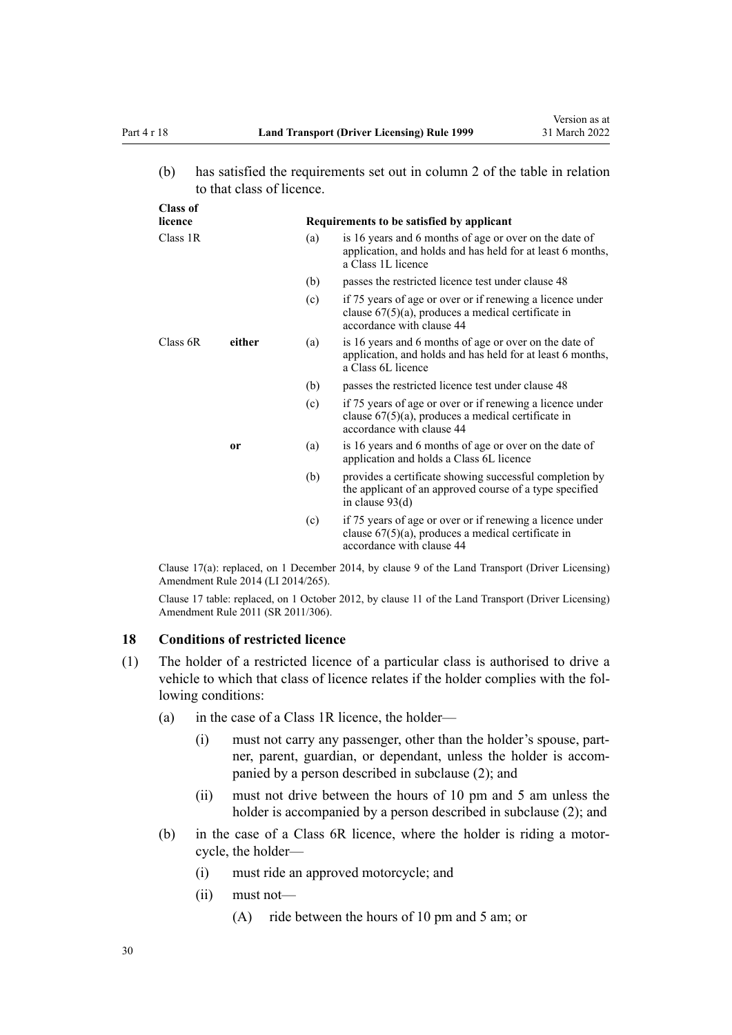**Class of**

<span id="page-29-0"></span>(b) has satisfied the requirements set out in column 2 of the table in relation to that class of licence.

| Ulass of<br>licence |        |     |                                                                                                                                                 |  |  |
|---------------------|--------|-----|-------------------------------------------------------------------------------------------------------------------------------------------------|--|--|
|                     |        |     | Requirements to be satisfied by applicant                                                                                                       |  |  |
| Class 1R            |        | (a) | is 16 years and 6 months of age or over on the date of<br>application, and holds and has held for at least 6 months,<br>a Class 1L licence      |  |  |
|                     |        | (b) | passes the restricted licence test under clause 48                                                                                              |  |  |
|                     |        | (c) | if 75 years of age or over or if renewing a licence under<br>clause $67(5)(a)$ , produces a medical certificate in<br>accordance with clause 44 |  |  |
| Class $6R$          | either | (a) | is 16 years and 6 months of age or over on the date of<br>application, and holds and has held for at least 6 months,<br>a Class 6L licence      |  |  |
|                     |        | (b) | passes the restricted licence test under clause 48                                                                                              |  |  |
|                     |        | (c) | if 75 years of age or over or if renewing a licence under<br>clause $67(5)(a)$ , produces a medical certificate in<br>accordance with clause 44 |  |  |
|                     | or     | (a) | is 16 years and 6 months of age or over on the date of<br>application and holds a Class 6L licence                                              |  |  |
|                     |        | (b) | provides a certificate showing successful completion by<br>the applicant of an approved course of a type specified<br>in clause $93(d)$         |  |  |
|                     |        | (c) | if 75 years of age or over or if renewing a licence under<br>clause $67(5)(a)$ , produces a medical certificate in<br>accordance with clause 44 |  |  |

Clause 17(a): replaced, on 1 December 2014, by [clause 9](http://legislation.govt.nz/pdflink.aspx?id=DLM6216922) of the Land Transport (Driver Licensing) Amendment Rule 2014 (LI 2014/265).

Clause 17 table: replaced, on 1 October 2012, by [clause 11](http://legislation.govt.nz/pdflink.aspx?id=DLM3956505) of the Land Transport (Driver Licensing) Amendment Rule 2011 (SR 2011/306).

## **18 Conditions of restricted licence**

- (1) The holder of a restricted licence of a particular class is authorised to drive a vehicle to which that class of licence relates if the holder complies with the following conditions:
	- (a) in the case of a Class 1R licence, the holder—
		- (i) must not carry any passenger, other than the holder's spouse, part‐ ner, parent, guardian, or dependant, unless the holder is accompanied by a person described in subclause (2); and
		- (ii) must not drive between the hours of 10 pm and 5 am unless the holder is accompanied by a person described in subclause (2); and
	- (b) in the case of a Class 6R licence, where the holder is riding a motor‐ cycle, the holder—
		- (i) must ride an approved motorcycle; and
		- (ii) must not—
			- (A) ride between the hours of 10 pm and 5 am; or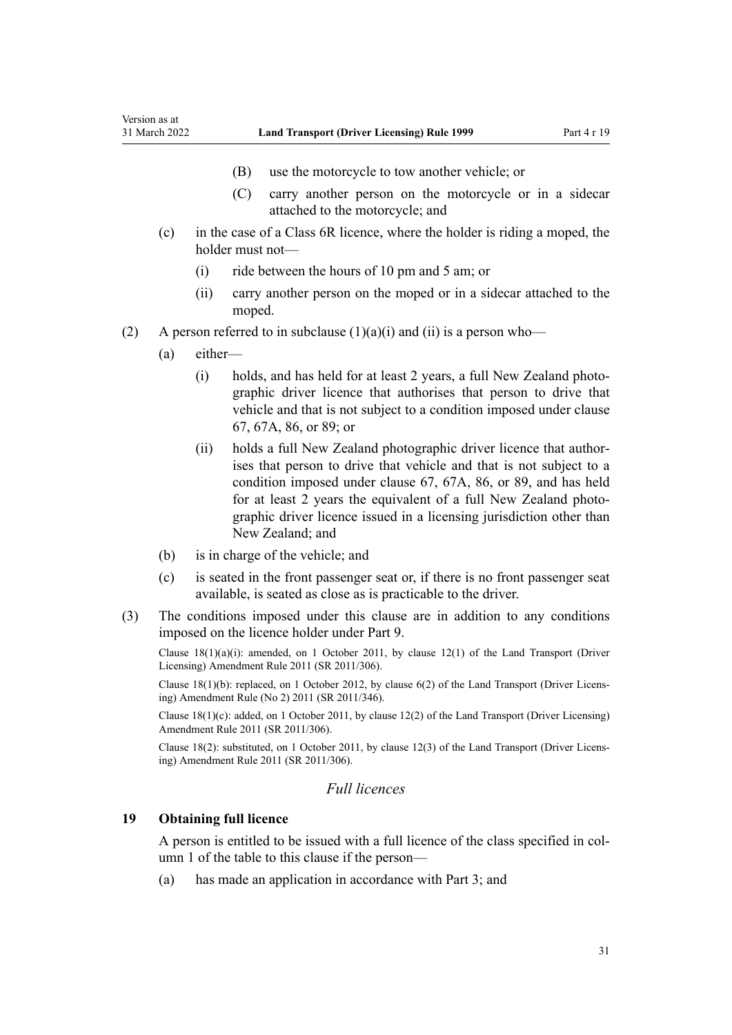- (B) use the motorcycle to tow another vehicle; or
- (C) carry another person on the motorcycle or in a sidecar attached to the motorcycle; and
- <span id="page-30-0"></span>(c) in the case of a Class 6R licence, where the holder is riding a moped, the holder must not—
	- (i) ride between the hours of 10 pm and 5 am; or
	- (ii) carry another person on the moped or in a sidecar attached to the moped.
- (2) A person referred to in subclause  $(1)(a)(i)$  and  $(ii)$  is a person who-
	- (a) either—
		- (i) holds, and has held for at least 2 years, a full New Zealand photo‐ graphic driver licence that authorises that person to drive that vehicle and that is not subject to a condition imposed under [clause](#page-69-0) [67,](#page-69-0) [67A](#page-71-0), [86,](#page-87-0) or [89](#page-91-0); or
		- (ii) holds a full New Zealand photographic driver licence that author‐ ises that person to drive that vehicle and that is not subject to a condition imposed under [clause 67](#page-69-0), [67A,](#page-71-0) [86](#page-87-0), or [89,](#page-91-0) and has held for at least 2 years the equivalent of a full New Zealand photographic driver licence issued in a licensing jurisdiction other than New Zealand; and
	- (b) is in charge of the vehicle; and
	- (c) is seated in the front passenger seat or, if there is no front passenger seat available, is seated as close as is practicable to the driver.
- (3) The conditions imposed under this clause are in addition to any conditions imposed on the licence holder under [Part 9](#page-60-0).

Clause  $18(1)(a)(i)$ : amended, on 1 October 2011, by [clause 12\(1\)](http://legislation.govt.nz/pdflink.aspx?id=DLM3956507) of the Land Transport (Driver Licensing) Amendment Rule 2011 (SR 2011/306).

Clause 18(1)(b): replaced, on 1 October 2012, by [clause 6\(2\)](http://legislation.govt.nz/pdflink.aspx?id=DLM4064304) of the Land Transport (Driver Licens‐ ing) Amendment Rule (No 2) 2011 (SR 2011/346).

Clause 18(1)(c): added, on 1 October 2011, by [clause 12\(2\)](http://legislation.govt.nz/pdflink.aspx?id=DLM3956507) of the Land Transport (Driver Licensing) Amendment Rule 2011 (SR 2011/306).

Clause 18(2): substituted, on 1 October 2011, by [clause 12\(3\)](http://legislation.govt.nz/pdflink.aspx?id=DLM3956507) of the Land Transport (Driver Licens‐ ing) Amendment Rule 2011 (SR 2011/306).

## *Full licences*

#### **19 Obtaining full licence**

A person is entitled to be issued with a full licence of the class specified in col‐ umn 1 of the table to this clause if the person—

(a) has made an application in accordance with [Part 3;](#page-21-0) and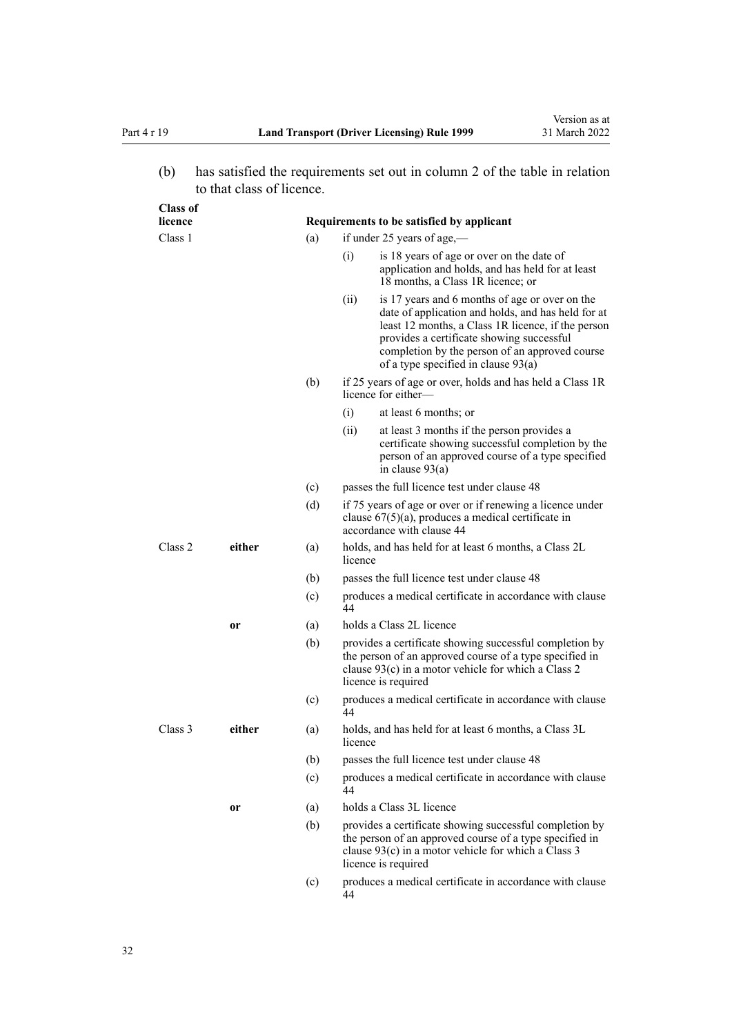(b) has satisfied the requirements set out in column 2 of the table in relation to that class of licence.

| <b>Class of</b><br>licence |        |     | Requirements to be satisfied by applicant                                                                                                                                                                                                                                                                  |
|----------------------------|--------|-----|------------------------------------------------------------------------------------------------------------------------------------------------------------------------------------------------------------------------------------------------------------------------------------------------------------|
| Class 1                    |        | (a) | if under 25 years of age,—                                                                                                                                                                                                                                                                                 |
|                            |        |     | is 18 years of age or over on the date of<br>(i)<br>application and holds, and has held for at least<br>18 months, a Class 1R licence; or                                                                                                                                                                  |
|                            |        |     | (ii)<br>is 17 years and 6 months of age or over on the<br>date of application and holds, and has held for at<br>least 12 months, a Class 1R licence, if the person<br>provides a certificate showing successful<br>completion by the person of an approved course<br>of a type specified in clause $93(a)$ |
|                            |        | (b) | if 25 years of age or over, holds and has held a Class 1R<br>licence for either—                                                                                                                                                                                                                           |
|                            |        |     | at least 6 months; or<br>(i)                                                                                                                                                                                                                                                                               |
|                            |        |     | (ii)<br>at least 3 months if the person provides a<br>certificate showing successful completion by the<br>person of an approved course of a type specified<br>in clause $93(a)$                                                                                                                            |
|                            |        | (c) | passes the full licence test under clause 48                                                                                                                                                                                                                                                               |
|                            |        | (d) | if 75 years of age or over or if renewing a licence under<br>clause $67(5)(a)$ , produces a medical certificate in<br>accordance with clause 44                                                                                                                                                            |
| Class 2                    | either | (a) | holds, and has held for at least 6 months, a Class 2L<br>licence                                                                                                                                                                                                                                           |
|                            |        | (b) | passes the full licence test under clause 48                                                                                                                                                                                                                                                               |
|                            |        | (c) | produces a medical certificate in accordance with clause<br>44                                                                                                                                                                                                                                             |
|                            | or     | (a) | holds a Class 2L licence                                                                                                                                                                                                                                                                                   |
|                            |        | (b) | provides a certificate showing successful completion by<br>the person of an approved course of a type specified in<br>clause $93(c)$ in a motor vehicle for which a Class 2<br>licence is required                                                                                                         |
|                            |        | (c) | produces a medical certificate in accordance with clause<br>44                                                                                                                                                                                                                                             |
| Class 3                    | either | (a) | holds, and has held for at least 6 months, a Class 3L<br>licence                                                                                                                                                                                                                                           |
|                            |        | (b) | passes the full licence test under clause 48                                                                                                                                                                                                                                                               |
|                            |        | (c) | produces a medical certificate in accordance with clause<br>44                                                                                                                                                                                                                                             |
|                            | or     | (a) | holds a Class 3L licence                                                                                                                                                                                                                                                                                   |
|                            |        | (b) | provides a certificate showing successful completion by<br>the person of an approved course of a type specified in<br>clause $93(c)$ in a motor vehicle for which a Class 3<br>licence is required                                                                                                         |
|                            |        | (c) | produces a medical certificate in accordance with clause<br>44                                                                                                                                                                                                                                             |
|                            |        |     |                                                                                                                                                                                                                                                                                                            |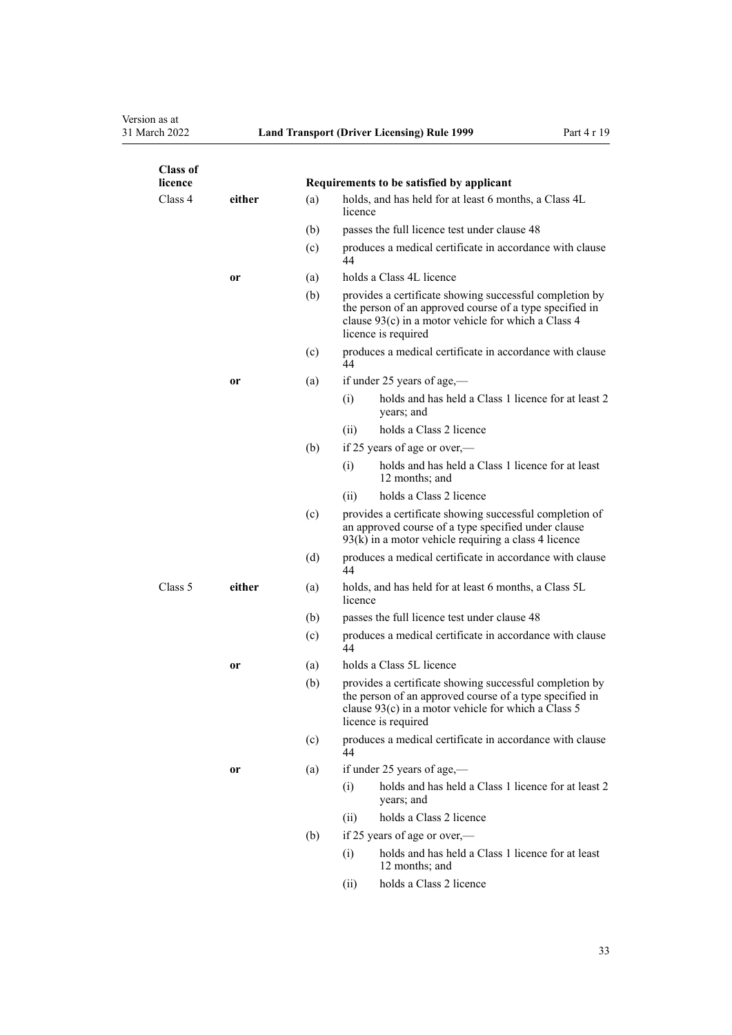| <b>Class of</b><br>licence |        |     | Requirements to be satisfied by applicant                                                                                                                                                        |
|----------------------------|--------|-----|--------------------------------------------------------------------------------------------------------------------------------------------------------------------------------------------------|
| Class 4                    | either | (a) | holds, and has held for at least 6 months, a Class 4L<br>licence                                                                                                                                 |
|                            |        | (b) | passes the full licence test under clause 48                                                                                                                                                     |
|                            |        | (c) | produces a medical certificate in accordance with clause<br>44                                                                                                                                   |
|                            | 0r     | (a) | holds a Class 4L licence                                                                                                                                                                         |
|                            |        | (b) | provides a certificate showing successful completion by<br>the person of an approved course of a type specified in<br>clause 93(c) in a motor vehicle for which a Class 4<br>licence is required |
|                            |        | (c) | produces a medical certificate in accordance with clause<br>44                                                                                                                                   |
|                            | or     | (a) | if under 25 years of age,—                                                                                                                                                                       |
|                            |        |     | holds and has held a Class 1 licence for at least 2<br>(i)<br>years; and                                                                                                                         |
|                            |        |     | holds a Class 2 licence<br>(ii)                                                                                                                                                                  |
|                            |        | (b) | if 25 years of age or over,—                                                                                                                                                                     |
|                            |        |     | holds and has held a Class 1 licence for at least<br>(i)<br>12 months; and                                                                                                                       |
|                            |        |     | holds a Class 2 licence<br>(ii)                                                                                                                                                                  |
|                            |        | (c) | provides a certificate showing successful completion of<br>an approved course of a type specified under clause<br>$93(k)$ in a motor vehicle requiring a class 4 licence                         |
|                            |        | (d) | produces a medical certificate in accordance with clause<br>44                                                                                                                                   |
| Class 5                    | either | (a) | holds, and has held for at least 6 months, a Class 5L<br>licence                                                                                                                                 |
|                            |        | (b) | passes the full licence test under clause 48                                                                                                                                                     |
|                            |        | (c) | produces a medical certificate in accordance with clause<br>44                                                                                                                                   |
|                            | or     | (a) | holds a Class 5L licence                                                                                                                                                                         |
|                            |        | (b) | provides a certificate showing successful completion by<br>the person of an approved course of a type specified in<br>clause 93(c) in a motor vehicle for which a Class 5<br>licence is required |
|                            |        | (c) | produces a medical certificate in accordance with clause<br>44                                                                                                                                   |
|                            | or     | (a) | if under 25 years of age,—                                                                                                                                                                       |
|                            |        |     | holds and has held a Class 1 licence for at least 2<br>(i)<br>years; and                                                                                                                         |
|                            |        |     | holds a Class 2 licence<br>(ii)                                                                                                                                                                  |
|                            |        | (b) | if 25 years of age or over,—                                                                                                                                                                     |
|                            |        |     | holds and has held a Class 1 licence for at least<br>(i)<br>12 months; and                                                                                                                       |
|                            |        |     | holds a Class 2 licence<br>(ii)                                                                                                                                                                  |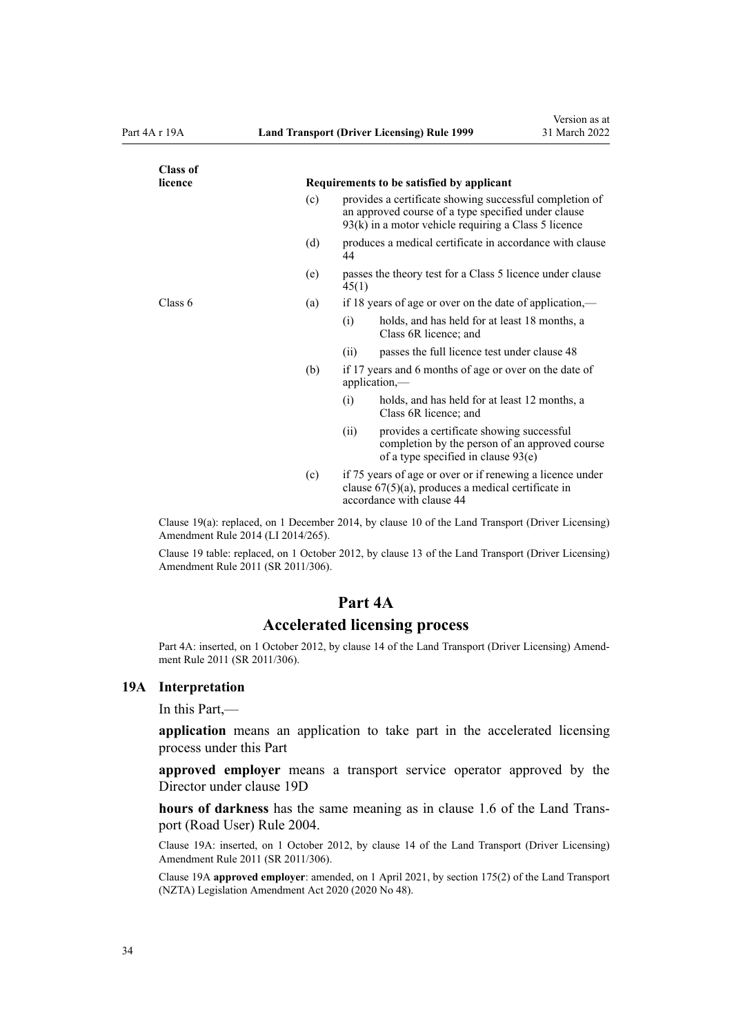<span id="page-33-0"></span>

| <b>Class of</b> |     |                                                                                                                                                                          |
|-----------------|-----|--------------------------------------------------------------------------------------------------------------------------------------------------------------------------|
| licence         |     | Requirements to be satisfied by applicant                                                                                                                                |
|                 | (c) | provides a certificate showing successful completion of<br>an approved course of a type specified under clause<br>$93(k)$ in a motor vehicle requiring a Class 5 licence |
|                 | (d) | produces a medical certificate in accordance with clause<br>44                                                                                                           |
|                 | (e) | passes the theory test for a Class 5 licence under clause<br>45(1)                                                                                                       |
| Class 6         | (a) | if 18 years of age or over on the date of application,—                                                                                                                  |
|                 |     | (i)<br>holds, and has held for at least 18 months, a<br>Class 6R licence; and                                                                                            |
|                 |     | passes the full licence test under clause 48<br>(i)                                                                                                                      |
|                 | (b) | if 17 years and 6 months of age or over on the date of<br>$application, -$                                                                                               |
|                 |     | (i)<br>holds, and has held for at least 12 months, a<br>Class 6R licence; and                                                                                            |
|                 |     | provides a certificate showing successful<br>(ii)<br>completion by the person of an approved course<br>of a type specified in clause $93(e)$                             |
|                 | (c) | if 75 years of age or over or if renewing a licence under<br>clause $67(5)(a)$ , produces a medical certificate in<br>accordance with clause 44                          |

Clause 19(a): replaced, on 1 December 2014, by [clause 10](http://legislation.govt.nz/pdflink.aspx?id=DLM6216923) of the Land Transport (Driver Licensing) Amendment Rule 2014 (LI 2014/265).

Clause 19 table: replaced, on 1 October 2012, by [clause 13](http://legislation.govt.nz/pdflink.aspx?id=DLM3956509) of the Land Transport (Driver Licensing) Amendment Rule 2011 (SR 2011/306).

#### **Part 4A**

#### **Accelerated licensing process**

Part 4A: inserted, on 1 October 2012, by [clause 14](http://legislation.govt.nz/pdflink.aspx?id=DLM3956511) of the Land Transport (Driver Licensing) Amendment Rule 2011 (SR 2011/306).

#### **19A Interpretation**

In this Part,—

**application** means an application to take part in the accelerated licensing process under this Part

**approved employer** means a transport service operator approved by the Director under [clause 19D](#page-35-0)

**hours of darkness** has the same meaning as in [clause 1.6](http://legislation.govt.nz/pdflink.aspx?id=DLM302197) of the Land Trans‐ port (Road User) Rule 2004.

Clause 19A: inserted, on 1 October 2012, by [clause 14](http://legislation.govt.nz/pdflink.aspx?id=DLM3956511) of the Land Transport (Driver Licensing) Amendment Rule 2011 (SR 2011/306).

Clause 19A **approved employer**: amended, on 1 April 2021, by [section 175\(2\)](http://legislation.govt.nz/pdflink.aspx?id=LMS286883) of the Land Transport (NZTA) Legislation Amendment Act 2020 (2020 No 48).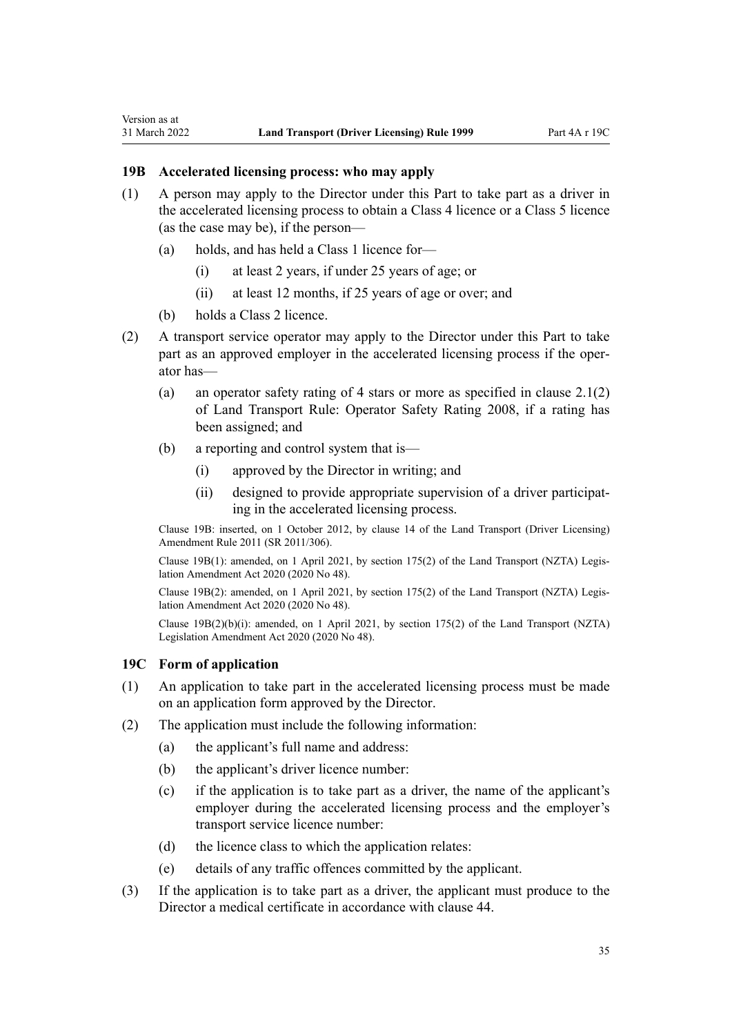<span id="page-34-0"></span>Version as at

- (1) A person may apply to the Director under this Part to take part as a driver in the accelerated licensing process to obtain a Class 4 licence or a Class 5 licence (as the case may be), if the person—
	- (a) holds, and has held a Class 1 licence for—
		- (i) at least 2 years, if under 25 years of age; or
		- (ii) at least 12 months, if 25 years of age or over; and
	- (b) holds a Class 2 licence.
- (2) A transport service operator may apply to the Director under this Part to take part as an approved employer in the accelerated licensing process if the operator has—
	- (a) an operator safety rating of 4 stars or more as specified in clause 2.1(2) of Land Transport Rule: Operator Safety Rating 2008, if a rating has been assigned; and
	- (b) a reporting and control system that is—
		- (i) approved by the Director in writing; and
		- (ii) designed to provide appropriate supervision of a driver participat‐ ing in the accelerated licensing process.

Clause 19B: inserted, on 1 October 2012, by [clause 14](http://legislation.govt.nz/pdflink.aspx?id=DLM3956511) of the Land Transport (Driver Licensing) Amendment Rule 2011 (SR 2011/306).

Clause 19B(1): amended, on 1 April 2021, by [section 175\(2\)](http://legislation.govt.nz/pdflink.aspx?id=LMS286883) of the Land Transport (NZTA) Legis‐ lation Amendment Act 2020 (2020 No 48).

Clause 19B(2): amended, on 1 April 2021, by [section 175\(2\)](http://legislation.govt.nz/pdflink.aspx?id=LMS286883) of the Land Transport (NZTA) Legis‐ lation Amendment Act 2020 (2020 No 48).

Clause 19B(2)(b)(i): amended, on 1 April 2021, by [section 175\(2\)](http://legislation.govt.nz/pdflink.aspx?id=LMS286883) of the Land Transport (NZTA) Legislation Amendment Act 2020 (2020 No 48).

## **19C Form of application**

- (1) An application to take part in the accelerated licensing process must be made on an application form approved by the Director.
- (2) The application must include the following information:
	- (a) the applicant's full name and address:
	- (b) the applicant's driver licence number:
	- (c) if the application is to take part as a driver, the name of the applicant's employer during the accelerated licensing process and the employer's transport service licence number:
	- (d) the licence class to which the application relates:
	- (e) details of any traffic offences committed by the applicant.
- (3) If the application is to take part as a driver, the applicant must produce to the Director a medical certificate in accordance with [clause 44](#page-54-0).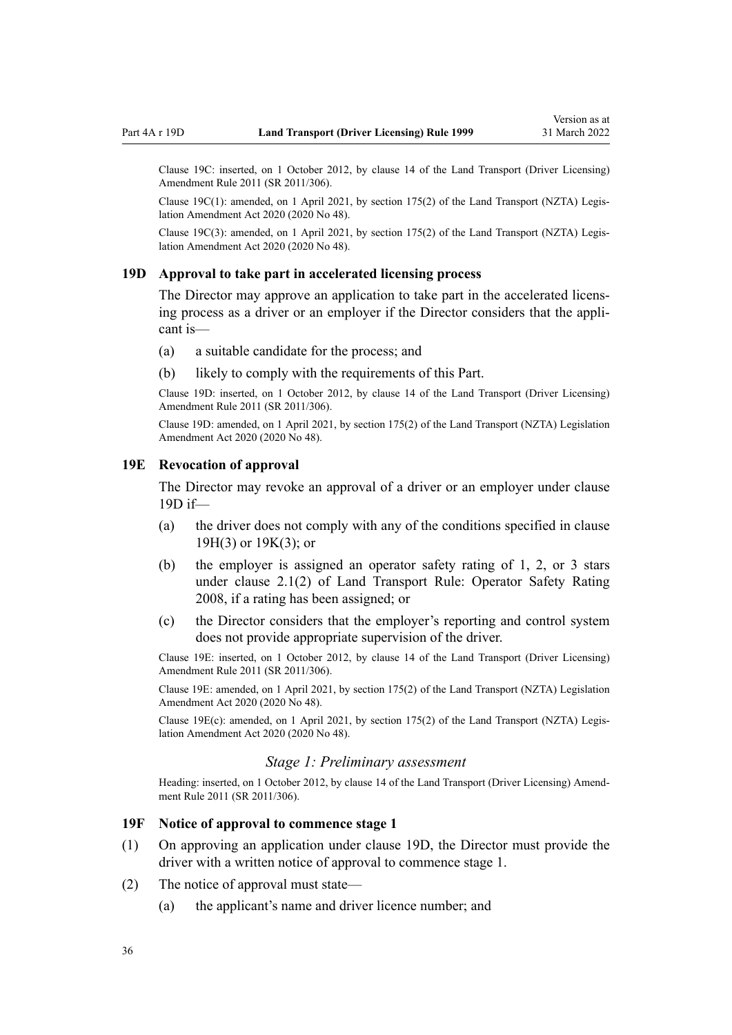<span id="page-35-0"></span>Clause 19C: inserted, on 1 October 2012, by [clause 14](http://legislation.govt.nz/pdflink.aspx?id=DLM3956511) of the Land Transport (Driver Licensing) Amendment Rule 2011 (SR 2011/306).

Clause 19C(1): amended, on 1 April 2021, by [section 175\(2\)](http://legislation.govt.nz/pdflink.aspx?id=LMS286883) of the Land Transport (NZTA) Legis‐ lation Amendment Act 2020 (2020 No 48).

Clause 19C(3): amended, on 1 April 2021, by [section 175\(2\)](http://legislation.govt.nz/pdflink.aspx?id=LMS286883) of the Land Transport (NZTA) Legis‐ lation Amendment Act 2020 (2020 No 48).

#### **19D Approval to take part in accelerated licensing process**

The Director may approve an application to take part in the accelerated licensing process as a driver or an employer if the Director considers that the appli‐ cant is—

- (a) a suitable candidate for the process; and
- (b) likely to comply with the requirements of this Part.

Clause 19D: inserted, on 1 October 2012, by [clause 14](http://legislation.govt.nz/pdflink.aspx?id=DLM3956511) of the Land Transport (Driver Licensing) Amendment Rule 2011 (SR 2011/306).

Clause 19D: amended, on 1 April 2021, by [section 175\(2\)](http://legislation.govt.nz/pdflink.aspx?id=LMS286883) of the Land Transport (NZTA) Legislation Amendment Act 2020 (2020 No 48).

#### **19E Revocation of approval**

The Director may revoke an approval of a driver or an employer under clause 19D if—

- (a) the driver does not comply with any of the conditions specified in [clause](#page-36-0) [19H\(3\)](#page-36-0) or [19K\(3\);](#page-38-0) or
- (b) the employer is assigned an operator safety rating of 1, 2, or 3 stars under clause 2.1(2) of Land Transport Rule: Operator Safety Rating 2008, if a rating has been assigned; or
- (c) the Director considers that the employer's reporting and control system does not provide appropriate supervision of the driver.

Clause 19E: inserted, on 1 October 2012, by [clause 14](http://legislation.govt.nz/pdflink.aspx?id=DLM3956511) of the Land Transport (Driver Licensing) Amendment Rule 2011 (SR 2011/306).

Clause 19E: amended, on 1 April 2021, by [section 175\(2\)](http://legislation.govt.nz/pdflink.aspx?id=LMS286883) of the Land Transport (NZTA) Legislation Amendment Act 2020 (2020 No 48).

Clause 19E(c): amended, on 1 April 2021, by [section 175\(2\)](http://legislation.govt.nz/pdflink.aspx?id=LMS286883) of the Land Transport (NZTA) Legis‐ lation Amendment Act 2020 (2020 No 48).

#### *Stage 1: Preliminary assessment*

Heading: inserted, on 1 October 2012, by [clause 14](http://legislation.govt.nz/pdflink.aspx?id=DLM3956511) of the Land Transport (Driver Licensing) Amendment Rule 2011 (SR 2011/306).

#### **19F Notice of approval to commence stage 1**

- (1) On approving an application under clause 19D, the Director must provide the driver with a written notice of approval to commence stage 1.
- (2) The notice of approval must state—
	- (a) the applicant's name and driver licence number; and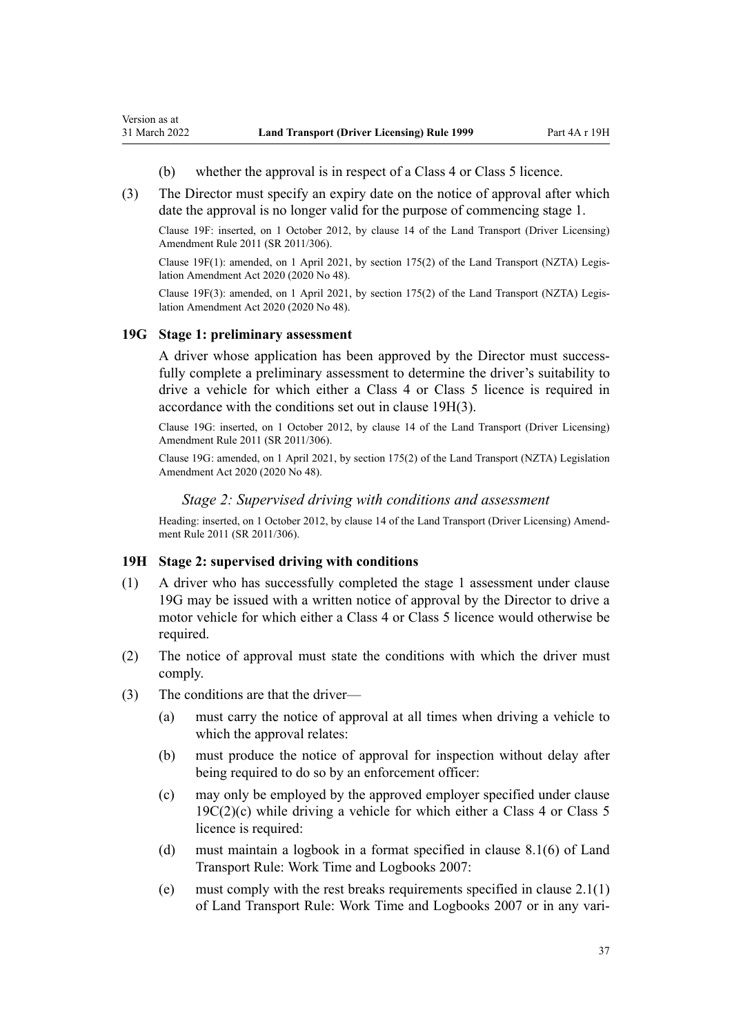- (b) whether the approval is in respect of a Class 4 or Class 5 licence.
- (3) The Director must specify an expiry date on the notice of approval after which date the approval is no longer valid for the purpose of commencing stage 1.

Clause 19F: inserted, on 1 October 2012, by [clause 14](http://legislation.govt.nz/pdflink.aspx?id=DLM3956511) of the Land Transport (Driver Licensing) Amendment Rule 2011 (SR 2011/306).

Clause 19F(1): amended, on 1 April 2021, by [section 175\(2\)](http://legislation.govt.nz/pdflink.aspx?id=LMS286883) of the Land Transport (NZTA) Legis‐ lation Amendment Act 2020 (2020 No 48).

Clause 19F(3): amended, on 1 April 2021, by [section 175\(2\)](http://legislation.govt.nz/pdflink.aspx?id=LMS286883) of the Land Transport (NZTA) Legis‐ lation Amendment Act 2020 (2020 No 48).

### **19G Stage 1: preliminary assessment**

<span id="page-36-0"></span>Version as at

A driver whose application has been approved by the Director must successfully complete a preliminary assessment to determine the driver's suitability to drive a vehicle for which either a Class 4 or Class 5 licence is required in accordance with the conditions set out in clause 19H(3).

Clause 19G: inserted, on 1 October 2012, by [clause 14](http://legislation.govt.nz/pdflink.aspx?id=DLM3956511) of the Land Transport (Driver Licensing) Amendment Rule 2011 (SR 2011/306).

Clause 19G: amended, on 1 April 2021, by [section 175\(2\)](http://legislation.govt.nz/pdflink.aspx?id=LMS286883) of the Land Transport (NZTA) Legislation Amendment Act 2020 (2020 No 48).

### *Stage 2: Supervised driving with conditions and assessment*

Heading: inserted, on 1 October 2012, by [clause 14](http://legislation.govt.nz/pdflink.aspx?id=DLM3956511) of the Land Transport (Driver Licensing) Amendment Rule 2011 (SR 2011/306).

#### **19H Stage 2: supervised driving with conditions**

- (1) A driver who has successfully completed the stage 1 assessment under clause 19G may be issued with a written notice of approval by the Director to drive a motor vehicle for which either a Class 4 or Class 5 licence would otherwise be required.
- (2) The notice of approval must state the conditions with which the driver must comply.
- (3) The conditions are that the driver—
	- (a) must carry the notice of approval at all times when driving a vehicle to which the approval relates:
	- (b) must produce the notice of approval for inspection without delay after being required to do so by an enforcement officer:
	- (c) may only be employed by the approved employer specified under [clause](#page-34-0)  $19C(2)(c)$  while driving a vehicle for which either a Class 4 or Class 5 licence is required:
	- (d) must maintain a logbook in a format specified in clause 8.1(6) of Land Transport Rule: Work Time and Logbooks 2007:
	- (e) must comply with the rest breaks requirements specified in clause 2.1(1) of Land Transport Rule: Work Time and Logbooks 2007 or in any vari‐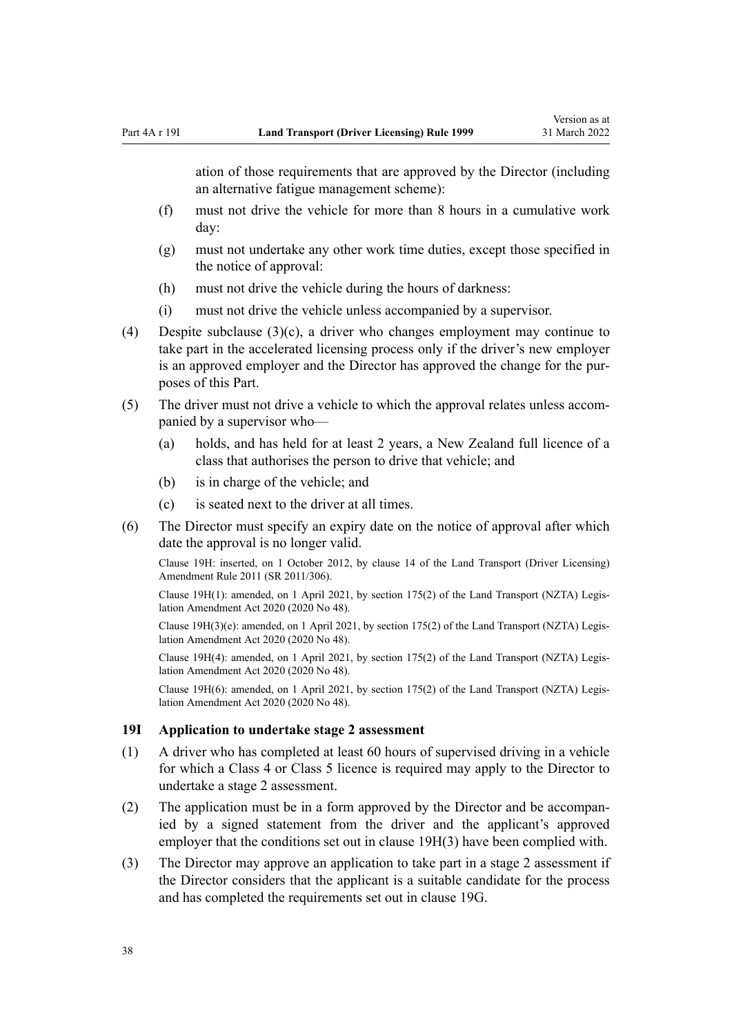<span id="page-37-0"></span>ation of those requirements that are approved by the Director (including an alternative fatigue management scheme):

- (f) must not drive the vehicle for more than 8 hours in a cumulative work day:
- (g) must not undertake any other work time duties, except those specified in the notice of approval:
- (h) must not drive the vehicle during the hours of darkness:
- (i) must not drive the vehicle unless accompanied by a supervisor.
- (4) Despite subclause (3)(c), a driver who changes employment may continue to take part in the accelerated licensing process only if the driver's new employer is an approved employer and the Director has approved the change for the pur‐ poses of this Part.
- (5) The driver must not drive a vehicle to which the approval relates unless accom‐ panied by a supervisor who—
	- (a) holds, and has held for at least 2 years, a New Zealand full licence of a class that authorises the person to drive that vehicle; and
	- (b) is in charge of the vehicle; and
	- (c) is seated next to the driver at all times.
- (6) The Director must specify an expiry date on the notice of approval after which date the approval is no longer valid.

Clause 19H: inserted, on 1 October 2012, by [clause 14](http://legislation.govt.nz/pdflink.aspx?id=DLM3956511) of the Land Transport (Driver Licensing) Amendment Rule 2011 (SR 2011/306).

Clause 19H(1): amended, on 1 April 2021, by [section 175\(2\)](http://legislation.govt.nz/pdflink.aspx?id=LMS286883) of the Land Transport (NZTA) Legis‐ lation Amendment Act 2020 (2020 No 48).

Clause 19H(3)(e): amended, on 1 April 2021, by [section 175\(2\)](http://legislation.govt.nz/pdflink.aspx?id=LMS286883) of the Land Transport (NZTA) Legis‐ lation Amendment Act 2020 (2020 No 48).

Clause 19H(4): amended, on 1 April 2021, by [section 175\(2\)](http://legislation.govt.nz/pdflink.aspx?id=LMS286883) of the Land Transport (NZTA) Legis‐ lation Amendment Act 2020 (2020 No 48).

Clause 19H(6): amended, on 1 April 2021, by [section 175\(2\)](http://legislation.govt.nz/pdflink.aspx?id=LMS286883) of the Land Transport (NZTA) Legis‐ lation Amendment Act 2020 (2020 No 48).

#### **19I Application to undertake stage 2 assessment**

- (1) A driver who has completed at least 60 hours of supervised driving in a vehicle for which a Class 4 or Class 5 licence is required may apply to the Director to undertake a stage 2 assessment.
- (2) The application must be in a form approved by the Director and be accompan‐ ied by a signed statement from the driver and the applicant's approved employer that the conditions set out in [clause 19H\(3\)](#page-36-0) have been complied with.
- (3) The Director may approve an application to take part in a stage 2 assessment if the Director considers that the applicant is a suitable candidate for the process and has completed the requirements set out in [clause 19G.](#page-36-0)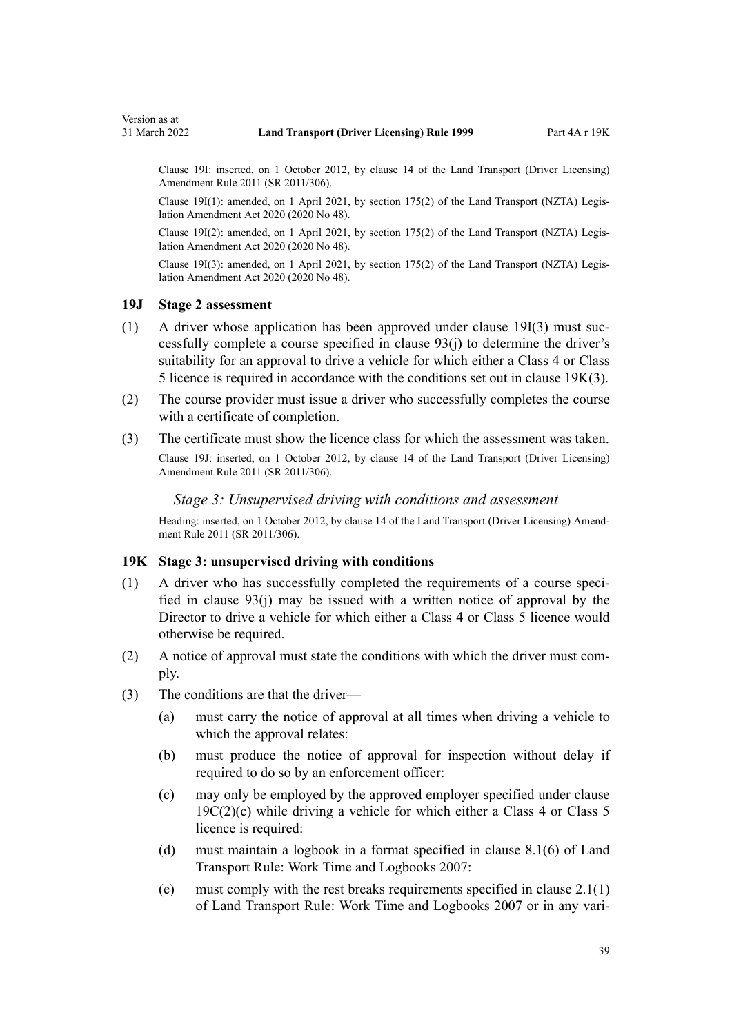<span id="page-38-0"></span>Clause 19I: inserted, on 1 October 2012, by [clause 14](http://legislation.govt.nz/pdflink.aspx?id=DLM3956511) of the Land Transport (Driver Licensing) Amendment Rule 2011 (SR 2011/306).

Clause 19I(1): amended, on 1 April 2021, by [section 175\(2\)](http://legislation.govt.nz/pdflink.aspx?id=LMS286883) of the Land Transport (NZTA) Legis‐ lation Amendment Act 2020 (2020 No 48).

Clause 19I(2): amended, on 1 April 2021, by [section 175\(2\)](http://legislation.govt.nz/pdflink.aspx?id=LMS286883) of the Land Transport (NZTA) Legis‐ lation Amendment Act 2020 (2020 No 48).

Clause 19I(3): amended, on 1 April 2021, by [section 175\(2\)](http://legislation.govt.nz/pdflink.aspx?id=LMS286883) of the Land Transport (NZTA) Legis‐ lation Amendment Act 2020 (2020 No 48).

### **19J Stage 2 assessment**

- $(1)$  A driver whose application has been approved under [clause 19I\(3\)](#page-37-0) must successfully complete a course specified in [clause 93\(j\)](#page-95-0) to determine the driver's suitability for an approval to drive a vehicle for which either a Class 4 or Class 5 licence is required in accordance with the conditions set out in clause 19K(3).
- (2) The course provider must issue a driver who successfully completes the course with a certificate of completion.
- (3) The certificate must show the licence class for which the assessment was taken.

Clause 19J: inserted, on 1 October 2012, by [clause 14](http://legislation.govt.nz/pdflink.aspx?id=DLM3956511) of the Land Transport (Driver Licensing) Amendment Rule 2011 (SR 2011/306).

### *Stage 3: Unsupervised driving with conditions and assessment*

Heading: inserted, on 1 October 2012, by [clause 14](http://legislation.govt.nz/pdflink.aspx?id=DLM3956511) of the Land Transport (Driver Licensing) Amendment Rule 2011 (SR 2011/306).

### **19K Stage 3: unsupervised driving with conditions**

- $(1)$  A driver who has successfully completed the requirements of a course specified in [clause 93\(j\)](#page-95-0) may be issued with a written notice of approval by the Director to drive a vehicle for which either a Class 4 or Class 5 licence would otherwise be required.
- (2) A notice of approval must state the conditions with which the driver must com‐ ply.
- (3) The conditions are that the driver—
	- (a) must carry the notice of approval at all times when driving a vehicle to which the approval relates:
	- (b) must produce the notice of approval for inspection without delay if required to do so by an enforcement officer:
	- (c) may only be employed by the approved employer specified under [clause](#page-34-0)  $19C(2)(c)$  while driving a vehicle for which either a Class 4 or Class 5 licence is required:
	- (d) must maintain a logbook in a format specified in clause 8.1(6) of Land Transport Rule: Work Time and Logbooks 2007:
	- (e) must comply with the rest breaks requirements specified in clause 2.1(1) of Land Transport Rule: Work Time and Logbooks 2007 or in any vari‐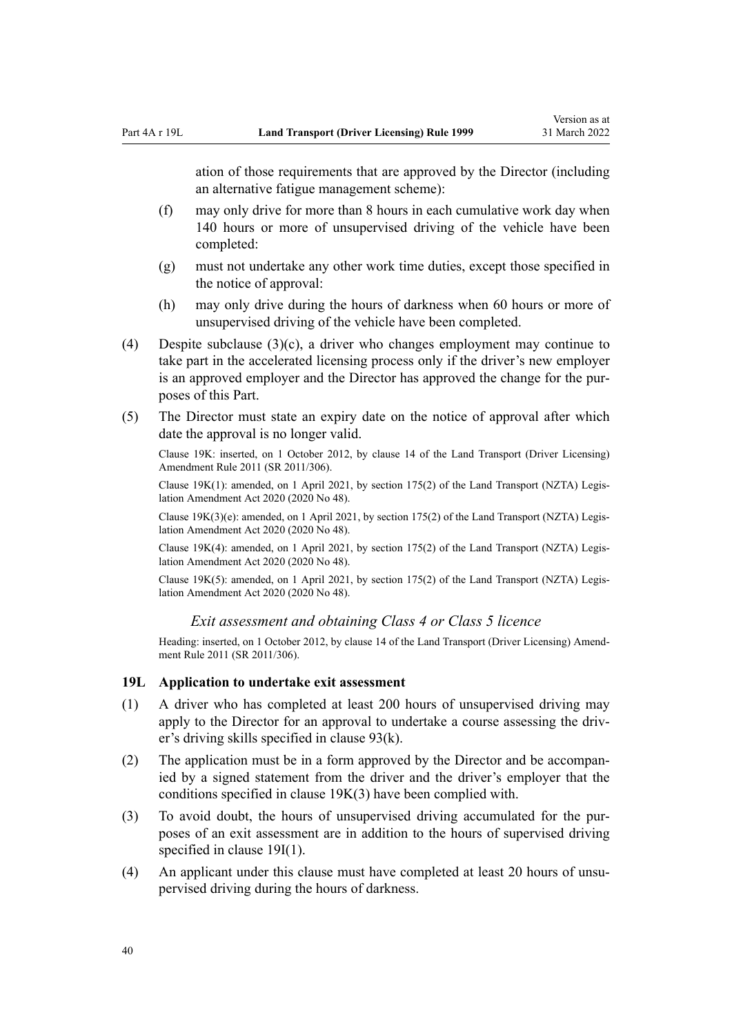ation of those requirements that are approved by the Director (including an alternative fatigue management scheme):

- (f) may only drive for more than 8 hours in each cumulative work day when 140 hours or more of unsupervised driving of the vehicle have been completed:
- (g) must not undertake any other work time duties, except those specified in the notice of approval:
- (h) may only drive during the hours of darkness when 60 hours or more of unsupervised driving of the vehicle have been completed.
- (4) Despite subclause  $(3)(c)$ , a driver who changes employment may continue to take part in the accelerated licensing process only if the driver's new employer is an approved employer and the Director has approved the change for the purposes of this Part.
- (5) The Director must state an expiry date on the notice of approval after which date the approval is no longer valid.

Clause 19K: inserted, on 1 October 2012, by [clause 14](http://legislation.govt.nz/pdflink.aspx?id=DLM3956511) of the Land Transport (Driver Licensing) Amendment Rule 2011 (SR 2011/306).

Clause 19K(1): amended, on 1 April 2021, by [section 175\(2\)](http://legislation.govt.nz/pdflink.aspx?id=LMS286883) of the Land Transport (NZTA) Legis‐ lation Amendment Act 2020 (2020 No 48).

Clause 19K(3)(e): amended, on 1 April 2021, by [section 175\(2\)](http://legislation.govt.nz/pdflink.aspx?id=LMS286883) of the Land Transport (NZTA) Legis‐ lation Amendment Act 2020 (2020 No 48).

Clause 19K(4): amended, on 1 April 2021, by [section 175\(2\)](http://legislation.govt.nz/pdflink.aspx?id=LMS286883) of the Land Transport (NZTA) Legis‐ lation Amendment Act 2020 (2020 No 48).

Clause 19K(5): amended, on 1 April 2021, by [section 175\(2\)](http://legislation.govt.nz/pdflink.aspx?id=LMS286883) of the Land Transport (NZTA) Legis‐ lation Amendment Act 2020 (2020 No 48).

*Exit assessment and obtaining Class 4 or Class 5 licence*

Heading: inserted, on 1 October 2012, by [clause 14](http://legislation.govt.nz/pdflink.aspx?id=DLM3956511) of the Land Transport (Driver Licensing) Amendment Rule 2011 (SR 2011/306).

### **19L Application to undertake exit assessment**

- (1) A driver who has completed at least 200 hours of unsupervised driving may apply to the Director for an approval to undertake a course assessing the driver's driving skills specified in [clause 93\(k\)](#page-95-0).
- (2) The application must be in a form approved by the Director and be accompan‐ ied by a signed statement from the driver and the driver's employer that the conditions specified in [clause 19K\(3\)](#page-38-0) have been complied with.
- (3) To avoid doubt, the hours of unsupervised driving accumulated for the pur‐ poses of an exit assessment are in addition to the hours of supervised driving specified in [clause 19I\(1\).](#page-37-0)
- (4) An applicant under this clause must have completed at least 20 hours of unsupervised driving during the hours of darkness.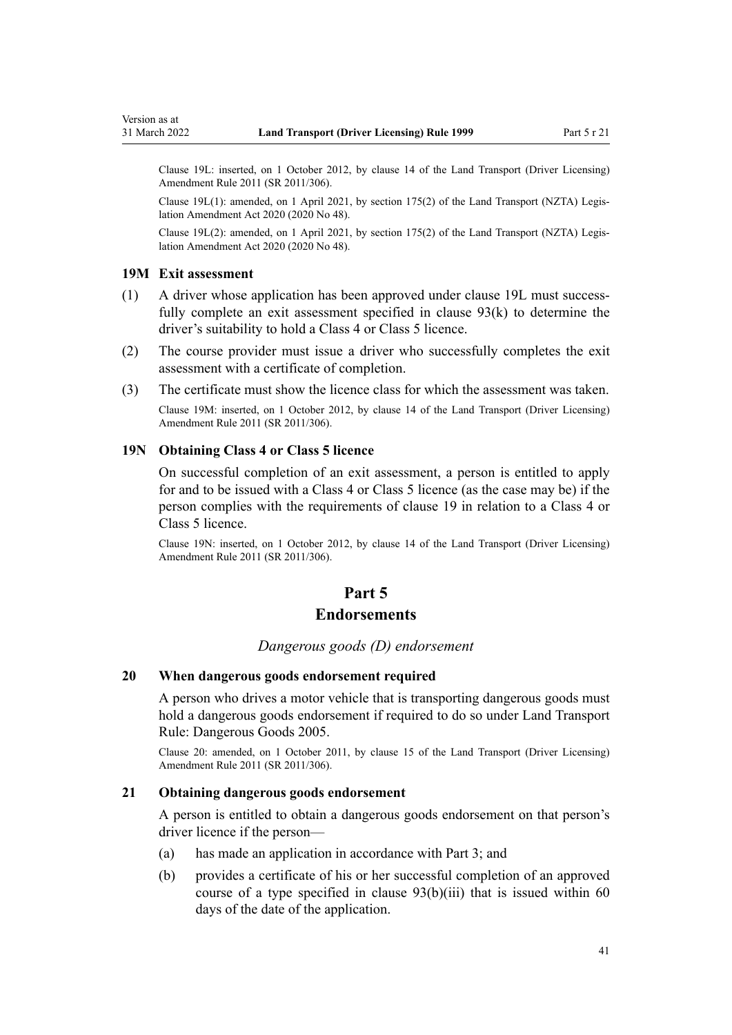Clause 19L: inserted, on 1 October 2012, by [clause 14](http://legislation.govt.nz/pdflink.aspx?id=DLM3956511) of the Land Transport (Driver Licensing) Amendment Rule 2011 (SR 2011/306).

Clause 19L(1): amended, on 1 April 2021, by [section 175\(2\)](http://legislation.govt.nz/pdflink.aspx?id=LMS286883) of the Land Transport (NZTA) Legis‐ lation Amendment Act 2020 (2020 No 48).

Clause 19L(2): amended, on 1 April 2021, by [section 175\(2\)](http://legislation.govt.nz/pdflink.aspx?id=LMS286883) of the Land Transport (NZTA) Legis‐ lation Amendment Act 2020 (2020 No 48).

### **19M Exit assessment**

- (1) A driver whose application has been approved under clause 19L must success‐ fully complete an exit assessment specified in [clause 93\(k\)](#page-95-0) to determine the driver's suitability to hold a Class 4 or Class 5 licence.
- (2) The course provider must issue a driver who successfully completes the exit assessment with a certificate of completion.
- (3) The certificate must show the licence class for which the assessment was taken.

Clause 19M: inserted, on 1 October 2012, by [clause 14](http://legislation.govt.nz/pdflink.aspx?id=DLM3956511) of the Land Transport (Driver Licensing) Amendment Rule 2011 (SR 2011/306).

# **19N Obtaining Class 4 or Class 5 licence**

On successful completion of an exit assessment, a person is entitled to apply for and to be issued with a Class 4 or Class 5 licence (as the case may be) if the person complies with the requirements of [clause 19](#page-30-0) in relation to a Class 4 or Class 5 licence.

Clause 19N: inserted, on 1 October 2012, by [clause 14](http://legislation.govt.nz/pdflink.aspx?id=DLM3956511) of the Land Transport (Driver Licensing) Amendment Rule 2011 (SR 2011/306).

# **Part 5**

# **Endorsements**

### *Dangerous goods (D) endorsement*

### **20 When dangerous goods endorsement required**

A person who drives a motor vehicle that is transporting dangerous goods must hold a dangerous goods endorsement if required to do so under Land Transport Rule: Dangerous Goods 2005.

Clause 20: amended, on 1 October 2011, by [clause 15](http://legislation.govt.nz/pdflink.aspx?id=DLM3956721) of the Land Transport (Driver Licensing) Amendment Rule 2011 (SR 2011/306).

# **21 Obtaining dangerous goods endorsement**

A person is entitled to obtain a dangerous goods endorsement on that person's driver licence if the person—

- (a) has made an application in accordance with [Part 3;](#page-21-0) and
- (b) provides a certificate of his or her successful completion of an approved course of a type specified in clause  $93(b)(iii)$  that is issued within 60 days of the date of the application.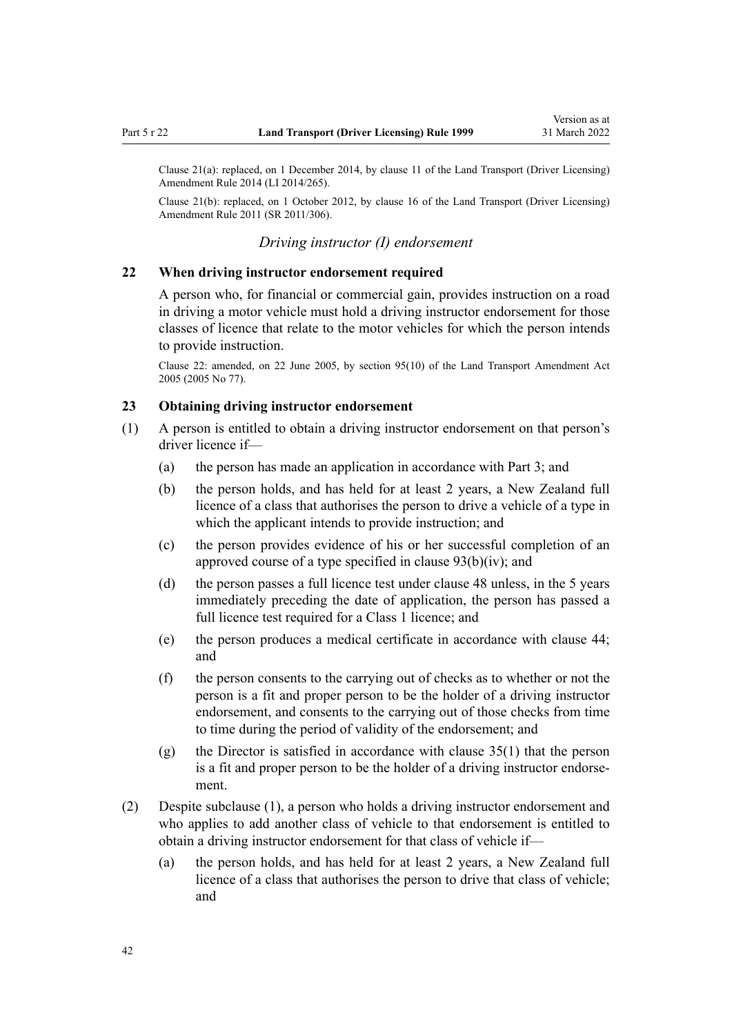Clause 21(a): replaced, on 1 December 2014, by [clause 11](http://legislation.govt.nz/pdflink.aspx?id=DLM6216924) of the Land Transport (Driver Licensing) Amendment Rule 2014 (LI 2014/265).

Clause 21(b): replaced, on 1 October 2012, by [clause 16](http://legislation.govt.nz/pdflink.aspx?id=DLM3956513) of the Land Transport (Driver Licensing) Amendment Rule 2011 (SR 2011/306).

## *Driving instructor (I) endorsement*

### **22 When driving instructor endorsement required**

A person who, for financial or commercial gain, provides instruction on a road in driving a motor vehicle must hold a driving instructor endorsement for those classes of licence that relate to the motor vehicles for which the person intends to provide instruction.

Clause 22: amended, on 22 June 2005, by [section 95\(10\)](http://legislation.govt.nz/pdflink.aspx?id=DLM353501) of the Land Transport Amendment Act 2005 (2005 No 77).

### **23 Obtaining driving instructor endorsement**

- (1) A person is entitled to obtain a driving instructor endorsement on that person's driver licence if—
	- (a) the person has made an application in accordance with [Part 3](#page-21-0); and
	- (b) the person holds, and has held for at least 2 years, a New Zealand full licence of a class that authorises the person to drive a vehicle of a type in which the applicant intends to provide instruction; and
	- (c) the person provides evidence of his or her successful completion of an approved course of a type specified in [clause 93\(b\)\(iv\)](#page-95-0); and
	- (d) the person passes a full licence test under [clause 48](#page-57-0) unless, in the 5 years immediately preceding the date of application, the person has passed a full licence test required for a Class 1 licence; and
	- (e) the person produces a medical certificate in accordance with [clause 44;](#page-54-0) and
	- (f) the person consents to the carrying out of checks as to whether or not the person is a fit and proper person to be the holder of a driving instructor endorsement, and consents to the carrying out of those checks from time to time during the period of validity of the endorsement; and
	- (g) the Director is satisfied in accordance with [clause 35\(1\)](#page-48-0) that the person is a fit and proper person to be the holder of a driving instructor endorse‐ ment.
- (2) Despite subclause (1), a person who holds a driving instructor endorsement and who applies to add another class of vehicle to that endorsement is entitled to obtain a driving instructor endorsement for that class of vehicle if—
	- (a) the person holds, and has held for at least 2 years, a New Zealand full licence of a class that authorises the person to drive that class of vehicle; and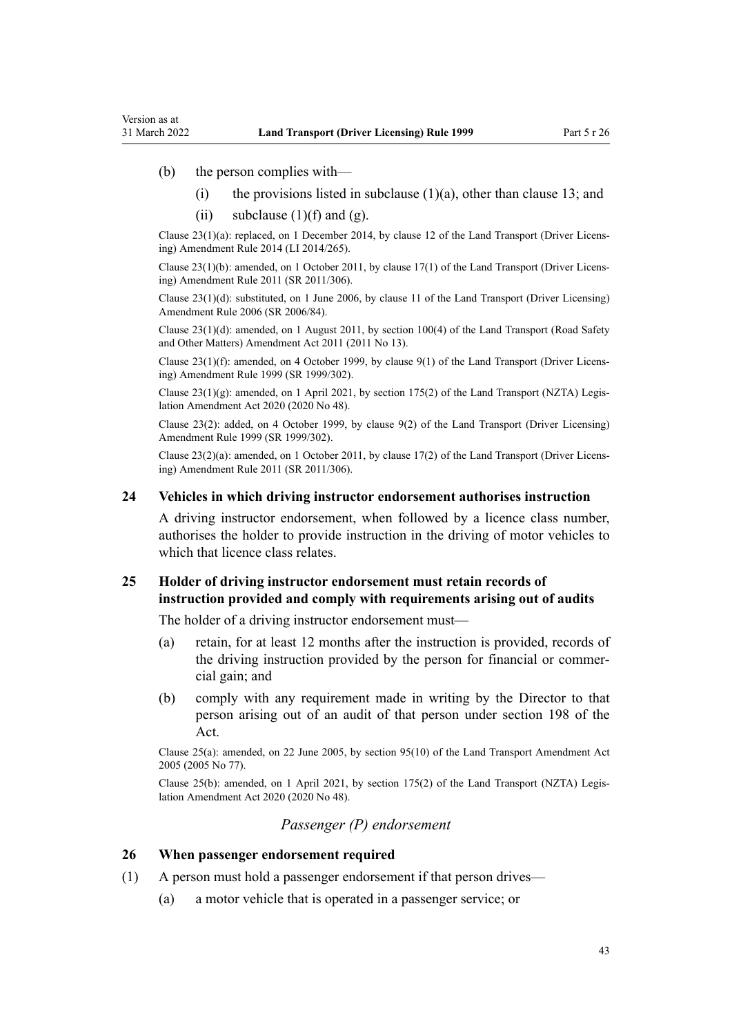(b) the person complies with—

Version as at

- (i) the provisions listed in subclause  $(1)(a)$ , other than [clause 13](#page-25-0); and
- (ii) subclause  $(1)(f)$  and  $(g)$ .

Clause 23(1)(a): replaced, on 1 December 2014, by [clause 12](http://legislation.govt.nz/pdflink.aspx?id=DLM6216925) of the Land Transport (Driver Licens‐ ing) Amendment Rule 2014 (LI 2014/265).

Clause 23(1)(b): amended, on 1 October 2011, by [clause 17\(1\)](http://legislation.govt.nz/pdflink.aspx?id=DLM3956722) of the Land Transport (Driver Licens‐ ing) Amendment Rule 2011 (SR 2011/306).

Clause 23(1)(d): substituted, on 1 June 2006, by [clause 11](http://legislation.govt.nz/pdflink.aspx?id=DLM375696) of the Land Transport (Driver Licensing) Amendment Rule 2006 (SR 2006/84).

Clause 23(1)(d): amended, on 1 August 2011, by [section 100\(4\)](http://legislation.govt.nz/pdflink.aspx?id=DLM3231293) of the Land Transport (Road Safety and Other Matters) Amendment Act 2011 (2011 No 13).

Clause 23(1)(f): amended, on 4 October 1999, by [clause 9\(1\)](http://legislation.govt.nz/pdflink.aspx?id=DLM293677) of the Land Transport (Driver Licens‐ ing) Amendment Rule 1999 (SR 1999/302).

Clause  $23(1)(g)$ : amended, on 1 April 2021, by [section 175\(2\)](http://legislation.govt.nz/pdflink.aspx?id=LMS286883) of the Land Transport (NZTA) Legislation Amendment Act 2020 (2020 No 48).

Clause 23(2): added, on 4 October 1999, by [clause 9\(2\)](http://legislation.govt.nz/pdflink.aspx?id=DLM293677) of the Land Transport (Driver Licensing) Amendment Rule 1999 (SR 1999/302).

Clause 23(2)(a): amended, on 1 October 2011, by [clause 17\(2\)](http://legislation.govt.nz/pdflink.aspx?id=DLM3956722) of the Land Transport (Driver Licens‐ ing) Amendment Rule 2011 (SR 2011/306).

#### **24 Vehicles in which driving instructor endorsement authorises instruction**

A driving instructor endorsement, when followed by a licence class number, authorises the holder to provide instruction in the driving of motor vehicles to which that licence class relates.

## **25 Holder of driving instructor endorsement must retain records of instruction provided and comply with requirements arising out of audits**

The holder of a driving instructor endorsement must—

- (a) retain, for at least 12 months after the instruction is provided, records of the driving instruction provided by the person for financial or commer‐ cial gain; and
- (b) comply with any requirement made in writing by the Director to that person arising out of an audit of that person under [section 198](http://legislation.govt.nz/pdflink.aspx?id=DLM435602) of the Act.

Clause 25(a): amended, on 22 June 2005, by [section 95\(10\)](http://legislation.govt.nz/pdflink.aspx?id=DLM353501) of the Land Transport Amendment Act 2005 (2005 No 77).

Clause 25(b): amended, on 1 April 2021, by [section 175\(2\)](http://legislation.govt.nz/pdflink.aspx?id=LMS286883) of the Land Transport (NZTA) Legis‐ lation Amendment Act 2020 (2020 No 48).

## *Passenger (P) endorsement*

### **26 When passenger endorsement required**

- (1) A person must hold a passenger endorsement if that person drives—
	- (a) a motor vehicle that is operated in a passenger service; or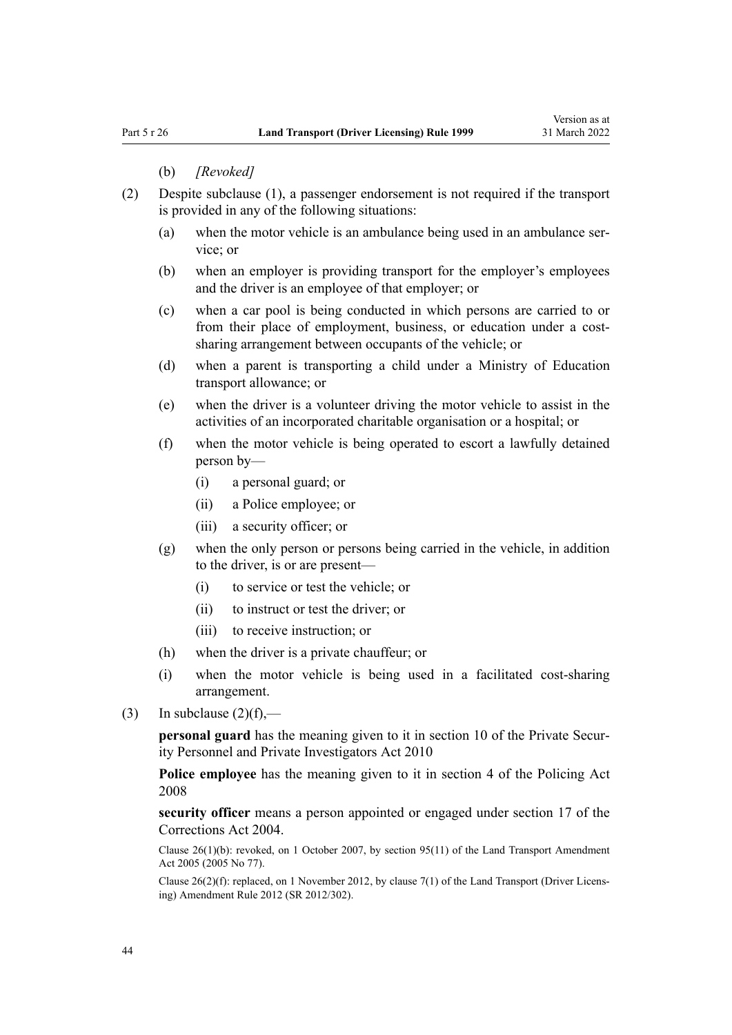#### (b) *[Revoked]*

- (2) Despite subclause (1), a passenger endorsement is not required if the transport is provided in any of the following situations:
	- (a) when the motor vehicle is an ambulance being used in an ambulance service; or
	- (b) when an employer is providing transport for the employer's employees and the driver is an employee of that employer; or
	- (c) when a car pool is being conducted in which persons are carried to or from their place of employment, business, or education under a costsharing arrangement between occupants of the vehicle; or
	- (d) when a parent is transporting a child under a Ministry of Education transport allowance; or
	- (e) when the driver is a volunteer driving the motor vehicle to assist in the activities of an incorporated charitable organisation or a hospital; or
	- (f) when the motor vehicle is being operated to escort a lawfully detained person by—
		- (i) a personal guard; or
		- (ii) a Police employee; or
		- (iii) a security officer; or
	- (g) when the only person or persons being carried in the vehicle, in addition to the driver, is or are present—
		- (i) to service or test the vehicle; or
		- (ii) to instruct or test the driver; or
		- (iii) to receive instruction; or
	- (h) when the driver is a private chauffeur; or
	- (i) when the motor vehicle is being used in a facilitated cost-sharing arrangement.
- (3) In subclause  $(2)(f)$ ,—

**personal guard** has the meaning given to it in [section 10](http://legislation.govt.nz/pdflink.aspx?id=DLM1594507) of the Private Security Personnel and Private Investigators Act 2010

**Police employee** has the meaning given to it in [section 4](http://legislation.govt.nz/pdflink.aspx?id=DLM1102132) of the Policing Act 2008

**security officer** means a person appointed or engaged under [section 17](http://legislation.govt.nz/pdflink.aspx?id=DLM295415) of the Corrections Act 2004.

Clause 26(1)(b): revoked, on 1 October 2007, by [section 95\(11\)](http://legislation.govt.nz/pdflink.aspx?id=DLM353501) of the Land Transport Amendment Act 2005 (2005 No 77).

Clause 26(2)(f): replaced, on 1 November 2012, by [clause 7\(1\)](http://legislation.govt.nz/pdflink.aspx?id=DLM4773437) of the Land Transport (Driver Licens‐ ing) Amendment Rule 2012 (SR 2012/302).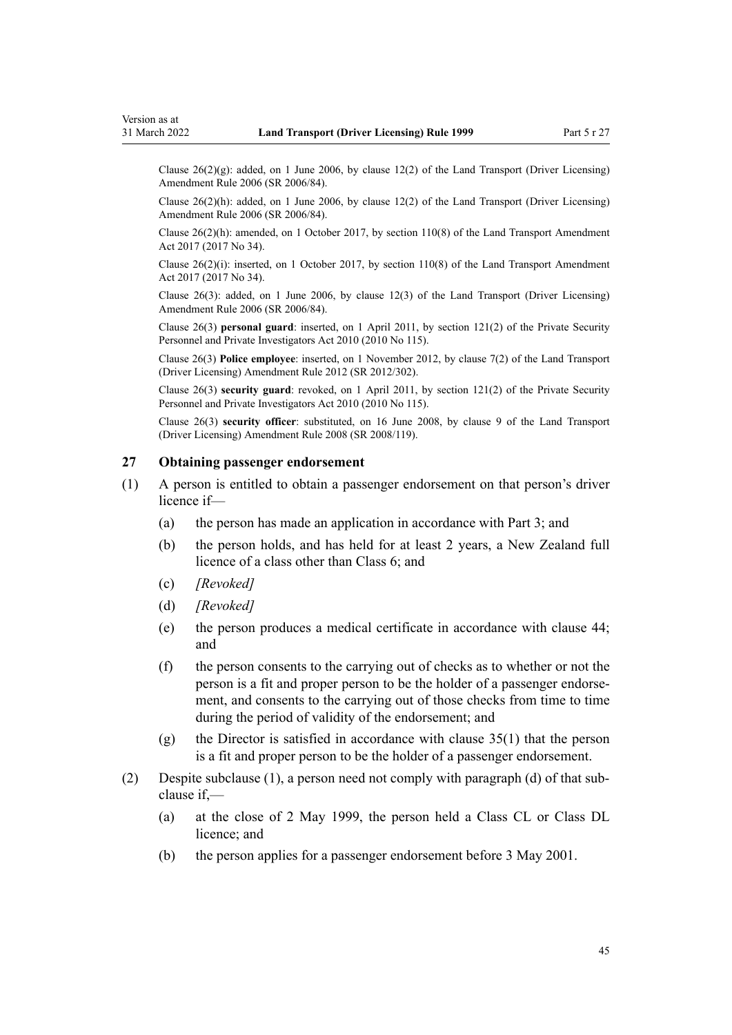Clause  $26(2)(g)$ : added, on 1 June 2006, by [clause 12\(2\)](http://legislation.govt.nz/pdflink.aspx?id=DLM375697) of the Land Transport (Driver Licensing) Amendment Rule 2006 (SR 2006/84).

Clause 26(2)(h): added, on 1 June 2006, by [clause 12\(2\)](http://legislation.govt.nz/pdflink.aspx?id=DLM375697) of the Land Transport (Driver Licensing) Amendment Rule 2006 (SR 2006/84).

Clause 26(2)(h): amended, on 1 October 2017, by [section 110\(8\)](http://legislation.govt.nz/pdflink.aspx?id=DLM6960929) of the Land Transport Amendment Act 2017 (2017 No 34).

Clause  $26(2)(i)$ : inserted, on 1 October 2017, by [section 110\(8\)](http://legislation.govt.nz/pdflink.aspx?id=DLM6960929) of the Land Transport Amendment Act 2017 (2017 No 34).

Clause 26(3): added, on 1 June 2006, by [clause 12\(3\)](http://legislation.govt.nz/pdflink.aspx?id=DLM375697) of the Land Transport (Driver Licensing) Amendment Rule 2006 (SR 2006/84).

Clause 26(3) **personal guard**: inserted, on 1 April 2011, by [section 121\(2\)](http://legislation.govt.nz/pdflink.aspx?id=DLM1594656) of the Private Security Personnel and Private Investigators Act 2010 (2010 No 115).

Clause 26(3) **Police employee**: inserted, on 1 November 2012, by [clause 7\(2\)](http://legislation.govt.nz/pdflink.aspx?id=DLM4773437) of the Land Transport (Driver Licensing) Amendment Rule 2012 (SR 2012/302).

Clause 26(3) **security guard**: revoked, on 1 April 2011, by [section 121\(2\)](http://legislation.govt.nz/pdflink.aspx?id=DLM1594656) of the Private Security Personnel and Private Investigators Act 2010 (2010 No 115).

Clause 26(3) **security officer**: substituted, on 16 June 2008, by [clause 9](http://legislation.govt.nz/pdflink.aspx?id=DLM1317912) of the Land Transport (Driver Licensing) Amendment Rule 2008 (SR 2008/119).

## **27 Obtaining passenger endorsement**

- (1) A person is entitled to obtain a passenger endorsement on that person's driver licence if—
	- (a) the person has made an application in accordance with [Part 3](#page-21-0); and
	- (b) the person holds, and has held for at least 2 years, a New Zealand full licence of a class other than Class 6; and
	- (c) *[Revoked]*
	- (d) *[Revoked]*
	- (e) the person produces a medical certificate in accordance with [clause 44;](#page-54-0) and
	- (f) the person consents to the carrying out of checks as to whether or not the person is a fit and proper person to be the holder of a passenger endorse‐ ment, and consents to the carrying out of those checks from time to time during the period of validity of the endorsement; and
	- (g) the Director is satisfied in accordance with [clause 35\(1\)](#page-48-0) that the person is a fit and proper person to be the holder of a passenger endorsement.
- (2) Despite subclause (1), a person need not comply with paragraph (d) of that sub‐ clause if,—
	- (a) at the close of 2 May 1999, the person held a Class CL or Class DL licence; and
	- (b) the person applies for a passenger endorsement before 3 May 2001.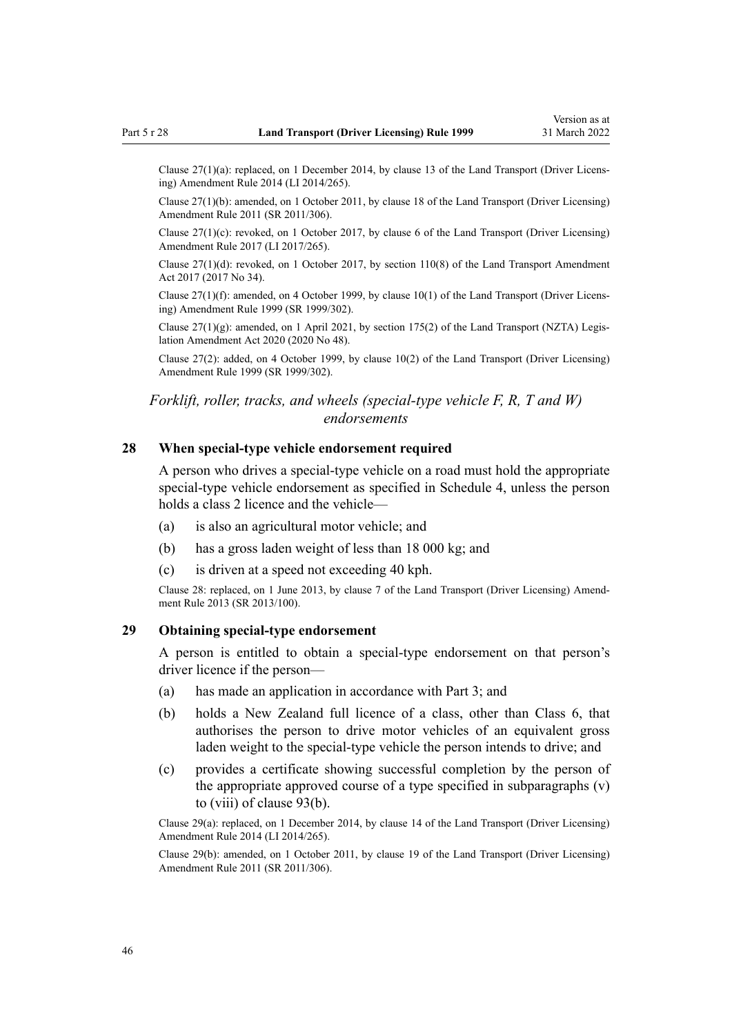Clause 27(1)(a): replaced, on 1 December 2014, by [clause 13](http://legislation.govt.nz/pdflink.aspx?id=DLM6216926) of the Land Transport (Driver Licens‐ ing) Amendment Rule 2014 (LI 2014/265).

Clause 27(1)(b): amended, on 1 October 2011, by [clause 18](http://legislation.govt.nz/pdflink.aspx?id=DLM3956723) of the Land Transport (Driver Licensing) Amendment Rule 2011 (SR 2011/306).

Clause 27(1)(c): revoked, on 1 October 2017, by [clause 6](http://legislation.govt.nz/pdflink.aspx?id=DLM7420930) of the Land Transport (Driver Licensing) Amendment Rule 2017 (LI 2017/265).

Clause  $27(1)(d)$ : revoked, on 1 October 2017, by [section 110\(8\)](http://legislation.govt.nz/pdflink.aspx?id=DLM6960929) of the Land Transport Amendment Act 2017 (2017 No 34).

Clause 27(1)(f): amended, on 4 October 1999, by [clause 10\(1\)](http://legislation.govt.nz/pdflink.aspx?id=DLM293678) of the Land Transport (Driver Licens‐ ing) Amendment Rule 1999 (SR 1999/302).

Clause 27(1)(g): amended, on 1 April 2021, by [section 175\(2\)](http://legislation.govt.nz/pdflink.aspx?id=LMS286883) of the Land Transport (NZTA) Legis‐ lation Amendment Act 2020 (2020 No 48).

Clause 27(2): added, on 4 October 1999, by [clause 10\(2\)](http://legislation.govt.nz/pdflink.aspx?id=DLM293678) of the Land Transport (Driver Licensing) Amendment Rule 1999 (SR 1999/302).

# *Forklift, roller, tracks, and wheels (special-type vehicle F, R, T and W) endorsements*

### **28 When special-type vehicle endorsement required**

A person who drives a special-type vehicle on a road must hold the appropriate special-type vehicle endorsement as specified in [Schedule 4](#page-116-0), unless the person holds a class 2 licence and the vehicle—

- (a) is also an agricultural motor vehicle; and
- (b) has a gross laden weight of less than 18 000 kg; and
- (c) is driven at a speed not exceeding 40 kph.

Clause 28: replaced, on 1 June 2013, by [clause 7](http://legislation.govt.nz/pdflink.aspx?id=DLM5102242) of the Land Transport (Driver Licensing) Amend‐ ment Rule 2013 (SR 2013/100).

# **29 Obtaining special-type endorsement**

A person is entitled to obtain a special-type endorsement on that person's driver licence if the person—

- (a) has made an application in accordance with [Part 3;](#page-21-0) and
- (b) holds a New Zealand full licence of a class, other than Class 6, that authorises the person to drive motor vehicles of an equivalent gross laden weight to the special-type vehicle the person intends to drive; and
- (c) provides a certificate showing successful completion by the person of the appropriate approved course of a type specified in subparagraphs (v) to (viii) of [clause 93\(b\).](#page-95-0)

Clause 29(a): replaced, on 1 December 2014, by [clause 14](http://legislation.govt.nz/pdflink.aspx?id=DLM6216927) of the Land Transport (Driver Licensing) Amendment Rule 2014 (LI 2014/265).

Clause 29(b): amended, on 1 October 2011, by [clause 19](http://legislation.govt.nz/pdflink.aspx?id=DLM3956724) of the Land Transport (Driver Licensing) Amendment Rule 2011 (SR 2011/306).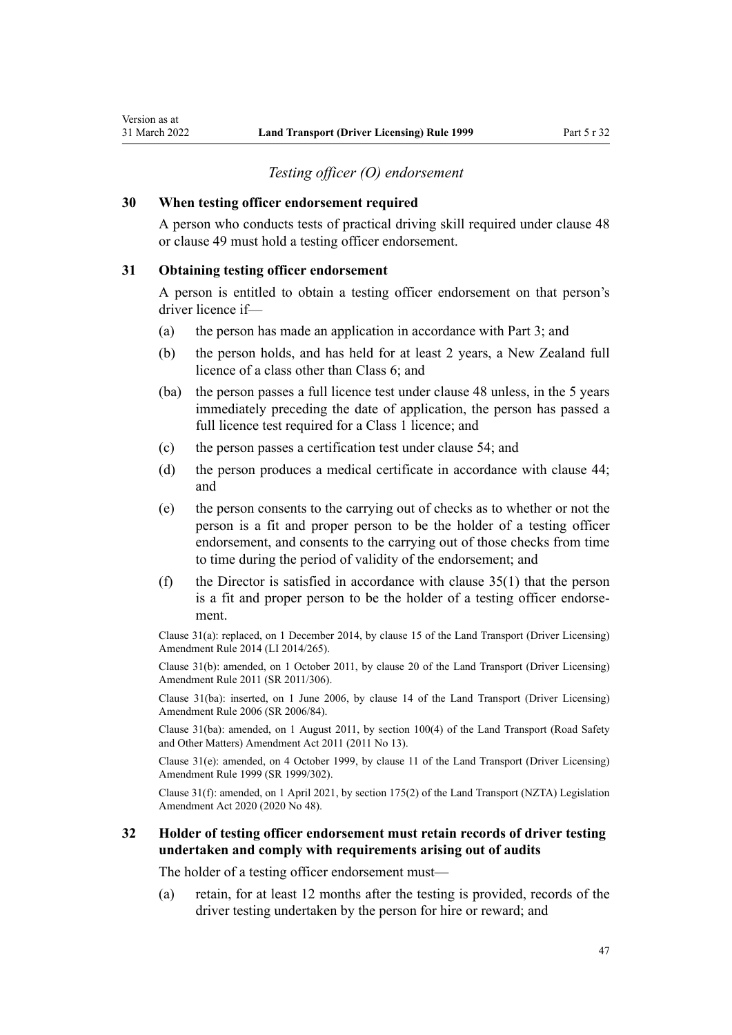## *Testing officer (O) endorsement*

### **30 When testing officer endorsement required**

A person who conducts tests of practical driving skill required under [clause 48](#page-57-0) or [clause 49](#page-57-0) must hold a testing officer endorsement.

### **31 Obtaining testing officer endorsement**

A person is entitled to obtain a testing officer endorsement on that person's driver licence if—

- (a) the person has made an application in accordance with [Part 3](#page-21-0); and
- (b) the person holds, and has held for at least 2 years, a New Zealand full licence of a class other than Class 6; and
- (ba) the person passes a full licence test under [clause 48](#page-57-0) unless, in the 5 years immediately preceding the date of application, the person has passed a full licence test required for a Class 1 licence; and
- (c) the person passes a certification test under [clause 54](#page-60-0); and
- (d) the person produces a medical certificate in accordance with [clause 44;](#page-54-0) and
- (e) the person consents to the carrying out of checks as to whether or not the person is a fit and proper person to be the holder of a testing officer endorsement, and consents to the carrying out of those checks from time to time during the period of validity of the endorsement; and
- (f) the Director is satisfied in accordance with clause  $35(1)$  that the person is a fit and proper person to be the holder of a testing officer endorse‐ ment.

Clause 31(a): replaced, on 1 December 2014, by [clause 15](http://legislation.govt.nz/pdflink.aspx?id=DLM6216928) of the Land Transport (Driver Licensing) Amendment Rule 2014 (LI 2014/265).

Clause 31(b): amended, on 1 October 2011, by [clause 20](http://legislation.govt.nz/pdflink.aspx?id=DLM3956725) of the Land Transport (Driver Licensing) Amendment Rule 2011 (SR 2011/306).

Clause 31(ba): inserted, on 1 June 2006, by [clause 14](http://legislation.govt.nz/pdflink.aspx?id=DLM376103) of the Land Transport (Driver Licensing) Amendment Rule 2006 (SR 2006/84).

Clause 31(ba): amended, on 1 August 2011, by [section 100\(4\)](http://legislation.govt.nz/pdflink.aspx?id=DLM3231293) of the Land Transport (Road Safety and Other Matters) Amendment Act 2011 (2011 No 13).

Clause 31(e): amended, on 4 October 1999, by [clause 11](http://legislation.govt.nz/pdflink.aspx?id=DLM293679) of the Land Transport (Driver Licensing) Amendment Rule 1999 (SR 1999/302).

Clause 31(f): amended, on 1 April 2021, by [section 175\(2\)](http://legislation.govt.nz/pdflink.aspx?id=LMS286883) of the Land Transport (NZTA) Legislation Amendment Act 2020 (2020 No 48).

# **32 Holder of testing officer endorsement must retain records of driver testing undertaken and comply with requirements arising out of audits**

The holder of a testing officer endorsement must—

(a) retain, for at least 12 months after the testing is provided, records of the driver testing undertaken by the person for hire or reward; and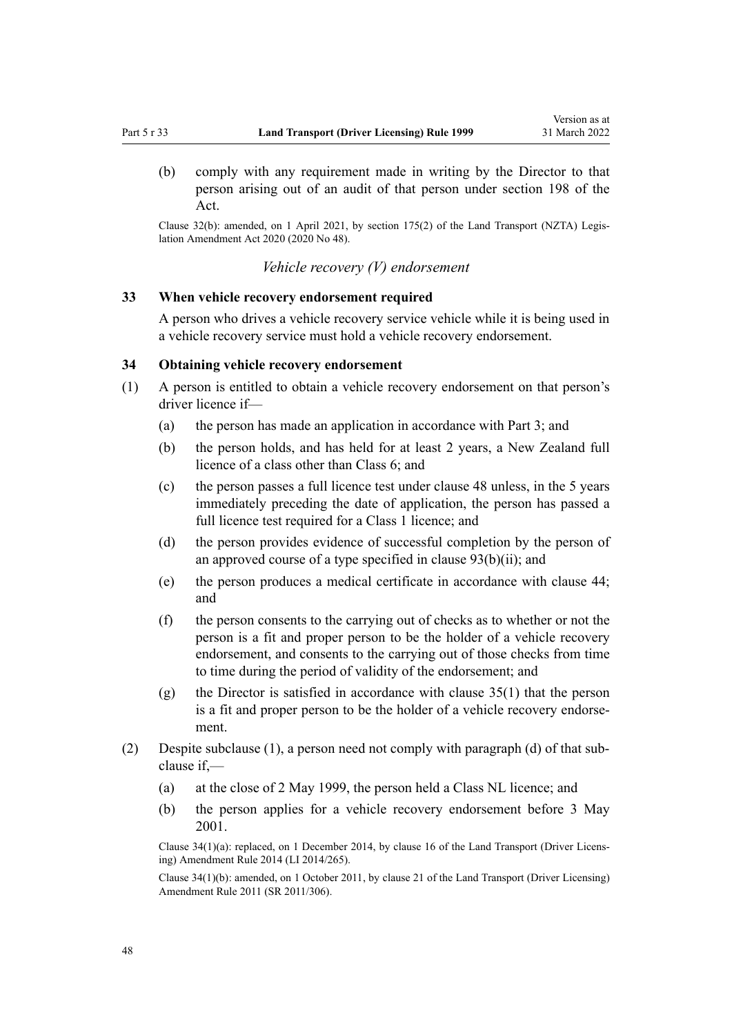(b) comply with any requirement made in writing by the Director to that person arising out of an audit of that person under [section 198](http://legislation.govt.nz/pdflink.aspx?id=DLM435602) of the Act.

Clause 32(b): amended, on 1 April 2021, by [section 175\(2\)](http://legislation.govt.nz/pdflink.aspx?id=LMS286883) of the Land Transport (NZTA) Legis‐ lation Amendment Act 2020 (2020 No 48).

*Vehicle recovery (V) endorsement*

# **33 When vehicle recovery endorsement required**

A person who drives a vehicle recovery service vehicle while it is being used in a vehicle recovery service must hold a vehicle recovery endorsement.

## **34 Obtaining vehicle recovery endorsement**

- (1) A person is entitled to obtain a vehicle recovery endorsement on that person's driver licence if—
	- (a) the person has made an application in accordance with [Part 3](#page-21-0); and
	- (b) the person holds, and has held for at least 2 years, a New Zealand full licence of a class other than Class 6; and
	- (c) the person passes a full licence test under [clause 48](#page-57-0) unless, in the 5 years immediately preceding the date of application, the person has passed a full licence test required for a Class 1 licence; and
	- (d) the person provides evidence of successful completion by the person of an approved course of a type specified in clause  $93(b)(ii)$ ; and
	- (e) the person produces a medical certificate in accordance with [clause 44;](#page-54-0) and
	- (f) the person consents to the carrying out of checks as to whether or not the person is a fit and proper person to be the holder of a vehicle recovery endorsement, and consents to the carrying out of those checks from time to time during the period of validity of the endorsement; and
	- (g) the Director is satisfied in accordance with [clause 35\(1\)](#page-48-0) that the person is a fit and proper person to be the holder of a vehicle recovery endorsement.
- (2) Despite subclause (1), a person need not comply with paragraph (d) of that sub‐ clause if,—
	- (a) at the close of 2 May 1999, the person held a Class NL licence; and
	- (b) the person applies for a vehicle recovery endorsement before 3 May 2001.

Clause 34(1)(a): replaced, on 1 December 2014, by [clause 16](http://legislation.govt.nz/pdflink.aspx?id=DLM6216929) of the Land Transport (Driver Licens‐ ing) Amendment Rule 2014 (LI 2014/265).

Clause 34(1)(b): amended, on 1 October 2011, by [clause 21](http://legislation.govt.nz/pdflink.aspx?id=DLM3956726) of the Land Transport (Driver Licensing) Amendment Rule 2011 (SR 2011/306).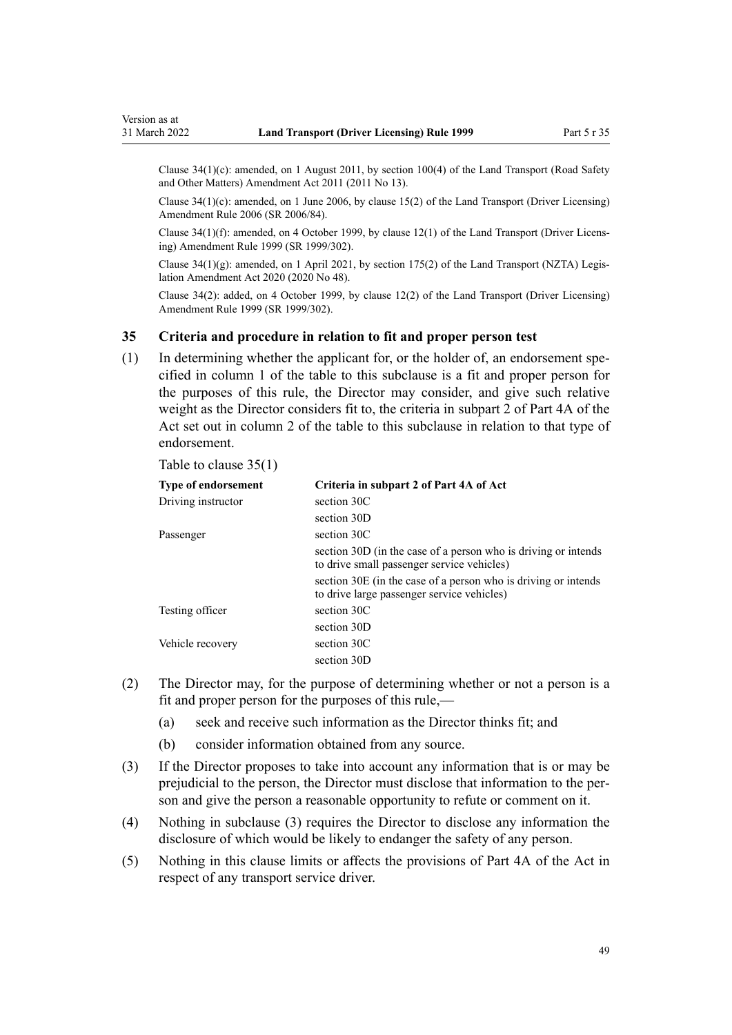<span id="page-48-0"></span>Clause  $34(1)(c)$ : amended, on 1 August 2011, by [section 100\(4\)](http://legislation.govt.nz/pdflink.aspx?id=DLM3231293) of the Land Transport (Road Safety and Other Matters) Amendment Act 2011 (2011 No 13).

Clause 34(1)(c): amended, on 1 June 2006, by [clause 15\(2\)](http://legislation.govt.nz/pdflink.aspx?id=DLM376104) of the Land Transport (Driver Licensing) Amendment Rule 2006 (SR 2006/84).

Clause 34(1)(f): amended, on 4 October 1999, by [clause 12\(1\)](http://legislation.govt.nz/pdflink.aspx?id=DLM293680) of the Land Transport (Driver Licens‐ ing) Amendment Rule 1999 (SR 1999/302).

Clause  $34(1)(g)$ : amended, on 1 April 2021, by [section 175\(2\)](http://legislation.govt.nz/pdflink.aspx?id=LMS286883) of the Land Transport (NZTA) Legislation Amendment Act 2020 (2020 No 48).

Clause 34(2): added, on 4 October 1999, by [clause 12\(2\)](http://legislation.govt.nz/pdflink.aspx?id=DLM293680) of the Land Transport (Driver Licensing) Amendment Rule 1999 (SR 1999/302).

## **35 Criteria and procedure in relation to fit and proper person test**

 $(1)$  In determining whether the applicant for, or the holder of, an endorsement specified in column 1 of the table to this subclause is a fit and proper person for the purposes of this rule, the Director may consider, and give such relative weight as the Director considers fit to, the criteria in subpart 2 of [Part 4A](http://legislation.govt.nz/pdflink.aspx?id=DLM434587) of the Act set out in column 2 of the table to this subclause in relation to that type of endorsement.

Table to clause 35(1)

| <b>Type of endorsement</b> | Criteria in subpart 2 of Part 4A of Act                                                                      |
|----------------------------|--------------------------------------------------------------------------------------------------------------|
| Driving instructor         | section 30C                                                                                                  |
|                            | section 30D                                                                                                  |
| Passenger                  | section 30C                                                                                                  |
|                            | section 30D (in the case of a person who is driving or intends<br>to drive small passenger service vehicles) |
|                            | section 30E (in the case of a person who is driving or intends<br>to drive large passenger service vehicles) |
| Testing officer            | section 30C                                                                                                  |
|                            | section 30D                                                                                                  |
| Vehicle recovery           | section 30C                                                                                                  |
|                            | section 30D                                                                                                  |

- (2) The Director may, for the purpose of determining whether or not a person is a fit and proper person for the purposes of this rule,—
	- (a) seek and receive such information as the Director thinks fit; and
	- (b) consider information obtained from any source.
- (3) If the Director proposes to take into account any information that is or may be prejudicial to the person, the Director must disclose that information to the person and give the person a reasonable opportunity to refute or comment on it.
- (4) Nothing in subclause (3) requires the Director to disclose any information the disclosure of which would be likely to endanger the safety of any person.
- (5) Nothing in this clause limits or affects the provisions of [Part 4A](http://legislation.govt.nz/pdflink.aspx?id=DLM434587) of the Act in respect of any transport service driver.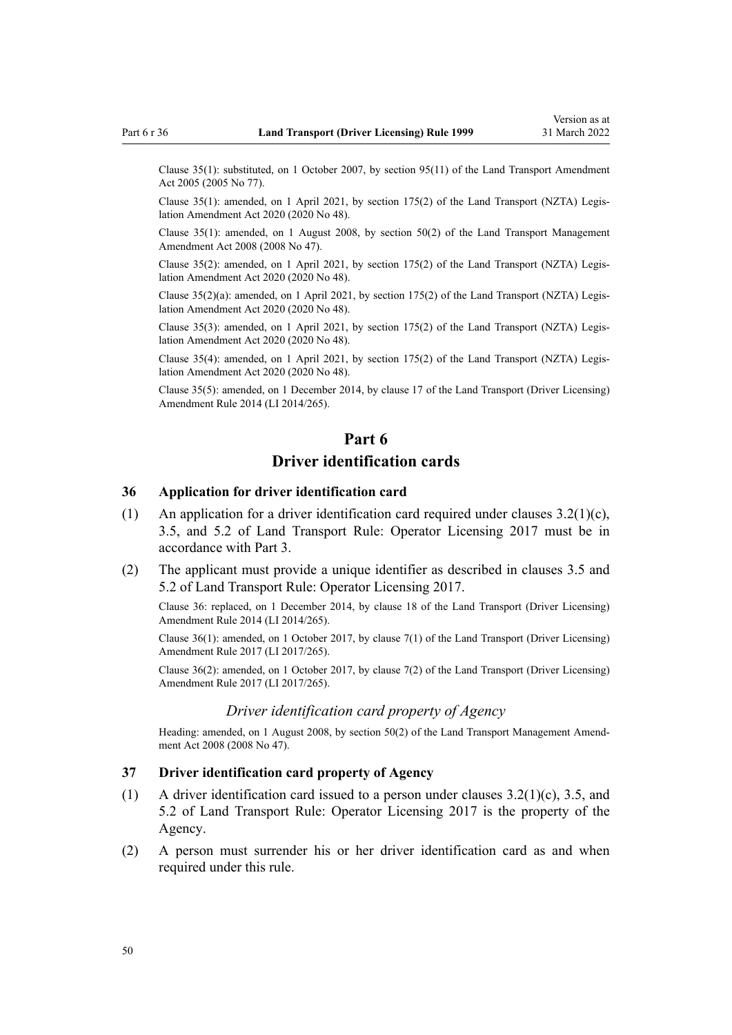Clause 35(1): substituted, on 1 October 2007, by [section 95\(11\)](http://legislation.govt.nz/pdflink.aspx?id=DLM353501) of the Land Transport Amendment Act 2005 (2005 No 77).

Clause 35(1): amended, on 1 April 2021, by [section 175\(2\)](http://legislation.govt.nz/pdflink.aspx?id=LMS286883) of the Land Transport (NZTA) Legis‐ lation Amendment Act 2020 (2020 No 48).

Clause 35(1): amended, on 1 August 2008, by [section 50\(2\)](http://legislation.govt.nz/pdflink.aspx?id=DLM1313622) of the Land Transport Management Amendment Act 2008 (2008 No 47).

Clause 35(2): amended, on 1 April 2021, by [section 175\(2\)](http://legislation.govt.nz/pdflink.aspx?id=LMS286883) of the Land Transport (NZTA) Legis‐ lation Amendment Act 2020 (2020 No 48).

Clause 35(2)(a): amended, on 1 April 2021, by [section 175\(2\)](http://legislation.govt.nz/pdflink.aspx?id=LMS286883) of the Land Transport (NZTA) Legis‐ lation Amendment Act 2020 (2020 No 48).

Clause 35(3): amended, on 1 April 2021, by [section 175\(2\)](http://legislation.govt.nz/pdflink.aspx?id=LMS286883) of the Land Transport (NZTA) Legis‐ lation Amendment Act 2020 (2020 No 48).

Clause 35(4): amended, on 1 April 2021, by [section 175\(2\)](http://legislation.govt.nz/pdflink.aspx?id=LMS286883) of the Land Transport (NZTA) Legis‐ lation Amendment Act 2020 (2020 No 48).

Clause 35(5): amended, on 1 December 2014, by [clause 17](http://legislation.govt.nz/pdflink.aspx?id=DLM6216930) of the Land Transport (Driver Licensing) Amendment Rule 2014 (LI 2014/265).

# **Part 6 Driver identification cards**

## **36 Application for driver identification card**

- (1) An application for a driver identification card required under clauses  $3.2(1)(c)$ , 3.5, and 5.2 of Land Transport Rule: Operator Licensing 2017 must be in accordance with [Part 3](#page-21-0).
- (2) The applicant must provide a unique identifier as described in clauses 3.5 and 5.2 of Land Transport Rule: Operator Licensing 2017.

Clause 36: replaced, on 1 December 2014, by [clause 18](http://legislation.govt.nz/pdflink.aspx?id=DLM6216931) of the Land Transport (Driver Licensing) Amendment Rule 2014 (LI 2014/265).

Clause 36(1): amended, on 1 October 2017, by [clause 7\(1\)](http://legislation.govt.nz/pdflink.aspx?id=DLM7420931) of the Land Transport (Driver Licensing) Amendment Rule 2017 (LI 2017/265).

Clause 36(2): amended, on 1 October 2017, by [clause 7\(2\)](http://legislation.govt.nz/pdflink.aspx?id=DLM7420931) of the Land Transport (Driver Licensing) Amendment Rule 2017 (LI 2017/265).

### *Driver identification card property of Agency*

Heading: amended, on 1 August 2008, by [section 50\(2\)](http://legislation.govt.nz/pdflink.aspx?id=DLM1313622) of the Land Transport Management Amendment Act 2008 (2008 No 47).

### **37 Driver identification card property of Agency**

- (1) A driver identification card issued to a person under clauses  $3.2(1)(c)$ ,  $3.5$ , and 5.2 of Land Transport Rule: Operator Licensing 2017 is the property of the Agency.
- (2) A person must surrender his or her driver identification card as and when required under this rule.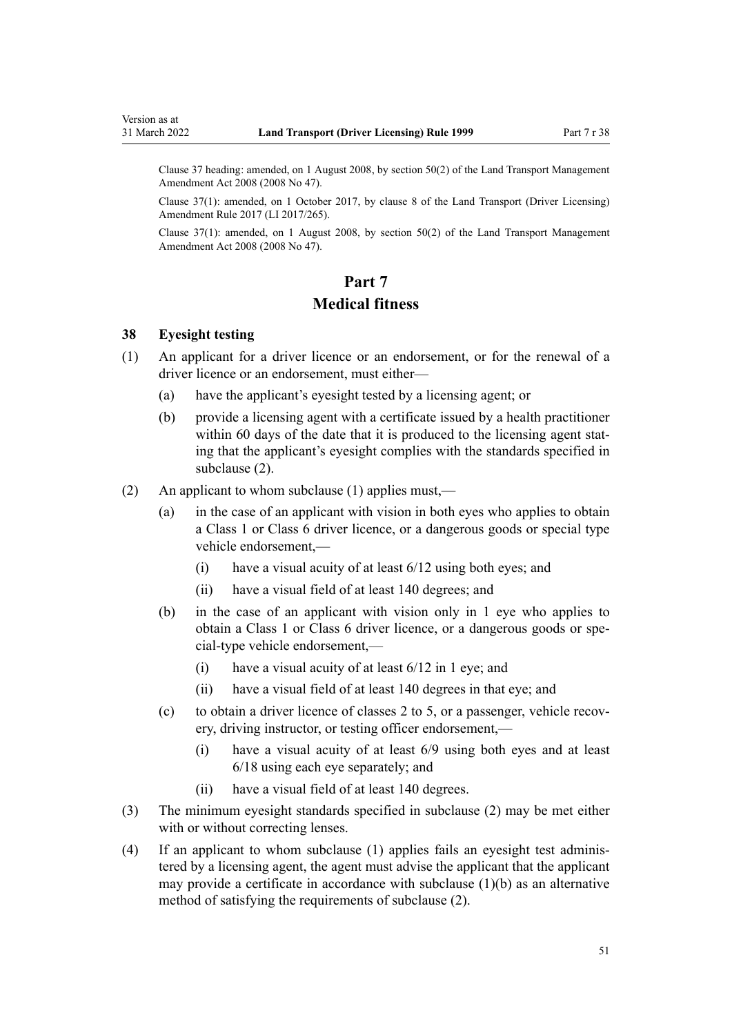<span id="page-50-0"></span>Clause 37 heading: amended, on 1 August 2008, by [section 50\(2\)](http://legislation.govt.nz/pdflink.aspx?id=DLM1313622) of the Land Transport Management Amendment Act 2008 (2008 No 47).

Clause 37(1): amended, on 1 October 2017, by [clause 8](http://legislation.govt.nz/pdflink.aspx?id=DLM7420932) of the Land Transport (Driver Licensing) Amendment Rule 2017 (LI 2017/265).

Clause 37(1): amended, on 1 August 2008, by [section 50\(2\)](http://legislation.govt.nz/pdflink.aspx?id=DLM1313622) of the Land Transport Management Amendment Act 2008 (2008 No 47).

# **Part 7 Medical fitness**

## **38 Eyesight testing**

- (1) An applicant for a driver licence or an endorsement, or for the renewal of a driver licence or an endorsement, must either—
	- (a) have the applicant's eyesight tested by a licensing agent; or
	- (b) provide a licensing agent with a certificate issued by a health practitioner within 60 days of the date that it is produced to the licensing agent stating that the applicant's eyesight complies with the standards specified in subclause (2).
- (2) An applicant to whom subclause (1) applies must,—
	- (a) in the case of an applicant with vision in both eyes who applies to obtain a Class 1 or Class 6 driver licence, or a dangerous goods or special type vehicle endorsement,—
		- (i) have a visual acuity of at least 6/12 using both eyes; and
		- (ii) have a visual field of at least 140 degrees; and
	- (b) in the case of an applicant with vision only in 1 eye who applies to obtain a Class 1 or Class 6 driver licence, or a dangerous goods or spe‐ cial-type vehicle endorsement,—
		- (i) have a visual acuity of at least 6/12 in 1 eye; and
		- (ii) have a visual field of at least 140 degrees in that eye; and
	- (c) to obtain a driver licence of classes 2 to 5, or a passenger, vehicle recovery, driving instructor, or testing officer endorsement,—
		- (i) have a visual acuity of at least 6/9 using both eyes and at least 6/18 using each eye separately; and
		- (ii) have a visual field of at least 140 degrees.
- (3) The minimum eyesight standards specified in subclause (2) may be met either with or without correcting lenses.
- (4) If an applicant to whom subclause (1) applies fails an eyesight test adminis‐ tered by a licensing agent, the agent must advise the applicant that the applicant may provide a certificate in accordance with subclause  $(1)(b)$  as an alternative method of satisfying the requirements of subclause (2).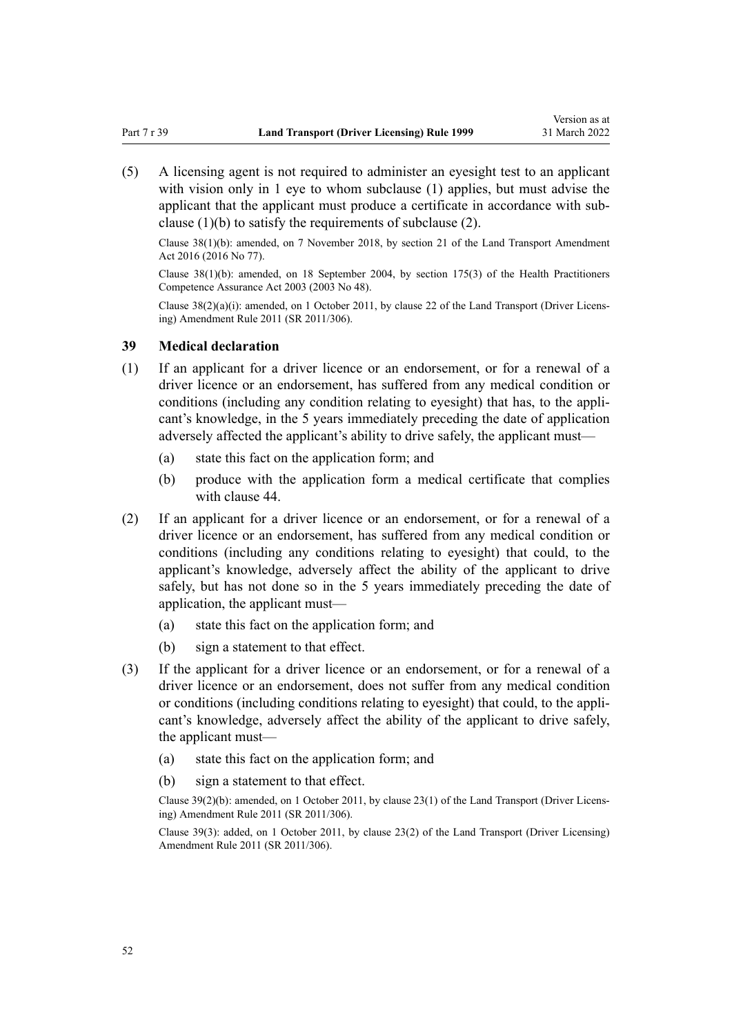(5) A licensing agent is not required to administer an eyesight test to an applicant with vision only in 1 eye to whom subclause (1) applies, but must advise the applicant that the applicant must produce a certificate in accordance with subclause (1)(b) to satisfy the requirements of subclause (2).

Clause 38(1)(b): amended, on 7 November 2018, by [section 21](http://legislation.govt.nz/pdflink.aspx?id=DLM6984133) of the Land Transport Amendment Act 2016 (2016 No 77).

Clause 38(1)(b): amended, on 18 September 2004, by [section 175\(3\)](http://legislation.govt.nz/pdflink.aspx?id=DLM205009) of the Health Practitioners Competence Assurance Act 2003 (2003 No 48).

Clause 38(2)(a)(i): amended, on 1 October 2011, by [clause 22](http://legislation.govt.nz/pdflink.aspx?id=DLM3956727) of the Land Transport (Driver Licens‐ ing) Amendment Rule 2011 (SR 2011/306).

## **39 Medical declaration**

- (1) If an applicant for a driver licence or an endorsement, or for a renewal of a driver licence or an endorsement, has suffered from any medical condition or conditions (including any condition relating to eyesight) that has, to the applicant's knowledge, in the 5 years immediately preceding the date of application adversely affected the applicant's ability to drive safely, the applicant must—
	- (a) state this fact on the application form; and
	- (b) produce with the application form a medical certificate that complies with [clause 44.](#page-54-0)
- (2) If an applicant for a driver licence or an endorsement, or for a renewal of a driver licence or an endorsement, has suffered from any medical condition or conditions (including any conditions relating to eyesight) that could, to the applicant's knowledge, adversely affect the ability of the applicant to drive safely, but has not done so in the 5 years immediately preceding the date of application, the applicant must—
	- (a) state this fact on the application form; and
	- (b) sign a statement to that effect.
- (3) If the applicant for a driver licence or an endorsement, or for a renewal of a driver licence or an endorsement, does not suffer from any medical condition or conditions (including conditions relating to eyesight) that could, to the appli‐ cant's knowledge, adversely affect the ability of the applicant to drive safely, the applicant must—
	- (a) state this fact on the application form; and
	- (b) sign a statement to that effect.

Clause 39(2)(b): amended, on 1 October 2011, by [clause 23\(1\)](http://legislation.govt.nz/pdflink.aspx?id=DLM3956728) of the Land Transport (Driver Licens‐ ing) Amendment Rule 2011 (SR 2011/306).

Clause 39(3): added, on 1 October 2011, by [clause 23\(2\)](http://legislation.govt.nz/pdflink.aspx?id=DLM3956728) of the Land Transport (Driver Licensing) Amendment Rule 2011 (SR 2011/306).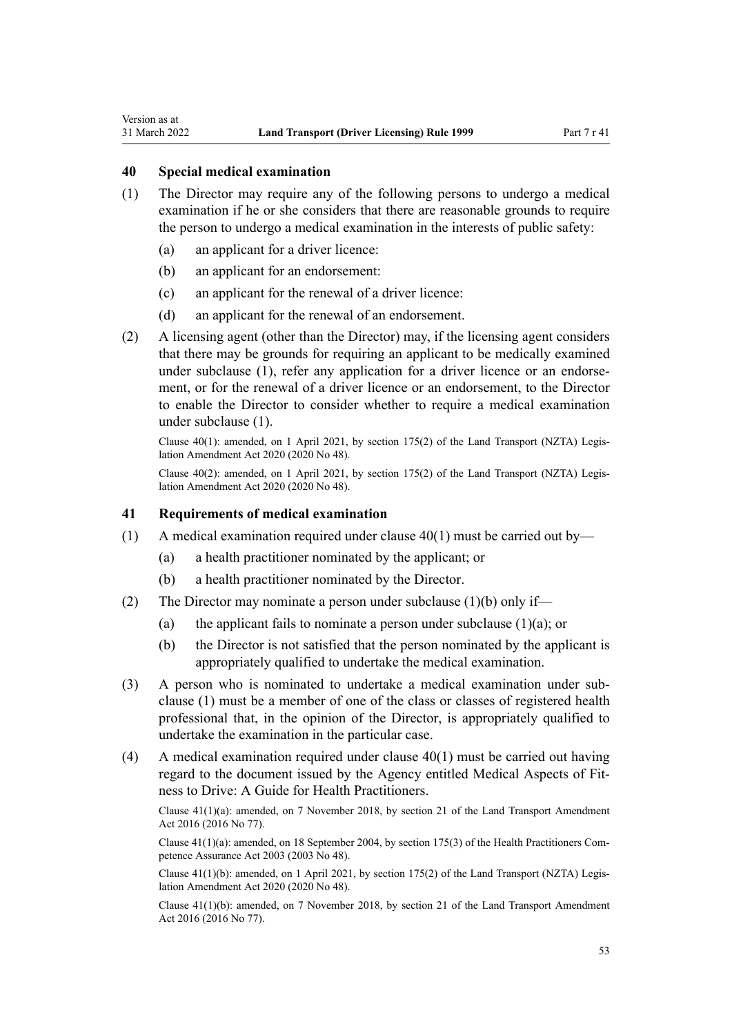# **40 Special medical examination**

<span id="page-52-0"></span>Version as at

- (1) The Director may require any of the following persons to undergo a medical examination if he or she considers that there are reasonable grounds to require the person to undergo a medical examination in the interests of public safety:
	- (a) an applicant for a driver licence:
	- (b) an applicant for an endorsement:
	- (c) an applicant for the renewal of a driver licence:
	- (d) an applicant for the renewal of an endorsement.
- (2) A licensing agent (other than the Director) may, if the licensing agent considers that there may be grounds for requiring an applicant to be medically examined under subclause (1), refer any application for a driver licence or an endorsement, or for the renewal of a driver licence or an endorsement, to the Director to enable the Director to consider whether to require a medical examination under subclause (1).

Clause  $40(1)$ : amended, on 1 April 2021, by [section 175\(2\)](http://legislation.govt.nz/pdflink.aspx?id=LMS286883) of the Land Transport (NZTA) Legislation Amendment Act 2020 (2020 No 48).

Clause 40(2): amended, on 1 April 2021, by [section 175\(2\)](http://legislation.govt.nz/pdflink.aspx?id=LMS286883) of the Land Transport (NZTA) Legis‐ lation Amendment Act 2020 (2020 No 48).

### **41 Requirements of medical examination**

- (1) A medical examination required under clause  $40(1)$  must be carried out by—
	- (a) a health practitioner nominated by the applicant; or
	- (b) a health practitioner nominated by the Director.
- (2) The Director may nominate a person under subclause (1)(b) only if—
	- (a) the applicant fails to nominate a person under subclause  $(1)(a)$ ; or
	- (b) the Director is not satisfied that the person nominated by the applicant is appropriately qualified to undertake the medical examination.
- (3) A person who is nominated to undertake a medical examination under sub‐ clause (1) must be a member of one of the class or classes of registered health professional that, in the opinion of the Director, is appropriately qualified to undertake the examination in the particular case.
- (4) A medical examination required under clause 40(1) must be carried out having regard to the document issued by the Agency entitled Medical Aspects of Fit‐ ness to Drive: A Guide for Health Practitioners.

Clause 41(1)(a): amended, on 7 November 2018, by [section 21](http://legislation.govt.nz/pdflink.aspx?id=DLM6984133) of the Land Transport Amendment Act 2016 (2016 No 77).

Clause  $41(1)(a)$ : amended, on 18 September 2004, by [section 175\(3\)](http://legislation.govt.nz/pdflink.aspx?id=DLM205009) of the Health Practitioners Competence Assurance Act 2003 (2003 No 48).

Clause 41(1)(b): amended, on 1 April 2021, by [section 175\(2\)](http://legislation.govt.nz/pdflink.aspx?id=LMS286883) of the Land Transport (NZTA) Legis‐ lation Amendment Act 2020 (2020 No 48).

Clause 41(1)(b): amended, on 7 November 2018, by [section 21](http://legislation.govt.nz/pdflink.aspx?id=DLM6984133) of the Land Transport Amendment Act 2016 (2016 No 77).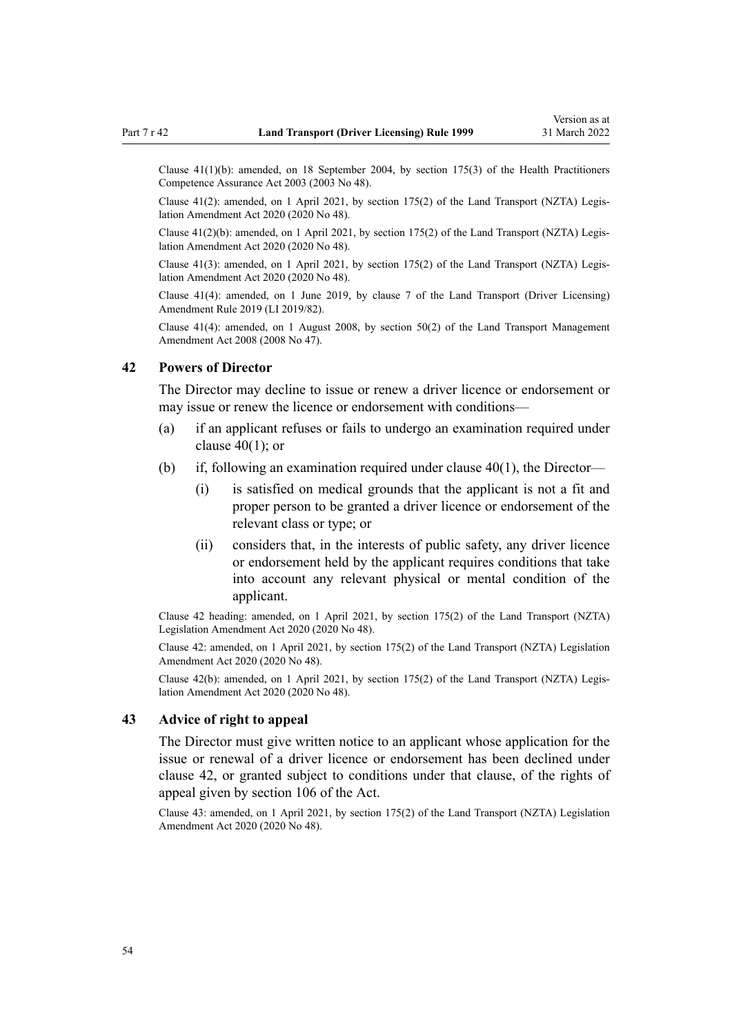Clause 41(1)(b): amended, on 18 September 2004, by [section 175\(3\)](http://legislation.govt.nz/pdflink.aspx?id=DLM205009) of the Health Practitioners Competence Assurance Act 2003 (2003 No 48).

Clause  $41(2)$ : amended, on 1 April 2021, by [section 175\(2\)](http://legislation.govt.nz/pdflink.aspx?id=LMS286883) of the Land Transport (NZTA) Legislation Amendment Act 2020 (2020 No 48).

Clause 41(2)(b): amended, on 1 April 2021, by [section 175\(2\)](http://legislation.govt.nz/pdflink.aspx?id=LMS286883) of the Land Transport (NZTA) Legis‐ lation Amendment Act 2020 (2020 No 48).

Clause 41(3): amended, on 1 April 2021, by [section 175\(2\)](http://legislation.govt.nz/pdflink.aspx?id=LMS286883) of the Land Transport (NZTA) Legis‐ lation Amendment Act 2020 (2020 No 48).

Clause 41(4): amended, on 1 June 2019, by [clause 7](http://legislation.govt.nz/pdflink.aspx?id=LMS136012) of the Land Transport (Driver Licensing) Amendment Rule 2019 (LI 2019/82).

Clause 41(4): amended, on 1 August 2008, by [section 50\(2\)](http://legislation.govt.nz/pdflink.aspx?id=DLM1313622) of the Land Transport Management Amendment Act 2008 (2008 No 47).

### **42 Powers of Director**

The Director may decline to issue or renew a driver licence or endorsement or may issue or renew the licence or endorsement with conditions—

- (a) if an applicant refuses or fails to undergo an examination required under [clause 40\(1\);](#page-52-0) or
- (b) if, following an examination required under [clause 40\(1\),](#page-52-0) the Director—
	- (i) is satisfied on medical grounds that the applicant is not a fit and proper person to be granted a driver licence or endorsement of the relevant class or type; or
	- (ii) considers that, in the interests of public safety, any driver licence or endorsement held by the applicant requires conditions that take into account any relevant physical or mental condition of the applicant.

Clause 42 heading: amended, on 1 April 2021, by [section 175\(2\)](http://legislation.govt.nz/pdflink.aspx?id=LMS286883) of the Land Transport (NZTA) Legislation Amendment Act 2020 (2020 No 48).

Clause 42: amended, on 1 April 2021, by [section 175\(2\)](http://legislation.govt.nz/pdflink.aspx?id=LMS286883) of the Land Transport (NZTA) Legislation Amendment Act 2020 (2020 No 48).

Clause 42(b): amended, on 1 April 2021, by [section 175\(2\)](http://legislation.govt.nz/pdflink.aspx?id=LMS286883) of the Land Transport (NZTA) Legis‐ lation Amendment Act 2020 (2020 No 48).

# **43 Advice of right to appeal**

The Director must give written notice to an applicant whose application for the issue or renewal of a driver licence or endorsement has been declined under clause 42, or granted subject to conditions under that clause, of the rights of appeal given by [section 106](http://legislation.govt.nz/pdflink.aspx?id=DLM435083) of the Act.

Clause 43: amended, on 1 April 2021, by [section 175\(2\)](http://legislation.govt.nz/pdflink.aspx?id=LMS286883) of the Land Transport (NZTA) Legislation Amendment Act 2020 (2020 No 48).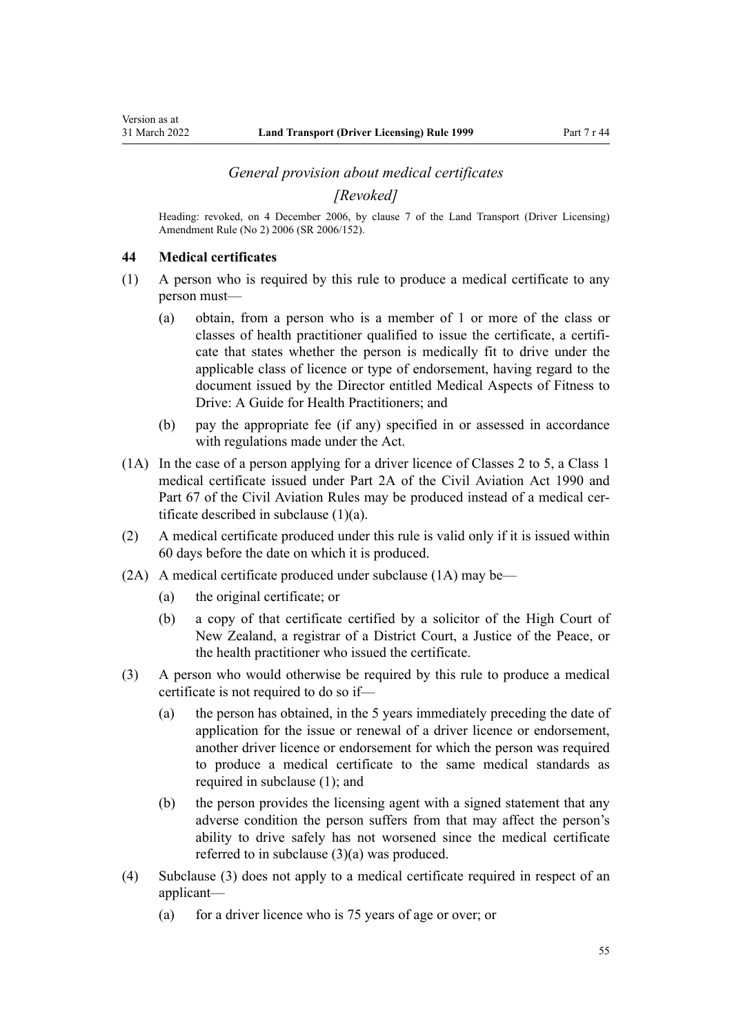## *General provision about medical certificates*

*[Revoked]*

<span id="page-54-0"></span>Heading: revoked, on 4 December 2006, by [clause 7](http://legislation.govt.nz/pdflink.aspx?id=DLM386144) of the Land Transport (Driver Licensing) Amendment Rule (No 2) 2006 (SR 2006/152).

### **44 Medical certificates**

- (1) A person who is required by this rule to produce a medical certificate to any person must—
	- (a) obtain, from a person who is a member of 1 or more of the class or classes of health practitioner qualified to issue the certificate, a certificate that states whether the person is medically fit to drive under the applicable class of licence or type of endorsement, having regard to the document issued by the Director entitled Medical Aspects of Fitness to Drive: A Guide for Health Practitioners; and
	- (b) pay the appropriate fee (if any) specified in or assessed in accordance with regulations made under the Act.
- (1A) In the case of a person applying for a driver licence of Classes 2 to 5, a Class 1 medical certificate issued under [Part 2A](http://legislation.govt.nz/pdflink.aspx?id=DLM216176) of the Civil Aviation Act 1990 and Part 67 of the Civil Aviation Rules may be produced instead of a medical certificate described in subclause (1)(a).
- (2) A medical certificate produced under this rule is valid only if it is issued within 60 days before the date on which it is produced.
- (2A) A medical certificate produced under subclause (1A) may be—
	- (a) the original certificate; or
	- (b) a copy of that certificate certified by a solicitor of the High Court of New Zealand, a registrar of a District Court, a Justice of the Peace, or the health practitioner who issued the certificate.
- (3) A person who would otherwise be required by this rule to produce a medical certificate is not required to do so if—
	- (a) the person has obtained, in the 5 years immediately preceding the date of application for the issue or renewal of a driver licence or endorsement, another driver licence or endorsement for which the person was required to produce a medical certificate to the same medical standards as required in subclause (1); and
	- (b) the person provides the licensing agent with a signed statement that any adverse condition the person suffers from that may affect the person's ability to drive safely has not worsened since the medical certificate referred to in subclause (3)(a) was produced.
- (4) Subclause (3) does not apply to a medical certificate required in respect of an applicant—
	- (a) for a driver licence who is 75 years of age or over; or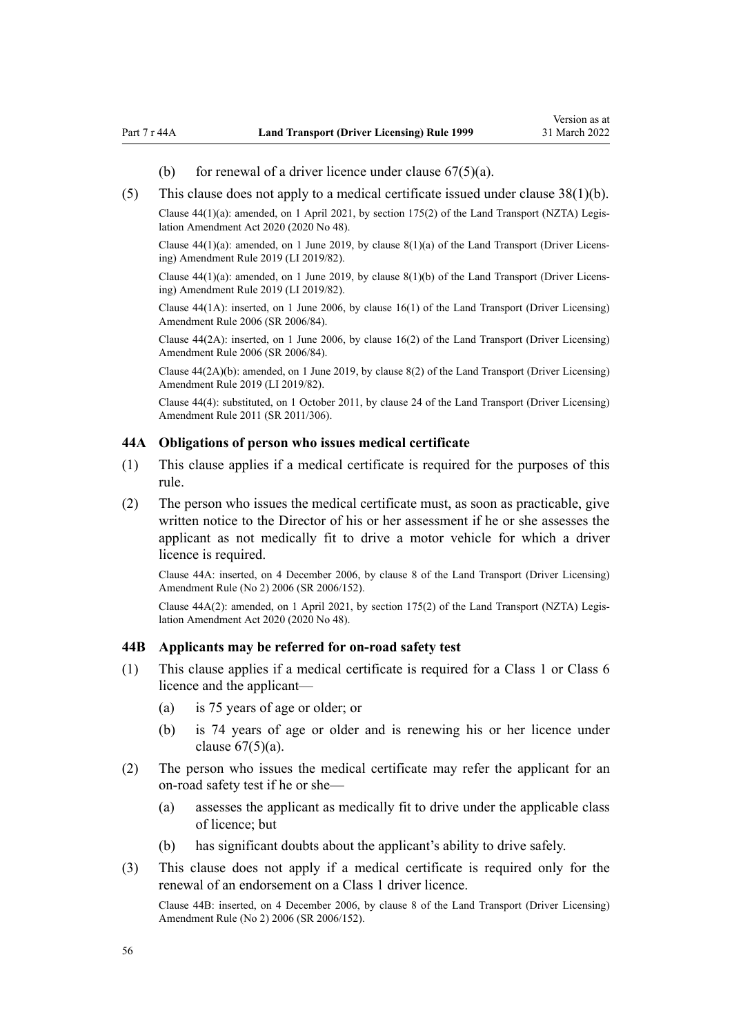- (b) for renewal of a driver licence under clause  $67(5)(a)$ .
- <span id="page-55-0"></span>(5) This clause does not apply to a medical certificate issued under [clause 38\(1\)\(b\).](#page-50-0)

Clause  $44(1)(a)$ : amended, on 1 April 2021, by [section 175\(2\)](http://legislation.govt.nz/pdflink.aspx?id=LMS286883) of the Land Transport (NZTA) Legislation Amendment Act 2020 (2020 No 48).

Clause  $44(1)(a)$ : amended, on 1 June 2019, by clause  $8(1)(a)$  of the Land Transport (Driver Licensing) Amendment Rule 2019 (LI 2019/82).

Clause  $44(1)(a)$ : amended, on 1 June 2019, by clause  $8(1)(b)$  of the Land Transport (Driver Licensing) Amendment Rule 2019 (LI 2019/82).

Clause 44(1A): inserted, on 1 June 2006, by [clause 16\(1\)](http://legislation.govt.nz/pdflink.aspx?id=DLM376105) of the Land Transport (Driver Licensing) Amendment Rule 2006 (SR 2006/84).

Clause 44(2A): inserted, on 1 June 2006, by [clause 16\(2\)](http://legislation.govt.nz/pdflink.aspx?id=DLM376105) of the Land Transport (Driver Licensing) Amendment Rule 2006 (SR 2006/84).

Clause 44(2A)(b): amended, on 1 June 2019, by [clause 8\(2\)](http://legislation.govt.nz/pdflink.aspx?id=LMS136013) of the Land Transport (Driver Licensing) Amendment Rule 2019 (LI 2019/82).

Clause 44(4): substituted, on 1 October 2011, by [clause 24](http://legislation.govt.nz/pdflink.aspx?id=DLM3956729) of the Land Transport (Driver Licensing) Amendment Rule 2011 (SR 2011/306).

### **44A Obligations of person who issues medical certificate**

- (1) This clause applies if a medical certificate is required for the purposes of this rule.
- (2) The person who issues the medical certificate must, as soon as practicable, give written notice to the Director of his or her assessment if he or she assesses the applicant as not medically fit to drive a motor vehicle for which a driver licence is required.

Clause 44A: inserted, on 4 December 2006, by [clause 8](http://legislation.govt.nz/pdflink.aspx?id=DLM386145) of the Land Transport (Driver Licensing) Amendment Rule (No 2) 2006 (SR 2006/152).

Clause 44A(2): amended, on 1 April 2021, by [section 175\(2\)](http://legislation.govt.nz/pdflink.aspx?id=LMS286883) of the Land Transport (NZTA) Legis‐ lation Amendment Act 2020 (2020 No 48).

### **44B Applicants may be referred for on-road safety test**

- (1) This clause applies if a medical certificate is required for a Class 1 or Class 6 licence and the applicant—
	- (a) is 75 years of age or older; or
	- (b) is 74 years of age or older and is renewing his or her licence under clause  $67(5)(a)$ .
- (2) The person who issues the medical certificate may refer the applicant for an on-road safety test if he or she—
	- (a) assesses the applicant as medically fit to drive under the applicable class of licence; but
	- (b) has significant doubts about the applicant's ability to drive safely.
- (3) This clause does not apply if a medical certificate is required only for the renewal of an endorsement on a Class 1 driver licence.

Clause 44B: inserted, on 4 December 2006, by [clause 8](http://legislation.govt.nz/pdflink.aspx?id=DLM386145) of the Land Transport (Driver Licensing) Amendment Rule (No 2) 2006 (SR 2006/152).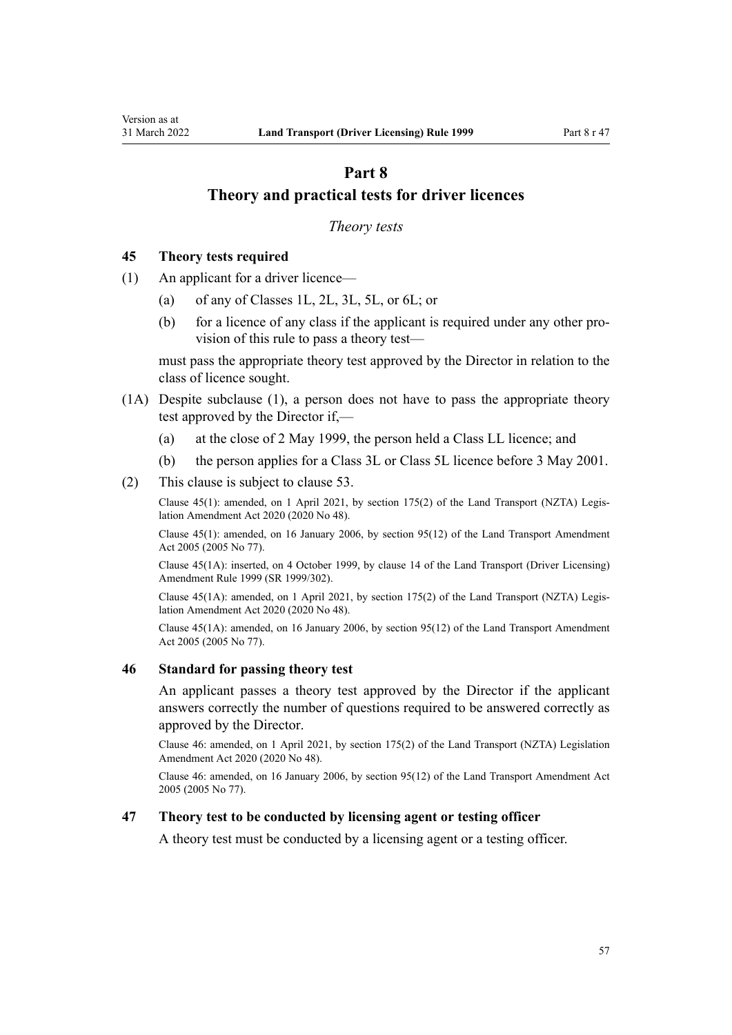# <span id="page-56-0"></span>**Part 8 Theory and practical tests for driver licences**

### *Theory tests*

## **45 Theory tests required**

- (1) An applicant for a driver licence—
	- (a) of any of Classes 1L, 2L, 3L, 5L, or 6L; or
	- (b) for a licence of any class if the applicant is required under any other provision of this rule to pass a theory test—

must pass the appropriate theory test approved by the Director in relation to the class of licence sought.

- (1A) Despite subclause (1), a person does not have to pass the appropriate theory test approved by the Director if,—
	- (a) at the close of 2 May 1999, the person held a Class LL licence; and
	- (b) the person applies for a Class 3L or Class 5L licence before 3 May 2001.
- (2) This clause is subject to [clause 53](#page-59-0).

Clause 45(1): amended, on 1 April 2021, by [section 175\(2\)](http://legislation.govt.nz/pdflink.aspx?id=LMS286883) of the Land Transport (NZTA) Legis‐ lation Amendment Act 2020 (2020 No 48).

Clause 45(1): amended, on 16 January 2006, by [section 95\(12\)](http://legislation.govt.nz/pdflink.aspx?id=DLM353501) of the Land Transport Amendment Act 2005 (2005 No 77).

Clause 45(1A): inserted, on 4 October 1999, by [clause 14](http://legislation.govt.nz/pdflink.aspx?id=DLM293682) of the Land Transport (Driver Licensing) Amendment Rule 1999 (SR 1999/302).

Clause 45(1A): amended, on 1 April 2021, by [section 175\(2\)](http://legislation.govt.nz/pdflink.aspx?id=LMS286883) of the Land Transport (NZTA) Legis‐ lation Amendment Act 2020 (2020 No 48).

Clause 45(1A): amended, on 16 January 2006, by [section 95\(12\)](http://legislation.govt.nz/pdflink.aspx?id=DLM353501) of the Land Transport Amendment Act 2005 (2005 No 77).

#### **46 Standard for passing theory test**

An applicant passes a theory test approved by the Director if the applicant answers correctly the number of questions required to be answered correctly as approved by the Director.

Clause 46: amended, on 1 April 2021, by [section 175\(2\)](http://legislation.govt.nz/pdflink.aspx?id=LMS286883) of the Land Transport (NZTA) Legislation Amendment Act 2020 (2020 No 48).

Clause 46: amended, on 16 January 2006, by [section 95\(12\)](http://legislation.govt.nz/pdflink.aspx?id=DLM353501) of the Land Transport Amendment Act 2005 (2005 No 77).

### **47 Theory test to be conducted by licensing agent or testing officer**

A theory test must be conducted by a licensing agent or a testing officer.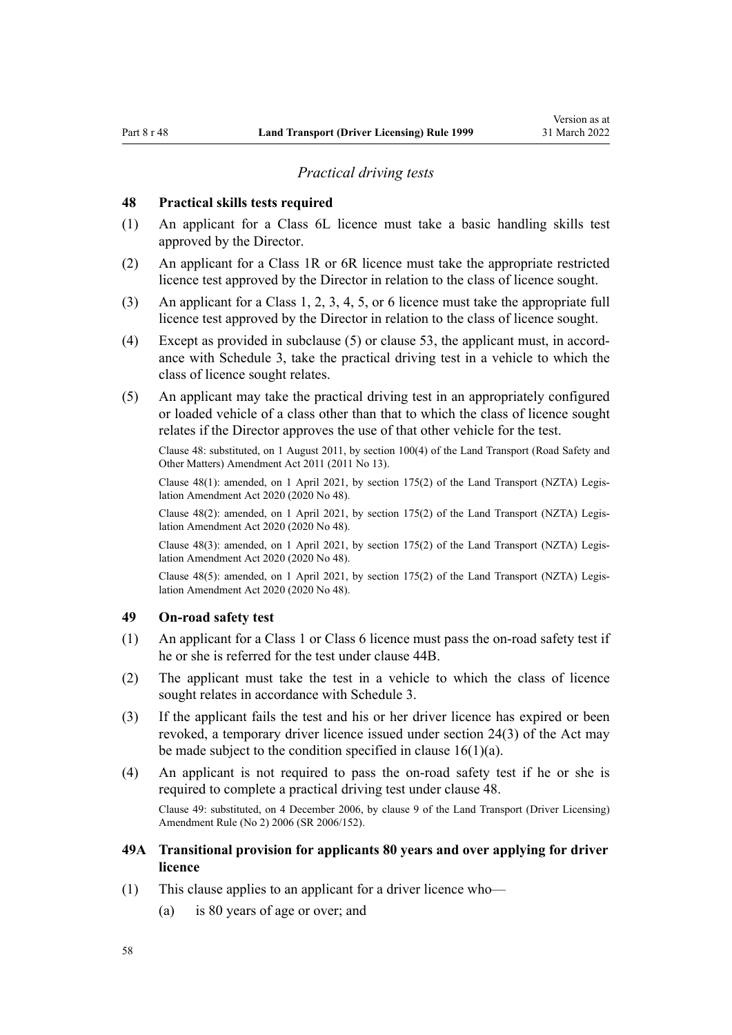### *Practical driving tests*

### <span id="page-57-0"></span>**48 Practical skills tests required**

- (1) An applicant for a Class 6L licence must take a basic handling skills test approved by the Director.
- (2) An applicant for a Class 1R or 6R licence must take the appropriate restricted licence test approved by the Director in relation to the class of licence sought.
- (3) An applicant for a Class 1, 2, 3, 4, 5, or 6 licence must take the appropriate full licence test approved by the Director in relation to the class of licence sought.
- (4) Except as provided in subclause  $(5)$  or [clause 53](#page-59-0), the applicant must, in accordance with [Schedule 3](#page-113-0), take the practical driving test in a vehicle to which the class of licence sought relates.
- (5) An applicant may take the practical driving test in an appropriately configured or loaded vehicle of a class other than that to which the class of licence sought relates if the Director approves the use of that other vehicle for the test.

Clause 48: substituted, on 1 August 2011, by [section 100\(4\)](http://legislation.govt.nz/pdflink.aspx?id=DLM3231293) of the Land Transport (Road Safety and Other Matters) Amendment Act 2011 (2011 No 13).

Clause 48(1): amended, on 1 April 2021, by [section 175\(2\)](http://legislation.govt.nz/pdflink.aspx?id=LMS286883) of the Land Transport (NZTA) Legis‐ lation Amendment Act 2020 (2020 No 48).

Clause 48(2): amended, on 1 April 2021, by [section 175\(2\)](http://legislation.govt.nz/pdflink.aspx?id=LMS286883) of the Land Transport (NZTA) Legis‐ lation Amendment Act 2020 (2020 No 48).

Clause 48(3): amended, on 1 April 2021, by [section 175\(2\)](http://legislation.govt.nz/pdflink.aspx?id=LMS286883) of the Land Transport (NZTA) Legis‐ lation Amendment Act 2020 (2020 No 48).

Clause 48(5): amended, on 1 April 2021, by [section 175\(2\)](http://legislation.govt.nz/pdflink.aspx?id=LMS286883) of the Land Transport (NZTA) Legis‐ lation Amendment Act 2020 (2020 No 48).

## **49 On-road safety test**

- (1) An applicant for a Class 1 or Class 6 licence must pass the on-road safety test if he or she is referred for the test under [clause 44B](#page-55-0).
- (2) The applicant must take the test in a vehicle to which the class of licence sought relates in accordance with [Schedule 3](#page-113-0).
- (3) If the applicant fails the test and his or her driver licence has expired or been revoked, a temporary driver licence issued under [section 24\(3\)](http://legislation.govt.nz/pdflink.aspx?id=DLM434553) of the Act may be made subject to the condition specified in clause  $16(1)(a)$ .
- (4) An applicant is not required to pass the on-road safety test if he or she is required to complete a practical driving test under clause 48. Clause 49: substituted, on 4 December 2006, by [clause 9](http://legislation.govt.nz/pdflink.aspx?id=DLM386148) of the Land Transport (Driver Licensing) Amendment Rule (No 2) 2006 (SR 2006/152).
- **49A Transitional provision for applicants 80 years and over applying for driver licence**
- (1) This clause applies to an applicant for a driver licence who—
	- (a) is 80 years of age or over; and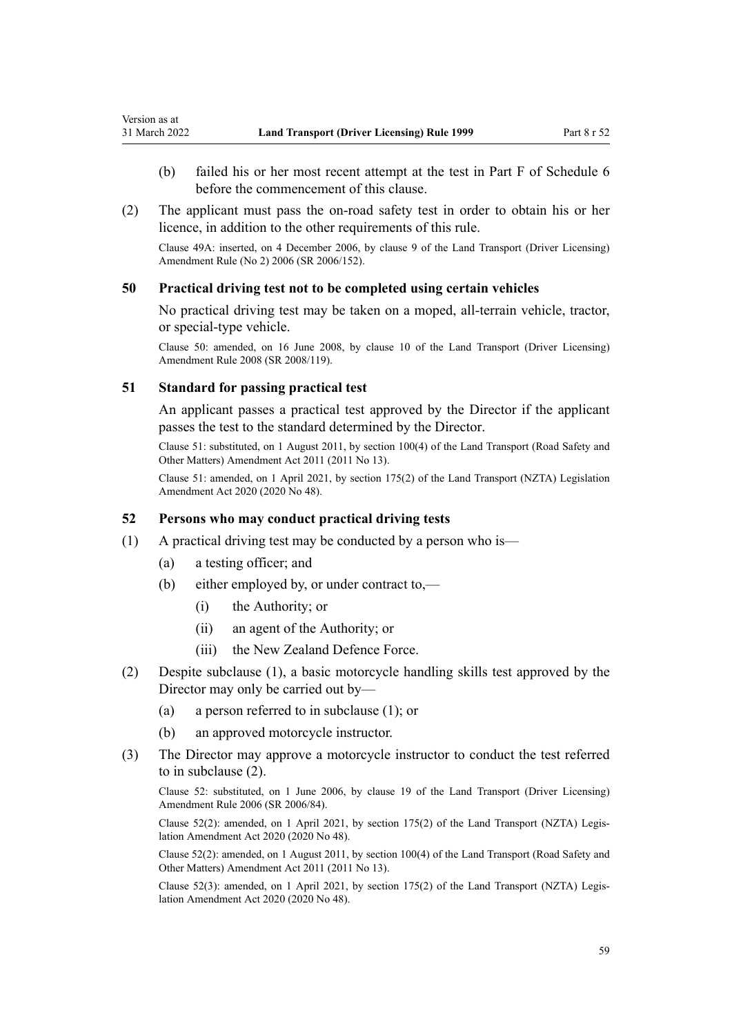- <span id="page-58-0"></span>(b) failed his or her most recent attempt at the test in Part F of [Schedule 6](#page-116-0) before the commencement of this clause.
- (2) The applicant must pass the on-road safety test in order to obtain his or her licence, in addition to the other requirements of this rule.

Clause 49A: inserted, on 4 December 2006, by [clause 9](http://legislation.govt.nz/pdflink.aspx?id=DLM386148) of the Land Transport (Driver Licensing) Amendment Rule (No 2) 2006 (SR 2006/152).

### **50 Practical driving test not to be completed using certain vehicles**

No practical driving test may be taken on a moped, all-terrain vehicle, tractor, or special-type vehicle.

Clause 50: amended, on 16 June 2008, by [clause 10](http://legislation.govt.nz/pdflink.aspx?id=DLM1317916) of the Land Transport (Driver Licensing) Amendment Rule 2008 (SR 2008/119).

### **51 Standard for passing practical test**

An applicant passes a practical test approved by the Director if the applicant passes the test to the standard determined by the Director.

Clause 51: substituted, on 1 August 2011, by [section 100\(4\)](http://legislation.govt.nz/pdflink.aspx?id=DLM3231293) of the Land Transport (Road Safety and Other Matters) Amendment Act 2011 (2011 No 13).

Clause 51: amended, on 1 April 2021, by [section 175\(2\)](http://legislation.govt.nz/pdflink.aspx?id=LMS286883) of the Land Transport (NZTA) Legislation Amendment Act 2020 (2020 No 48).

## **52 Persons who may conduct practical driving tests**

- (1) A practical driving test may be conducted by a person who is—
	- (a) a testing officer; and
	- (b) either employed by, or under contract to,—
		- (i) the Authority; or
		- (ii) an agent of the Authority; or
		- (iii) the New Zealand Defence Force.
- (2) Despite subclause (1), a basic motorcycle handling skills test approved by the Director may only be carried out by—
	- (a) a person referred to in subclause (1); or
	- (b) an approved motorcycle instructor.
- (3) The Director may approve a motorcycle instructor to conduct the test referred to in subclause (2).

Clause 52: substituted, on 1 June 2006, by [clause 19](http://legislation.govt.nz/pdflink.aspx?id=DLM376108) of the Land Transport (Driver Licensing) Amendment Rule 2006 (SR 2006/84).

Clause 52(2): amended, on 1 April 2021, by [section 175\(2\)](http://legislation.govt.nz/pdflink.aspx?id=LMS286883) of the Land Transport (NZTA) Legis‐ lation Amendment Act 2020 (2020 No 48).

Clause 52(2): amended, on 1 August 2011, by [section 100\(4\)](http://legislation.govt.nz/pdflink.aspx?id=DLM3231293) of the Land Transport (Road Safety and Other Matters) Amendment Act 2011 (2011 No 13).

Clause 52(3): amended, on 1 April 2021, by [section 175\(2\)](http://legislation.govt.nz/pdflink.aspx?id=LMS286883) of the Land Transport (NZTA) Legis‐ lation Amendment Act 2020 (2020 No 48).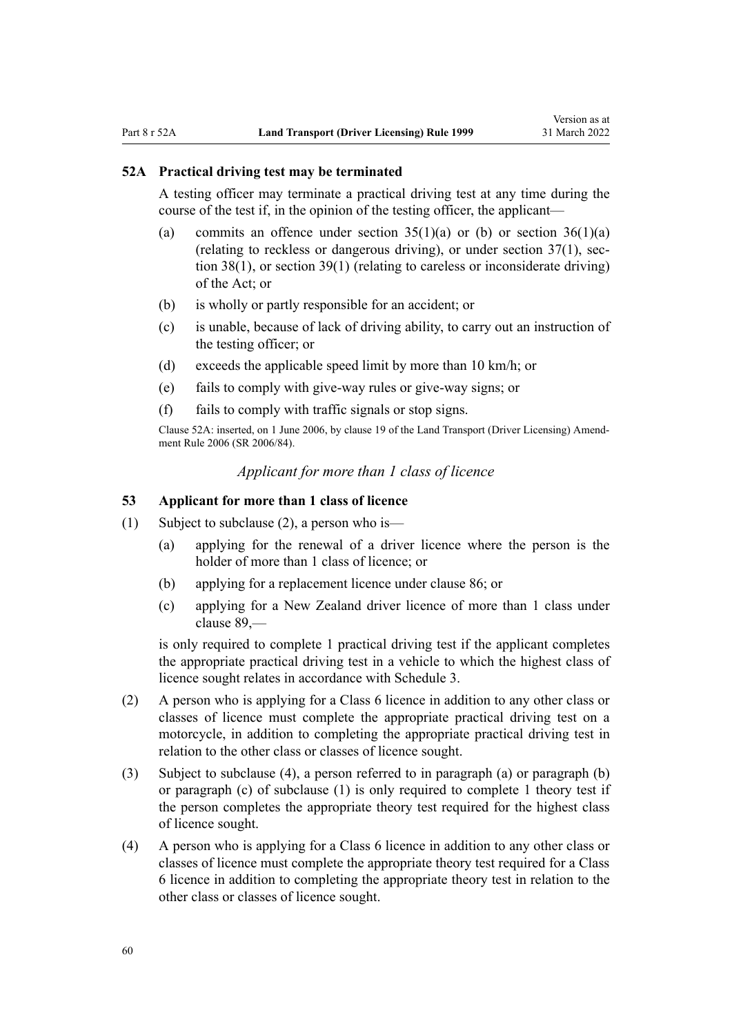### <span id="page-59-0"></span>**52A Practical driving test may be terminated**

A testing officer may terminate a practical driving test at any time during the course of the test if, in the opinion of the testing officer, the applicant—

- (a) commits an offence under section  $35(1)(a)$  or (b) or section  $36(1)(a)$ (relating to reckless or dangerous driving), or under section  $37(1)$ , sec[tion 38\(1\)](http://legislation.govt.nz/pdflink.aspx?id=DLM434659), or [section 39\(1\)](http://legislation.govt.nz/pdflink.aspx?id=DLM434662) (relating to careless or inconsiderate driving) of the Act; or
- (b) is wholly or partly responsible for an accident; or
- (c) is unable, because of lack of driving ability, to carry out an instruction of the testing officer; or
- (d) exceeds the applicable speed limit by more than 10 km/h; or
- (e) fails to comply with give-way rules or give-way signs; or
- (f) fails to comply with traffic signals or stop signs.

Clause 52A: inserted, on 1 June 2006, by [clause 19](http://legislation.govt.nz/pdflink.aspx?id=DLM376108) of the Land Transport (Driver Licensing) Amend‐ ment Rule 2006 (SR 2006/84).

# *Applicant for more than 1 class of licence*

# **53 Applicant for more than 1 class of licence**

- (1) Subject to subclause (2), a person who is—
	- (a) applying for the renewal of a driver licence where the person is the holder of more than 1 class of licence; or
	- (b) applying for a replacement licence under [clause 86](#page-87-0); or
	- (c) applying for a New Zealand driver licence of more than 1 class under [clause 89](#page-91-0),—

is only required to complete 1 practical driving test if the applicant completes the appropriate practical driving test in a vehicle to which the highest class of licence sought relates in accordance with [Schedule 3.](#page-113-0)

- (2) A person who is applying for a Class 6 licence in addition to any other class or classes of licence must complete the appropriate practical driving test on a motorcycle, in addition to completing the appropriate practical driving test in relation to the other class or classes of licence sought.
- (3) Subject to subclause (4), a person referred to in paragraph (a) or paragraph (b) or paragraph (c) of subclause (1) is only required to complete 1 theory test if the person completes the appropriate theory test required for the highest class of licence sought.
- (4) A person who is applying for a Class 6 licence in addition to any other class or classes of licence must complete the appropriate theory test required for a Class 6 licence in addition to completing the appropriate theory test in relation to the other class or classes of licence sought.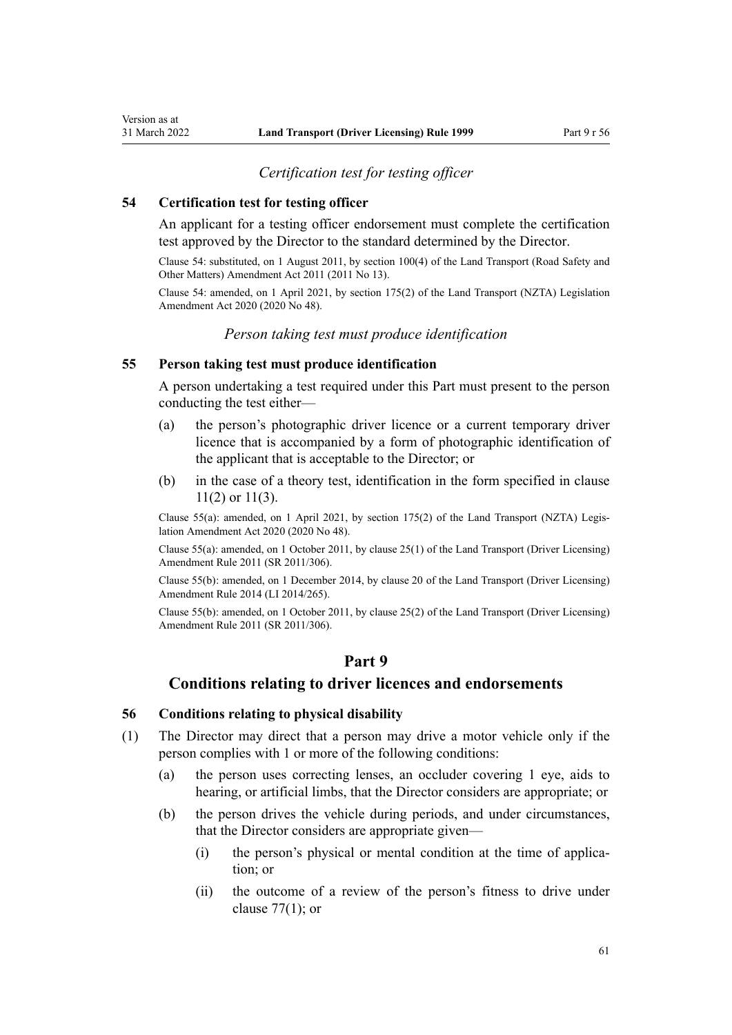# *Certification test for testing officer*

### **54 Certification test for testing officer**

<span id="page-60-0"></span>Version as at<br>31 March 2022

An applicant for a testing officer endorsement must complete the certification test approved by the Director to the standard determined by the Director.

Clause 54: substituted, on 1 August 2011, by [section 100\(4\)](http://legislation.govt.nz/pdflink.aspx?id=DLM3231293) of the Land Transport (Road Safety and Other Matters) Amendment Act 2011 (2011 No 13).

Clause 54: amended, on 1 April 2021, by [section 175\(2\)](http://legislation.govt.nz/pdflink.aspx?id=LMS286883) of the Land Transport (NZTA) Legislation Amendment Act 2020 (2020 No 48).

## *Person taking test must produce identification*

### **55 Person taking test must produce identification**

A person undertaking a test required under this Part must present to the person conducting the test either—

- (a) the person's photographic driver licence or a current temporary driver licence that is accompanied by a form of photographic identification of the applicant that is acceptable to the Director; or
- (b) in the case of a theory test, identification in the form specified in [clause](#page-22-0) [11\(2\) or 11\(3\).](#page-22-0)

Clause 55(a): amended, on 1 April 2021, by [section 175\(2\)](http://legislation.govt.nz/pdflink.aspx?id=LMS286883) of the Land Transport (NZTA) Legis‐ lation Amendment Act 2020 (2020 No 48).

Clause 55(a): amended, on 1 October 2011, by [clause 25\(1\)](http://legislation.govt.nz/pdflink.aspx?id=DLM3956730) of the Land Transport (Driver Licensing) Amendment Rule 2011 (SR 2011/306).

Clause 55(b): amended, on 1 December 2014, by [clause 20](http://legislation.govt.nz/pdflink.aspx?id=DLM6216934) of the Land Transport (Driver Licensing) Amendment Rule 2014 (LI 2014/265).

Clause 55(b): amended, on 1 October 2011, by [clause 25\(2\)](http://legislation.govt.nz/pdflink.aspx?id=DLM3956730) of the Land Transport (Driver Licensing) Amendment Rule 2011 (SR 2011/306).

# **Part 9**

# **Conditions relating to driver licences and endorsements**

### **56 Conditions relating to physical disability**

- (1) The Director may direct that a person may drive a motor vehicle only if the person complies with 1 or more of the following conditions:
	- (a) the person uses correcting lenses, an occluder covering 1 eye, aids to hearing, or artificial limbs, that the Director considers are appropriate; or
	- (b) the person drives the vehicle during periods, and under circumstances, that the Director considers are appropriate given—
		- (i) the person's physical or mental condition at the time of application; or
		- (ii) the outcome of a review of the person's fitness to drive under [clause 77\(1\);](#page-79-0) or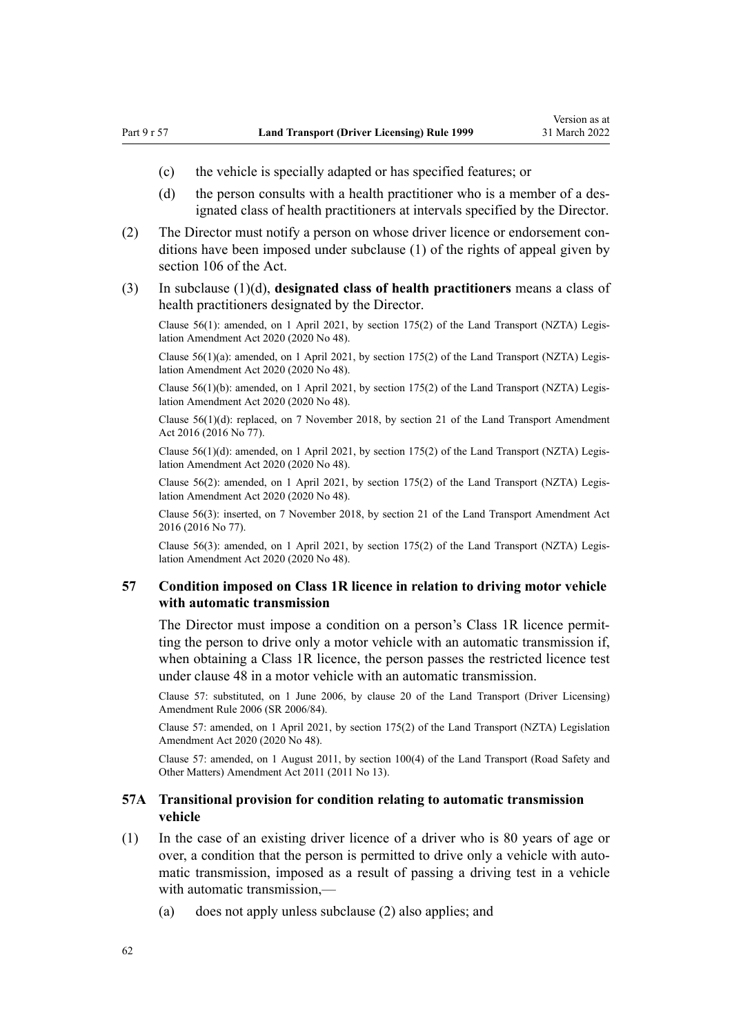- <span id="page-61-0"></span>(c) the vehicle is specially adapted or has specified features; or
- (d) the person consults with a health practitioner who is a member of a designated class of health practitioners at intervals specified by the Director.
- (2) The Director must notify a person on whose driver licence or endorsement con‐ ditions have been imposed under subclause (1) of the rights of appeal given by [section 106](http://legislation.govt.nz/pdflink.aspx?id=DLM435083) of the Act.
- (3) In subclause (1)(d), **designated class of health practitioners** means a class of health practitioners designated by the Director.

Clause 56(1): amended, on 1 April 2021, by [section 175\(2\)](http://legislation.govt.nz/pdflink.aspx?id=LMS286883) of the Land Transport (NZTA) Legis‐ lation Amendment Act 2020 (2020 No 48).

Clause 56(1)(a): amended, on 1 April 2021, by [section 175\(2\)](http://legislation.govt.nz/pdflink.aspx?id=LMS286883) of the Land Transport (NZTA) Legis‐ lation Amendment Act 2020 (2020 No 48).

Clause 56(1)(b): amended, on 1 April 2021, by [section 175\(2\)](http://legislation.govt.nz/pdflink.aspx?id=LMS286883) of the Land Transport (NZTA) Legis‐ lation Amendment Act 2020 (2020 No 48).

Clause 56(1)(d): replaced, on 7 November 2018, by [section 21](http://legislation.govt.nz/pdflink.aspx?id=DLM6984133) of the Land Transport Amendment Act 2016 (2016 No 77).

Clause  $56(1)(d)$ : amended, on 1 April 2021, by [section 175\(2\)](http://legislation.govt.nz/pdflink.aspx?id=LMS286883) of the Land Transport (NZTA) Legislation Amendment Act 2020 (2020 No 48).

Clause 56(2): amended, on 1 April 2021, by [section 175\(2\)](http://legislation.govt.nz/pdflink.aspx?id=LMS286883) of the Land Transport (NZTA) Legis‐ lation Amendment Act 2020 (2020 No 48).

Clause 56(3): inserted, on 7 November 2018, by [section 21](http://legislation.govt.nz/pdflink.aspx?id=DLM6984133) of the Land Transport Amendment Act 2016 (2016 No 77).

Clause 56(3): amended, on 1 April 2021, by [section 175\(2\)](http://legislation.govt.nz/pdflink.aspx?id=LMS286883) of the Land Transport (NZTA) Legis‐ lation Amendment Act 2020 (2020 No 48).

### **57 Condition imposed on Class 1R licence in relation to driving motor vehicle with automatic transmission**

The Director must impose a condition on a person's Class 1R licence permitting the person to drive only a motor vehicle with an automatic transmission if, when obtaining a Class 1R licence, the person passes the restricted licence test under [clause 48](#page-57-0) in a motor vehicle with an automatic transmission.

Clause 57: substituted, on 1 June 2006, by [clause 20](http://legislation.govt.nz/pdflink.aspx?id=DLM376111) of the Land Transport (Driver Licensing) Amendment Rule 2006 (SR 2006/84).

Clause 57: amended, on 1 April 2021, by [section 175\(2\)](http://legislation.govt.nz/pdflink.aspx?id=LMS286883) of the Land Transport (NZTA) Legislation Amendment Act 2020 (2020 No 48).

Clause 57: amended, on 1 August 2011, by [section 100\(4\)](http://legislation.govt.nz/pdflink.aspx?id=DLM3231293) of the Land Transport (Road Safety and Other Matters) Amendment Act 2011 (2011 No 13).

## **57A Transitional provision for condition relating to automatic transmission vehicle**

- (1) In the case of an existing driver licence of a driver who is 80 years of age or over, a condition that the person is permitted to drive only a vehicle with automatic transmission, imposed as a result of passing a driving test in a vehicle with automatic transmission,—
	- (a) does not apply unless subclause (2) also applies; and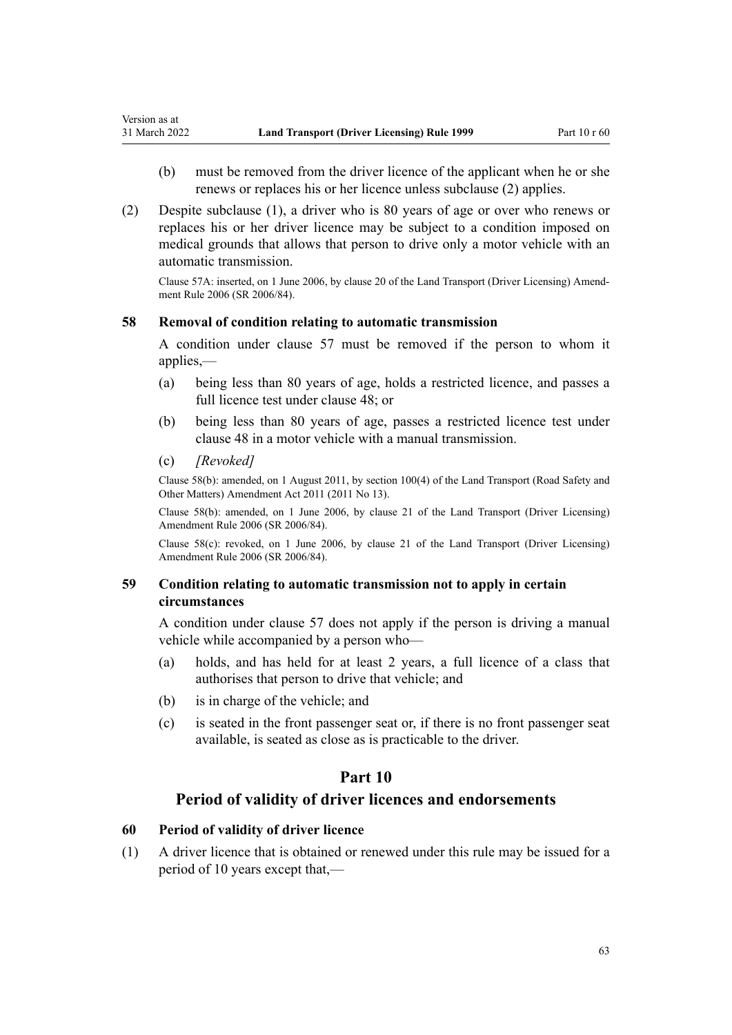- (b) must be removed from the driver licence of the applicant when he or she renews or replaces his or her licence unless subclause (2) applies.
- (2) Despite subclause (1), a driver who is 80 years of age or over who renews or replaces his or her driver licence may be subject to a condition imposed on medical grounds that allows that person to drive only a motor vehicle with an automatic transmission.

Clause 57A: inserted, on 1 June 2006, by [clause 20](http://legislation.govt.nz/pdflink.aspx?id=DLM376111) of the Land Transport (Driver Licensing) Amend‐ ment Rule 2006 (SR 2006/84).

## **58 Removal of condition relating to automatic transmission**

A condition under [clause 57](#page-61-0) must be removed if the person to whom it applies,—

- (a) being less than 80 years of age, holds a restricted licence, and passes a full licence test under [clause 48;](#page-57-0) or
- (b) being less than 80 years of age, passes a restricted licence test under [clause 48](#page-57-0) in a motor vehicle with a manual transmission.
- (c) *[Revoked]*

Version as at

Clause 58(b): amended, on 1 August 2011, by [section 100\(4\)](http://legislation.govt.nz/pdflink.aspx?id=DLM3231293) of the Land Transport (Road Safety and Other Matters) Amendment Act 2011 (2011 No 13).

Clause 58(b): amended, on 1 June 2006, by [clause 21](http://legislation.govt.nz/pdflink.aspx?id=DLM376114) of the Land Transport (Driver Licensing) Amendment Rule 2006 (SR 2006/84).

Clause 58(c): revoked, on 1 June 2006, by [clause 21](http://legislation.govt.nz/pdflink.aspx?id=DLM376114) of the Land Transport (Driver Licensing) Amendment Rule 2006 (SR 2006/84).

# **59 Condition relating to automatic transmission not to apply in certain circumstances**

A condition under [clause 57](#page-61-0) does not apply if the person is driving a manual vehicle while accompanied by a person who—

- (a) holds, and has held for at least 2 years, a full licence of a class that authorises that person to drive that vehicle; and
- (b) is in charge of the vehicle; and
- (c) is seated in the front passenger seat or, if there is no front passenger seat available, is seated as close as is practicable to the driver.

# **Part 10**

# **Period of validity of driver licences and endorsements**

# **60 Period of validity of driver licence**

(1) A driver licence that is obtained or renewed under this rule may be issued for a period of 10 years except that,—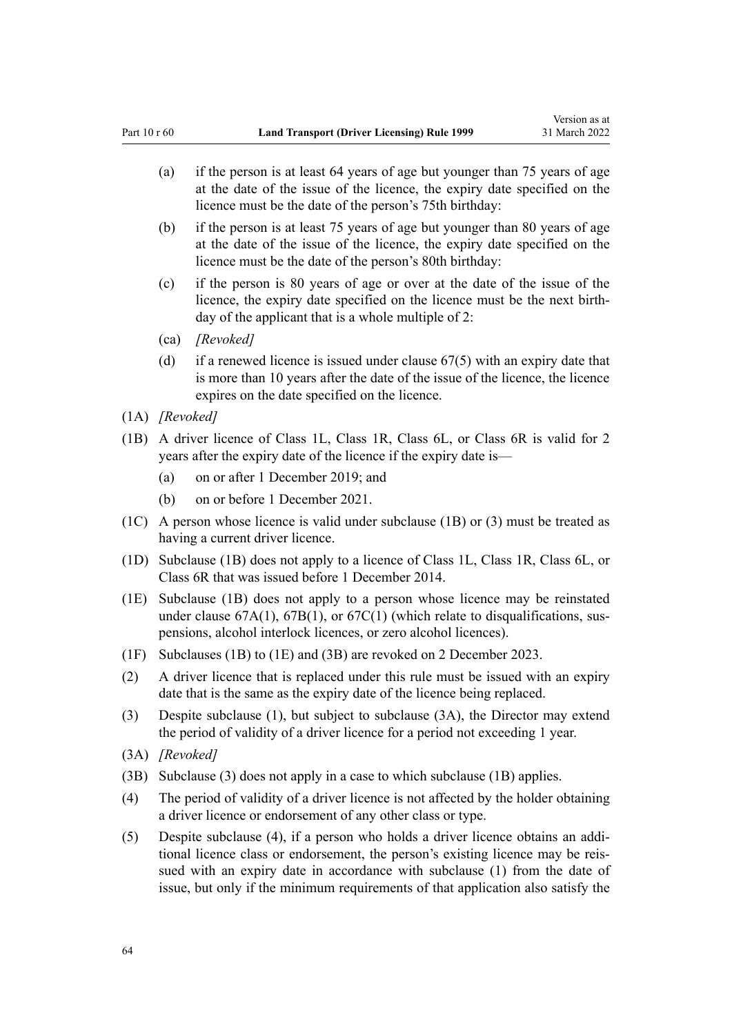- (a) if the person is at least 64 years of age but younger than 75 years of age at the date of the issue of the licence, the expiry date specified on the licence must be the date of the person's 75th birthday:
- (b) if the person is at least 75 years of age but younger than 80 years of age at the date of the issue of the licence, the expiry date specified on the licence must be the date of the person's 80th birthday:
- (c) if the person is 80 years of age or over at the date of the issue of the licence, the expiry date specified on the licence must be the next birth‐ day of the applicant that is a whole multiple of 2:
- (ca) *[Revoked]*
- (d) if a renewed licence is issued under [clause 67\(5\)](#page-69-0) with an expiry date that is more than 10 years after the date of the issue of the licence, the licence expires on the date specified on the licence.
- (1A) *[Revoked]*
- (1B) A driver licence of Class 1L, Class 1R, Class 6L, or Class 6R is valid for 2 years after the expiry date of the licence if the expiry date is—
	- (a) on or after 1 December 2019; and
	- (b) on or before 1 December 2021.
- (1C) A person whose licence is valid under subclause (1B) or (3) must be treated as having a current driver licence.
- (1D) Subclause (1B) does not apply to a licence of Class 1L, Class 1R, Class 6L, or Class 6R that was issued before 1 December 2014.
- (1E) Subclause (1B) does not apply to a person whose licence may be reinstated under clause  $67A(1)$ ,  $67B(1)$ , or  $67C(1)$  (which relate to disqualifications, suspensions, alcohol interlock licences, or zero alcohol licences).
- (1F) Subclauses (1B) to (1E) and (3B) are revoked on 2 December 2023.
- (2) A driver licence that is replaced under this rule must be issued with an expiry date that is the same as the expiry date of the licence being replaced.
- (3) Despite subclause (1), but subject to subclause (3A), the Director may extend the period of validity of a driver licence for a period not exceeding 1 year.
- (3A) *[Revoked]*
- (3B) Subclause (3) does not apply in a case to which subclause (1B) applies.
- (4) The period of validity of a driver licence is not affected by the holder obtaining a driver licence or endorsement of any other class or type.
- (5) Despite subclause (4), if a person who holds a driver licence obtains an addi‐ tional licence class or endorsement, the person's existing licence may be reis‐ sued with an expiry date in accordance with subclause (1) from the date of issue, but only if the minimum requirements of that application also satisfy the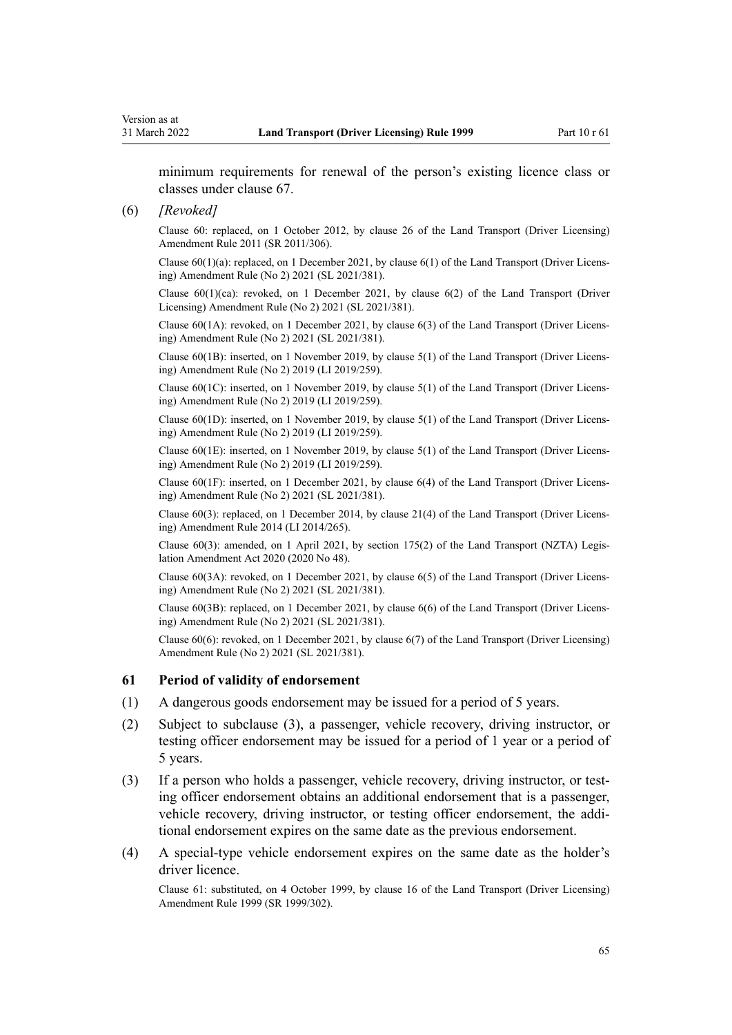minimum requirements for renewal of the person's existing licence class or classes under [clause 67](#page-69-0).

#### (6) *[Revoked]*

Clause 60: replaced, on 1 October 2012, by [clause 26](http://legislation.govt.nz/pdflink.aspx?id=DLM3956515) of the Land Transport (Driver Licensing) Amendment Rule 2011 (SR 2011/306).

Clause  $60(1)(a)$ : replaced, on 1 December 2021, by clause  $6(1)$  of the Land Transport (Driver Licensing) Amendment Rule (No 2) 2021 (SL 2021/381).

Clause  $60(1)(ca)$ : revoked, on 1 December 2021, by clause  $6(2)$  of the Land Transport (Driver Licensing) Amendment Rule (No 2) 2021 (SL 2021/381).

Clause 60(1A): revoked, on 1 December 2021, by [clause 6\(3\)](http://legislation.govt.nz/pdflink.aspx?id=LMS590843) of the Land Transport (Driver Licens‐ ing) Amendment Rule (No 2) 2021 (SL 2021/381).

Clause 60(1B): inserted, on 1 November 2019, by [clause 5\(1\)](http://legislation.govt.nz/pdflink.aspx?id=LMS264758) of the Land Transport (Driver Licens‐ ing) Amendment Rule (No 2) 2019 (LI 2019/259).

Clause 60(1C): inserted, on 1 November 2019, by [clause 5\(1\)](http://legislation.govt.nz/pdflink.aspx?id=LMS264758) of the Land Transport (Driver Licens‐ ing) Amendment Rule (No 2) 2019 (LI 2019/259).

Clause 60(1D): inserted, on 1 November 2019, by [clause 5\(1\)](http://legislation.govt.nz/pdflink.aspx?id=LMS264758) of the Land Transport (Driver Licens‐ ing) Amendment Rule (No 2) 2019 (LI 2019/259).

Clause 60(1E): inserted, on 1 November 2019, by [clause 5\(1\)](http://legislation.govt.nz/pdflink.aspx?id=LMS264758) of the Land Transport (Driver Licens‐ ing) Amendment Rule (No 2) 2019 (LI 2019/259).

Clause 60(1F): inserted, on 1 December 2021, by [clause 6\(4\)](http://legislation.govt.nz/pdflink.aspx?id=LMS590843) of the Land Transport (Driver Licens‐ ing) Amendment Rule (No 2) 2021 (SL 2021/381).

Clause 60(3): replaced, on 1 December 2014, by [clause 21\(4\)](http://legislation.govt.nz/pdflink.aspx?id=DLM6216935) of the Land Transport (Driver Licens‐ ing) Amendment Rule 2014 (LI 2014/265).

Clause 60(3): amended, on 1 April 2021, by [section 175\(2\)](http://legislation.govt.nz/pdflink.aspx?id=LMS286883) of the Land Transport (NZTA) Legis‐ lation Amendment Act 2020 (2020 No 48).

Clause 60(3A): revoked, on 1 December 2021, by [clause 6\(5\)](http://legislation.govt.nz/pdflink.aspx?id=LMS590843) of the Land Transport (Driver Licens‐ ing) Amendment Rule (No 2) 2021 (SL 2021/381).

Clause 60(3B): replaced, on 1 December 2021, by [clause 6\(6\)](http://legislation.govt.nz/pdflink.aspx?id=LMS590843) of the Land Transport (Driver Licens‐ ing) Amendment Rule (No 2) 2021 (SL 2021/381).

Clause 60(6): revoked, on 1 December 2021, by [clause 6\(7\)](http://legislation.govt.nz/pdflink.aspx?id=LMS590843) of the Land Transport (Driver Licensing) Amendment Rule (No 2) 2021 (SL 2021/381).

### **61 Period of validity of endorsement**

- (1) A dangerous goods endorsement may be issued for a period of 5 years.
- (2) Subject to subclause (3), a passenger, vehicle recovery, driving instructor, or testing officer endorsement may be issued for a period of 1 year or a period of 5 years.
- (3) If a person who holds a passenger, vehicle recovery, driving instructor, or test‐ ing officer endorsement obtains an additional endorsement that is a passenger, vehicle recovery, driving instructor, or testing officer endorsement, the addi‐ tional endorsement expires on the same date as the previous endorsement.
- (4) A special-type vehicle endorsement expires on the same date as the holder's driver licence.

Clause 61: substituted, on 4 October 1999, by [clause 16](http://legislation.govt.nz/pdflink.aspx?id=DLM293684) of the Land Transport (Driver Licensing) Amendment Rule 1999 (SR 1999/302).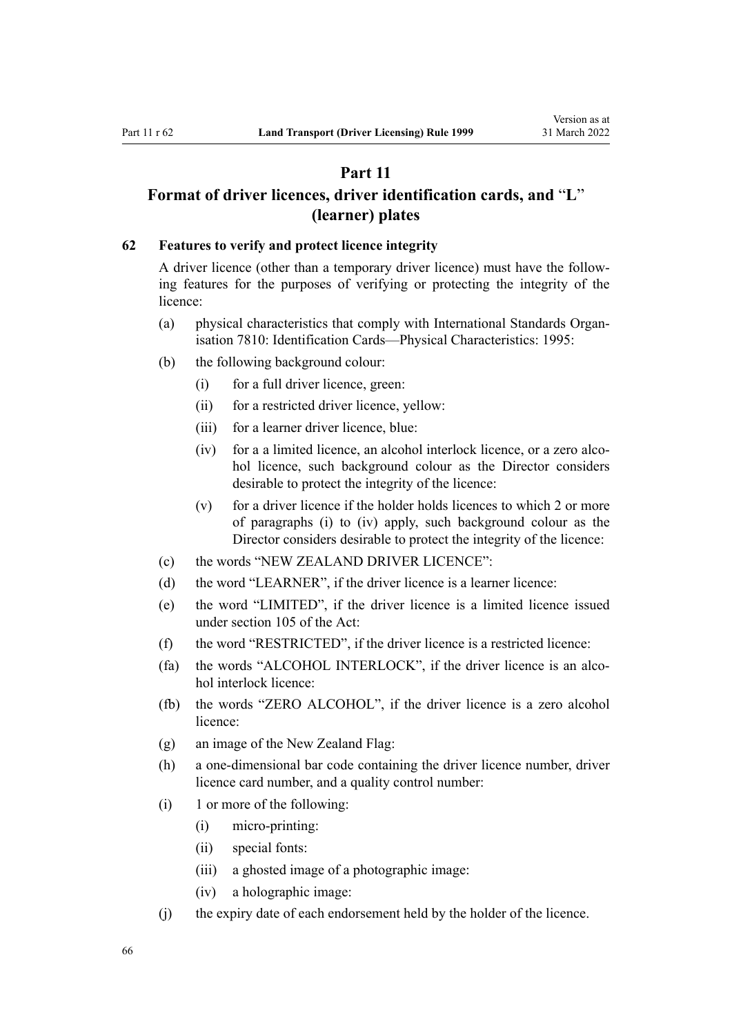# **Part 11**

# <span id="page-65-0"></span>**Format of driver licences, driver identification cards, and** "**L**" **(learner) plates**

## **62 Features to verify and protect licence integrity**

A driver licence (other than a temporary driver licence) must have the follow‐ ing features for the purposes of verifying or protecting the integrity of the licence:

- (a) physical characteristics that comply with International Standards Organisation 7810: Identification Cards—Physical Characteristics: 1995:
- (b) the following background colour:
	- (i) for a full driver licence, green:
	- (ii) for a restricted driver licence, yellow:
	- (iii) for a learner driver licence, blue:
	- (iv) for a a limited licence, an alcohol interlock licence, or a zero alcohol licence, such background colour as the Director considers desirable to protect the integrity of the licence:
	- (v) for a driver licence if the holder holds licences to which 2 or more of paragraphs (i) to (iv) apply, such background colour as the Director considers desirable to protect the integrity of the licence:
- (c) the words "NEW ZEALAND DRIVER LICENCE":
- (d) the word "LEARNER", if the driver licence is a learner licence:
- (e) the word "LIMITED", if the driver licence is a limited licence issued under [section 105](http://legislation.govt.nz/pdflink.aspx?id=DLM435080) of the Act:
- (f) the word "RESTRICTED", if the driver licence is a restricted licence:
- (fa) the words "ALCOHOL INTERLOCK", if the driver licence is an alcohol interlock licence:
- (fb) the words "ZERO ALCOHOL", if the driver licence is a zero alcohol licence:
- (g) an image of the New Zealand Flag:
- (h) a one-dimensional bar code containing the driver licence number, driver licence card number, and a quality control number:
- (i) 1 or more of the following:
	- (i) micro-printing:
	- (ii) special fonts:
	- (iii) a ghosted image of a photographic image:
	- (iv) a holographic image:
- (j) the expiry date of each endorsement held by the holder of the licence.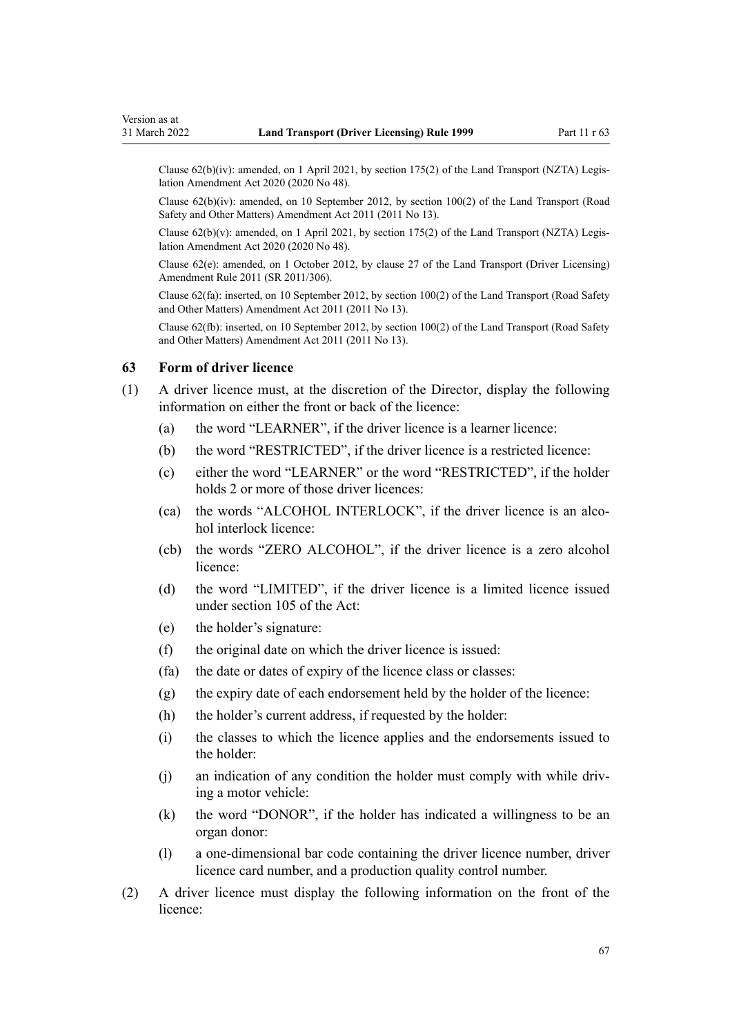Clause  $62(b)(iv)$ : amended, on 1 April 2021, by [section 175\(2\)](http://legislation.govt.nz/pdflink.aspx?id=LMS286883) of the Land Transport (NZTA) Legislation Amendment Act 2020 (2020 No 48).

Clause 62(b)(iv): amended, on 10 September 2012, by [section 100\(2\)](http://legislation.govt.nz/pdflink.aspx?id=DLM3231293) of the Land Transport (Road Safety and Other Matters) Amendment Act 2011 (2011 No 13).

Clause 62(b)(v): amended, on 1 April 2021, by [section 175\(2\)](http://legislation.govt.nz/pdflink.aspx?id=LMS286883) of the Land Transport (NZTA) Legis‐ lation Amendment Act 2020 (2020 No 48).

Clause 62(e): amended, on 1 October 2012, by [clause 27](http://legislation.govt.nz/pdflink.aspx?id=DLM3956517) of the Land Transport (Driver Licensing) Amendment Rule 2011 (SR 2011/306).

Clause 62(fa): inserted, on 10 September 2012, by [section 100\(2\)](http://legislation.govt.nz/pdflink.aspx?id=DLM3231293) of the Land Transport (Road Safety and Other Matters) Amendment Act 2011 (2011 No 13).

Clause 62(fb): inserted, on 10 September 2012, by [section 100\(2\)](http://legislation.govt.nz/pdflink.aspx?id=DLM3231293) of the Land Transport (Road Safety and Other Matters) Amendment Act 2011 (2011 No 13).

### **63 Form of driver licence**

- (1) A driver licence must, at the discretion of the Director, display the following information on either the front or back of the licence:
	- (a) the word "LEARNER", if the driver licence is a learner licence:
	- (b) the word "RESTRICTED", if the driver licence is a restricted licence:
	- (c) either the word "LEARNER" or the word "RESTRICTED", if the holder holds 2 or more of those driver licences:
	- (ca) the words "ALCOHOL INTERLOCK", if the driver licence is an alco‐ hol interlock licence:
	- (cb) the words "ZERO ALCOHOL", if the driver licence is a zero alcohol licence:
	- (d) the word "LIMITED", if the driver licence is a limited licence issued under [section 105](http://legislation.govt.nz/pdflink.aspx?id=DLM435080) of the Act:
	- (e) the holder's signature:
	- (f) the original date on which the driver licence is issued:
	- (fa) the date or dates of expiry of the licence class or classes:
	- (g) the expiry date of each endorsement held by the holder of the licence:
	- (h) the holder's current address, if requested by the holder:
	- (i) the classes to which the licence applies and the endorsements issued to the holder:
	- $(i)$  an indication of any condition the holder must comply with while driving a motor vehicle:
	- (k) the word "DONOR", if the holder has indicated a willingness to be an organ donor:
	- (l) a one-dimensional bar code containing the driver licence number, driver licence card number, and a production quality control number.
- (2) A driver licence must display the following information on the front of the licence: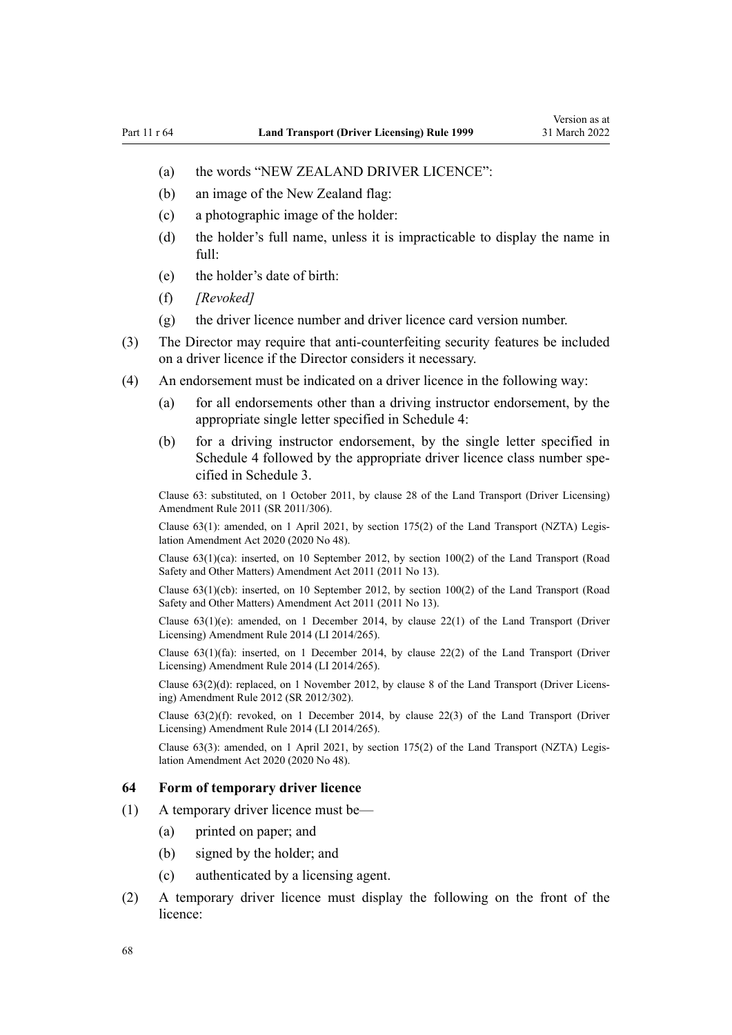- (a) the words "NEW ZEALAND DRIVER LICENCE":
- (b) an image of the New Zealand flag:
- (c) a photographic image of the holder:
- (d) the holder's full name, unless it is impracticable to display the name in full:
- (e) the holder's date of birth:
- (f) *[Revoked]*
- (g) the driver licence number and driver licence card version number.
- (3) The Director may require that anti-counterfeiting security features be included on a driver licence if the Director considers it necessary.
- (4) An endorsement must be indicated on a driver licence in the following way:
	- (a) for all endorsements other than a driving instructor endorsement, by the appropriate single letter specified in [Schedule 4](#page-116-0):
	- (b) for a driving instructor endorsement, by the single letter specified in [Schedule 4](#page-116-0) followed by the appropriate driver licence class number specified in [Schedule 3.](#page-113-0)

Clause 63: substituted, on 1 October 2011, by [clause 28](http://legislation.govt.nz/pdflink.aspx?id=DLM3956732) of the Land Transport (Driver Licensing) Amendment Rule 2011 (SR 2011/306).

Clause 63(1): amended, on 1 April 2021, by [section 175\(2\)](http://legislation.govt.nz/pdflink.aspx?id=LMS286883) of the Land Transport (NZTA) Legis‐ lation Amendment Act 2020 (2020 No 48).

Clause 63(1)(ca): inserted, on 10 September 2012, by [section 100\(2\)](http://legislation.govt.nz/pdflink.aspx?id=DLM3231293) of the Land Transport (Road Safety and Other Matters) Amendment Act 2011 (2011 No 13).

Clause 63(1)(cb): inserted, on 10 September 2012, by [section 100\(2\)](http://legislation.govt.nz/pdflink.aspx?id=DLM3231293) of the Land Transport (Road Safety and Other Matters) Amendment Act 2011 (2011 No 13).

Clause  $63(1)(e)$ : amended, on 1 December 2014, by [clause 22\(1\)](http://legislation.govt.nz/pdflink.aspx?id=DLM6216936) of the Land Transport (Driver Licensing) Amendment Rule 2014 (LI 2014/265).

Clause 63(1)(fa): inserted, on 1 December 2014, by [clause 22\(2\)](http://legislation.govt.nz/pdflink.aspx?id=DLM6216936) of the Land Transport (Driver Licensing) Amendment Rule 2014 (LI 2014/265).

Clause 63(2)(d): replaced, on 1 November 2012, by [clause 8](http://legislation.govt.nz/pdflink.aspx?id=DLM4773440) of the Land Transport (Driver Licens‐ ing) Amendment Rule 2012 (SR 2012/302).

Clause  $63(2)(f)$ : revoked, on 1 December 2014, by [clause 22\(3\)](http://legislation.govt.nz/pdflink.aspx?id=DLM6216936) of the Land Transport (Driver Licensing) Amendment Rule 2014 (LI 2014/265).

Clause 63(3): amended, on 1 April 2021, by [section 175\(2\)](http://legislation.govt.nz/pdflink.aspx?id=LMS286883) of the Land Transport (NZTA) Legis‐ lation Amendment Act 2020 (2020 No 48).

## **64 Form of temporary driver licence**

- (1) A temporary driver licence must be—
	- (a) printed on paper; and
	- (b) signed by the holder; and
	- (c) authenticated by a licensing agent.
- (2) A temporary driver licence must display the following on the front of the licence: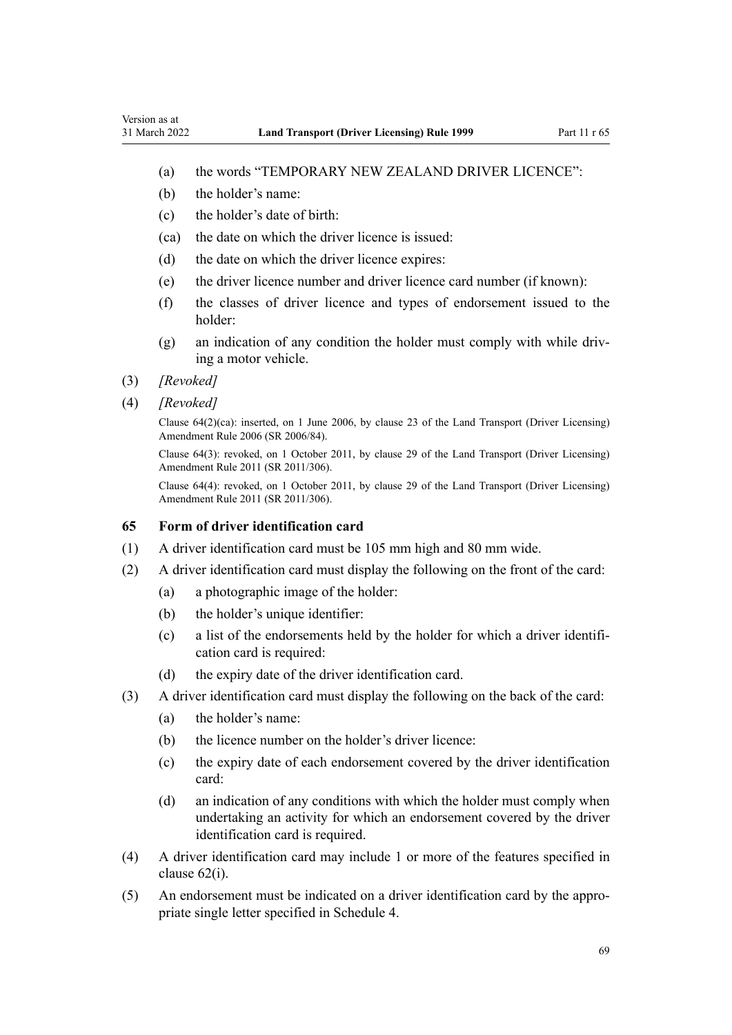- (a) the words "TEMPORARY NEW ZEALAND DRIVER LICENCE":
- (b) the holder's name:
- (c) the holder's date of birth:
- (ca) the date on which the driver licence is issued:
- (d) the date on which the driver licence expires:
- (e) the driver licence number and driver licence card number (if known):
- (f) the classes of driver licence and types of endorsement issued to the holder:
- (g) an indication of any condition the holder must comply with while driv‐ ing a motor vehicle.
- (3) *[Revoked]*
- (4) *[Revoked]*

Clause 64(2)(ca): inserted, on 1 June 2006, by [clause 23](http://legislation.govt.nz/pdflink.aspx?id=DLM376116) of the Land Transport (Driver Licensing) Amendment Rule 2006 (SR 2006/84).

Clause 64(3): revoked, on 1 October 2011, by [clause 29](http://legislation.govt.nz/pdflink.aspx?id=DLM3956734) of the Land Transport (Driver Licensing) Amendment Rule 2011 (SR 2011/306).

Clause 64(4): revoked, on 1 October 2011, by [clause 29](http://legislation.govt.nz/pdflink.aspx?id=DLM3956734) of the Land Transport (Driver Licensing) Amendment Rule 2011 (SR 2011/306).

## **65 Form of driver identification card**

- (1) A driver identification card must be 105 mm high and 80 mm wide.
- (2) A driver identification card must display the following on the front of the card:
	- (a) a photographic image of the holder:
	- (b) the holder's unique identifier:
	- (c) a list of the endorsements held by the holder for which a driver identifi‐ cation card is required:
	- (d) the expiry date of the driver identification card.
- (3) A driver identification card must display the following on the back of the card:
	- (a) the holder's name:
	- (b) the licence number on the holder's driver licence:
	- (c) the expiry date of each endorsement covered by the driver identification card:
	- (d) an indication of any conditions with which the holder must comply when undertaking an activity for which an endorsement covered by the driver identification card is required.
- (4) A driver identification card may include 1 or more of the features specified in [clause 62\(i\)](#page-65-0).
- (5) An endorsement must be indicated on a driver identification card by the appro‐ priate single letter specified in [Schedule 4](#page-116-0).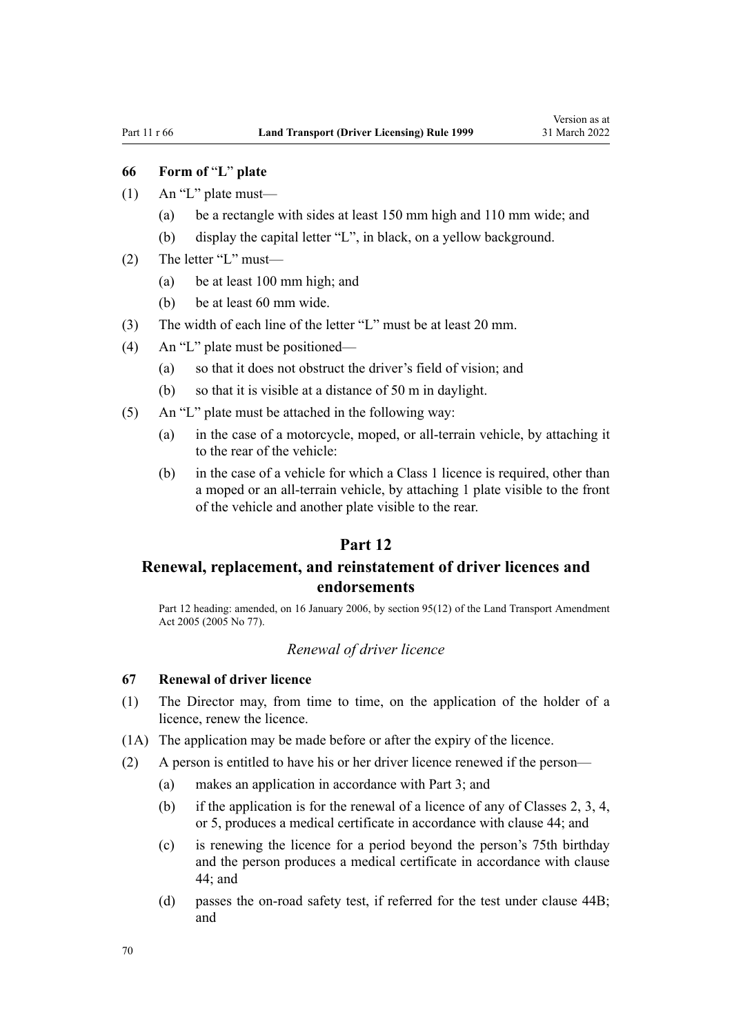# <span id="page-69-0"></span>**66 Form of** "**L**" **plate**

- $(1)$  An "L" plate must—
	- (a) be a rectangle with sides at least 150 mm high and 110 mm wide; and
	- (b) display the capital letter "L", in black, on a yellow background.
- (2) The letter "L" must—
	- (a) be at least 100 mm high; and
	- (b) be at least 60 mm wide.
- (3) The width of each line of the letter "L" must be at least 20 mm.
- (4) An "L" plate must be positioned—
	- (a) so that it does not obstruct the driver's field of vision; and
	- (b) so that it is visible at a distance of 50 m in daylight.
- (5) An "L" plate must be attached in the following way:
	- (a) in the case of a motorcycle, moped, or all-terrain vehicle, by attaching it to the rear of the vehicle:
	- (b) in the case of a vehicle for which a Class 1 licence is required, other than a moped or an all-terrain vehicle, by attaching 1 plate visible to the front of the vehicle and another plate visible to the rear.

## **Part 12**

# **Renewal, replacement, and reinstatement of driver licences and endorsements**

Part 12 heading: amended, on 16 January 2006, by [section 95\(12\)](http://legislation.govt.nz/pdflink.aspx?id=DLM353501) of the Land Transport Amendment Act 2005 (2005 No 77).

## *Renewal of driver licence*

## **67 Renewal of driver licence**

- (1) The Director may, from time to time, on the application of the holder of a licence, renew the licence.
- (1A) The application may be made before or after the expiry of the licence.
- (2) A person is entitled to have his or her driver licence renewed if the person—
	- (a) makes an application in accordance with [Part 3](#page-21-0); and
	- (b) if the application is for the renewal of a licence of any of Classes 2, 3, 4, or 5, produces a medical certificate in accordance with [clause 44](#page-54-0); and
	- (c) is renewing the licence for a period beyond the person's 75th birthday and the person produces a medical certificate in accordance with [clause](#page-54-0) [44;](#page-54-0) and
	- (d) passes the on-road safety test, if referred for the test under [clause 44B;](#page-55-0) and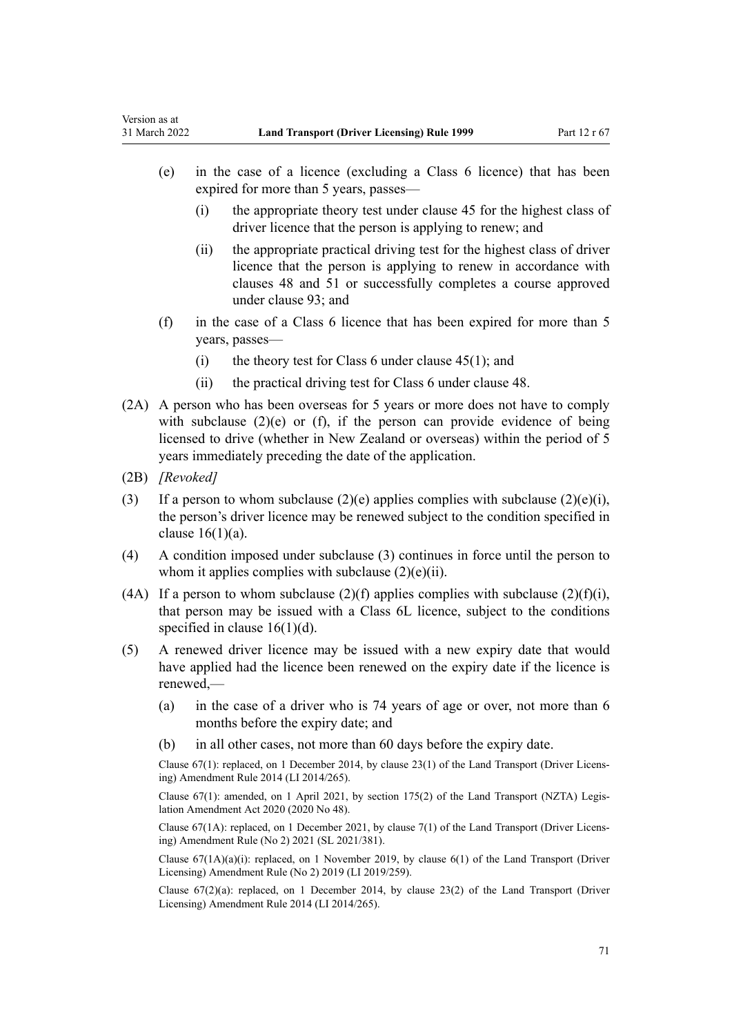- (e) in the case of a licence (excluding a Class 6 licence) that has been expired for more than 5 years, passes—
	- (i) the appropriate theory test under [clause 45](#page-56-0) for the highest class of driver licence that the person is applying to renew; and
	- (ii) the appropriate practical driving test for the highest class of driver licence that the person is applying to renew in accordance with [clauses 48](#page-57-0) and [51](#page-58-0) or successfully completes a course approved under [clause 93](#page-95-0); and
- (f) in the case of a Class 6 licence that has been expired for more than 5 years, passes—
	- (i) the theory test for Class 6 under clause  $45(1)$ ; and
	- (ii) the practical driving test for Class 6 under [clause 48](#page-57-0).
- (2A) A person who has been overseas for 5 years or more does not have to comply with subclause (2)(e) or (f), if the person can provide evidence of being licensed to drive (whether in New Zealand or overseas) within the period of 5 years immediately preceding the date of the application.
- (2B) *[Revoked]*

Version as at

- (3) If a person to whom subclause  $(2)(e)$  applies complies with subclause  $(2)(e)(i)$ , the person's driver licence may be renewed subject to the condition specified in clause  $16(1)(a)$ .
- (4) A condition imposed under subclause (3) continues in force until the person to whom it applies complies with subclause  $(2)(e)(ii)$ .
- (4A) If a person to whom subclause (2)(f) applies complies with subclause (2)(f)(i), that person may be issued with a Class 6L licence, subject to the conditions specified in [clause 16\(1\)\(d\)](#page-27-0).
- (5) A renewed driver licence may be issued with a new expiry date that would have applied had the licence been renewed on the expiry date if the licence is renewed,—
	- (a) in the case of a driver who is 74 years of age or over, not more than 6 months before the expiry date; and
	- (b) in all other cases, not more than 60 days before the expiry date.

Clause 67(1): replaced, on 1 December 2014, by [clause 23\(1\)](http://legislation.govt.nz/pdflink.aspx?id=DLM6216937) of the Land Transport (Driver Licens‐ ing) Amendment Rule 2014 (LI 2014/265).

Clause 67(1): amended, on 1 April 2021, by [section 175\(2\)](http://legislation.govt.nz/pdflink.aspx?id=LMS286883) of the Land Transport (NZTA) Legis‐ lation Amendment Act 2020 (2020 No 48).

Clause 67(1A): replaced, on 1 December 2021, by [clause 7\(1\)](http://legislation.govt.nz/pdflink.aspx?id=LMS590844) of the Land Transport (Driver Licens‐ ing) Amendment Rule (No 2) 2021 (SL 2021/381).

Clause  $67(1A)(a)(i)$ : replaced, on 1 November 2019, by clause  $6(1)$  of the Land Transport (Driver Licensing) Amendment Rule (No 2) 2019 (LI 2019/259).

Clause  $67(2)(a)$ : replaced, on 1 December 2014, by [clause 23\(2\)](http://legislation.govt.nz/pdflink.aspx?id=DLM6216937) of the Land Transport (Driver Licensing) Amendment Rule 2014 (LI 2014/265).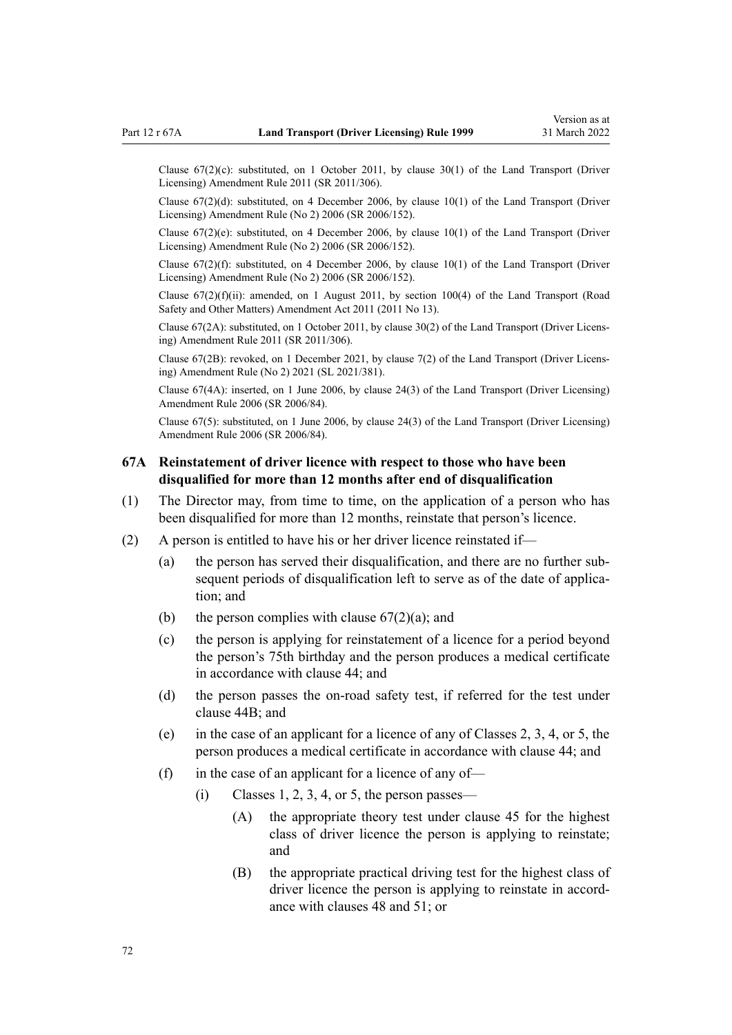<span id="page-71-0"></span>Clause  $67(2)(c)$ : substituted, on 1 October 2011, by [clause 30\(1\)](http://legislation.govt.nz/pdflink.aspx?id=DLM3956735) of the Land Transport (Driver Licensing) Amendment Rule 2011 (SR 2011/306).

Clause 67(2)(d): substituted, on 4 December 2006, by [clause 10\(1\)](http://legislation.govt.nz/pdflink.aspx?id=DLM386151) of the Land Transport (Driver Licensing) Amendment Rule (No 2) 2006 (SR 2006/152).

Clause 67(2)(e): substituted, on 4 December 2006, by [clause 10\(1\)](http://legislation.govt.nz/pdflink.aspx?id=DLM386151) of the Land Transport (Driver Licensing) Amendment Rule (No 2) 2006 (SR 2006/152).

Clause  $67(2)(f)$ : substituted, on 4 December 2006, by clause  $10(1)$  of the Land Transport (Driver Licensing) Amendment Rule (No 2) 2006 (SR 2006/152).

Clause  $67(2)(f)(ii)$ : amended, on 1 August 2011, by [section 100\(4\)](http://legislation.govt.nz/pdflink.aspx?id=DLM3231293) of the Land Transport (Road Safety and Other Matters) Amendment Act 2011 (2011 No 13).

Clause 67(2A): substituted, on 1 October 2011, by [clause 30\(2\)](http://legislation.govt.nz/pdflink.aspx?id=DLM3956735) of the Land Transport (Driver Licens‐ ing) Amendment Rule 2011 (SR 2011/306).

Clause 67(2B): revoked, on 1 December 2021, by [clause 7\(2\)](http://legislation.govt.nz/pdflink.aspx?id=LMS590844) of the Land Transport (Driver Licens‐ ing) Amendment Rule (No 2) 2021 (SL 2021/381).

Clause 67(4A): inserted, on 1 June 2006, by [clause 24\(3\)](http://legislation.govt.nz/pdflink.aspx?id=DLM376117) of the Land Transport (Driver Licensing) Amendment Rule 2006 (SR 2006/84).

Clause 67(5): substituted, on 1 June 2006, by [clause 24\(3\)](http://legislation.govt.nz/pdflink.aspx?id=DLM376117) of the Land Transport (Driver Licensing) Amendment Rule 2006 (SR 2006/84).

# **67A Reinstatement of driver licence with respect to those who have been disqualified for more than 12 months after end of disqualification**

- (1) The Director may, from time to time, on the application of a person who has been disqualified for more than 12 months, reinstate that person's licence.
- (2) A person is entitled to have his or her driver licence reinstated if—
	- (a) the person has served their disqualification, and there are no further sub‐ sequent periods of disqualification left to serve as of the date of application; and
	- (b) the person complies with clause  $67(2)(a)$ ; and
	- (c) the person is applying for reinstatement of a licence for a period beyond the person's 75th birthday and the person produces a medical certificate in accordance with [clause 44](#page-54-0); and
	- (d) the person passes the on-road safety test, if referred for the test under [clause 44B;](#page-55-0) and
	- (e) in the case of an applicant for a licence of any of Classes 2, 3, 4, or 5, the person produces a medical certificate in accordance with [clause 44](#page-54-0); and
	- (f) in the case of an applicant for a licence of any of-
		- $(i)$  Classes 1, 2, 3, 4, or 5, the person passes—
			- (A) the appropriate theory test under [clause 45](#page-56-0) for the highest class of driver licence the person is applying to reinstate; and
			- (B) the appropriate practical driving test for the highest class of driver licence the person is applying to reinstate in accordance with [clauses 48](#page-57-0) and [51;](#page-58-0) or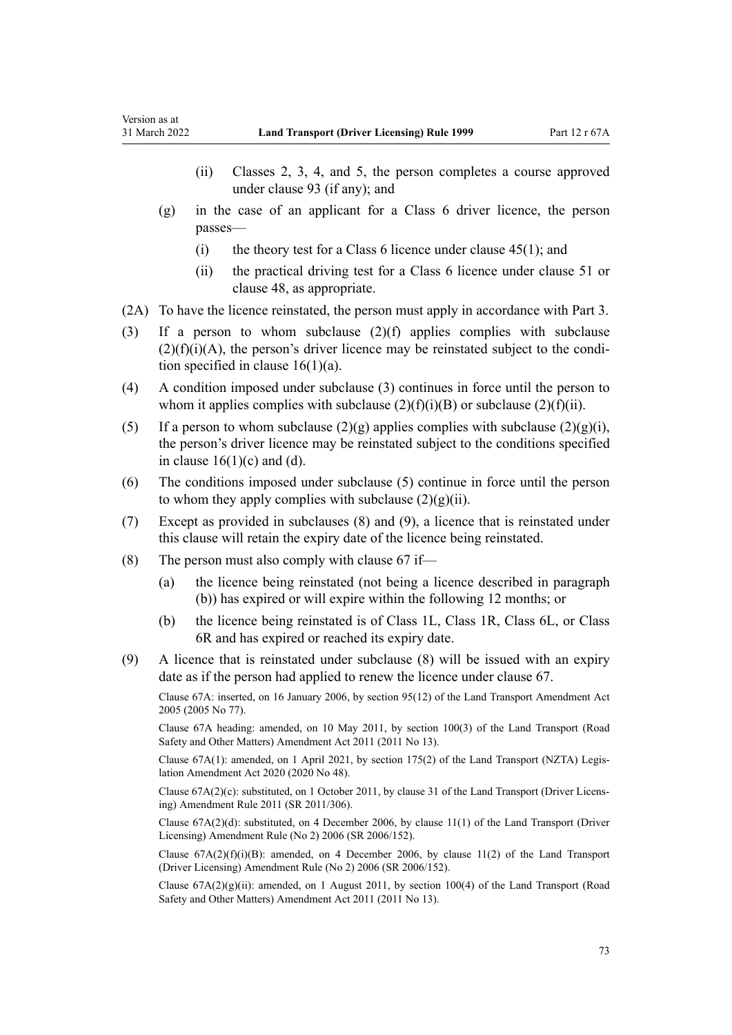- (ii) Classes 2, 3, 4, and 5, the person completes a course approved under [clause 93](#page-95-0) (if any); and
- (g) in the case of an applicant for a Class 6 driver licence, the person passes—
	- (i) the theory test for a Class 6 licence under clause  $45(1)$ ; and
	- (ii) the practical driving test for a Class 6 licence under [clause 51](#page-58-0) or [clause 48](#page-57-0), as appropriate.
- (2A) To have the licence reinstated, the person must apply in accordance with [Part 3](#page-21-0).
- (3) If a person to whom subclause (2)(f) applies complies with subclause  $(2)(f)(i)(A)$ , the person's driver licence may be reinstated subject to the condition specified in clause  $16(1)(a)$ .
- (4) A condition imposed under subclause (3) continues in force until the person to whom it applies complies with subclause  $(2)(f)(i)(B)$  or subclause  $(2)(f)(ii)$ .
- (5) If a person to whom subclause  $(2)(g)$  applies complies with subclause  $(2)(g)(i)$ , the person's driver licence may be reinstated subject to the conditions specified in clause  $16(1)(c)$  and (d).
- (6) The conditions imposed under subclause (5) continue in force until the person to whom they apply complies with subclause  $(2)(g)(ii)$ .
- (7) Except as provided in subclauses (8) and (9), a licence that is reinstated under this clause will retain the expiry date of the licence being reinstated.
- (8) The person must also comply with [clause 67](#page-69-0) if—
	- (a) the licence being reinstated (not being a licence described in paragraph (b)) has expired or will expire within the following 12 months; or
	- (b) the licence being reinstated is of Class 1L, Class 1R, Class 6L, or Class 6R and has expired or reached its expiry date.
- (9) A licence that is reinstated under subclause (8) will be issued with an expiry date as if the person had applied to renew the licence under [clause 67.](#page-69-0)

Clause 67A: inserted, on 16 January 2006, by [section 95\(12\)](http://legislation.govt.nz/pdflink.aspx?id=DLM353501) of the Land Transport Amendment Act 2005 (2005 No 77).

Clause 67A heading: amended, on 10 May 2011, by [section 100\(3\)](http://legislation.govt.nz/pdflink.aspx?id=DLM3231293) of the Land Transport (Road Safety and Other Matters) Amendment Act 2011 (2011 No 13).

Clause 67A(1): amended, on 1 April 2021, by [section 175\(2\)](http://legislation.govt.nz/pdflink.aspx?id=LMS286883) of the Land Transport (NZTA) Legis‐ lation Amendment Act 2020 (2020 No 48).

Clause 67A(2)(c): substituted, on 1 October 2011, by [clause 31](http://legislation.govt.nz/pdflink.aspx?id=DLM3956736) of the Land Transport (Driver Licens‐ ing) Amendment Rule 2011 (SR 2011/306).

Clause 67A(2)(d): substituted, on 4 December 2006, by [clause 11\(1\)](http://legislation.govt.nz/pdflink.aspx?id=DLM386152) of the Land Transport (Driver Licensing) Amendment Rule (No 2) 2006 (SR 2006/152).

Clause  $67A(2)(f)(i)(B)$ : amended, on 4 December 2006, by [clause 11\(2\)](http://legislation.govt.nz/pdflink.aspx?id=DLM386152) of the Land Transport (Driver Licensing) Amendment Rule (No 2) 2006 (SR 2006/152).

Clause  $67A(2)(g)(ii)$ : amended, on 1 August 2011, by [section 100\(4\)](http://legislation.govt.nz/pdflink.aspx?id=DLM3231293) of the Land Transport (Road Safety and Other Matters) Amendment Act 2011 (2011 No 13).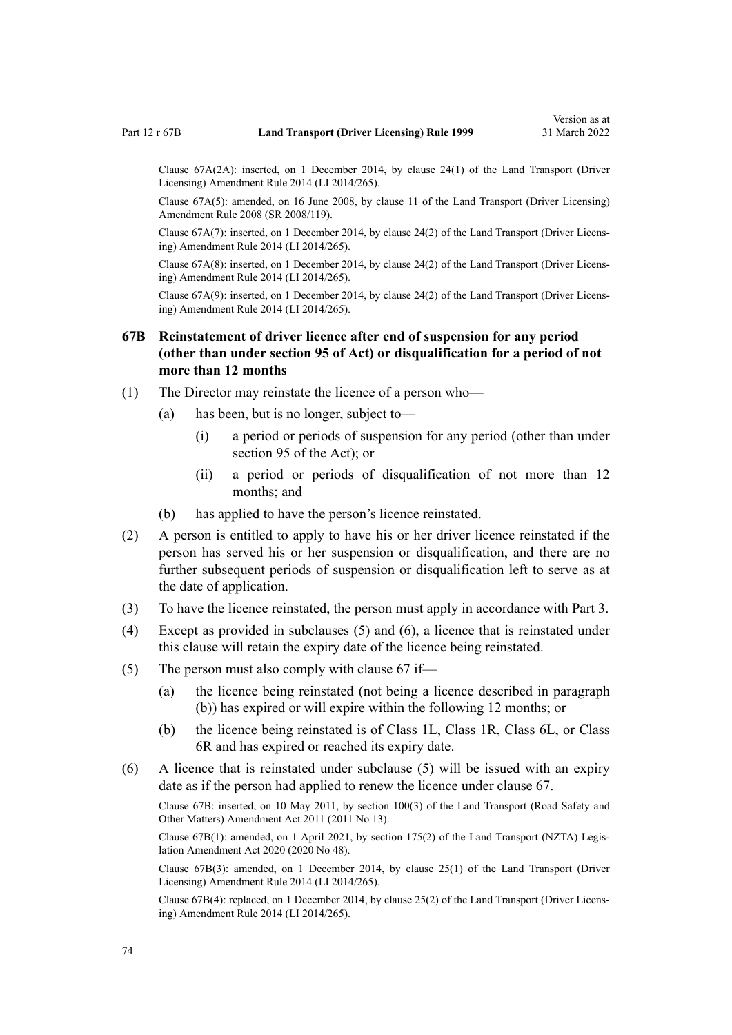Clause 67A(2A): inserted, on 1 December 2014, by [clause 24\(1\)](http://legislation.govt.nz/pdflink.aspx?id=DLM6216938) of the Land Transport (Driver Licensing) Amendment Rule 2014 (LI 2014/265).

Clause 67A(5): amended, on 16 June 2008, by [clause 11](http://legislation.govt.nz/pdflink.aspx?id=DLM1317917) of the Land Transport (Driver Licensing) Amendment Rule 2008 (SR 2008/119).

Clause 67A(7): inserted, on 1 December 2014, by [clause 24\(2\)](http://legislation.govt.nz/pdflink.aspx?id=DLM6216938) of the Land Transport (Driver Licens‐ ing) Amendment Rule 2014 (LI 2014/265).

Clause 67A(8): inserted, on 1 December 2014, by [clause 24\(2\)](http://legislation.govt.nz/pdflink.aspx?id=DLM6216938) of the Land Transport (Driver Licens‐ ing) Amendment Rule 2014 (LI 2014/265).

Clause 67A(9): inserted, on 1 December 2014, by [clause 24\(2\)](http://legislation.govt.nz/pdflink.aspx?id=DLM6216938) of the Land Transport (Driver Licens‐ ing) Amendment Rule 2014 (LI 2014/265).

# **67B Reinstatement of driver licence after end of suspension for any period (other than under section 95 of Act) or disqualification for a period of not more than 12 months**

- (1) The Director may reinstate the licence of a person who—
	- (a) has been, but is no longer, subject to—
		- (i) a period or periods of suspension for any period (other than under [section 95](http://legislation.govt.nz/pdflink.aspx?id=DLM435024) of the Act); or
		- (ii) a period or periods of disqualification of not more than 12 months; and
	- (b) has applied to have the person's licence reinstated.
- (2) A person is entitled to apply to have his or her driver licence reinstated if the person has served his or her suspension or disqualification, and there are no further subsequent periods of suspension or disqualification left to serve as at the date of application.
- (3) To have the licence reinstated, the person must apply in accordance with [Part 3](#page-21-0).
- (4) Except as provided in subclauses (5) and (6), a licence that is reinstated under this clause will retain the expiry date of the licence being reinstated.
- (5) The person must also comply with [clause 67](#page-69-0) if—
	- (a) the licence being reinstated (not being a licence described in paragraph (b)) has expired or will expire within the following 12 months; or
	- (b) the licence being reinstated is of Class 1L, Class 1R, Class 6L, or Class 6R and has expired or reached its expiry date.
- (6) A licence that is reinstated under subclause (5) will be issued with an expiry date as if the person had applied to renew the licence under [clause 67.](#page-69-0)

Clause 67B: inserted, on 10 May 2011, by [section 100\(3\)](http://legislation.govt.nz/pdflink.aspx?id=DLM3231293) of the Land Transport (Road Safety and Other Matters) Amendment Act 2011 (2011 No 13).

Clause 67B(1): amended, on 1 April 2021, by [section 175\(2\)](http://legislation.govt.nz/pdflink.aspx?id=LMS286883) of the Land Transport (NZTA) Legis‐ lation Amendment Act 2020 (2020 No 48).

Clause 67B(3): amended, on 1 December 2014, by [clause 25\(1\)](http://legislation.govt.nz/pdflink.aspx?id=DLM6216939) of the Land Transport (Driver Licensing) Amendment Rule 2014 (LI 2014/265).

Clause 67B(4): replaced, on 1 December 2014, by [clause 25\(2\)](http://legislation.govt.nz/pdflink.aspx?id=DLM6216939) of the Land Transport (Driver Licens‐ ing) Amendment Rule 2014 (LI 2014/265).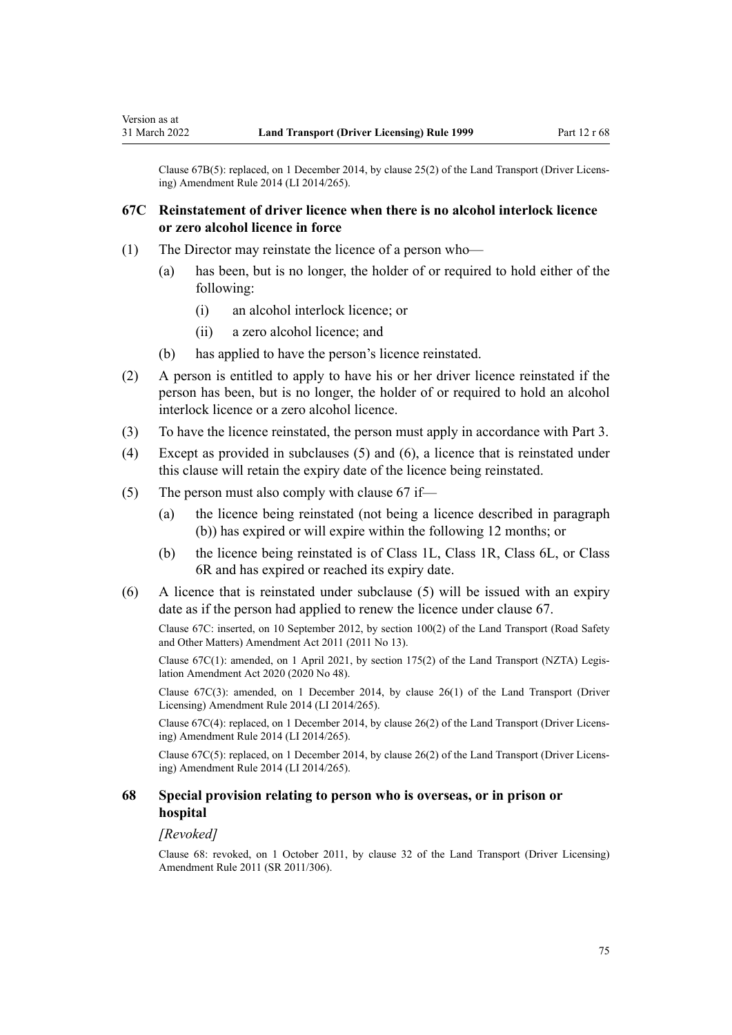Clause 67B(5): replaced, on 1 December 2014, by [clause 25\(2\)](http://legislation.govt.nz/pdflink.aspx?id=DLM6216939) of the Land Transport (Driver Licens‐ ing) Amendment Rule 2014 (LI 2014/265).

# **67C Reinstatement of driver licence when there is no alcohol interlock licence or zero alcohol licence in force**

- (1) The Director may reinstate the licence of a person who—
	- (a) has been, but is no longer, the holder of or required to hold either of the following:
		- (i) an alcohol interlock licence; or
		- (ii) a zero alcohol licence; and
	- (b) has applied to have the person's licence reinstated.
- (2) A person is entitled to apply to have his or her driver licence reinstated if the person has been, but is no longer, the holder of or required to hold an alcohol interlock licence or a zero alcohol licence.
- (3) To have the licence reinstated, the person must apply in accordance with [Part 3](#page-21-0).
- (4) Except as provided in subclauses (5) and (6), a licence that is reinstated under this clause will retain the expiry date of the licence being reinstated.
- (5) The person must also comply with [clause 67](#page-69-0) if—
	- (a) the licence being reinstated (not being a licence described in paragraph (b)) has expired or will expire within the following 12 months; or
	- (b) the licence being reinstated is of Class 1L, Class 1R, Class 6L, or Class 6R and has expired or reached its expiry date.
- (6) A licence that is reinstated under subclause (5) will be issued with an expiry date as if the person had applied to renew the licence under [clause 67.](#page-69-0)

Clause 67C: inserted, on 10 September 2012, by [section 100\(2\)](http://legislation.govt.nz/pdflink.aspx?id=DLM3231293) of the Land Transport (Road Safety and Other Matters) Amendment Act 2011 (2011 No 13).

Clause 67C(1): amended, on 1 April 2021, by [section 175\(2\)](http://legislation.govt.nz/pdflink.aspx?id=LMS286883) of the Land Transport (NZTA) Legis‐ lation Amendment Act 2020 (2020 No 48).

Clause 67C(3): amended, on 1 December 2014, by [clause 26\(1\)](http://legislation.govt.nz/pdflink.aspx?id=DLM6216940) of the Land Transport (Driver Licensing) Amendment Rule 2014 (LI 2014/265).

Clause 67C(4): replaced, on 1 December 2014, by [clause 26\(2\)](http://legislation.govt.nz/pdflink.aspx?id=DLM6216940) of the Land Transport (Driver Licens‐ ing) Amendment Rule 2014 (LI 2014/265).

Clause 67C(5): replaced, on 1 December 2014, by [clause 26\(2\)](http://legislation.govt.nz/pdflink.aspx?id=DLM6216940) of the Land Transport (Driver Licens‐ ing) Amendment Rule 2014 (LI 2014/265).

# **68 Special provision relating to person who is overseas, or in prison or hospital**

#### *[Revoked]*

Clause 68: revoked, on 1 October 2011, by [clause 32](http://legislation.govt.nz/pdflink.aspx?id=DLM3956737) of the Land Transport (Driver Licensing) Amendment Rule 2011 (SR 2011/306).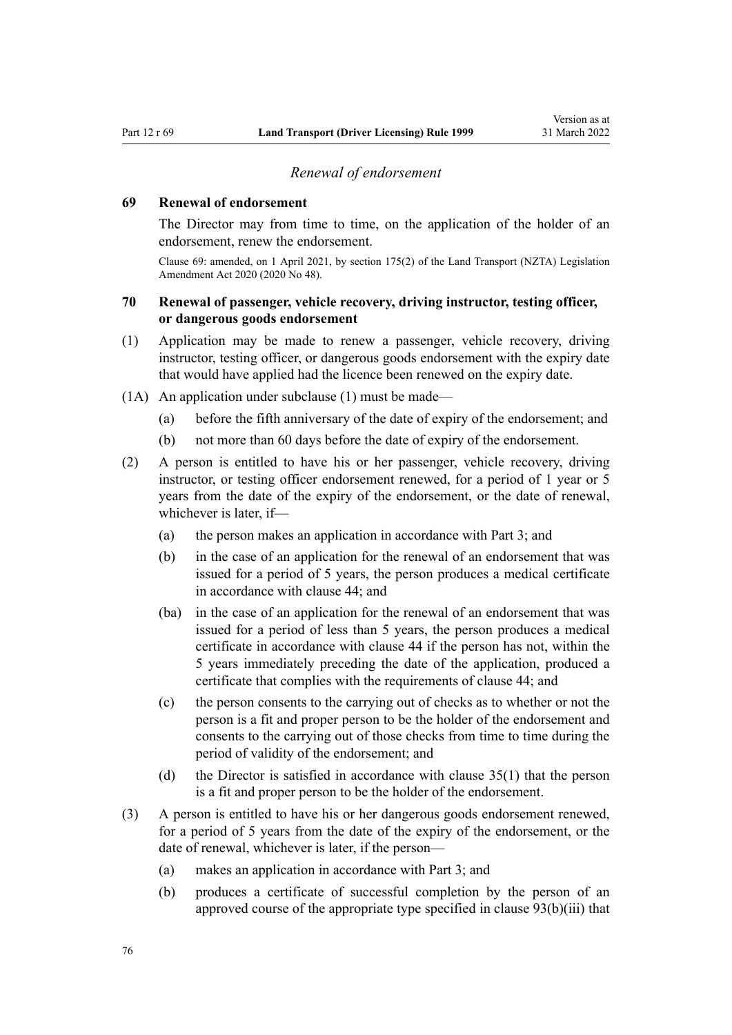### *Renewal of endorsement*

### <span id="page-75-0"></span>**69 Renewal of endorsement**

The Director may from time to time, on the application of the holder of an endorsement, renew the endorsement.

Clause 69: amended, on 1 April 2021, by [section 175\(2\)](http://legislation.govt.nz/pdflink.aspx?id=LMS286883) of the Land Transport (NZTA) Legislation Amendment Act 2020 (2020 No 48).

# **70 Renewal of passenger, vehicle recovery, driving instructor, testing officer, or dangerous goods endorsement**

- (1) Application may be made to renew a passenger, vehicle recovery, driving instructor, testing officer, or dangerous goods endorsement with the expiry date that would have applied had the licence been renewed on the expiry date.
- (1A) An application under subclause (1) must be made—
	- (a) before the fifth anniversary of the date of expiry of the endorsement; and
	- (b) not more than 60 days before the date of expiry of the endorsement.
- (2) A person is entitled to have his or her passenger, vehicle recovery, driving instructor, or testing officer endorsement renewed, for a period of 1 year or 5 years from the date of the expiry of the endorsement, or the date of renewal, whichever is later, if—
	- (a) the person makes an application in accordance with [Part 3](#page-21-0); and
	- (b) in the case of an application for the renewal of an endorsement that was issued for a period of 5 years, the person produces a medical certificate in accordance with [clause 44](#page-54-0); and
	- (ba) in the case of an application for the renewal of an endorsement that was issued for a period of less than 5 years, the person produces a medical certificate in accordance with [clause 44](#page-54-0) if the person has not, within the 5 years immediately preceding the date of the application, produced a certificate that complies with the requirements of clause 44; and
	- (c) the person consents to the carrying out of checks as to whether or not the person is a fit and proper person to be the holder of the endorsement and consents to the carrying out of those checks from time to time during the period of validity of the endorsement; and
	- (d) the Director is satisfied in accordance with [clause 35\(1\)](#page-48-0) that the person is a fit and proper person to be the holder of the endorsement.
- (3) A person is entitled to have his or her dangerous goods endorsement renewed, for a period of 5 years from the date of the expiry of the endorsement, or the date of renewal, whichever is later, if the person—
	- (a) makes an application in accordance with [Part 3](#page-21-0); and
	- (b) produces a certificate of successful completion by the person of an approved course of the appropriate type specified in [clause 93\(b\)\(iii\)](#page-95-0) that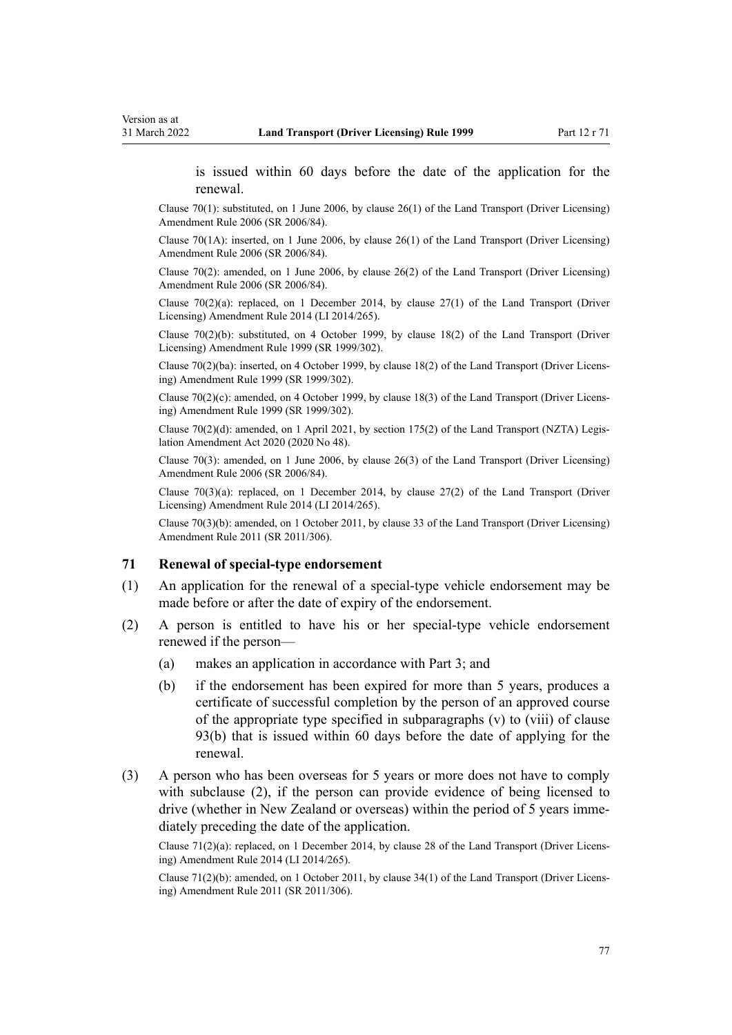<span id="page-76-0"></span>is issued within 60 days before the date of the application for the renewal.

Clause 70(1): substituted, on 1 June 2006, by [clause 26\(1\)](http://legislation.govt.nz/pdflink.aspx?id=DLM376119) of the Land Transport (Driver Licensing) Amendment Rule 2006 (SR 2006/84).

Clause 70(1A): inserted, on 1 June 2006, by [clause 26\(1\)](http://legislation.govt.nz/pdflink.aspx?id=DLM376119) of the Land Transport (Driver Licensing) Amendment Rule 2006 (SR 2006/84).

Clause 70(2): amended, on 1 June 2006, by [clause 26\(2\)](http://legislation.govt.nz/pdflink.aspx?id=DLM376119) of the Land Transport (Driver Licensing) Amendment Rule 2006 (SR 2006/84).

Clause  $70(2)(a)$ : replaced, on 1 December 2014, by clause  $27(1)$  of the Land Transport (Driver Licensing) Amendment Rule 2014 (LI 2014/265).

Clause  $70(2)(b)$ : substituted, on 4 October 1999, by [clause 18\(2\)](http://legislation.govt.nz/pdflink.aspx?id=DLM293687) of the Land Transport (Driver Licensing) Amendment Rule 1999 (SR 1999/302).

Clause 70(2)(ba): inserted, on 4 October 1999, by [clause 18\(2\)](http://legislation.govt.nz/pdflink.aspx?id=DLM293687) of the Land Transport (Driver Licens‐ ing) Amendment Rule 1999 (SR 1999/302).

Clause  $70(2)(c)$ : amended, on 4 October 1999, by [clause 18\(3\)](http://legislation.govt.nz/pdflink.aspx?id=DLM293687) of the Land Transport (Driver Licensing) Amendment Rule 1999 (SR 1999/302).

Clause 70(2)(d): amended, on 1 April 2021, by [section 175\(2\)](http://legislation.govt.nz/pdflink.aspx?id=LMS286883) of the Land Transport (NZTA) Legis‐ lation Amendment Act 2020 (2020 No 48).

Clause 70(3): amended, on 1 June 2006, by [clause 26\(3\)](http://legislation.govt.nz/pdflink.aspx?id=DLM376119) of the Land Transport (Driver Licensing) Amendment Rule 2006 (SR 2006/84).

Clause  $70(3)(a)$ : replaced, on 1 December 2014, by [clause 27\(2\)](http://legislation.govt.nz/pdflink.aspx?id=DLM6216941) of the Land Transport (Driver Licensing) Amendment Rule 2014 (LI 2014/265).

Clause 70(3)(b): amended, on 1 October 2011, by [clause 33](http://legislation.govt.nz/pdflink.aspx?id=DLM3956738) of the Land Transport (Driver Licensing) Amendment Rule 2011 (SR 2011/306).

### **71 Renewal of special-type endorsement**

- (1) An application for the renewal of a special-type vehicle endorsement may be made before or after the date of expiry of the endorsement.
- (2) A person is entitled to have his or her special-type vehicle endorsement renewed if the person—
	- (a) makes an application in accordance with [Part 3](#page-21-0); and
	- (b) if the endorsement has been expired for more than 5 years, produces a certificate of successful completion by the person of an approved course of the appropriate type specified in subparagraphs (v) to (viii) of [clause](#page-95-0) [93\(b\)](#page-95-0) that is issued within 60 days before the date of applying for the renewal.
- (3) A person who has been overseas for 5 years or more does not have to comply with subclause (2), if the person can provide evidence of being licensed to drive (whether in New Zealand or overseas) within the period of 5 years immediately preceding the date of the application.

Clause 71(2)(a): replaced, on 1 December 2014, by [clause 28](http://legislation.govt.nz/pdflink.aspx?id=DLM6216942) of the Land Transport (Driver Licens‐ ing) Amendment Rule 2014 (LI 2014/265).

Clause 71(2)(b): amended, on 1 October 2011, by [clause 34\(1\)](http://legislation.govt.nz/pdflink.aspx?id=DLM3956739) of the Land Transport (Driver Licens‐ ing) Amendment Rule 2011 (SR 2011/306).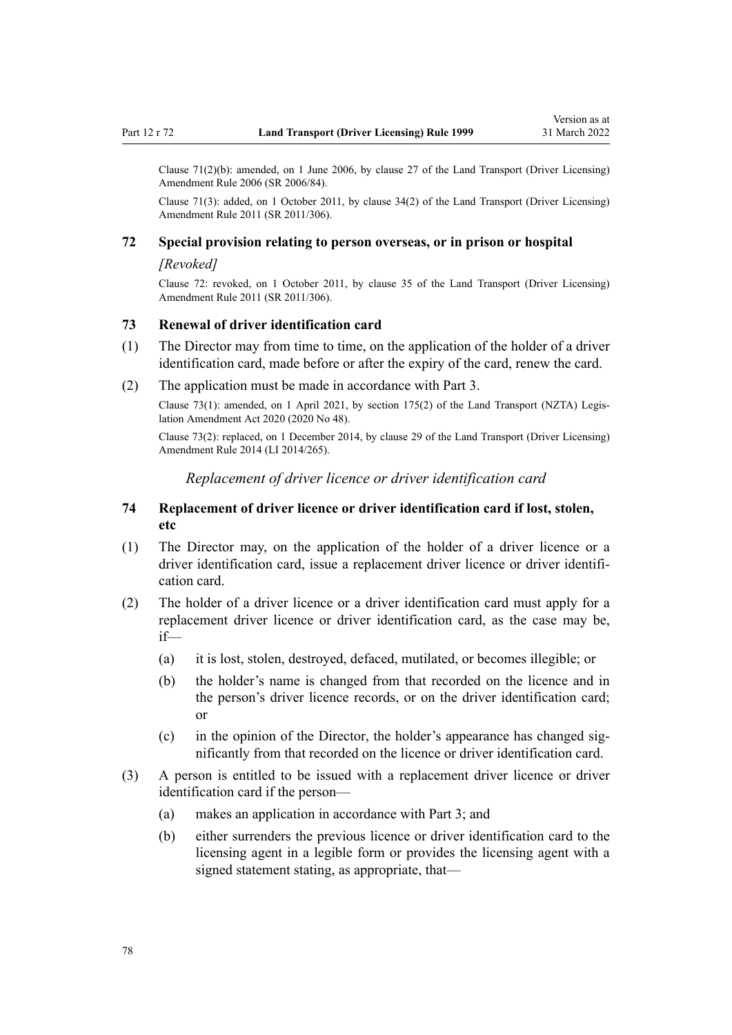<span id="page-77-0"></span>Clause 71(2)(b): amended, on 1 June 2006, by [clause 27](http://legislation.govt.nz/pdflink.aspx?id=DLM376120) of the Land Transport (Driver Licensing) Amendment Rule 2006 (SR 2006/84).

Clause 71(3): added, on 1 October 2011, by [clause 34\(2\)](http://legislation.govt.nz/pdflink.aspx?id=DLM3956739) of the Land Transport (Driver Licensing) Amendment Rule 2011 (SR 2011/306).

# **72 Special provision relating to person overseas, or in prison or hospital**

# *[Revoked]*

Clause 72: revoked, on 1 October 2011, by [clause 35](http://legislation.govt.nz/pdflink.aspx?id=DLM3956740) of the Land Transport (Driver Licensing) Amendment Rule 2011 (SR 2011/306).

### **73 Renewal of driver identification card**

- (1) The Director may from time to time, on the application of the holder of a driver identification card, made before or after the expiry of the card, renew the card.
- (2) The application must be made in accordance with [Part 3.](#page-21-0)

Clause 73(1): amended, on 1 April 2021, by [section 175\(2\)](http://legislation.govt.nz/pdflink.aspx?id=LMS286883) of the Land Transport (NZTA) Legis‐ lation Amendment Act 2020 (2020 No 48).

Clause 73(2): replaced, on 1 December 2014, by [clause 29](http://legislation.govt.nz/pdflink.aspx?id=DLM6216943) of the Land Transport (Driver Licensing) Amendment Rule 2014 (LI 2014/265).

# *Replacement of driver licence or driver identification card*

# **74 Replacement of driver licence or driver identification card if lost, stolen, etc**

- (1) The Director may, on the application of the holder of a driver licence or a driver identification card, issue a replacement driver licence or driver identification card.
- (2) The holder of a driver licence or a driver identification card must apply for a replacement driver licence or driver identification card, as the case may be, if—
	- (a) it is lost, stolen, destroyed, defaced, mutilated, or becomes illegible; or
	- (b) the holder's name is changed from that recorded on the licence and in the person's driver licence records, or on the driver identification card; or
	- (c) in the opinion of the Director, the holder's appearance has changed sig‐ nificantly from that recorded on the licence or driver identification card.
- (3) A person is entitled to be issued with a replacement driver licence or driver identification card if the person—
	- (a) makes an application in accordance with [Part 3](#page-21-0); and
	- (b) either surrenders the previous licence or driver identification card to the licensing agent in a legible form or provides the licensing agent with a signed statement stating, as appropriate, that—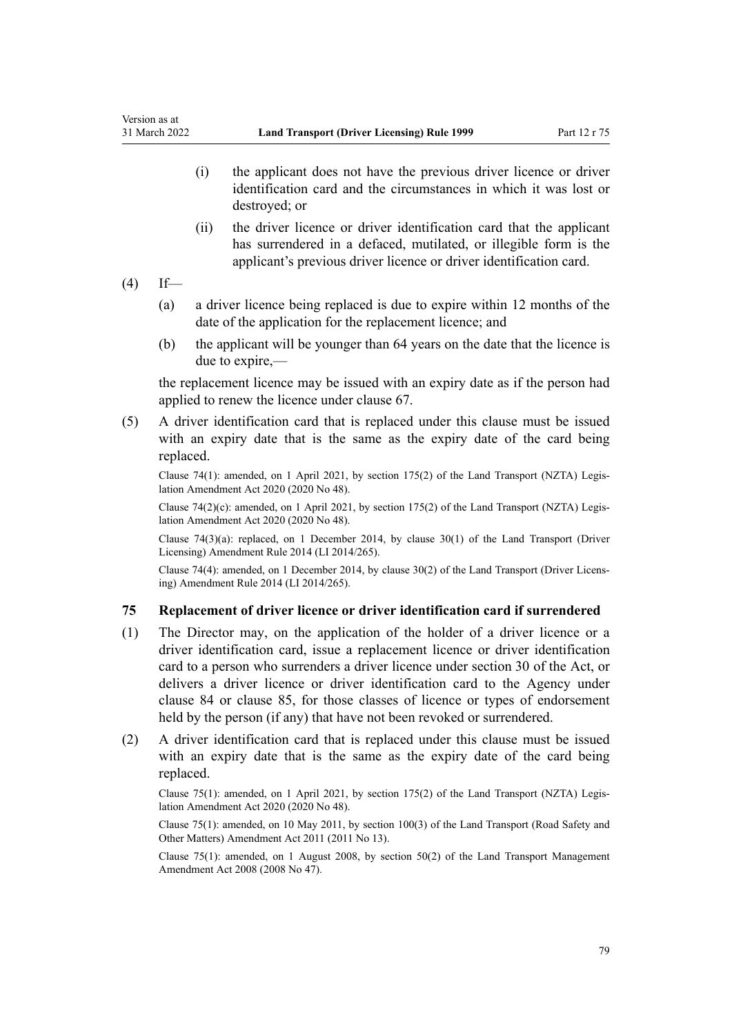- (i) the applicant does not have the previous driver licence or driver identification card and the circumstances in which it was lost or destroyed; or
- (ii) the driver licence or driver identification card that the applicant has surrendered in a defaced, mutilated, or illegible form is the applicant's previous driver licence or driver identification card.
- $(4)$  If—
	- (a) a driver licence being replaced is due to expire within 12 months of the date of the application for the replacement licence; and
	- (b) the applicant will be younger than 64 years on the date that the licence is due to expire,—

the replacement licence may be issued with an expiry date as if the person had applied to renew the licence under [clause 67](#page-69-0).

(5) A driver identification card that is replaced under this clause must be issued with an expiry date that is the same as the expiry date of the card being replaced.

Clause 74(1): amended, on 1 April 2021, by [section 175\(2\)](http://legislation.govt.nz/pdflink.aspx?id=LMS286883) of the Land Transport (NZTA) Legis‐ lation Amendment Act 2020 (2020 No 48).

Clause 74(2)(c): amended, on 1 April 2021, by [section 175\(2\)](http://legislation.govt.nz/pdflink.aspx?id=LMS286883) of the Land Transport (NZTA) Legislation Amendment Act 2020 (2020 No 48).

Clause 74(3)(a): replaced, on 1 December 2014, by [clause 30\(1\)](http://legislation.govt.nz/pdflink.aspx?id=DLM6216944) of the Land Transport (Driver Licensing) Amendment Rule 2014 (LI 2014/265).

Clause 74(4): amended, on 1 December 2014, by [clause 30\(2\)](http://legislation.govt.nz/pdflink.aspx?id=DLM6216944) of the Land Transport (Driver Licens‐ ing) Amendment Rule 2014 (LI 2014/265).

# **75 Replacement of driver licence or driver identification card if surrendered**

- (1) The Director may, on the application of the holder of a driver licence or a driver identification card, issue a replacement licence or driver identification card to a person who surrenders a driver licence under [section 30](http://legislation.govt.nz/pdflink.aspx?id=DLM434583) of the Act, or delivers a driver licence or driver identification card to the Agency under [clause 84](#page-85-0) or [clause 85,](#page-85-0) for those classes of licence or types of endorsement held by the person (if any) that have not been revoked or surrendered.
- (2) A driver identification card that is replaced under this clause must be issued with an expiry date that is the same as the expiry date of the card being replaced.

Clause 75(1): amended, on 1 April 2021, by [section 175\(2\)](http://legislation.govt.nz/pdflink.aspx?id=LMS286883) of the Land Transport (NZTA) Legis‐ lation Amendment Act 2020 (2020 No 48).

Clause 75(1): amended, on 10 May 2011, by [section 100\(3\)](http://legislation.govt.nz/pdflink.aspx?id=DLM3231293) of the Land Transport (Road Safety and Other Matters) Amendment Act 2011 (2011 No 13).

Clause 75(1): amended, on 1 August 2008, by [section 50\(2\)](http://legislation.govt.nz/pdflink.aspx?id=DLM1313622) of the Land Transport Management Amendment Act 2008 (2008 No 47).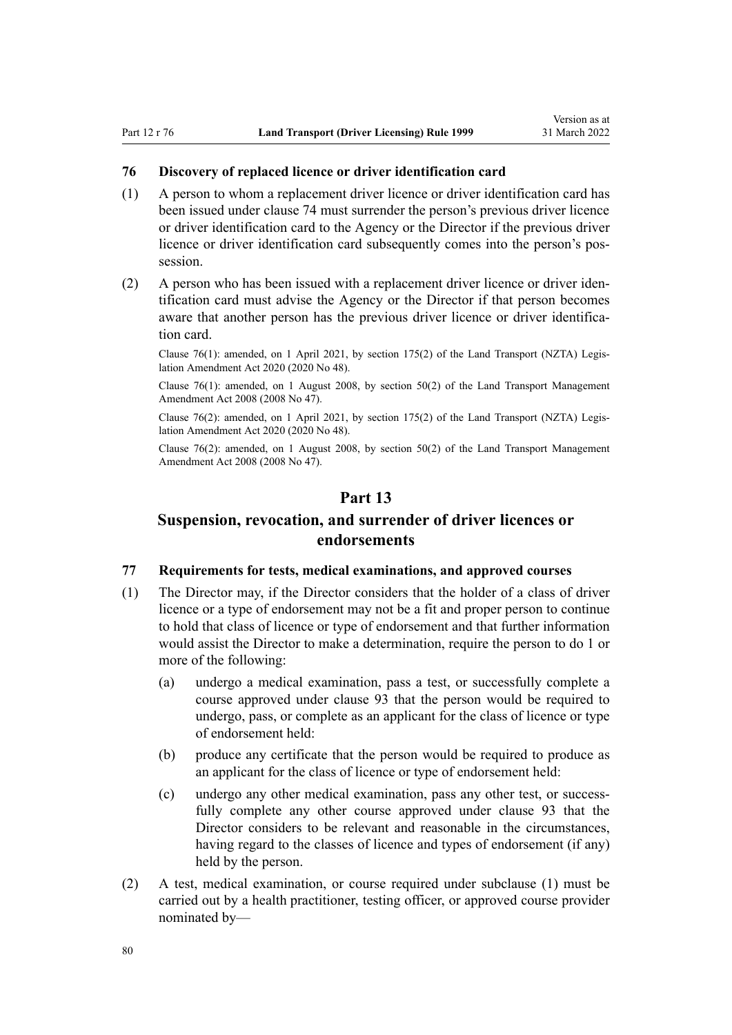### <span id="page-79-0"></span>**76 Discovery of replaced licence or driver identification card**

- (1) A person to whom a replacement driver licence or driver identification card has been issued under [clause 74](#page-77-0) must surrender the person's previous driver licence or driver identification card to the Agency or the Director if the previous driver licence or driver identification card subsequently comes into the person's pos‐ session.
- (2) A person who has been issued with a replacement driver licence or driver iden‐ tification card must advise the Agency or the Director if that person becomes aware that another person has the previous driver licence or driver identification card.

Clause 76(1): amended, on 1 April 2021, by [section 175\(2\)](http://legislation.govt.nz/pdflink.aspx?id=LMS286883) of the Land Transport (NZTA) Legis‐ lation Amendment Act 2020 (2020 No 48).

Clause  $76(1)$ : amended, on 1 August 2008, by section  $50(2)$  of the Land Transport Management Amendment Act 2008 (2008 No 47).

Clause 76(2): amended, on 1 April 2021, by [section 175\(2\)](http://legislation.govt.nz/pdflink.aspx?id=LMS286883) of the Land Transport (NZTA) Legis‐ lation Amendment Act 2020 (2020 No 48).

Clause 76(2): amended, on 1 August 2008, by [section 50\(2\)](http://legislation.govt.nz/pdflink.aspx?id=DLM1313622) of the Land Transport Management Amendment Act 2008 (2008 No 47).

# **Part 13**

# **Suspension, revocation, and surrender of driver licences or endorsements**

# **77 Requirements for tests, medical examinations, and approved courses**

- (1) The Director may, if the Director considers that the holder of a class of driver licence or a type of endorsement may not be a fit and proper person to continue to hold that class of licence or type of endorsement and that further information would assist the Director to make a determination, require the person to do 1 or more of the following:
	- (a) undergo a medical examination, pass a test, or successfully complete a course approved under [clause 93](#page-95-0) that the person would be required to undergo, pass, or complete as an applicant for the class of licence or type of endorsement held:
	- (b) produce any certificate that the person would be required to produce as an applicant for the class of licence or type of endorsement held:
	- (c) undergo any other medical examination, pass any other test, or successfully complete any other course approved under [clause 93](#page-95-0) that the Director considers to be relevant and reasonable in the circumstances, having regard to the classes of licence and types of endorsement (if any) held by the person.
- (2) A test, medical examination, or course required under subclause (1) must be carried out by a health practitioner, testing officer, or approved course provider nominated by—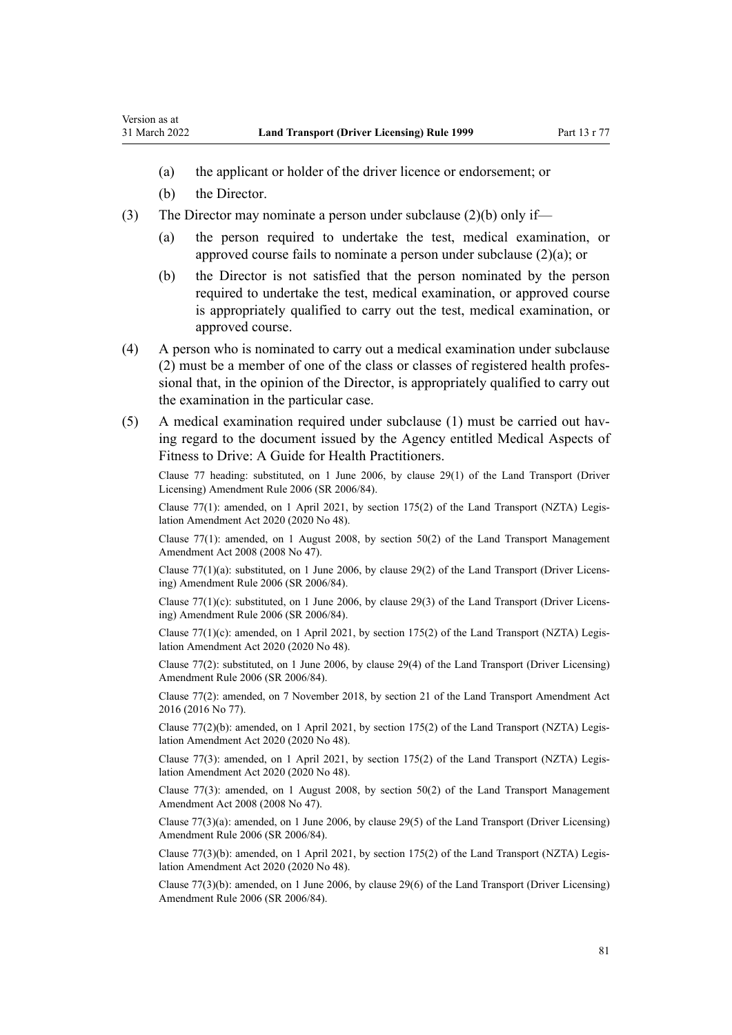- (a) the applicant or holder of the driver licence or endorsement; or
- (b) the Director.
- (3) The Director may nominate a person under subclause  $(2)(b)$  only if—
	- (a) the person required to undertake the test, medical examination, or approved course fails to nominate a person under subclause (2)(a); or
	- (b) the Director is not satisfied that the person nominated by the person required to undertake the test, medical examination, or approved course is appropriately qualified to carry out the test, medical examination, or approved course.
- (4) A person who is nominated to carry out a medical examination under subclause (2) must be a member of one of the class or classes of registered health profes‐ sional that, in the opinion of the Director, is appropriately qualified to carry out the examination in the particular case.
- (5) A medical examination required under subclause (1) must be carried out hav‐ ing regard to the document issued by the Agency entitled Medical Aspects of Fitness to Drive: A Guide for Health Practitioners.

Clause 77 heading: substituted, on 1 June 2006, by [clause 29\(1\)](http://legislation.govt.nz/pdflink.aspx?id=DLM376122) of the Land Transport (Driver Licensing) Amendment Rule 2006 (SR 2006/84).

Clause 77(1): amended, on 1 April 2021, by [section 175\(2\)](http://legislation.govt.nz/pdflink.aspx?id=LMS286883) of the Land Transport (NZTA) Legis‐ lation Amendment Act 2020 (2020 No 48).

Clause 77(1): amended, on 1 August 2008, by [section 50\(2\)](http://legislation.govt.nz/pdflink.aspx?id=DLM1313622) of the Land Transport Management Amendment Act 2008 (2008 No 47).

Clause 77(1)(a): substituted, on 1 June 2006, by [clause 29\(2\)](http://legislation.govt.nz/pdflink.aspx?id=DLM376122) of the Land Transport (Driver Licens‐ ing) Amendment Rule 2006 (SR 2006/84).

Clause 77(1)(c): substituted, on 1 June 2006, by [clause 29\(3\)](http://legislation.govt.nz/pdflink.aspx?id=DLM376122) of the Land Transport (Driver Licens‐ ing) Amendment Rule 2006 (SR 2006/84).

Clause 77(1)(c): amended, on 1 April 2021, by [section 175\(2\)](http://legislation.govt.nz/pdflink.aspx?id=LMS286883) of the Land Transport (NZTA) Legislation Amendment Act 2020 (2020 No 48).

Clause 77(2): substituted, on 1 June 2006, by [clause 29\(4\)](http://legislation.govt.nz/pdflink.aspx?id=DLM376122) of the Land Transport (Driver Licensing) Amendment Rule 2006 (SR 2006/84).

Clause 77(2): amended, on 7 November 2018, by [section 21](http://legislation.govt.nz/pdflink.aspx?id=DLM6984133) of the Land Transport Amendment Act 2016 (2016 No 77).

Clause 77(2)(b): amended, on 1 April 2021, by [section 175\(2\)](http://legislation.govt.nz/pdflink.aspx?id=LMS286883) of the Land Transport (NZTA) Legislation Amendment Act 2020 (2020 No 48).

Clause 77(3): amended, on 1 April 2021, by [section 175\(2\)](http://legislation.govt.nz/pdflink.aspx?id=LMS286883) of the Land Transport (NZTA) Legis‐ lation Amendment Act 2020 (2020 No 48).

Clause 77(3): amended, on 1 August 2008, by [section 50\(2\)](http://legislation.govt.nz/pdflink.aspx?id=DLM1313622) of the Land Transport Management Amendment Act 2008 (2008 No 47).

Clause 77(3)(a): amended, on 1 June 2006, by [clause 29\(5\)](http://legislation.govt.nz/pdflink.aspx?id=DLM376122) of the Land Transport (Driver Licensing) Amendment Rule 2006 (SR 2006/84).

Clause 77(3)(b): amended, on 1 April 2021, by [section 175\(2\)](http://legislation.govt.nz/pdflink.aspx?id=LMS286883) of the Land Transport (NZTA) Legis‐ lation Amendment Act 2020 (2020 No 48).

Clause 77(3)(b): amended, on 1 June 2006, by [clause 29\(6\)](http://legislation.govt.nz/pdflink.aspx?id=DLM376122) of the Land Transport (Driver Licensing) Amendment Rule 2006 (SR 2006/84).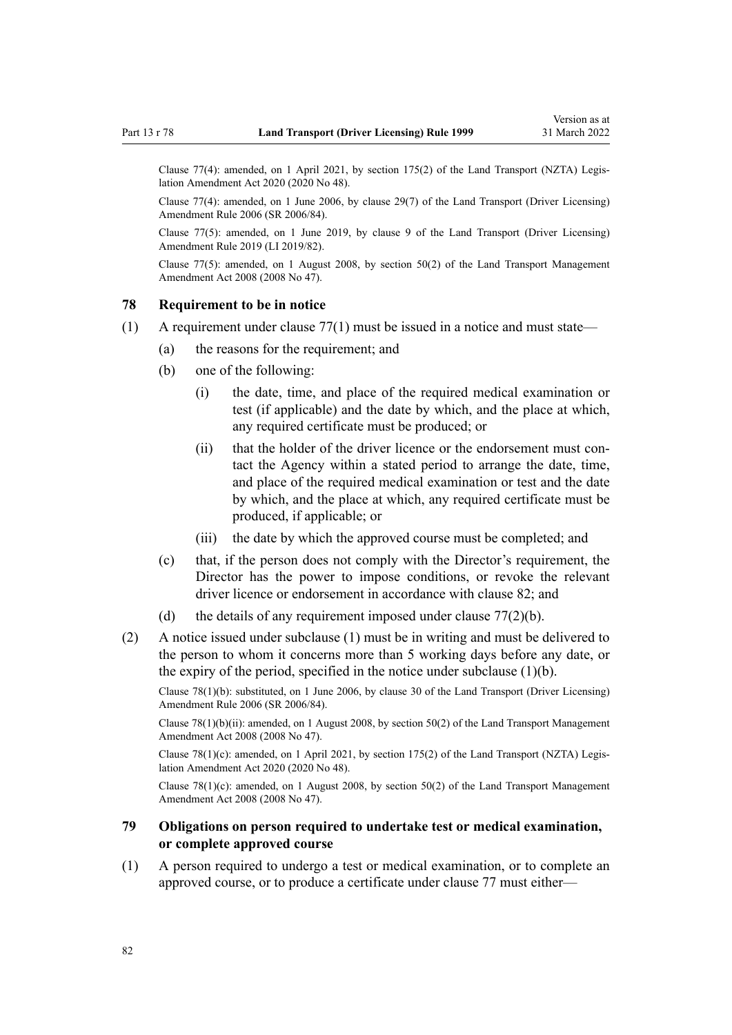<span id="page-81-0"></span>Clause 77(4): amended, on 1 April 2021, by [section 175\(2\)](http://legislation.govt.nz/pdflink.aspx?id=LMS286883) of the Land Transport (NZTA) Legis‐ lation Amendment Act 2020 (2020 No 48).

Clause 77(4): amended, on 1 June 2006, by [clause 29\(7\)](http://legislation.govt.nz/pdflink.aspx?id=DLM376122) of the Land Transport (Driver Licensing) Amendment Rule 2006 (SR 2006/84).

Clause 77(5): amended, on 1 June 2019, by [clause 9](http://legislation.govt.nz/pdflink.aspx?id=LMS136014) of the Land Transport (Driver Licensing) Amendment Rule 2019 (LI 2019/82).

Clause 77(5): amended, on 1 August 2008, by [section 50\(2\)](http://legislation.govt.nz/pdflink.aspx?id=DLM1313622) of the Land Transport Management Amendment Act 2008 (2008 No 47).

### **78 Requirement to be in notice**

- $(1)$  A requirement under clause 77 $(1)$  must be issued in a notice and must state—
	- (a) the reasons for the requirement; and
	- (b) one of the following:
		- (i) the date, time, and place of the required medical examination or test (if applicable) and the date by which, and the place at which, any required certificate must be produced; or
		- (ii) that the holder of the driver licence or the endorsement must contact the Agency within a stated period to arrange the date, time, and place of the required medical examination or test and the date by which, and the place at which, any required certificate must be produced, if applicable; or
		- (iii) the date by which the approved course must be completed; and
	- (c) that, if the person does not comply with the Director's requirement, the Director has the power to impose conditions, or revoke the relevant driver licence or endorsement in accordance with [clause 82;](#page-83-0) and
	- (d) the details of any requirement imposed under clause  $77(2)(b)$ .
- (2) A notice issued under subclause (1) must be in writing and must be delivered to the person to whom it concerns more than 5 working days before any date, or the expiry of the period, specified in the notice under subclause (1)(b).

Clause 78(1)(b): substituted, on 1 June 2006, by [clause 30](http://legislation.govt.nz/pdflink.aspx?id=DLM376123) of the Land Transport (Driver Licensing) Amendment Rule 2006 (SR 2006/84).

Clause 78(1)(b)(ii): amended, on 1 August 2008, by [section 50\(2\)](http://legislation.govt.nz/pdflink.aspx?id=DLM1313622) of the Land Transport Management Amendment Act 2008 (2008 No 47).

Clause 78(1)(c): amended, on 1 April 2021, by [section 175\(2\)](http://legislation.govt.nz/pdflink.aspx?id=LMS286883) of the Land Transport (NZTA) Legislation Amendment Act 2020 (2020 No 48).

Clause 78(1)(c): amended, on 1 August 2008, by [section 50\(2\)](http://legislation.govt.nz/pdflink.aspx?id=DLM1313622) of the Land Transport Management Amendment Act 2008 (2008 No 47).

# **79 Obligations on person required to undertake test or medical examination, or complete approved course**

(1) A person required to undergo a test or medical examination, or to complete an approved course, or to produce a certificate under [clause 77](#page-79-0) must either—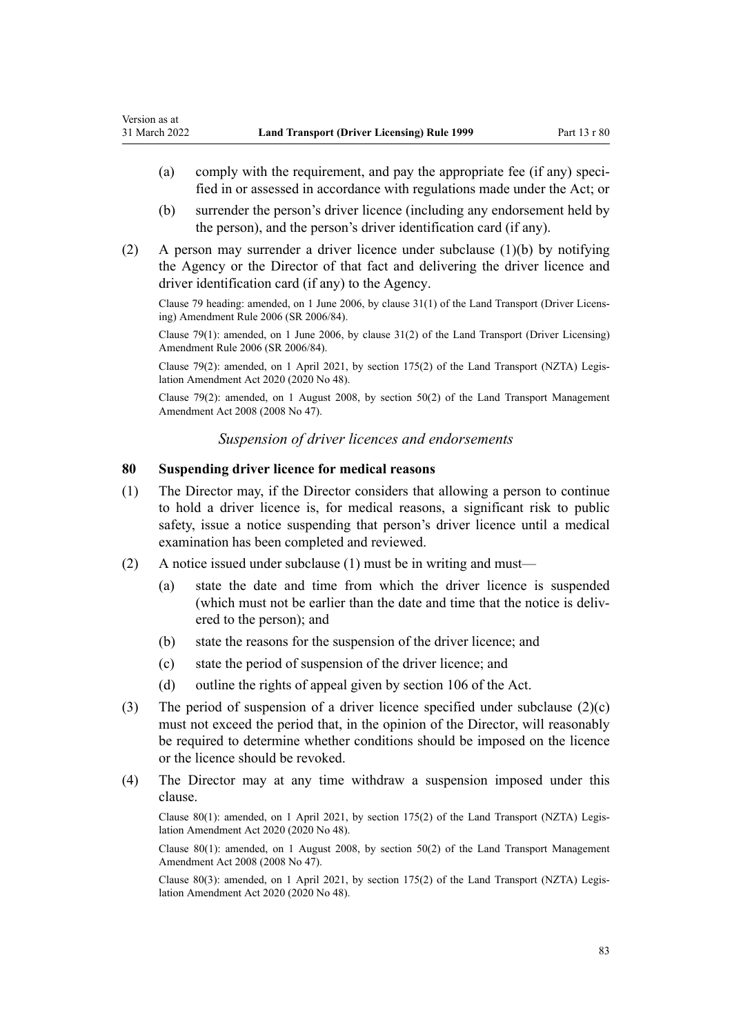- (a) comply with the requirement, and pay the appropriate fee (if any) specified in or assessed in accordance with regulations made under the Act; or
- (b) surrender the person's driver licence (including any endorsement held by the person), and the person's driver identification card (if any).
- (2) A person may surrender a driver licence under subclause (1)(b) by notifying the Agency or the Director of that fact and delivering the driver licence and driver identification card (if any) to the Agency.

Clause 79 heading: amended, on 1 June 2006, by [clause 31\(1\)](http://legislation.govt.nz/pdflink.aspx?id=DLM376124) of the Land Transport (Driver Licens‐ ing) Amendment Rule 2006 (SR 2006/84).

Clause 79(1): amended, on 1 June 2006, by [clause 31\(2\)](http://legislation.govt.nz/pdflink.aspx?id=DLM376124) of the Land Transport (Driver Licensing) Amendment Rule 2006 (SR 2006/84).

Clause 79(2): amended, on 1 April 2021, by [section 175\(2\)](http://legislation.govt.nz/pdflink.aspx?id=LMS286883) of the Land Transport (NZTA) Legis‐ lation Amendment Act 2020 (2020 No 48).

Clause 79(2): amended, on 1 August 2008, by [section 50\(2\)](http://legislation.govt.nz/pdflink.aspx?id=DLM1313622) of the Land Transport Management Amendment Act 2008 (2008 No 47).

# *Suspension of driver licences and endorsements*

# **80 Suspending driver licence for medical reasons**

- (1) The Director may, if the Director considers that allowing a person to continue to hold a driver licence is, for medical reasons, a significant risk to public safety, issue a notice suspending that person's driver licence until a medical examination has been completed and reviewed.
- (2) A notice issued under subclause (1) must be in writing and must—
	- (a) state the date and time from which the driver licence is suspended (which must not be earlier than the date and time that the notice is delivered to the person); and
	- (b) state the reasons for the suspension of the driver licence; and
	- (c) state the period of suspension of the driver licence; and
	- (d) outline the rights of appeal given by [section 106](http://legislation.govt.nz/pdflink.aspx?id=DLM435083) of the Act.
- (3) The period of suspension of a driver licence specified under subclause  $(2)(c)$ must not exceed the period that, in the opinion of the Director, will reasonably be required to determine whether conditions should be imposed on the licence or the licence should be revoked.
- (4) The Director may at any time withdraw a suspension imposed under this clause.

Clause 80(1): amended, on 1 April 2021, by [section 175\(2\)](http://legislation.govt.nz/pdflink.aspx?id=LMS286883) of the Land Transport (NZTA) Legis‐ lation Amendment Act 2020 (2020 No 48).

Clause 80(1): amended, on 1 August 2008, by [section 50\(2\)](http://legislation.govt.nz/pdflink.aspx?id=DLM1313622) of the Land Transport Management Amendment Act 2008 (2008 No 47).

Clause 80(3): amended, on 1 April 2021, by [section 175\(2\)](http://legislation.govt.nz/pdflink.aspx?id=LMS286883) of the Land Transport (NZTA) Legis‐ lation Amendment Act 2020 (2020 No 48).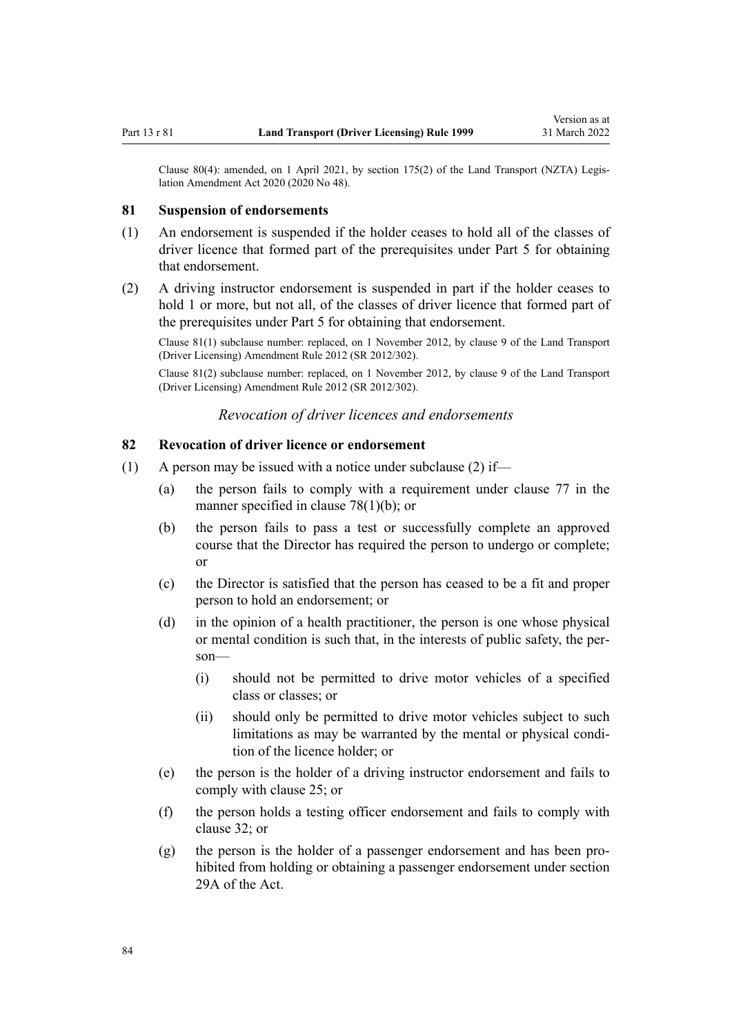<span id="page-83-0"></span>Clause 80(4): amended, on 1 April 2021, by [section 175\(2\)](http://legislation.govt.nz/pdflink.aspx?id=LMS286883) of the Land Transport (NZTA) Legislation Amendment Act 2020 (2020 No 48).

### **81 Suspension of endorsements**

- (1) An endorsement is suspended if the holder ceases to hold all of the classes of driver licence that formed part of the prerequisites under [Part 5](#page-40-0) for obtaining that endorsement.
- (2) A driving instructor endorsement is suspended in part if the holder ceases to hold 1 or more, but not all, of the classes of driver licence that formed part of the prerequisites under [Part 5](#page-40-0) for obtaining that endorsement.

Clause 81(1) subclause number: replaced, on 1 November 2012, by [clause 9](http://legislation.govt.nz/pdflink.aspx?id=DLM4773441) of the Land Transport (Driver Licensing) Amendment Rule 2012 (SR 2012/302).

Clause 81(2) subclause number: replaced, on 1 November 2012, by [clause 9](http://legislation.govt.nz/pdflink.aspx?id=DLM4773441) of the Land Transport (Driver Licensing) Amendment Rule 2012 (SR 2012/302).

*Revocation of driver licences and endorsements*

### **82 Revocation of driver licence or endorsement**

- (1) A person may be issued with a notice under subclause (2) if—
	- (a) the person fails to comply with a requirement under [clause 77](#page-79-0) in the manner specified in [clause 78\(1\)\(b\);](#page-81-0) or
	- (b) the person fails to pass a test or successfully complete an approved course that the Director has required the person to undergo or complete; or
	- (c) the Director is satisfied that the person has ceased to be a fit and proper person to hold an endorsement; or
	- (d) in the opinion of a health practitioner, the person is one whose physical or mental condition is such that, in the interests of public safety, the per‐ son—
		- (i) should not be permitted to drive motor vehicles of a specified class or classes; or
		- (ii) should only be permitted to drive motor vehicles subject to such limitations as may be warranted by the mental or physical condition of the licence holder; or
	- (e) the person is the holder of a driving instructor endorsement and fails to comply with [clause 25](#page-42-0); or
	- (f) the person holds a testing officer endorsement and fails to comply with [clause 32](#page-46-0); or
	- (g) the person is the holder of a passenger endorsement and has been pro‐ hibited from holding or obtaining a passenger endorsement under [section](http://legislation.govt.nz/pdflink.aspx?id=DLM434566) [29A](http://legislation.govt.nz/pdflink.aspx?id=DLM434566) of the Act.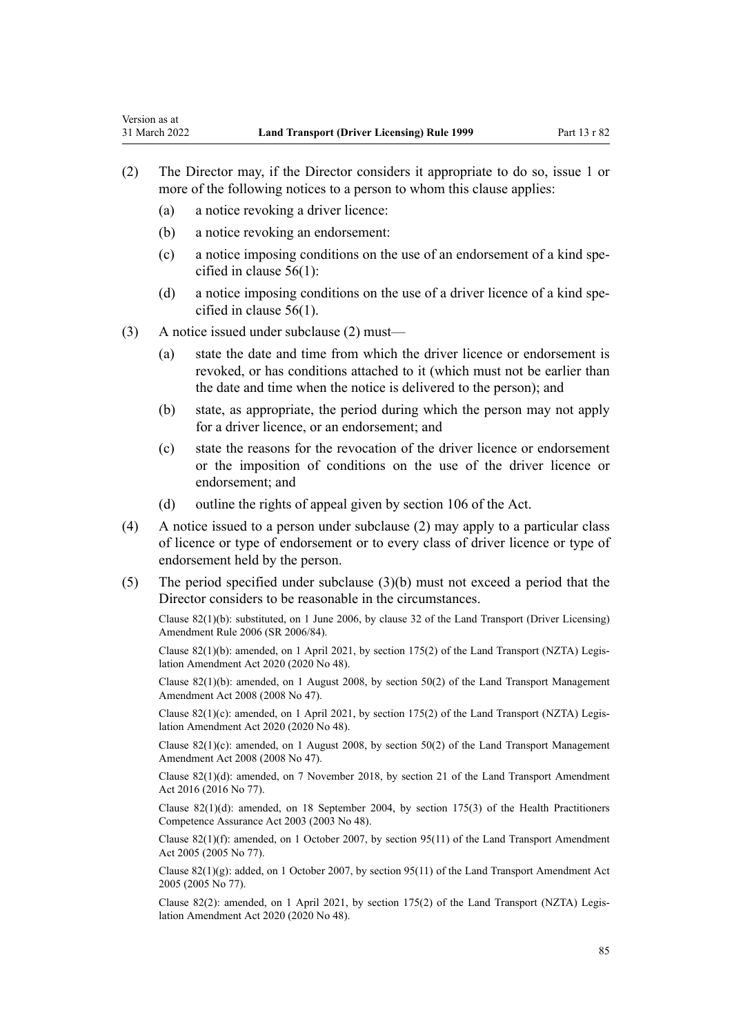- (2) The Director may, if the Director considers it appropriate to do so, issue 1 or more of the following notices to a person to whom this clause applies:
	- (a) a notice revoking a driver licence:

Version as at

- (b) a notice revoking an endorsement:
- (c) a notice imposing conditions on the use of an endorsement of a kind specified in [clause 56\(1\):](#page-60-0)
- (d) a notice imposing conditions on the use of a driver licence of a kind specified in [clause 56\(1\).](#page-60-0)
- (3) A notice issued under subclause (2) must—
	- (a) state the date and time from which the driver licence or endorsement is revoked, or has conditions attached to it (which must not be earlier than the date and time when the notice is delivered to the person); and
	- (b) state, as appropriate, the period during which the person may not apply for a driver licence, or an endorsement; and
	- (c) state the reasons for the revocation of the driver licence or endorsement or the imposition of conditions on the use of the driver licence or endorsement; and
	- (d) outline the rights of appeal given by [section 106](http://legislation.govt.nz/pdflink.aspx?id=DLM435083) of the Act.
- (4) A notice issued to a person under subclause (2) may apply to a particular class of licence or type of endorsement or to every class of driver licence or type of endorsement held by the person.
- (5) The period specified under subclause (3)(b) must not exceed a period that the Director considers to be reasonable in the circumstances.

Clause 82(1)(b): substituted, on 1 June 2006, by [clause 32](http://legislation.govt.nz/pdflink.aspx?id=DLM376125) of the Land Transport (Driver Licensing) Amendment Rule 2006 (SR 2006/84).

Clause 82(1)(b): amended, on 1 April 2021, by [section 175\(2\)](http://legislation.govt.nz/pdflink.aspx?id=LMS286883) of the Land Transport (NZTA) Legis‐ lation Amendment Act 2020 (2020 No 48).

Clause 82(1)(b): amended, on 1 August 2008, by [section 50\(2\)](http://legislation.govt.nz/pdflink.aspx?id=DLM1313622) of the Land Transport Management Amendment Act 2008 (2008 No 47).

Clause 82(1)(c): amended, on 1 April 2021, by [section 175\(2\)](http://legislation.govt.nz/pdflink.aspx?id=LMS286883) of the Land Transport (NZTA) Legislation Amendment Act 2020 (2020 No 48).

Clause  $82(1)(c)$ : amended, on 1 August 2008, by [section 50\(2\)](http://legislation.govt.nz/pdflink.aspx?id=DLM1313622) of the Land Transport Management Amendment Act 2008 (2008 No 47).

Clause 82(1)(d): amended, on 7 November 2018, by [section 21](http://legislation.govt.nz/pdflink.aspx?id=DLM6984133) of the Land Transport Amendment Act 2016 (2016 No 77).

Clause 82(1)(d): amended, on 18 September 2004, by [section 175\(3\)](http://legislation.govt.nz/pdflink.aspx?id=DLM205009) of the Health Practitioners Competence Assurance Act 2003 (2003 No 48).

Clause 82(1)(f): amended, on 1 October 2007, by [section 95\(11\)](http://legislation.govt.nz/pdflink.aspx?id=DLM353501) of the Land Transport Amendment Act 2005 (2005 No 77).

Clause 82(1)(g): added, on 1 October 2007, by [section 95\(11\)](http://legislation.govt.nz/pdflink.aspx?id=DLM353501) of the Land Transport Amendment Act 2005 (2005 No 77).

Clause 82(2): amended, on 1 April 2021, by [section 175\(2\)](http://legislation.govt.nz/pdflink.aspx?id=LMS286883) of the Land Transport (NZTA) Legis‐ lation Amendment Act 2020 (2020 No 48).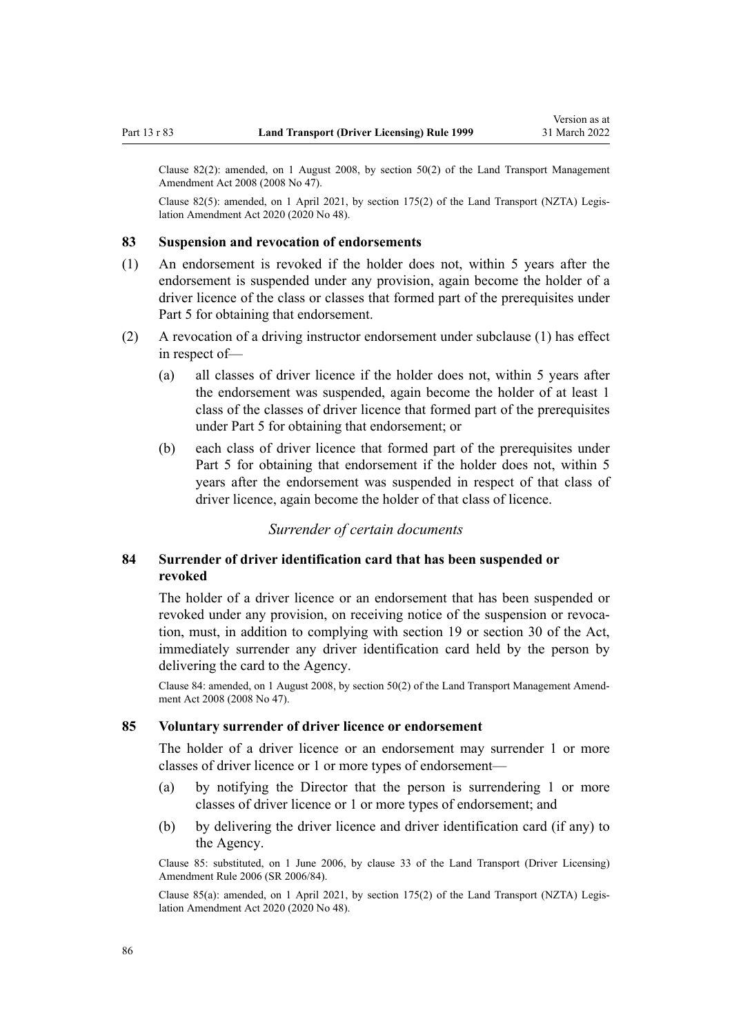<span id="page-85-0"></span>Clause 82(2): amended, on 1 August 2008, by [section 50\(2\)](http://legislation.govt.nz/pdflink.aspx?id=DLM1313622) of the Land Transport Management Amendment Act 2008 (2008 No 47).

Clause 82(5): amended, on 1 April 2021, by [section 175\(2\)](http://legislation.govt.nz/pdflink.aspx?id=LMS286883) of the Land Transport (NZTA) Legislation Amendment Act 2020 (2020 No 48).

### **83 Suspension and revocation of endorsements**

- (1) An endorsement is revoked if the holder does not, within 5 years after the endorsement is suspended under any provision, again become the holder of a driver licence of the class or classes that formed part of the prerequisites under [Part 5](#page-40-0) for obtaining that endorsement.
- (2) A revocation of a driving instructor endorsement under subclause (1) has effect in respect of—
	- (a) all classes of driver licence if the holder does not, within 5 years after the endorsement was suspended, again become the holder of at least 1 class of the classes of driver licence that formed part of the prerequisites under [Part 5](#page-40-0) for obtaining that endorsement; or
	- (b) each class of driver licence that formed part of the prerequisites under [Part 5](#page-40-0) for obtaining that endorsement if the holder does not, within 5 years after the endorsement was suspended in respect of that class of driver licence, again become the holder of that class of licence.

# *Surrender of certain documents*

# **84 Surrender of driver identification card that has been suspended or revoked**

The holder of a driver licence or an endorsement that has been suspended or revoked under any provision, on receiving notice of the suspension or revocation, must, in addition to complying with [section 19](http://legislation.govt.nz/pdflink.aspx?id=DLM434536) or [section 30](http://legislation.govt.nz/pdflink.aspx?id=DLM434583) of the Act, immediately surrender any driver identification card held by the person by delivering the card to the Agency.

Clause 84: amended, on 1 August 2008, by [section 50\(2\)](http://legislation.govt.nz/pdflink.aspx?id=DLM1313622) of the Land Transport Management Amend‐ ment Act 2008 (2008 No 47).

### **85 Voluntary surrender of driver licence or endorsement**

The holder of a driver licence or an endorsement may surrender 1 or more classes of driver licence or 1 or more types of endorsement—

- (a) by notifying the Director that the person is surrendering 1 or more classes of driver licence or 1 or more types of endorsement; and
- (b) by delivering the driver licence and driver identification card (if any) to the Agency.

Clause 85: substituted, on 1 June 2006, by [clause 33](http://legislation.govt.nz/pdflink.aspx?id=DLM376126) of the Land Transport (Driver Licensing) Amendment Rule 2006 (SR 2006/84).

Clause 85(a): amended, on 1 April 2021, by [section 175\(2\)](http://legislation.govt.nz/pdflink.aspx?id=LMS286883) of the Land Transport (NZTA) Legis‐ lation Amendment Act 2020 (2020 No 48).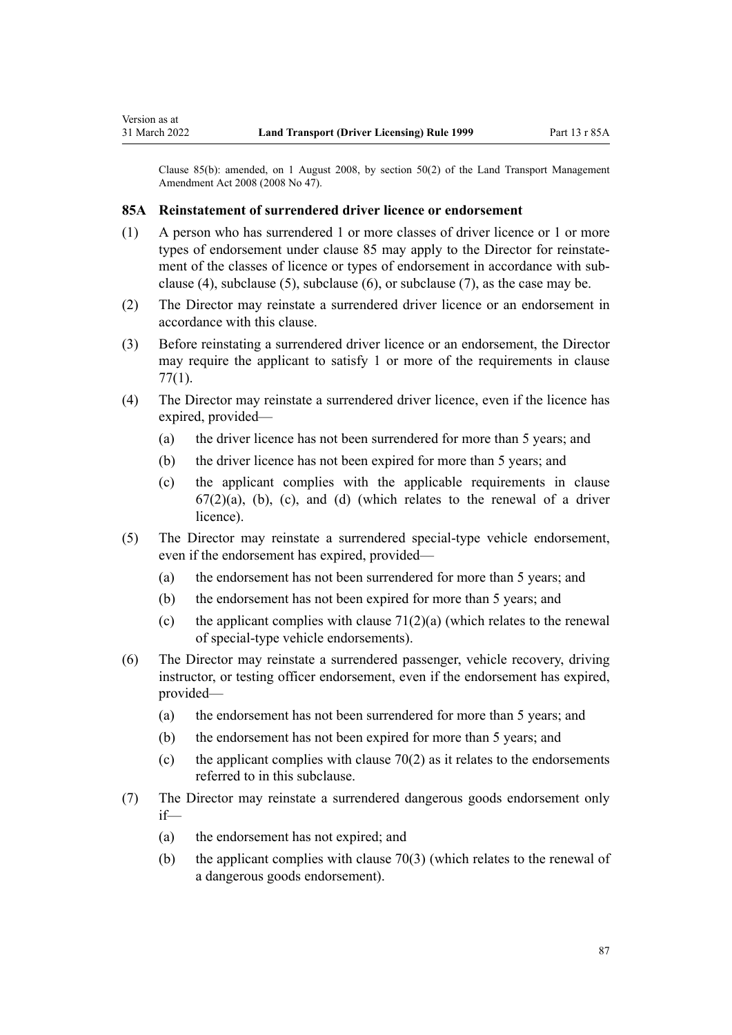Clause 85(b): amended, on 1 August 2008, by [section 50\(2\)](http://legislation.govt.nz/pdflink.aspx?id=DLM1313622) of the Land Transport Management Amendment Act 2008 (2008 No 47).

### **85A Reinstatement of surrendered driver licence or endorsement**

- (1) A person who has surrendered 1 or more classes of driver licence or 1 or more types of endorsement under [clause 85](#page-85-0) may apply to the Director for reinstatement of the classes of licence or types of endorsement in accordance with subclause (4), subclause (5), subclause (6), or subclause (7), as the case may be.
- (2) The Director may reinstate a surrendered driver licence or an endorsement in accordance with this clause.
- (3) Before reinstating a surrendered driver licence or an endorsement, the Director may require the applicant to satisfy 1 or more of the requirements in [clause](#page-79-0) [77\(1\)](#page-79-0).
- (4) The Director may reinstate a surrendered driver licence, even if the licence has expired, provided—
	- (a) the driver licence has not been surrendered for more than 5 years; and
	- (b) the driver licence has not been expired for more than 5 years; and
	- (c) the applicant complies with the applicable requirements in [clause](#page-69-0)  $67(2)(a)$ , (b), (c), and (d) (which relates to the renewal of a driver licence).
- (5) The Director may reinstate a surrendered special-type vehicle endorsement, even if the endorsement has expired, provided—
	- (a) the endorsement has not been surrendered for more than 5 years; and
	- (b) the endorsement has not been expired for more than 5 years; and
	- (c) the applicant complies with clause  $71(2)(a)$  (which relates to the renewal of special-type vehicle endorsements).
- (6) The Director may reinstate a surrendered passenger, vehicle recovery, driving instructor, or testing officer endorsement, even if the endorsement has expired, provided—
	- (a) the endorsement has not been surrendered for more than 5 years; and
	- (b) the endorsement has not been expired for more than 5 years; and
	- (c) the applicant complies with clause  $70(2)$  as it relates to the endorsements referred to in this subclause.
- (7) The Director may reinstate a surrendered dangerous goods endorsement only if—
	- (a) the endorsement has not expired; and
	- (b) the applicant complies with [clause 70\(3\)](#page-75-0) (which relates to the renewal of a dangerous goods endorsement).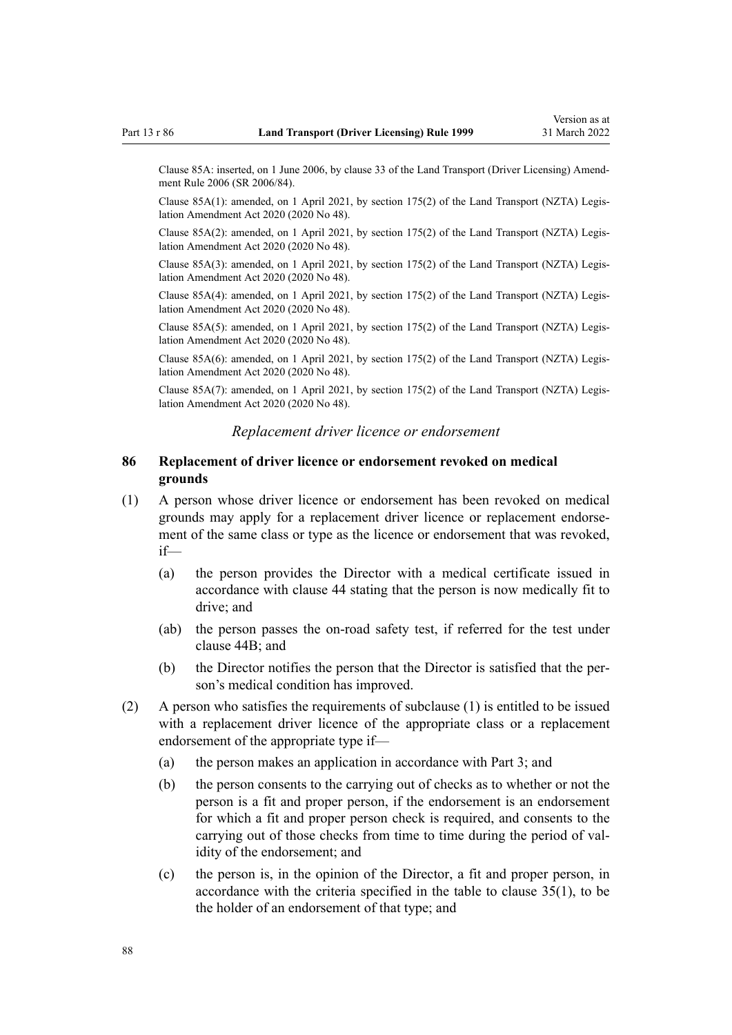Clause 85A: inserted, on 1 June 2006, by [clause 33](http://legislation.govt.nz/pdflink.aspx?id=DLM376126) of the Land Transport (Driver Licensing) Amend‐ ment Rule 2006 (SR 2006/84).

Clause 85A(1): amended, on 1 April 2021, by [section 175\(2\)](http://legislation.govt.nz/pdflink.aspx?id=LMS286883) of the Land Transport (NZTA) Legis‐ lation Amendment Act 2020 (2020 No 48).

Clause 85A(2): amended, on 1 April 2021, by [section 175\(2\)](http://legislation.govt.nz/pdflink.aspx?id=LMS286883) of the Land Transport (NZTA) Legis‐ lation Amendment Act 2020 (2020 No 48).

Clause 85A(3): amended, on 1 April 2021, by [section 175\(2\)](http://legislation.govt.nz/pdflink.aspx?id=LMS286883) of the Land Transport (NZTA) Legis‐ lation Amendment Act 2020 (2020 No 48).

Clause 85A(4): amended, on 1 April 2021, by [section 175\(2\)](http://legislation.govt.nz/pdflink.aspx?id=LMS286883) of the Land Transport (NZTA) Legis‐ lation Amendment Act 2020 (2020 No 48).

Clause 85A(5): amended, on 1 April 2021, by [section 175\(2\)](http://legislation.govt.nz/pdflink.aspx?id=LMS286883) of the Land Transport (NZTA) Legis‐ lation Amendment Act 2020 (2020 No 48).

Clause 85A(6): amended, on 1 April 2021, by [section 175\(2\)](http://legislation.govt.nz/pdflink.aspx?id=LMS286883) of the Land Transport (NZTA) Legis‐ lation Amendment Act 2020 (2020 No 48).

Clause 85A(7): amended, on 1 April 2021, by [section 175\(2\)](http://legislation.govt.nz/pdflink.aspx?id=LMS286883) of the Land Transport (NZTA) Legis‐ lation Amendment Act 2020 (2020 No 48).

### *Replacement driver licence or endorsement*

### **86 Replacement of driver licence or endorsement revoked on medical grounds**

- (1) A person whose driver licence or endorsement has been revoked on medical grounds may apply for a replacement driver licence or replacement endorse‐ ment of the same class or type as the licence or endorsement that was revoked, if—
	- (a) the person provides the Director with a medical certificate issued in accordance with [clause 44](#page-54-0) stating that the person is now medically fit to drive; and
	- (ab) the person passes the on-road safety test, if referred for the test under [clause 44B;](#page-55-0) and
	- (b) the Director notifies the person that the Director is satisfied that the per‐ son's medical condition has improved.
- (2) A person who satisfies the requirements of subclause (1) is entitled to be issued with a replacement driver licence of the appropriate class or a replacement endorsement of the appropriate type if—
	- (a) the person makes an application in accordance with [Part 3](#page-21-0); and
	- (b) the person consents to the carrying out of checks as to whether or not the person is a fit and proper person, if the endorsement is an endorsement for which a fit and proper person check is required, and consents to the carrying out of those checks from time to time during the period of validity of the endorsement; and
	- (c) the person is, in the opinion of the Director, a fit and proper person, in accordance with the criteria specified in the table to [clause 35\(1\),](#page-48-0) to be the holder of an endorsement of that type; and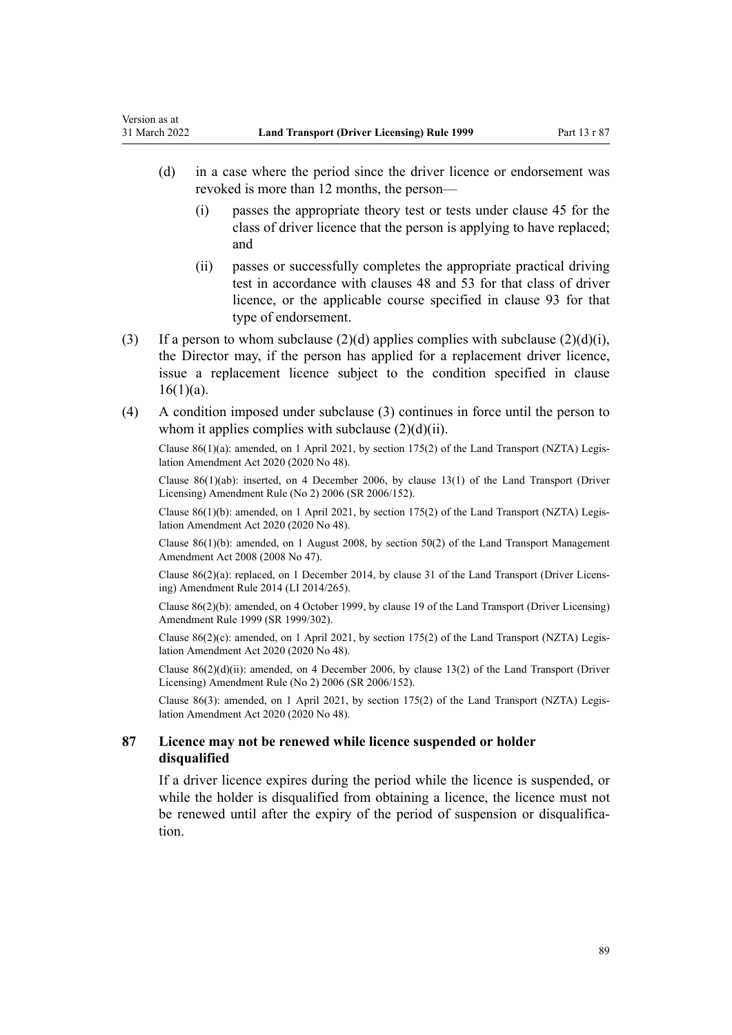Version as at

- (d) in a case where the period since the driver licence or endorsement was revoked is more than 12 months, the person—
	- (i) passes the appropriate theory test or tests under [clause 45](#page-56-0) for the class of driver licence that the person is applying to have replaced; and
	- (ii) passes or successfully completes the appropriate practical driving test in accordance with [clauses 48](#page-57-0) and [53](#page-59-0) for that class of driver licence, or the applicable course specified in [clause 93](#page-95-0) for that type of endorsement.
- (3) If a person to whom subclause (2)(d) applies complies with subclause (2)(d)(i), the Director may, if the person has applied for a replacement driver licence, issue a replacement licence subject to the condition specified in [clause](#page-27-0)  $16(1)(a)$ .
- (4) A condition imposed under subclause (3) continues in force until the person to whom it applies complies with subclause  $(2)(d)(ii)$ .

Clause 86(1)(a): amended, on 1 April 2021, by [section 175\(2\)](http://legislation.govt.nz/pdflink.aspx?id=LMS286883) of the Land Transport (NZTA) Legis‐ lation Amendment Act 2020 (2020 No 48).

Clause 86(1)(ab): inserted, on 4 December 2006, by [clause 13\(1\)](http://legislation.govt.nz/pdflink.aspx?id=DLM386154) of the Land Transport (Driver Licensing) Amendment Rule (No 2) 2006 (SR 2006/152).

Clause  $86(1)(b)$ : amended, on 1 April 2021, by [section 175\(2\)](http://legislation.govt.nz/pdflink.aspx?id=LMS286883) of the Land Transport (NZTA) Legislation Amendment Act 2020 (2020 No 48).

Clause 86(1)(b): amended, on 1 August 2008, by [section 50\(2\)](http://legislation.govt.nz/pdflink.aspx?id=DLM1313622) of the Land Transport Management Amendment Act 2008 (2008 No 47).

Clause 86(2)(a): replaced, on 1 December 2014, by [clause 31](http://legislation.govt.nz/pdflink.aspx?id=DLM6216945) of the Land Transport (Driver Licens‐ ing) Amendment Rule 2014 (LI 2014/265).

Clause 86(2)(b): amended, on 4 October 1999, by [clause 19](http://legislation.govt.nz/pdflink.aspx?id=DLM293688) of the Land Transport (Driver Licensing) Amendment Rule 1999 (SR 1999/302).

Clause  $86(2)(c)$ : amended, on 1 April 2021, by [section 175\(2\)](http://legislation.govt.nz/pdflink.aspx?id=LMS286883) of the Land Transport (NZTA) Legislation Amendment Act 2020 (2020 No 48).

Clause  $86(2)(d)(ii)$ : amended, on 4 December 2006, by [clause 13\(2\)](http://legislation.govt.nz/pdflink.aspx?id=DLM386154) of the Land Transport (Driver Licensing) Amendment Rule (No 2) 2006 (SR 2006/152).

Clause 86(3): amended, on 1 April 2021, by [section 175\(2\)](http://legislation.govt.nz/pdflink.aspx?id=LMS286883) of the Land Transport (NZTA) Legis‐ lation Amendment Act 2020 (2020 No 48).

# **87 Licence may not be renewed while licence suspended or holder disqualified**

If a driver licence expires during the period while the licence is suspended, or while the holder is disqualified from obtaining a licence, the licence must not be renewed until after the expiry of the period of suspension or disqualification.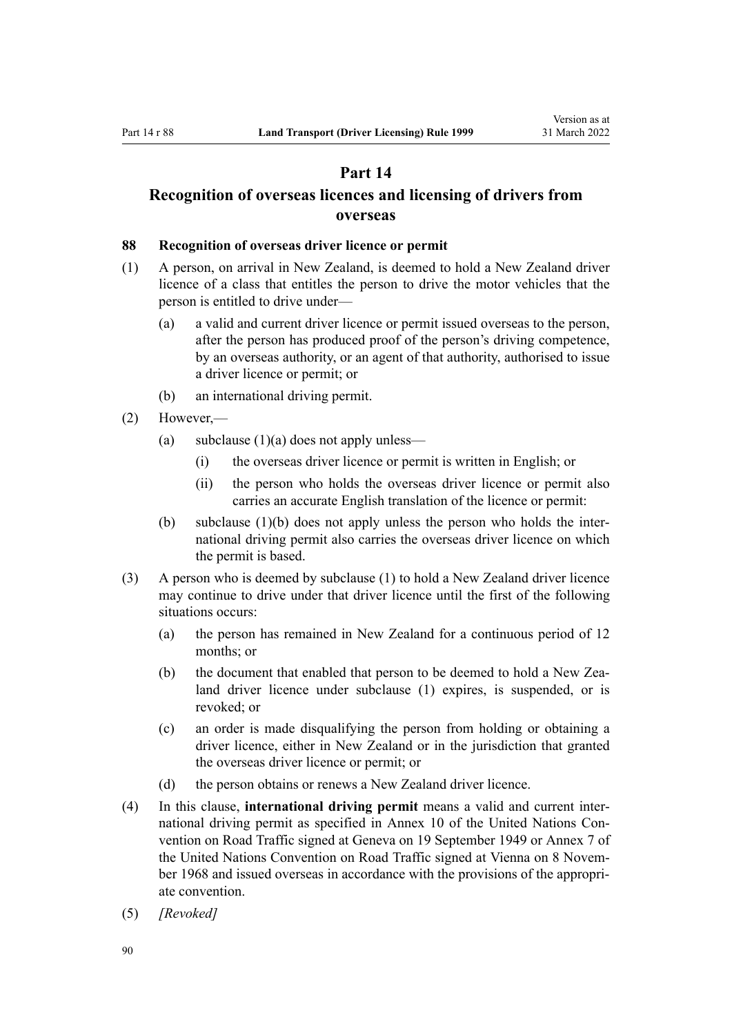# **Part 14**

# <span id="page-89-0"></span>**Recognition of overseas licences and licensing of drivers from overseas**

#### **88 Recognition of overseas driver licence or permit**

- (1) A person, on arrival in New Zealand, is deemed to hold a New Zealand driver licence of a class that entitles the person to drive the motor vehicles that the person is entitled to drive under—
	- (a) a valid and current driver licence or permit issued overseas to the person, after the person has produced proof of the person's driving competence, by an overseas authority, or an agent of that authority, authorised to issue a driver licence or permit; or
	- (b) an international driving permit.
- (2) However,—
	- (a) subclause  $(1)(a)$  does not apply unless—
		- (i) the overseas driver licence or permit is written in English; or
		- (ii) the person who holds the overseas driver licence or permit also carries an accurate English translation of the licence or permit:
	- (b) subclause  $(1)(b)$  does not apply unless the person who holds the international driving permit also carries the overseas driver licence on which the permit is based.
- (3) A person who is deemed by subclause (1) to hold a New Zealand driver licence may continue to drive under that driver licence until the first of the following situations occurs:
	- (a) the person has remained in New Zealand for a continuous period of 12 months; or
	- (b) the document that enabled that person to be deemed to hold a New Zealand driver licence under subclause (1) expires, is suspended, or is revoked; or
	- (c) an order is made disqualifying the person from holding or obtaining a driver licence, either in New Zealand or in the jurisdiction that granted the overseas driver licence or permit; or
	- (d) the person obtains or renews a New Zealand driver licence.
- (4) In this clause, **international driving permit** means a valid and current inter‐ national driving permit as specified in Annex 10 of the United Nations Convention on Road Traffic signed at Geneva on 19 September 1949 or Annex 7 of the United Nations Convention on Road Traffic signed at Vienna on 8 November 1968 and issued overseas in accordance with the provisions of the appropriate convention.
- (5) *[Revoked]*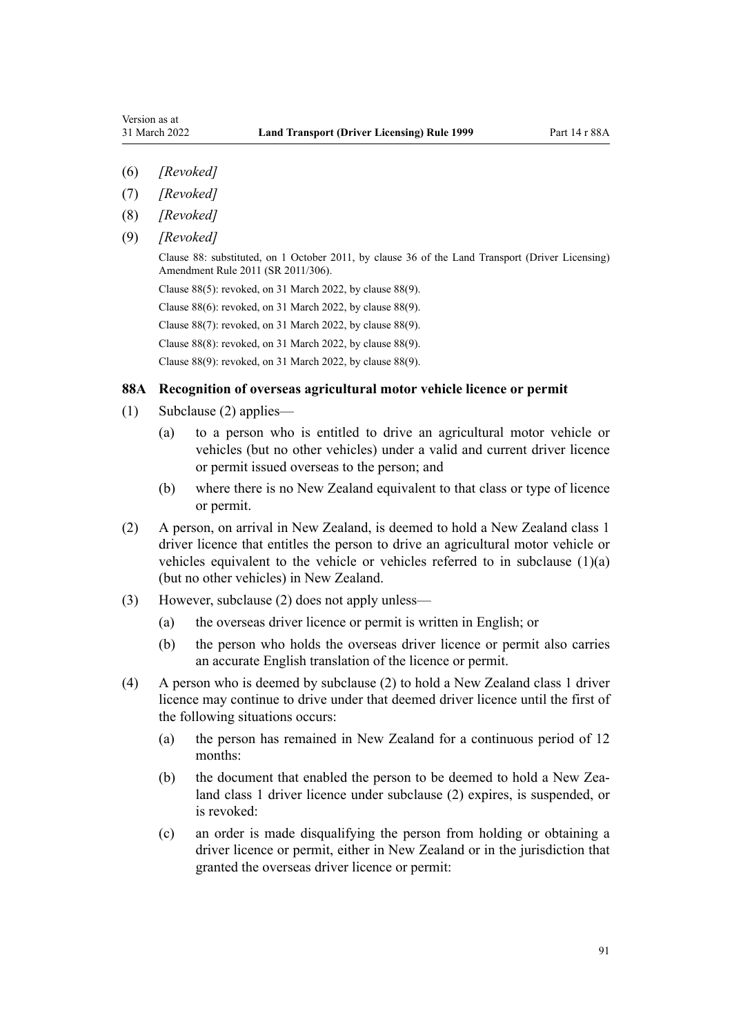- (6) *[Revoked]*
- (7) *[Revoked]*
- (8) *[Revoked]*
- (9) *[Revoked]*

Clause 88: substituted, on 1 October 2011, by [clause 36](http://legislation.govt.nz/pdflink.aspx?id=DLM3956741) of the Land Transport (Driver Licensing) Amendment Rule 2011 (SR 2011/306).

Clause 88(5): revoked, on 31 March 2022, by clause 88(9).

Clause 88(6): revoked, on 31 March 2022, by clause 88(9).

Clause 88(7): revoked, on 31 March 2022, by clause 88(9).

Clause 88(8): revoked, on 31 March 2022, by clause 88(9).

Clause 88(9): revoked, on 31 March 2022, by clause 88(9).

### **88A Recognition of overseas agricultural motor vehicle licence or permit**

- (1) Subclause (2) applies—
	- (a) to a person who is entitled to drive an agricultural motor vehicle or vehicles (but no other vehicles) under a valid and current driver licence or permit issued overseas to the person; and
	- (b) where there is no New Zealand equivalent to that class or type of licence or permit.
- (2) A person, on arrival in New Zealand, is deemed to hold a New Zealand class 1 driver licence that entitles the person to drive an agricultural motor vehicle or vehicles equivalent to the vehicle or vehicles referred to in subclause (1)(a) (but no other vehicles) in New Zealand.
- (3) However, subclause (2) does not apply unless—
	- (a) the overseas driver licence or permit is written in English; or
	- (b) the person who holds the overseas driver licence or permit also carries an accurate English translation of the licence or permit.
- (4) A person who is deemed by subclause (2) to hold a New Zealand class 1 driver licence may continue to drive under that deemed driver licence until the first of the following situations occurs:
	- (a) the person has remained in New Zealand for a continuous period of 12 months:
	- (b) the document that enabled the person to be deemed to hold a New Zealand class 1 driver licence under subclause (2) expires, is suspended, or is revoked:
	- (c) an order is made disqualifying the person from holding or obtaining a driver licence or permit, either in New Zealand or in the jurisdiction that granted the overseas driver licence or permit: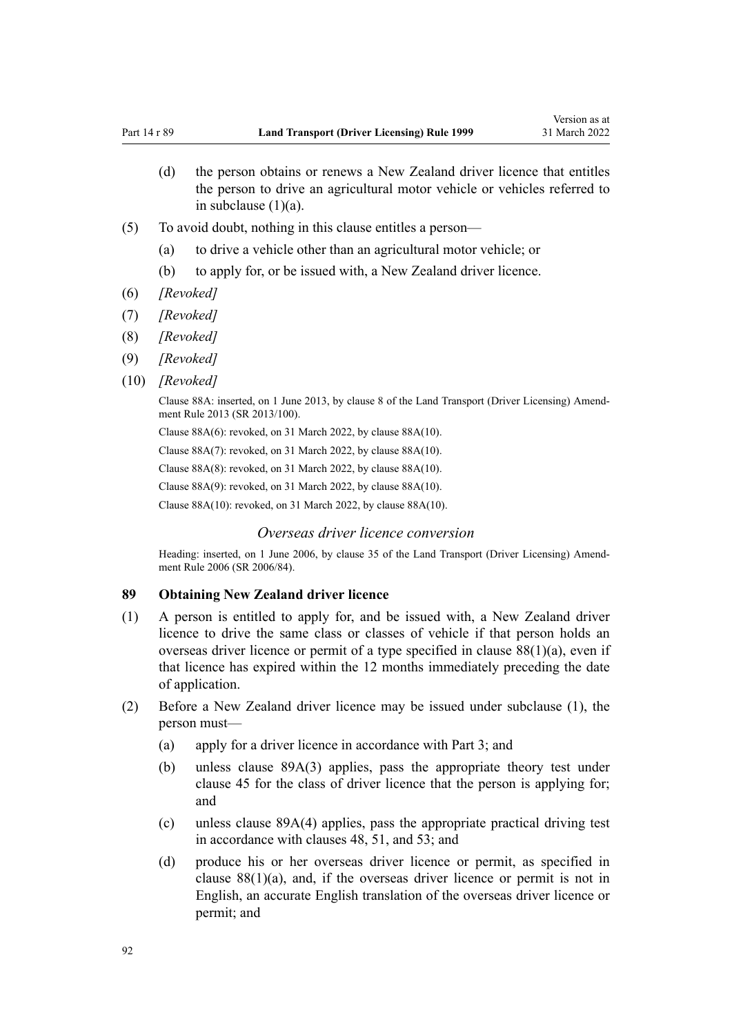- <span id="page-91-0"></span>(d) the person obtains or renews a New Zealand driver licence that entitles the person to drive an agricultural motor vehicle or vehicles referred to in subclause (1)(a).
- (5) To avoid doubt, nothing in this clause entitles a person—
	- (a) to drive a vehicle other than an agricultural motor vehicle; or
	- (b) to apply for, or be issued with, a New Zealand driver licence.
- (6) *[Revoked]*
- (7) *[Revoked]*
- (8) *[Revoked]*
- (9) *[Revoked]*
- (10) *[Revoked]*

Clause 88A: inserted, on 1 June 2013, by [clause 8](http://legislation.govt.nz/pdflink.aspx?id=DLM5102244) of the Land Transport (Driver Licensing) Amend‐ ment Rule 2013 (SR 2013/100).

Clause 88A(6): revoked, on 31 March 2022, by clause 88A(10).

Clause 88A(7): revoked, on 31 March 2022, by clause 88A(10).

Clause 88A(8): revoked, on 31 March 2022, by clause 88A(10).

Clause 88A(9): revoked, on 31 March 2022, by clause 88A(10).

Clause 88A(10): revoked, on 31 March 2022, by clause 88A(10).

# *Overseas driver licence conversion*

Heading: inserted, on 1 June 2006, by [clause 35](http://legislation.govt.nz/pdflink.aspx?id=DLM376131) of the Land Transport (Driver Licensing) Amendment Rule 2006 (SR 2006/84).

### **89 Obtaining New Zealand driver licence**

- (1) A person is entitled to apply for, and be issued with, a New Zealand driver licence to drive the same class or classes of vehicle if that person holds an overseas driver licence or permit of a type specified in [clause 88\(1\)\(a\),](#page-89-0) even if that licence has expired within the 12 months immediately preceding the date of application.
- (2) Before a New Zealand driver licence may be issued under subclause (1), the person must—
	- (a) apply for a driver licence in accordance with [Part 3;](#page-21-0) and
	- (b) unless [clause 89A\(3\)](#page-93-0) applies, pass the appropriate theory test under [clause 45](#page-56-0) for the class of driver licence that the person is applying for; and
	- (c) unless [clause 89A\(4\)](#page-93-0) applies, pass the appropriate practical driving test in accordance with [clauses 48,](#page-57-0) [51,](#page-58-0) and [53](#page-59-0); and
	- (d) produce his or her overseas driver licence or permit, as specified in clause  $88(1)(a)$ , and, if the overseas driver licence or permit is not in English, an accurate English translation of the overseas driver licence or permit; and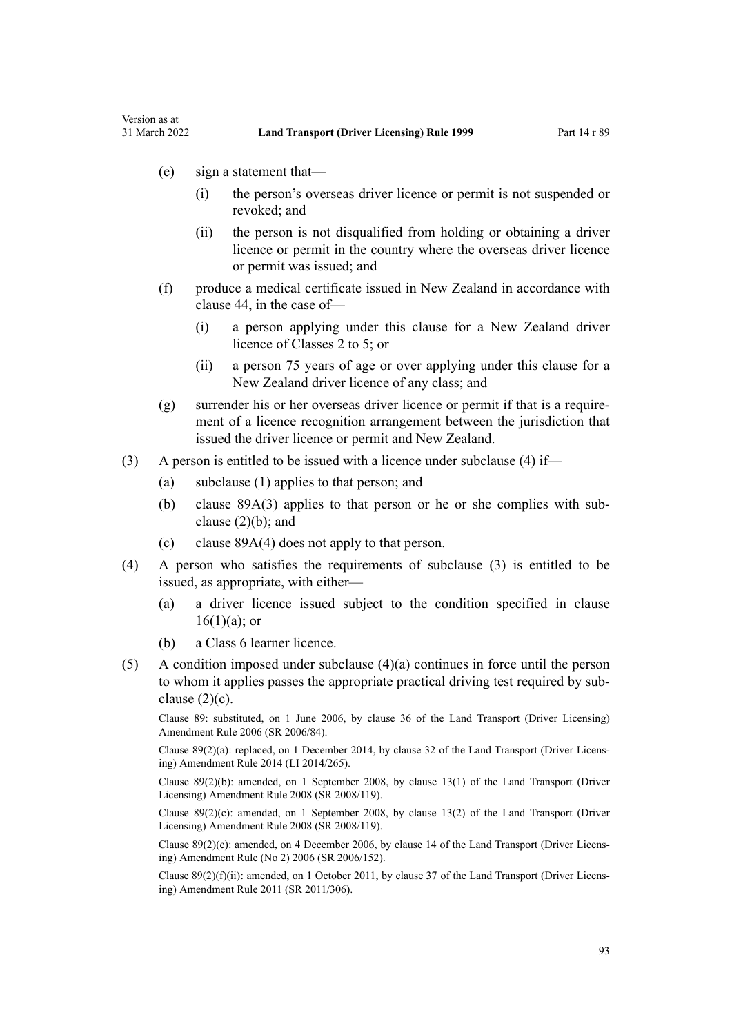(e) sign a statement that—

Version as at

- (i) the person's overseas driver licence or permit is not suspended or revoked; and
- (ii) the person is not disqualified from holding or obtaining a driver licence or permit in the country where the overseas driver licence or permit was issued; and
- (f) produce a medical certificate issued in New Zealand in accordance with [clause 44](#page-54-0), in the case of—
	- (i) a person applying under this clause for a New Zealand driver licence of Classes 2 to 5; or
	- (ii) a person 75 years of age or over applying under this clause for a New Zealand driver licence of any class; and
- (g) surrender his or her overseas driver licence or permit if that is a require‐ ment of a licence recognition arrangement between the jurisdiction that issued the driver licence or permit and New Zealand.
- (3) A person is entitled to be issued with a licence under subclause (4) if—
	- (a) subclause (1) applies to that person; and
	- (b) clause  $89A(3)$  applies to that person or he or she complies with subclause  $(2)(b)$ ; and
	- (c) [clause 89A\(4\)](#page-93-0) does not apply to that person.
- (4) A person who satisfies the requirements of subclause (3) is entitled to be issued, as appropriate, with either—
	- (a) a driver licence issued subject to the condition specified in [clause](#page-27-0)  $16(1)(a)$ ; or
	- (b) a Class 6 learner licence.
- $(5)$  A condition imposed under subclause  $(4)(a)$  continues in force until the person to whom it applies passes the appropriate practical driving test required by sub‐ clause  $(2)(c)$ .

Clause 89: substituted, on 1 June 2006, by [clause 36](http://legislation.govt.nz/pdflink.aspx?id=DLM376133) of the Land Transport (Driver Licensing) Amendment Rule 2006 (SR 2006/84).

Clause 89(2)(a): replaced, on 1 December 2014, by [clause 32](http://legislation.govt.nz/pdflink.aspx?id=DLM6216946) of the Land Transport (Driver Licens‐ ing) Amendment Rule 2014 (LI 2014/265).

Clause 89(2)(b): amended, on 1 September 2008, by [clause 13\(1\)](http://legislation.govt.nz/pdflink.aspx?id=DLM1317919) of the Land Transport (Driver Licensing) Amendment Rule 2008 (SR 2008/119).

Clause  $89(2)(c)$ : amended, on 1 September 2008, by [clause 13\(2\)](http://legislation.govt.nz/pdflink.aspx?id=DLM1317919) of the Land Transport (Driver Licensing) Amendment Rule 2008 (SR 2008/119).

Clause  $89(2)(c)$ : amended, on 4 December 2006, by [clause 14](http://legislation.govt.nz/pdflink.aspx?id=DLM386155) of the Land Transport (Driver Licensing) Amendment Rule (No 2) 2006 (SR 2006/152).

Clause  $89(2)(f)(ii)$ : amended, on 1 October 2011, by [clause 37](http://legislation.govt.nz/pdflink.aspx?id=DLM3956744) of the Land Transport (Driver Licensing) Amendment Rule 2011 (SR 2011/306).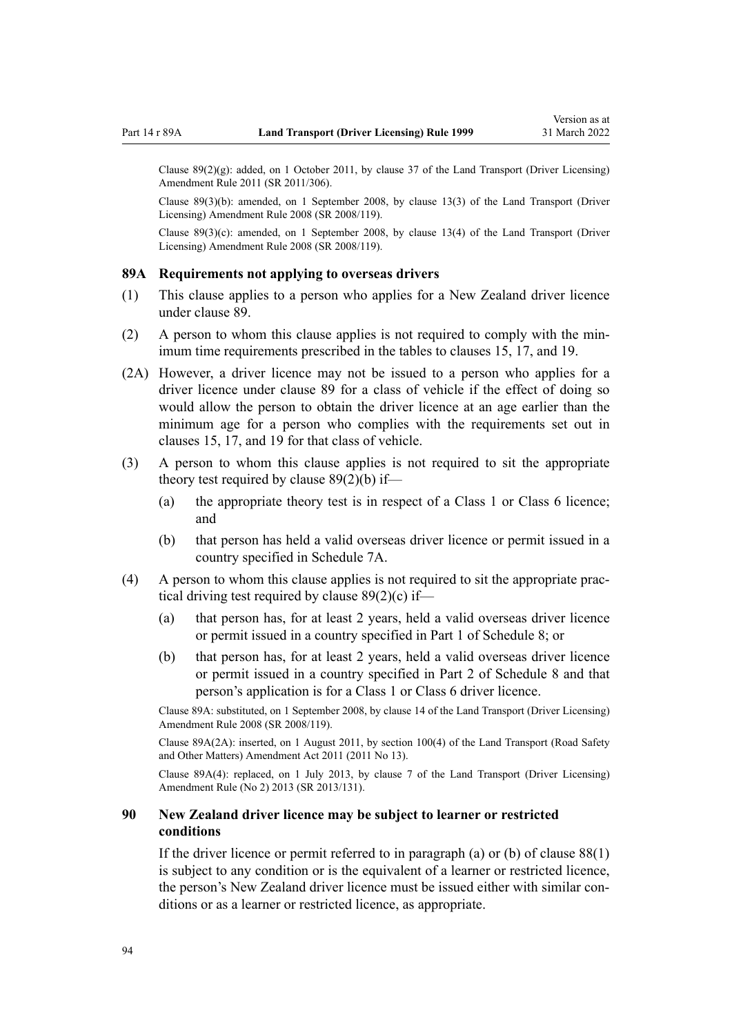<span id="page-93-0"></span>Clause  $89(2)(g)$ : added, on 1 October 2011, by [clause 37](http://legislation.govt.nz/pdflink.aspx?id=DLM3956744) of the Land Transport (Driver Licensing) Amendment Rule 2011 (SR 2011/306).

Clause 89(3)(b): amended, on 1 September 2008, by [clause 13\(3\)](http://legislation.govt.nz/pdflink.aspx?id=DLM1317919) of the Land Transport (Driver Licensing) Amendment Rule 2008 (SR 2008/119).

Clause 89(3)(c): amended, on 1 September 2008, by [clause 13\(4\)](http://legislation.govt.nz/pdflink.aspx?id=DLM1317919) of the Land Transport (Driver Licensing) Amendment Rule 2008 (SR 2008/119).

### **89A Requirements not applying to overseas drivers**

- (1) This clause applies to a person who applies for a New Zealand driver licence under [clause 89](#page-91-0).
- (2) A person to whom this clause applies is not required to comply with the min‐ imum time requirements prescribed in the tables to [clauses 15,](#page-26-0) [17](#page-28-0), and [19.](#page-30-0)
- (2A) However, a driver licence may not be issued to a person who applies for a driver licence under [clause 89](#page-91-0) for a class of vehicle if the effect of doing so would allow the person to obtain the driver licence at an age earlier than the minimum age for a person who complies with the requirements set out in [clauses 15,](#page-26-0) [17](#page-28-0), and [19](#page-30-0) for that class of vehicle.
- (3) A person to whom this clause applies is not required to sit the appropriate theory test required by clause  $89(2)(b)$  if—
	- (a) the appropriate theory test is in respect of a Class 1 or Class 6 licence; and
	- (b) that person has held a valid overseas driver licence or permit issued in a country specified in [Schedule 7A.](#page-117-0)
- (4) A person to whom this clause applies is not required to sit the appropriate prac‐ tical driving test required by [clause 89\(2\)\(c\)](#page-91-0) if—
	- (a) that person has, for at least 2 years, held a valid overseas driver licence or permit issued in a country specified in [Part 1](#page-118-0) of Schedule 8; or
	- (b) that person has, for at least 2 years, held a valid overseas driver licence or permit issued in a country specified in [Part 2](#page-119-0) of Schedule 8 and that person's application is for a Class 1 or Class 6 driver licence.

Clause 89A: substituted, on 1 September 2008, by [clause 14](http://legislation.govt.nz/pdflink.aspx?id=DLM1317920) of the Land Transport (Driver Licensing) Amendment Rule 2008 (SR 2008/119).

Clause 89A(2A): inserted, on 1 August 2011, by [section 100\(4\)](http://legislation.govt.nz/pdflink.aspx?id=DLM3231293) of the Land Transport (Road Safety and Other Matters) Amendment Act 2011 (2011 No 13).

Clause 89A(4): replaced, on 1 July 2013, by [clause 7](http://legislation.govt.nz/pdflink.aspx?id=DLM5159812) of the Land Transport (Driver Licensing) Amendment Rule (No 2) 2013 (SR 2013/131).

# **90 New Zealand driver licence may be subject to learner or restricted conditions**

If the driver licence or permit referred to in paragraph (a) or (b) of clause  $88(1)$ is subject to any condition or is the equivalent of a learner or restricted licence, the person's New Zealand driver licence must be issued either with similar conditions or as a learner or restricted licence, as appropriate.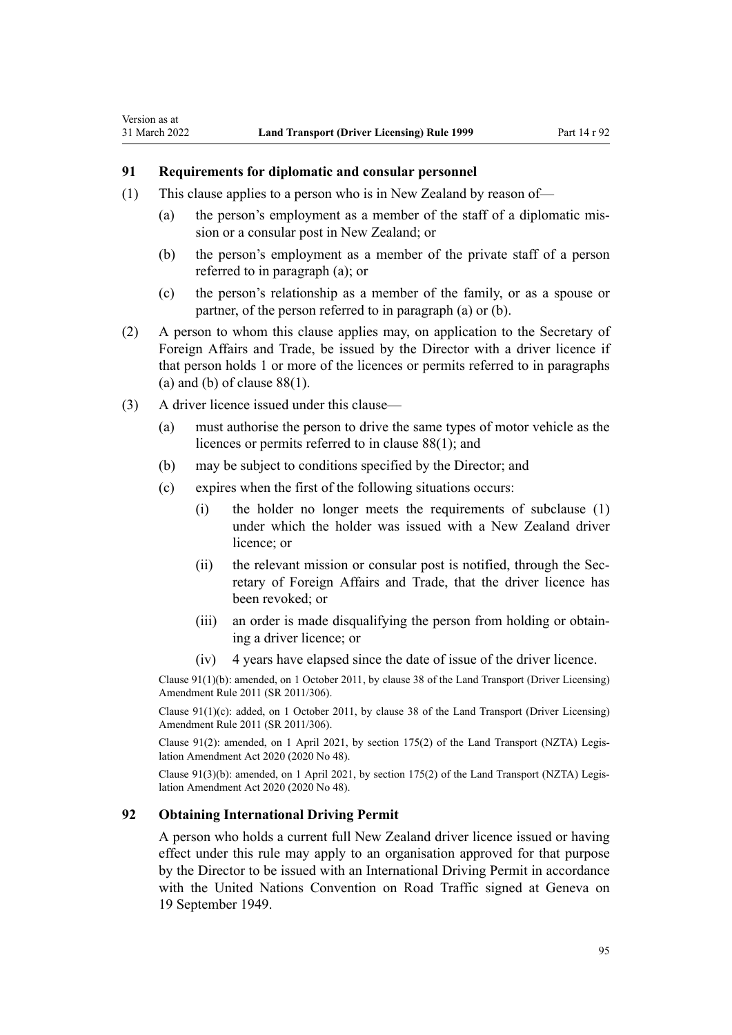# **91 Requirements for diplomatic and consular personnel**

Version as at

- (1) This clause applies to a person who is in New Zealand by reason of—
	- (a) the person's employment as a member of the staff of a diplomatic mis‐ sion or a consular post in New Zealand; or
	- (b) the person's employment as a member of the private staff of a person referred to in paragraph (a); or
	- (c) the person's relationship as a member of the family, or as a spouse or partner, of the person referred to in paragraph (a) or (b).
- (2) A person to whom this clause applies may, on application to the Secretary of Foreign Affairs and Trade, be issued by the Director with a driver licence if that person holds 1 or more of the licences or permits referred to in paragraphs (a) and (b) of clause  $88(1)$ .
- (3) A driver licence issued under this clause—
	- (a) must authorise the person to drive the same types of motor vehicle as the licences or permits referred to in [clause 88\(1\)](#page-89-0); and
	- (b) may be subject to conditions specified by the Director; and
	- (c) expires when the first of the following situations occurs:
		- (i) the holder no longer meets the requirements of subclause (1) under which the holder was issued with a New Zealand driver licence; or
		- (ii) the relevant mission or consular post is notified, through the Secretary of Foreign Affairs and Trade, that the driver licence has been revoked; or
		- (iii) an order is made disqualifying the person from holding or obtain‐ ing a driver licence; or
		- (iv) 4 years have elapsed since the date of issue of the driver licence.

Clause 91(1)(b): amended, on 1 October 2011, by [clause 38](http://legislation.govt.nz/pdflink.aspx?id=DLM3956745) of the Land Transport (Driver Licensing) Amendment Rule 2011 (SR 2011/306).

Clause  $91(1)(c)$ : added, on 1 October 2011, by [clause 38](http://legislation.govt.nz/pdflink.aspx?id=DLM3956745) of the Land Transport (Driver Licensing) Amendment Rule 2011 (SR 2011/306).

Clause 91(2): amended, on 1 April 2021, by [section 175\(2\)](http://legislation.govt.nz/pdflink.aspx?id=LMS286883) of the Land Transport (NZTA) Legis‐ lation Amendment Act 2020 (2020 No 48).

Clause  $91(3)(b)$ : amended, on 1 April 2021, by [section 175\(2\)](http://legislation.govt.nz/pdflink.aspx?id=LMS286883) of the Land Transport (NZTA) Legislation Amendment Act 2020 (2020 No 48).

### **92 Obtaining International Driving Permit**

A person who holds a current full New Zealand driver licence issued or having effect under this rule may apply to an organisation approved for that purpose by the Director to be issued with an International Driving Permit in accordance with the United Nations Convention on Road Traffic signed at Geneva on 19 September 1949.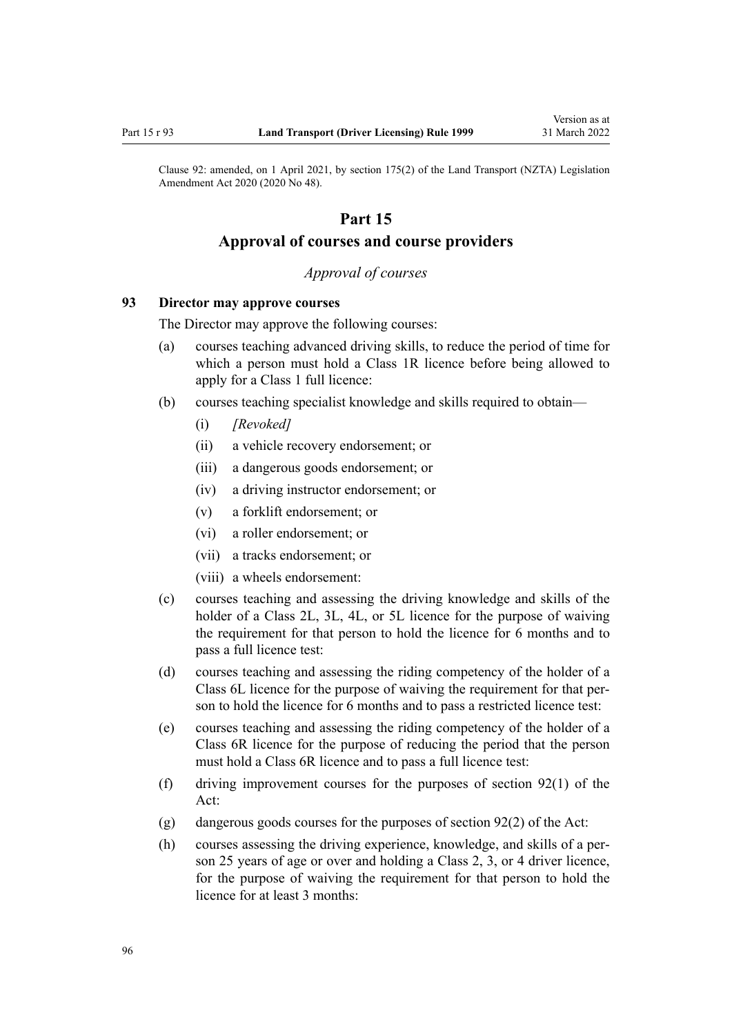<span id="page-95-0"></span>Clause 92: amended, on 1 April 2021, by [section 175\(2\)](http://legislation.govt.nz/pdflink.aspx?id=LMS286883) of the Land Transport (NZTA) Legislation Amendment Act 2020 (2020 No 48).

# **Part 15**

# **Approval of courses and course providers**

# *Approval of courses*

# **93 Director may approve courses**

The Director may approve the following courses:

- (a) courses teaching advanced driving skills, to reduce the period of time for which a person must hold a Class 1R licence before being allowed to apply for a Class 1 full licence:
- (b) courses teaching specialist knowledge and skills required to obtain—
	- (i) *[Revoked]*
	- (ii) a vehicle recovery endorsement; or
	- (iii) a dangerous goods endorsement; or
	- (iv) a driving instructor endorsement; or
	- (v) a forklift endorsement; or
	- (vi) a roller endorsement; or
	- (vii) a tracks endorsement; or
	- (viii) a wheels endorsement:
- (c) courses teaching and assessing the driving knowledge and skills of the holder of a Class 2L, 3L, 4L, or 5L licence for the purpose of waiving the requirement for that person to hold the licence for 6 months and to pass a full licence test:
- (d) courses teaching and assessing the riding competency of the holder of a Class 6L licence for the purpose of waiving the requirement for that per‐ son to hold the licence for 6 months and to pass a restricted licence test:
- (e) courses teaching and assessing the riding competency of the holder of a Class 6R licence for the purpose of reducing the period that the person must hold a Class 6R licence and to pass a full licence test:
- (f) driving improvement courses for the purposes of [section 92\(1\)](http://legislation.govt.nz/pdflink.aspx?id=DLM435016) of the Act:
- (g) dangerous goods courses for the purposes of [section 92\(2\)](http://legislation.govt.nz/pdflink.aspx?id=DLM435016) of the Act:
- (h) courses assessing the driving experience, knowledge, and skills of a per‐ son 25 years of age or over and holding a Class 2, 3, or 4 driver licence, for the purpose of waiving the requirement for that person to hold the licence for at least 3 months: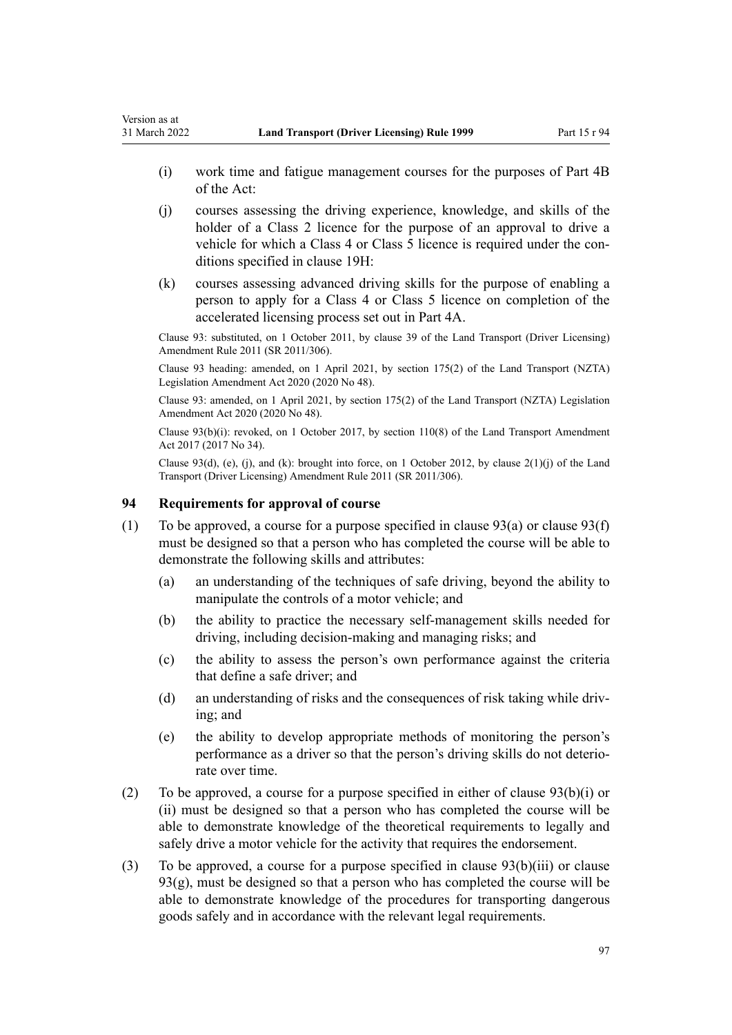- <span id="page-96-0"></span>(i) work time and fatigue management courses for the purposes of [Part 4B](http://legislation.govt.nz/pdflink.aspx?id=DLM434620) of the Act:
- (j) courses assessing the driving experience, knowledge, and skills of the holder of a Class 2 licence for the purpose of an approval to drive a vehicle for which a Class 4 or Class 5 licence is required under the conditions specified in [clause 19H](#page-36-0):
- (k) courses assessing advanced driving skills for the purpose of enabling a person to apply for a Class 4 or Class 5 licence on completion of the accelerated licensing process set out in [Part 4A](#page-33-0).

Clause 93: substituted, on 1 October 2011, by [clause 39](http://legislation.govt.nz/pdflink.aspx?id=DLM3956519) of the Land Transport (Driver Licensing) Amendment Rule 2011 (SR 2011/306).

Clause 93 heading: amended, on 1 April 2021, by [section 175\(2\)](http://legislation.govt.nz/pdflink.aspx?id=LMS286883) of the Land Transport (NZTA) Legislation Amendment Act 2020 (2020 No 48).

Clause 93: amended, on 1 April 2021, by [section 175\(2\)](http://legislation.govt.nz/pdflink.aspx?id=LMS286883) of the Land Transport (NZTA) Legislation Amendment Act 2020 (2020 No 48).

Clause  $93(b)(i)$ : revoked, on 1 October 2017, by [section 110\(8\)](http://legislation.govt.nz/pdflink.aspx?id=DLM6960929) of the Land Transport Amendment Act 2017 (2017 No 34).

Clause 93(d), (e), (j), and (k): brought into force, on 1 October 2012, by [clause 2\(1\)\(j\)](http://legislation.govt.nz/pdflink.aspx?id=DLM3956578) of the Land Transport (Driver Licensing) Amendment Rule 2011 (SR 2011/306).

# **94 Requirements for approval of course**

- (1) To be approved, a course for a purpose specified in clause  $93(a)$  or clause  $93(f)$ must be designed so that a person who has completed the course will be able to demonstrate the following skills and attributes:
	- (a) an understanding of the techniques of safe driving, beyond the ability to manipulate the controls of a motor vehicle; and
	- (b) the ability to practice the necessary self-management skills needed for driving, including decision-making and managing risks; and
	- (c) the ability to assess the person's own performance against the criteria that define a safe driver; and
	- (d) an understanding of risks and the consequences of risk taking while driving; and
	- (e) the ability to develop appropriate methods of monitoring the person's performance as a driver so that the person's driving skills do not deterio‐ rate over time.
- (2) To be approved, a course for a purpose specified in either of [clause 93\(b\)\(i\) or](#page-95-0) [\(ii\)](#page-95-0) must be designed so that a person who has completed the course will be able to demonstrate knowledge of the theoretical requirements to legally and safely drive a motor vehicle for the activity that requires the endorsement.
- (3) To be approved, a course for a purpose specified in [clause 93\(b\)\(iii\)](#page-95-0) or clause  $93(g)$ , must be designed so that a person who has completed the course will be able to demonstrate knowledge of the procedures for transporting dangerous goods safely and in accordance with the relevant legal requirements.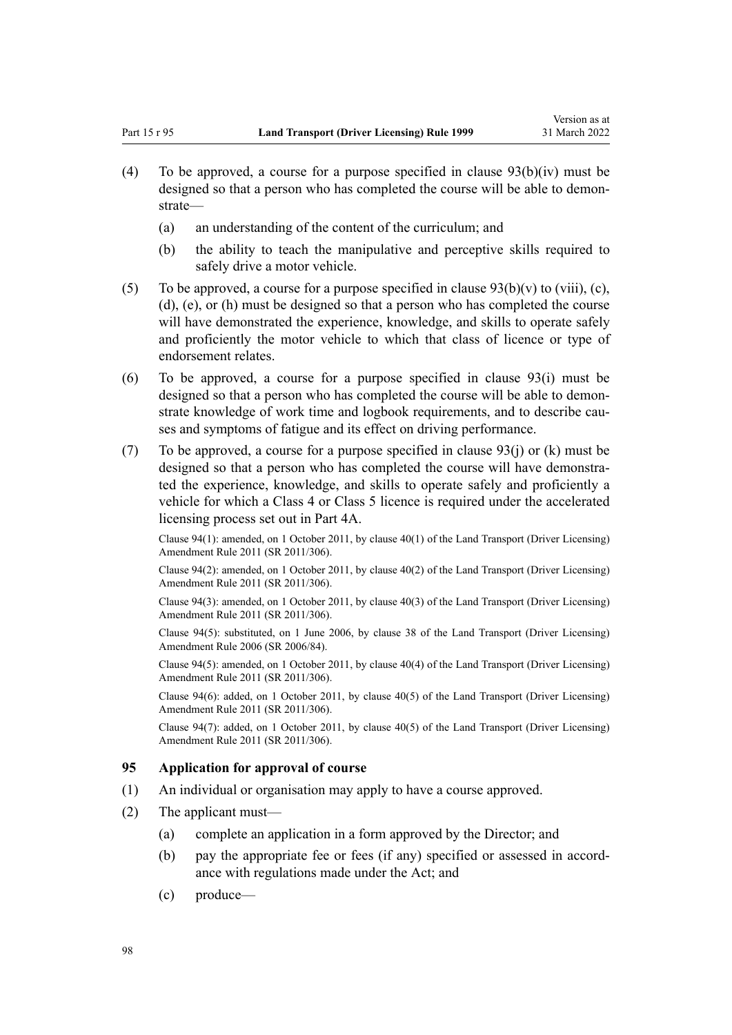- <span id="page-97-0"></span>(4) To be approved, a course for a purpose specified in clause  $93(b)(iv)$  must be designed so that a person who has completed the course will be able to demonstrate—
	- (a) an understanding of the content of the curriculum; and
	- (b) the ability to teach the manipulative and perceptive skills required to safely drive a motor vehicle.
- (5) To be approved, a course for a purpose specified in clause  $93(b)(v)$  to (viii), (c), [\(d\), \(e\), or \(h\)](#page-95-0) must be designed so that a person who has completed the course will have demonstrated the experience, knowledge, and skills to operate safely and proficiently the motor vehicle to which that class of licence or type of endorsement relates.
- (6) To be approved, a course for a purpose specified in [clause 93\(i\)](#page-95-0) must be designed so that a person who has completed the course will be able to demonstrate knowledge of work time and logbook requirements, and to describe causes and symptoms of fatigue and its effect on driving performance.
- (7) To be approved, a course for a purpose specified in clause  $93(i)$  or (k) must be designed so that a person who has completed the course will have demonstrated the experience, knowledge, and skills to operate safely and proficiently a vehicle for which a Class 4 or Class 5 licence is required under the accelerated licensing process set out in [Part 4A](#page-33-0).

Clause 94(1): amended, on 1 October 2011, by [clause 40\(1\)](http://legislation.govt.nz/pdflink.aspx?id=DLM3956521) of the Land Transport (Driver Licensing) Amendment Rule 2011 (SR 2011/306).

Clause 94(2): amended, on 1 October 2011, by [clause 40\(2\)](http://legislation.govt.nz/pdflink.aspx?id=DLM3956521) of the Land Transport (Driver Licensing) Amendment Rule 2011 (SR 2011/306).

Clause 94(3): amended, on 1 October 2011, by [clause 40\(3\)](http://legislation.govt.nz/pdflink.aspx?id=DLM3956521) of the Land Transport (Driver Licensing) Amendment Rule 2011 (SR 2011/306).

Clause 94(5): substituted, on 1 June 2006, by [clause 38](http://legislation.govt.nz/pdflink.aspx?id=DLM376137) of the Land Transport (Driver Licensing) Amendment Rule 2006 (SR 2006/84).

Clause 94(5): amended, on 1 October 2011, by [clause 40\(4\)](http://legislation.govt.nz/pdflink.aspx?id=DLM3956521) of the Land Transport (Driver Licensing) Amendment Rule 2011 (SR 2011/306).

Clause 94(6): added, on 1 October 2011, by [clause 40\(5\)](http://legislation.govt.nz/pdflink.aspx?id=DLM3956521) of the Land Transport (Driver Licensing) Amendment Rule 2011 (SR 2011/306).

Clause 94(7): added, on 1 October 2011, by [clause 40\(5\)](http://legislation.govt.nz/pdflink.aspx?id=DLM3956521) of the Land Transport (Driver Licensing) Amendment Rule 2011 (SR 2011/306).

### **95 Application for approval of course**

- (1) An individual or organisation may apply to have a course approved.
- (2) The applicant must—
	- (a) complete an application in a form approved by the Director; and
	- (b) pay the appropriate fee or fees (if any) specified or assessed in accordance with regulations made under the Act; and
	- (c) produce—

98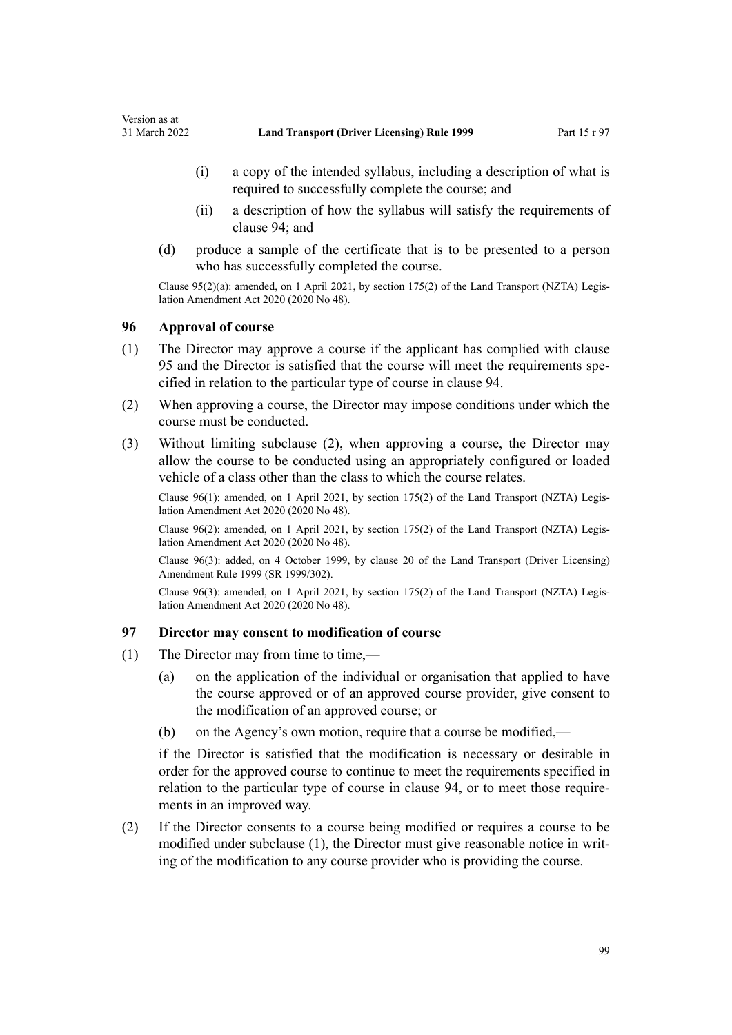- <span id="page-98-0"></span>(i) a copy of the intended syllabus, including a description of what is required to successfully complete the course; and
- (ii) a description of how the syllabus will satisfy the requirements of [clause 94](#page-96-0); and
- (d) produce a sample of the certificate that is to be presented to a person who has successfully completed the course.

Clause 95(2)(a): amended, on 1 April 2021, by [section 175\(2\)](http://legislation.govt.nz/pdflink.aspx?id=LMS286883) of the Land Transport (NZTA) Legis‐ lation Amendment Act 2020 (2020 No 48).

### **96 Approval of course**

- (1) The Director may approve a course if the applicant has complied with [clause](#page-97-0) [95](#page-97-0) and the Director is satisfied that the course will meet the requirements specified in relation to the particular type of course in [clause 94.](#page-96-0)
- (2) When approving a course, the Director may impose conditions under which the course must be conducted.
- (3) Without limiting subclause (2), when approving a course, the Director may allow the course to be conducted using an appropriately configured or loaded vehicle of a class other than the class to which the course relates.

Clause 96(1): amended, on 1 April 2021, by [section 175\(2\)](http://legislation.govt.nz/pdflink.aspx?id=LMS286883) of the Land Transport (NZTA) Legis‐ lation Amendment Act 2020 (2020 No 48).

Clause 96(2): amended, on 1 April 2021, by [section 175\(2\)](http://legislation.govt.nz/pdflink.aspx?id=LMS286883) of the Land Transport (NZTA) Legis‐ lation Amendment Act 2020 (2020 No 48).

Clause 96(3): added, on 4 October 1999, by [clause 20](http://legislation.govt.nz/pdflink.aspx?id=DLM293689) of the Land Transport (Driver Licensing) Amendment Rule 1999 (SR 1999/302).

Clause 96(3): amended, on 1 April 2021, by [section 175\(2\)](http://legislation.govt.nz/pdflink.aspx?id=LMS286883) of the Land Transport (NZTA) Legis‐ lation Amendment Act 2020 (2020 No 48).

# **97 Director may consent to modification of course**

- (1) The Director may from time to time,—
	- (a) on the application of the individual or organisation that applied to have the course approved or of an approved course provider, give consent to the modification of an approved course; or
	- (b) on the Agency's own motion, require that a course be modified,—

if the Director is satisfied that the modification is necessary or desirable in order for the approved course to continue to meet the requirements specified in relation to the particular type of course in [clause 94](#page-96-0), or to meet those requirements in an improved way.

(2) If the Director consents to a course being modified or requires a course to be modified under subclause (1), the Director must give reasonable notice in writing of the modification to any course provider who is providing the course.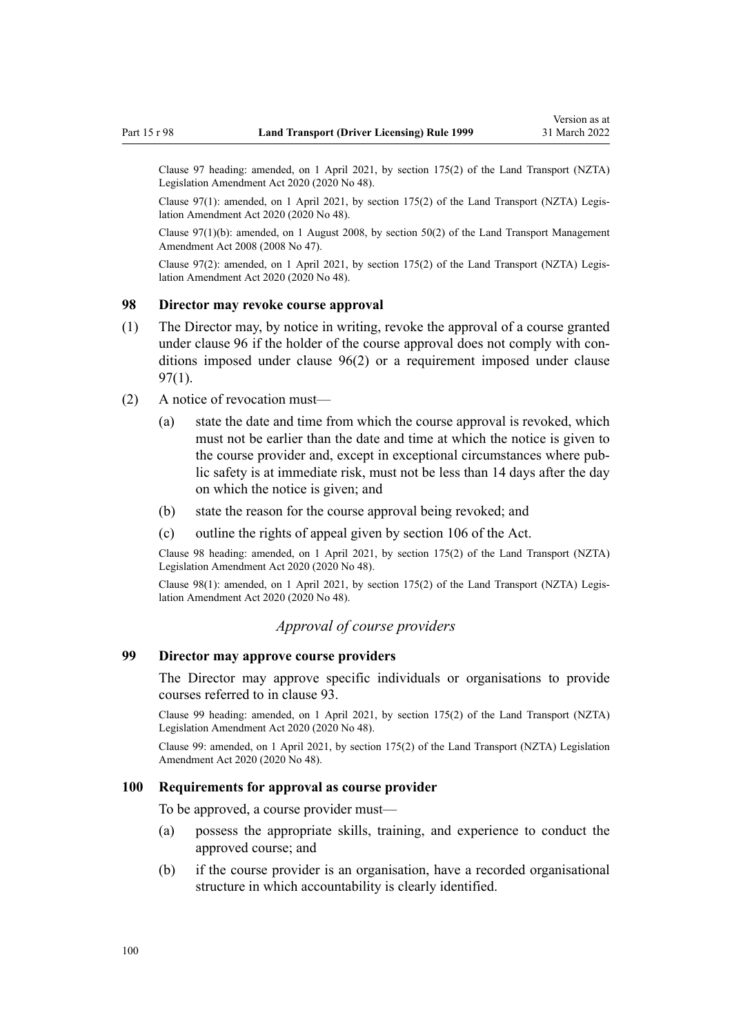<span id="page-99-0"></span>Clause 97 heading: amended, on 1 April 2021, by [section 175\(2\)](http://legislation.govt.nz/pdflink.aspx?id=LMS286883) of the Land Transport (NZTA) Legislation Amendment Act 2020 (2020 No 48).

Clause 97(1): amended, on 1 April 2021, by [section 175\(2\)](http://legislation.govt.nz/pdflink.aspx?id=LMS286883) of the Land Transport (NZTA) Legislation Amendment Act 2020 (2020 No 48).

Clause 97(1)(b): amended, on 1 August 2008, by [section 50\(2\)](http://legislation.govt.nz/pdflink.aspx?id=DLM1313622) of the Land Transport Management Amendment Act 2008 (2008 No 47).

Clause 97(2): amended, on 1 April 2021, by [section 175\(2\)](http://legislation.govt.nz/pdflink.aspx?id=LMS286883) of the Land Transport (NZTA) Legis‐ lation Amendment Act 2020 (2020 No 48).

### **98 Director may revoke course approval**

- (1) The Director may, by notice in writing, revoke the approval of a course granted under [clause 96](#page-98-0) if the holder of the course approval does not comply with conditions imposed under [clause 96\(2\)](#page-98-0) or a requirement imposed under [clause](#page-98-0) [97\(1\)](#page-98-0).
- (2) A notice of revocation must—
	- (a) state the date and time from which the course approval is revoked, which must not be earlier than the date and time at which the notice is given to the course provider and, except in exceptional circumstances where pub‐ lic safety is at immediate risk, must not be less than 14 days after the day on which the notice is given; and
	- (b) state the reason for the course approval being revoked; and
	- (c) outline the rights of appeal given by [section 106](http://legislation.govt.nz/pdflink.aspx?id=DLM435083) of the Act.

Clause 98 heading: amended, on 1 April 2021, by [section 175\(2\)](http://legislation.govt.nz/pdflink.aspx?id=LMS286883) of the Land Transport (NZTA) Legislation Amendment Act 2020 (2020 No 48).

Clause 98(1): amended, on 1 April 2021, by [section 175\(2\)](http://legislation.govt.nz/pdflink.aspx?id=LMS286883) of the Land Transport (NZTA) Legis‐ lation Amendment Act 2020 (2020 No 48).

# *Approval of course providers*

# **99 Director may approve course providers**

The Director may approve specific individuals or organisations to provide courses referred to in [clause 93.](#page-95-0)

Clause 99 heading: amended, on 1 April 2021, by [section 175\(2\)](http://legislation.govt.nz/pdflink.aspx?id=LMS286883) of the Land Transport (NZTA) Legislation Amendment Act 2020 (2020 No 48).

Clause 99: amended, on 1 April 2021, by [section 175\(2\)](http://legislation.govt.nz/pdflink.aspx?id=LMS286883) of the Land Transport (NZTA) Legislation Amendment Act 2020 (2020 No 48).

### **100 Requirements for approval as course provider**

To be approved, a course provider must—

- (a) possess the appropriate skills, training, and experience to conduct the approved course; and
- (b) if the course provider is an organisation, have a recorded organisational structure in which accountability is clearly identified.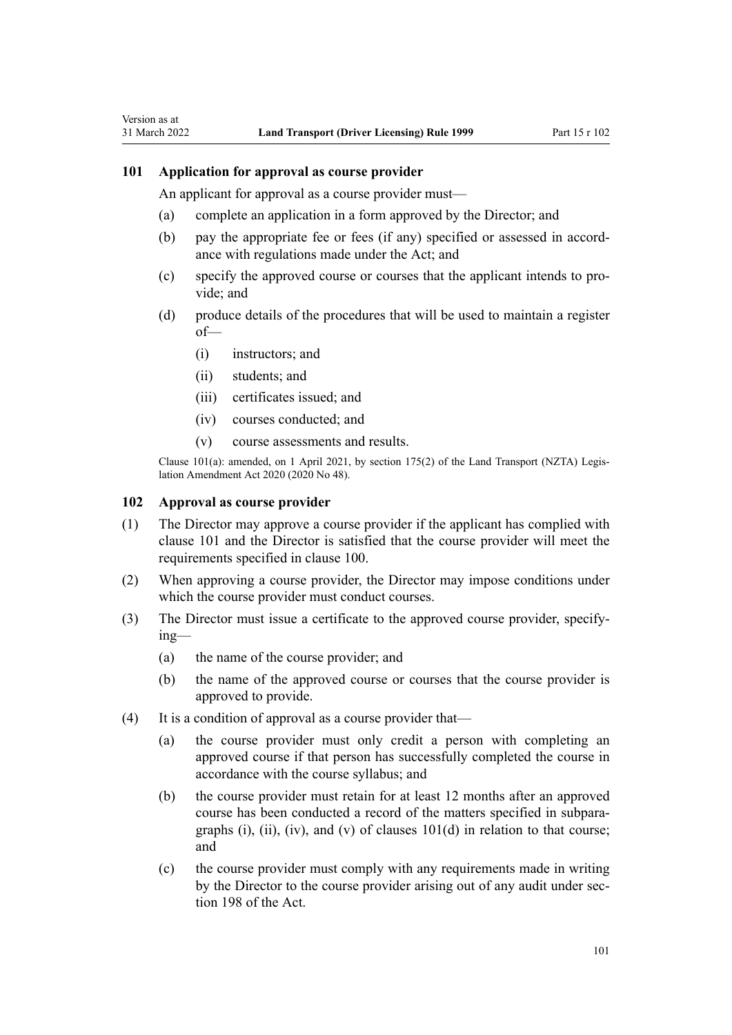### **101 Application for approval as course provider**

<span id="page-100-0"></span>Version as at

An applicant for approval as a course provider must—

- (a) complete an application in a form approved by the Director; and
- (b) pay the appropriate fee or fees (if any) specified or assessed in accord‐ ance with regulations made under the Act; and
- (c) specify the approved course or courses that the applicant intends to pro‐ vide; and
- (d) produce details of the procedures that will be used to maintain a register of—
	- (i) instructors; and
	- (ii) students; and
	- (iii) certificates issued; and
	- (iv) courses conducted; and
	- (v) course assessments and results.

Clause 101(a): amended, on 1 April 2021, by [section 175\(2\)](http://legislation.govt.nz/pdflink.aspx?id=LMS286883) of the Land Transport (NZTA) Legis‐ lation Amendment Act 2020 (2020 No 48).

#### **102 Approval as course provider**

- (1) The Director may approve a course provider if the applicant has complied with clause 101 and the Director is satisfied that the course provider will meet the requirements specified in [clause 100](#page-99-0).
- (2) When approving a course provider, the Director may impose conditions under which the course provider must conduct courses.
- (3) The Director must issue a certificate to the approved course provider, specify‐ ing—
	- (a) the name of the course provider; and
	- (b) the name of the approved course or courses that the course provider is approved to provide.
- (4) It is a condition of approval as a course provider that—
	- (a) the course provider must only credit a person with completing an approved course if that person has successfully completed the course in accordance with the course syllabus; and
	- (b) the course provider must retain for at least 12 months after an approved course has been conducted a record of the matters specified in subpara‐ graphs (i), (ii), (iv), and (v) of clauses  $101(d)$  in relation to that course; and
	- (c) the course provider must comply with any requirements made in writing by the Director to the course provider arising out of any audit under sec[tion 198](http://legislation.govt.nz/pdflink.aspx?id=DLM435602) of the Act.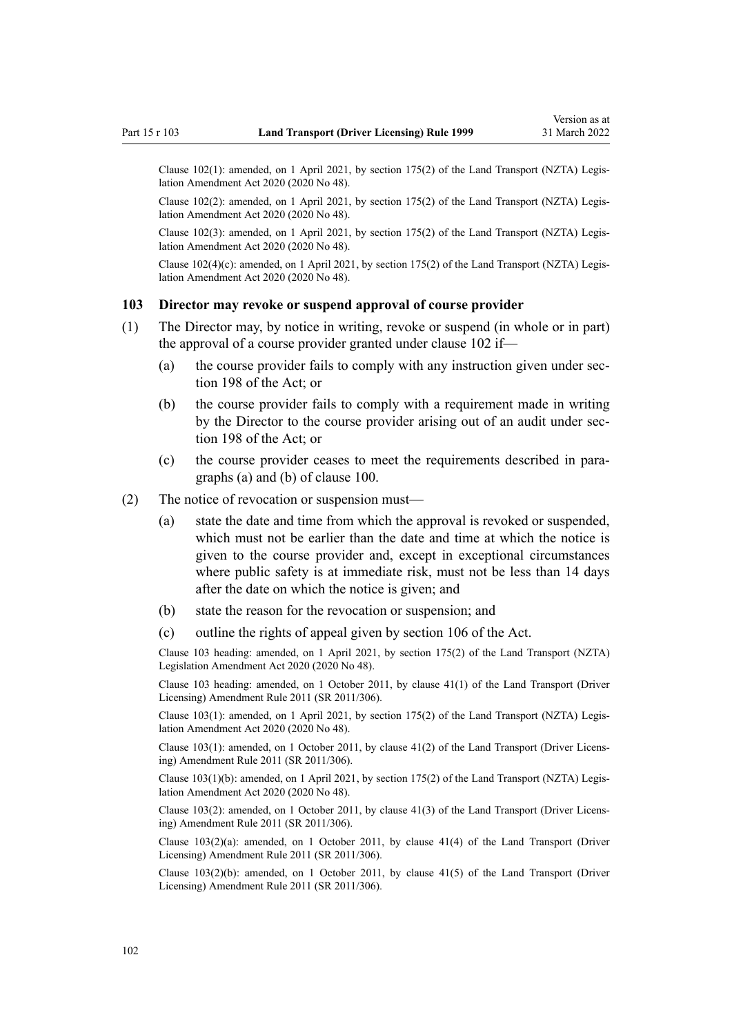Clause 102(1): amended, on 1 April 2021, by [section 175\(2\)](http://legislation.govt.nz/pdflink.aspx?id=LMS286883) of the Land Transport (NZTA) Legis‐ lation Amendment Act 2020 (2020 No 48).

Clause 102(2): amended, on 1 April 2021, by [section 175\(2\)](http://legislation.govt.nz/pdflink.aspx?id=LMS286883) of the Land Transport (NZTA) Legis‐ lation Amendment Act 2020 (2020 No 48).

Clause 102(3): amended, on 1 April 2021, by [section 175\(2\)](http://legislation.govt.nz/pdflink.aspx?id=LMS286883) of the Land Transport (NZTA) Legis‐ lation Amendment Act 2020 (2020 No 48).

Clause  $102(4)(c)$ : amended, on 1 April 2021, by [section 175\(2\)](http://legislation.govt.nz/pdflink.aspx?id=LMS286883) of the Land Transport (NZTA) Legislation Amendment Act 2020 (2020 No 48).

# **103 Director may revoke or suspend approval of course provider**

- (1) The Director may, by notice in writing, revoke or suspend (in whole or in part) the approval of a course provider granted under [clause 102](#page-100-0) if—
	- (a) the course provider fails to comply with any instruction given under sec[tion 198](http://legislation.govt.nz/pdflink.aspx?id=DLM435602) of the Act; or
	- (b) the course provider fails to comply with a requirement made in writing by the Director to the course provider arising out of an audit under sec[tion 198](http://legislation.govt.nz/pdflink.aspx?id=DLM435602) of the Act; or
	- (c) the course provider ceases to meet the requirements described in para‐ graphs (a) and (b) of [clause 100](#page-99-0).
- (2) The notice of revocation or suspension must—
	- (a) state the date and time from which the approval is revoked or suspended, which must not be earlier than the date and time at which the notice is given to the course provider and, except in exceptional circumstances where public safety is at immediate risk, must not be less than 14 days after the date on which the notice is given; and
	- (b) state the reason for the revocation or suspension; and
	- (c) outline the rights of appeal given by [section 106](http://legislation.govt.nz/pdflink.aspx?id=DLM435083) of the Act.

Clause 103 heading: amended, on 1 April 2021, by [section 175\(2\)](http://legislation.govt.nz/pdflink.aspx?id=LMS286883) of the Land Transport (NZTA) Legislation Amendment Act 2020 (2020 No 48).

Clause 103 heading: amended, on 1 October 2011, by [clause 41\(1\)](http://legislation.govt.nz/pdflink.aspx?id=DLM3956747) of the Land Transport (Driver Licensing) Amendment Rule 2011 (SR 2011/306).

Clause 103(1): amended, on 1 April 2021, by [section 175\(2\)](http://legislation.govt.nz/pdflink.aspx?id=LMS286883) of the Land Transport (NZTA) Legis‐ lation Amendment Act 2020 (2020 No 48).

Clause 103(1): amended, on 1 October 2011, by [clause 41\(2\)](http://legislation.govt.nz/pdflink.aspx?id=DLM3956747) of the Land Transport (Driver Licens‐ ing) Amendment Rule 2011 (SR 2011/306).

Clause 103(1)(b): amended, on 1 April 2021, by [section 175\(2\)](http://legislation.govt.nz/pdflink.aspx?id=LMS286883) of the Land Transport (NZTA) Legis‐ lation Amendment Act 2020 (2020 No 48).

Clause 103(2): amended, on 1 October 2011, by [clause 41\(3\)](http://legislation.govt.nz/pdflink.aspx?id=DLM3956747) of the Land Transport (Driver Licens‐ ing) Amendment Rule 2011 (SR 2011/306).

Clause 103(2)(a): amended, on 1 October 2011, by [clause 41\(4\)](http://legislation.govt.nz/pdflink.aspx?id=DLM3956747) of the Land Transport (Driver Licensing) Amendment Rule 2011 (SR 2011/306).

Clause 103(2)(b): amended, on 1 October 2011, by [clause 41\(5\)](http://legislation.govt.nz/pdflink.aspx?id=DLM3956747) of the Land Transport (Driver Licensing) Amendment Rule 2011 (SR 2011/306).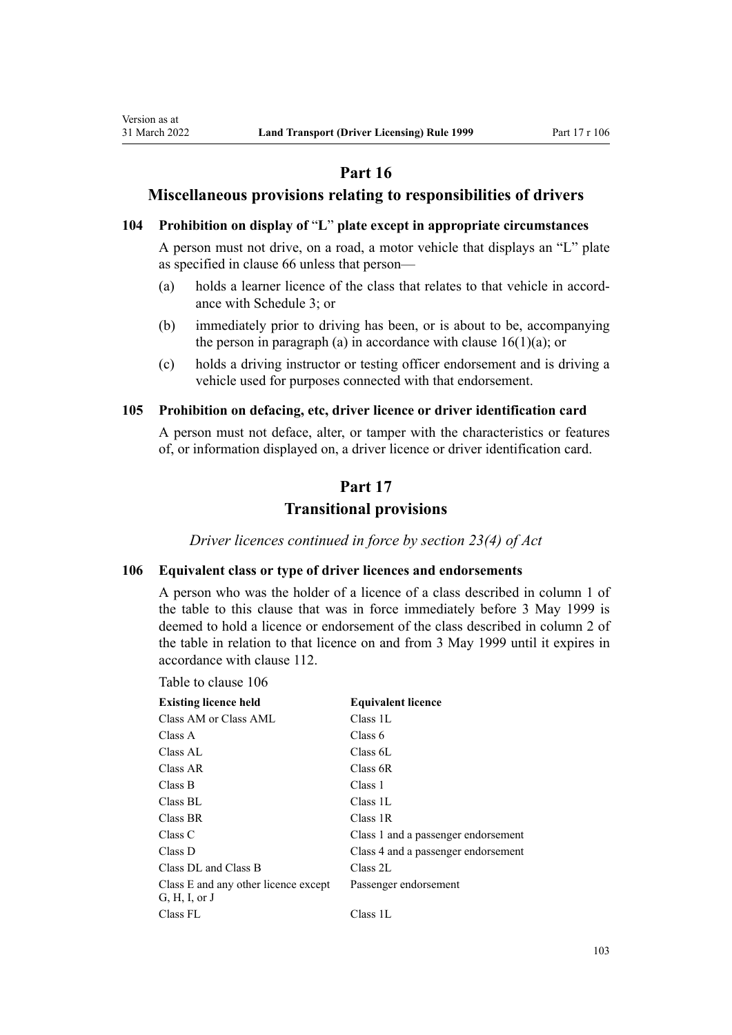# **Part 16**

# **Miscellaneous provisions relating to responsibilities of drivers**

# **104 Prohibition on display of** "**L**" **plate except in appropriate circumstances**

A person must not drive, on a road, a motor vehicle that displays an "L" plate as specified in [clause 66](#page-69-0) unless that person—

- (a) holds a learner licence of the class that relates to that vehicle in accord‐ ance with [Schedule 3](#page-113-0); or
- (b) immediately prior to driving has been, or is about to be, accompanying the person in paragraph (a) in accordance with clause  $16(1)(a)$ ; or
- (c) holds a driving instructor or testing officer endorsement and is driving a vehicle used for purposes connected with that endorsement.

### **105 Prohibition on defacing, etc, driver licence or driver identification card**

A person must not deface, alter, or tamper with the characteristics or features of, or information displayed on, a driver licence or driver identification card.

# **Part 17**

# **Transitional provisions**

*Driver licences continued in force by section 23(4) of Act*

# **106 Equivalent class or type of driver licences and endorsements**

A person who was the holder of a licence of a class described in column 1 of the table to this clause that was in force immediately before 3 May 1999 is deemed to hold a licence or endorsement of the class described in column 2 of the table in relation to that licence on and from 3 May 1999 until it expires in accordance with [clause 112.](#page-104-0)

Table to clause 106

<span id="page-102-0"></span>Version as at

| <b>Existing licence held</b>                          | <b>Equivalent licence</b>           |
|-------------------------------------------------------|-------------------------------------|
| Class AM or Class AML                                 | Class 1L                            |
| Class A                                               | Class 6                             |
| Class AL                                              | Class 6L                            |
| Class AR                                              | Class 6R                            |
| Class B                                               | Class 1                             |
| Class BL                                              | Class 1L                            |
| Class BR                                              | Class 1R                            |
| Class C                                               | Class 1 and a passenger endorsement |
| Class D                                               | Class 4 and a passenger endorsement |
| Class DL and Class B                                  | Class 2L                            |
| Class E and any other licence except<br>G, H, I, or J | Passenger endorsement               |
| Class FL                                              | Class 1L                            |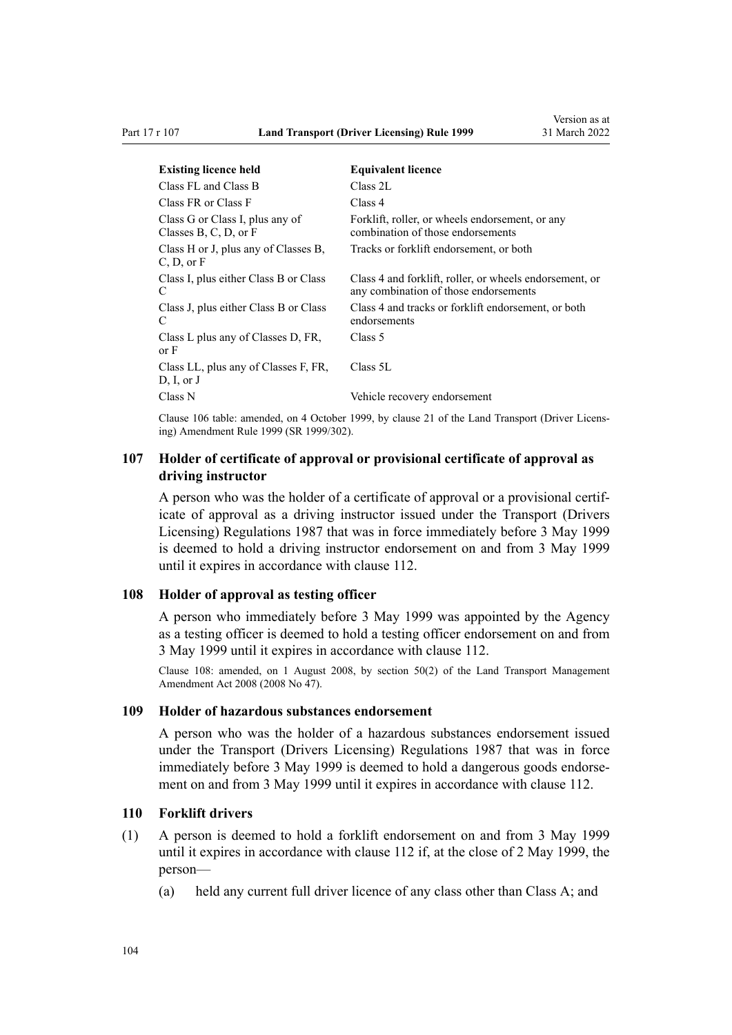<span id="page-103-0"></span>

| <b>Existing licence held</b>                             | <b>Equivalent licence</b>                                                                        |
|----------------------------------------------------------|--------------------------------------------------------------------------------------------------|
| Class FL and Class B                                     | Class 2L                                                                                         |
| Class FR or Class F                                      | Class 4                                                                                          |
| Class G or Class I, plus any of<br>Classes B, C, D, or F | Forklift, roller, or wheels endorsement, or any<br>combination of those endorsements             |
| Class H or J, plus any of Classes B,<br>C, D, or F       | Tracks or forklift endorsement, or both                                                          |
| Class I, plus either Class B or Class<br>C               | Class 4 and forklift, roller, or wheels endorsement, or<br>any combination of those endorsements |
| Class J, plus either Class B or Class<br>C               | Class 4 and tracks or forklift endorsement, or both<br>endorsements                              |
| Class L plus any of Classes D, FR,<br>or F               | Class 5                                                                                          |
| Class LL, plus any of Classes F, FR,<br>D, I, or J       | Class 5L                                                                                         |
| Class N                                                  | Vehicle recovery endorsement                                                                     |

Clause 106 table: amended, on 4 October 1999, by [clause 21](http://legislation.govt.nz/pdflink.aspx?id=DLM293690) of the Land Transport (Driver Licens‐ ing) Amendment Rule 1999 (SR 1999/302).

# **107 Holder of certificate of approval or provisional certificate of approval as driving instructor**

A person who was the holder of a certificate of approval or a provisional certif‐ icate of approval as a driving instructor issued under the Transport (Drivers Licensing) Regulations 1987 that was in force immediately before 3 May 1999 is deemed to hold a driving instructor endorsement on and from 3 May 1999 until it expires in accordance with [clause 112.](#page-104-0)

### **108 Holder of approval as testing officer**

A person who immediately before 3 May 1999 was appointed by the Agency as a testing officer is deemed to hold a testing officer endorsement on and from 3 May 1999 until it expires in accordance with [clause 112](#page-104-0).

Clause 108: amended, on 1 August 2008, by [section 50\(2\)](http://legislation.govt.nz/pdflink.aspx?id=DLM1313622) of the Land Transport Management Amendment Act 2008 (2008 No 47).

### **109 Holder of hazardous substances endorsement**

A person who was the holder of a hazardous substances endorsement issued under the Transport (Drivers Licensing) Regulations 1987 that was in force immediately before 3 May 1999 is deemed to hold a dangerous goods endorsement on and from 3 May 1999 until it expires in accordance with [clause 112](#page-104-0).

### **110 Forklift drivers**

- (1) A person is deemed to hold a forklift endorsement on and from 3 May 1999 until it expires in accordance with [clause 112](#page-104-0) if, at the close of 2 May 1999, the person—
	- (a) held any current full driver licence of any class other than Class A; and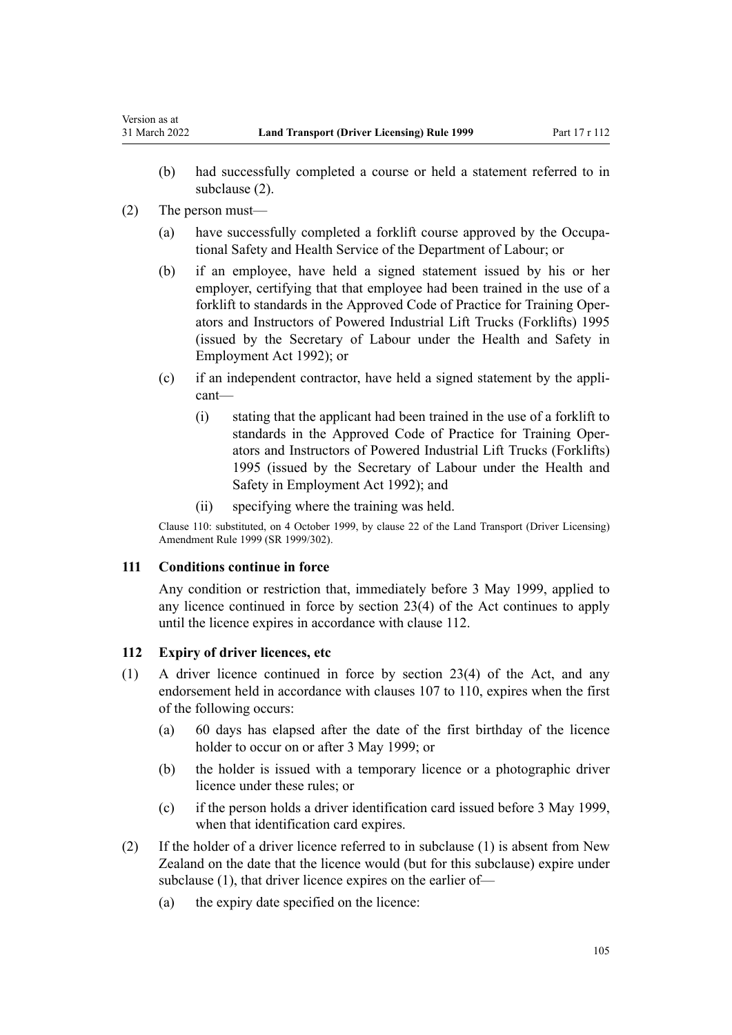- (b) had successfully completed a course or held a statement referred to in subclause (2).
- (2) The person must—

<span id="page-104-0"></span>Version as at

- (a) have successfully completed a forklift course approved by the Occupa‐ tional Safety and Health Service of the Department of Labour; or
- (b) if an employee, have held a signed statement issued by his or her employer, certifying that that employee had been trained in the use of a forklift to standards in the Approved Code of Practice for Training Oper‐ ators and Instructors of Powered Industrial Lift Trucks (Forklifts) 1995 (issued by the Secretary of Labour under the [Health and Safety in](http://legislation.govt.nz/pdflink.aspx?id=DLM278828) [Employment Act 1992\)](http://legislation.govt.nz/pdflink.aspx?id=DLM278828); or
- (c) if an independent contractor, have held a signed statement by the appli‐ cant—
	- (i) stating that the applicant had been trained in the use of a forklift to standards in the Approved Code of Practice for Training Oper‐ ators and Instructors of Powered Industrial Lift Trucks (Forklifts) 1995 (issued by the Secretary of Labour under the [Health and](http://legislation.govt.nz/pdflink.aspx?id=DLM278828) [Safety in Employment Act 1992](http://legislation.govt.nz/pdflink.aspx?id=DLM278828)); and
	- (ii) specifying where the training was held.

Clause 110: substituted, on 4 October 1999, by [clause 22](http://legislation.govt.nz/pdflink.aspx?id=DLM293692) of the Land Transport (Driver Licensing) Amendment Rule 1999 (SR 1999/302).

### **111 Conditions continue in force**

Any condition or restriction that, immediately before 3 May 1999, applied to any licence continued in force by [section 23\(4\)](http://legislation.govt.nz/pdflink.aspx?id=DLM434552) of the Act continues to apply until the licence expires in accordance with clause 112.

# **112 Expiry of driver licences, etc**

- (1) A driver licence continued in force by [section 23\(4\)](http://legislation.govt.nz/pdflink.aspx?id=DLM434552) of the Act, and any endorsement held in accordance with [clauses 107 to 110](#page-103-0), expires when the first of the following occurs:
	- (a) 60 days has elapsed after the date of the first birthday of the licence holder to occur on or after 3 May 1999; or
	- (b) the holder is issued with a temporary licence or a photographic driver licence under these rules; or
	- (c) if the person holds a driver identification card issued before 3 May 1999, when that identification card expires.
- (2) If the holder of a driver licence referred to in subclause (1) is absent from New Zealand on the date that the licence would (but for this subclause) expire under subclause (1), that driver licence expires on the earlier of—
	- (a) the expiry date specified on the licence: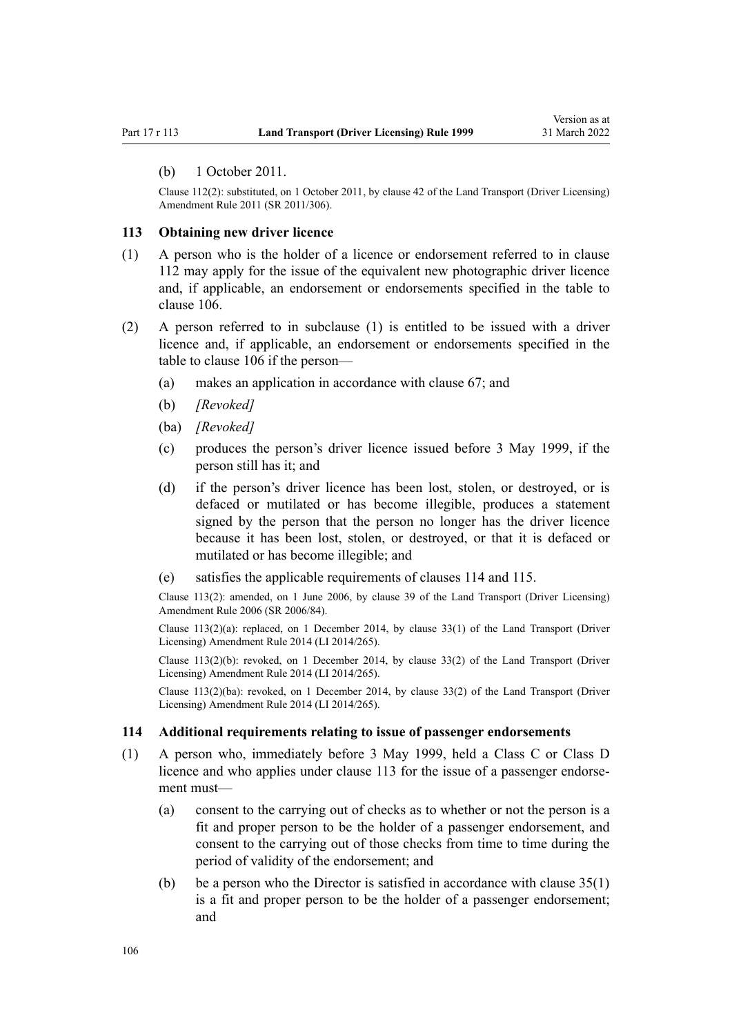#### <span id="page-105-0"></span>(b) 1 October 2011.

Clause 112(2): substituted, on 1 October 2011, by [clause 42](http://legislation.govt.nz/pdflink.aspx?id=DLM3956748) of the Land Transport (Driver Licensing) Amendment Rule 2011 (SR 2011/306).

#### **113 Obtaining new driver licence**

- (1) A person who is the holder of a licence or endorsement referred to in [clause](#page-104-0) [112](#page-104-0) may apply for the issue of the equivalent new photographic driver licence and, if applicable, an endorsement or endorsements specified in the table to [clause 106](#page-102-0).
- (2) A person referred to in subclause (1) is entitled to be issued with a driver licence and, if applicable, an endorsement or endorsements specified in the table to [clause 106](#page-102-0) if the person—
	- (a) makes an application in accordance with [clause 67;](#page-69-0) and
	- (b) *[Revoked]*
	- (ba) *[Revoked]*
	- (c) produces the person's driver licence issued before 3 May 1999, if the person still has it; and
	- (d) if the person's driver licence has been lost, stolen, or destroyed, or is defaced or mutilated or has become illegible, produces a statement signed by the person that the person no longer has the driver licence because it has been lost, stolen, or destroyed, or that it is defaced or mutilated or has become illegible; and
	- (e) satisfies the applicable requirements of clauses 114 and [115.](#page-106-0)

Clause 113(2): amended, on 1 June 2006, by [clause 39](http://legislation.govt.nz/pdflink.aspx?id=DLM376138) of the Land Transport (Driver Licensing) Amendment Rule 2006 (SR 2006/84).

Clause  $113(2)(a)$ : replaced, on 1 December 2014, by [clause 33\(1\)](http://legislation.govt.nz/pdflink.aspx?id=DLM6216947) of the Land Transport (Driver Licensing) Amendment Rule 2014 (LI 2014/265).

Clause  $113(2)(b)$ : revoked, on 1 December 2014, by [clause 33\(2\)](http://legislation.govt.nz/pdflink.aspx?id=DLM6216947) of the Land Transport (Driver Licensing) Amendment Rule 2014 (LI 2014/265).

Clause 113(2)(ba): revoked, on 1 December 2014, by [clause 33\(2\)](http://legislation.govt.nz/pdflink.aspx?id=DLM6216947) of the Land Transport (Driver Licensing) Amendment Rule 2014 (LI 2014/265).

### **114 Additional requirements relating to issue of passenger endorsements**

- (1) A person who, immediately before 3 May 1999, held a Class C or Class D licence and who applies under clause 113 for the issue of a passenger endorsement must—
	- (a) consent to the carrying out of checks as to whether or not the person is a fit and proper person to be the holder of a passenger endorsement, and consent to the carrying out of those checks from time to time during the period of validity of the endorsement; and
	- (b) be a person who the Director is satisfied in accordance with clause  $35(1)$ is a fit and proper person to be the holder of a passenger endorsement; and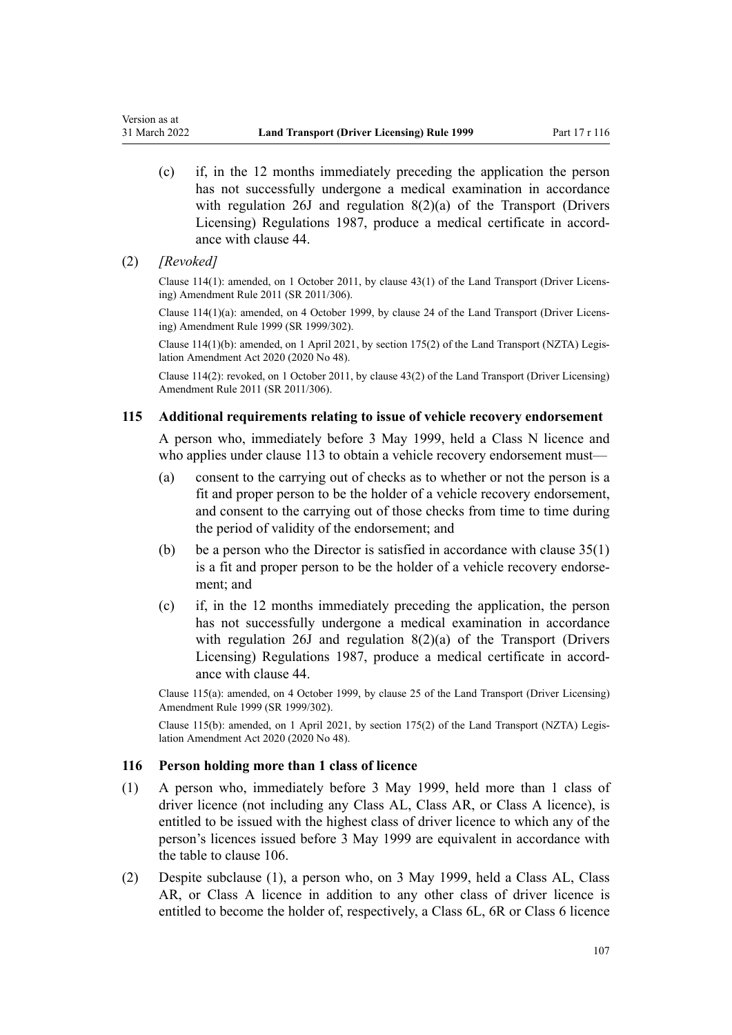- (c) if, in the 12 months immediately preceding the application the person has not successfully undergone a medical examination in accordance with regulation 26J and regulation 8(2)(a) of the Transport (Drivers Licensing) Regulations 1987, produce a medical certificate in accord‐ ance with [clause 44.](#page-54-0)
- (2) *[Revoked]*

<span id="page-106-0"></span>Version as at

Clause 114(1): amended, on 1 October 2011, by [clause 43\(1\)](http://legislation.govt.nz/pdflink.aspx?id=DLM3956749) of the Land Transport (Driver Licens‐ ing) Amendment Rule 2011 (SR 2011/306).

Clause 114(1)(a): amended, on 4 October 1999, by [clause 24](http://legislation.govt.nz/pdflink.aspx?id=DLM293695) of the Land Transport (Driver Licens‐ ing) Amendment Rule 1999 (SR 1999/302).

Clause 114(1)(b): amended, on 1 April 2021, by [section 175\(2\)](http://legislation.govt.nz/pdflink.aspx?id=LMS286883) of the Land Transport (NZTA) Legis‐ lation Amendment Act 2020 (2020 No 48).

Clause 114(2): revoked, on 1 October 2011, by [clause 43\(2\)](http://legislation.govt.nz/pdflink.aspx?id=DLM3956749) of the Land Transport (Driver Licensing) Amendment Rule 2011 (SR 2011/306).

### **115 Additional requirements relating to issue of vehicle recovery endorsement**

A person who, immediately before 3 May 1999, held a Class N licence and who applies under [clause 113](#page-105-0) to obtain a vehicle recovery endorsement must—

- (a) consent to the carrying out of checks as to whether or not the person is a fit and proper person to be the holder of a vehicle recovery endorsement, and consent to the carrying out of those checks from time to time during the period of validity of the endorsement; and
- (b) be a person who the Director is satisfied in accordance with clause  $35(1)$ is a fit and proper person to be the holder of a vehicle recovery endorsement; and
- (c) if, in the 12 months immediately preceding the application, the person has not successfully undergone a medical examination in accordance with regulation 26J and regulation 8(2)(a) of the Transport (Drivers Licensing) Regulations 1987, produce a medical certificate in accord‐ ance with [clause 44.](#page-54-0)

Clause 115(a): amended, on 4 October 1999, by [clause 25](http://legislation.govt.nz/pdflink.aspx?id=DLM293696) of the Land Transport (Driver Licensing) Amendment Rule 1999 (SR 1999/302).

Clause 115(b): amended, on 1 April 2021, by [section 175\(2\)](http://legislation.govt.nz/pdflink.aspx?id=LMS286883) of the Land Transport (NZTA) Legis‐ lation Amendment Act 2020 (2020 No 48).

### **116 Person holding more than 1 class of licence**

- (1) A person who, immediately before 3 May 1999, held more than 1 class of driver licence (not including any Class AL, Class AR, or Class A licence), is entitled to be issued with the highest class of driver licence to which any of the person's licences issued before 3 May 1999 are equivalent in accordance with the table to [clause 106](#page-102-0).
- (2) Despite subclause (1), a person who, on 3 May 1999, held a Class AL, Class AR, or Class A licence in addition to any other class of driver licence is entitled to become the holder of, respectively, a Class 6L, 6R or Class 6 licence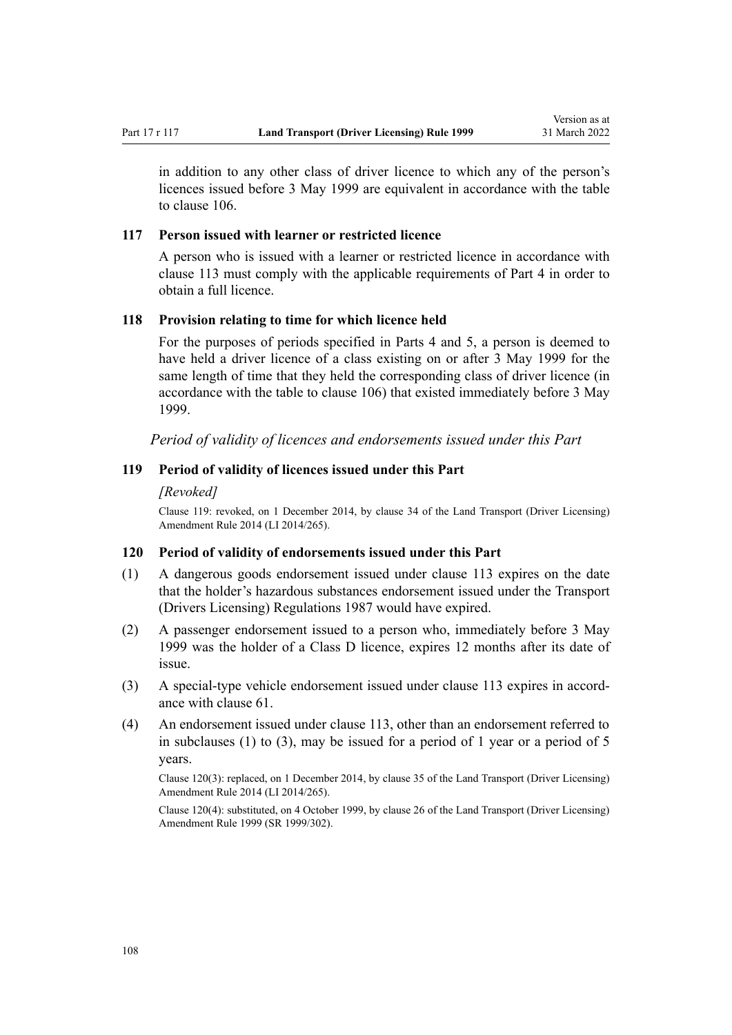in addition to any other class of driver licence to which any of the person's licences issued before 3 May 1999 are equivalent in accordance with the table to [clause 106.](#page-102-0)

### **117 Person issued with learner or restricted licence**

A person who is issued with a learner or restricted licence in accordance with [clause 113](#page-105-0) must comply with the applicable requirements of [Part 4](#page-26-0) in order to obtain a full licence.

# **118 Provision relating to time for which licence held**

For the purposes of periods specified in [Parts 4](#page-26-0) and [5](#page-40-0), a person is deemed to have held a driver licence of a class existing on or after 3 May 1999 for the same length of time that they held the corresponding class of driver licence (in accordance with the table to [clause 106\)](#page-102-0) that existed immediately before 3 May 1999.

*Period of validity of licences and endorsements issued under this Part*

# **119 Period of validity of licences issued under this Part**

#### *[Revoked]*

Clause 119: revoked, on 1 December 2014, by [clause 34](http://legislation.govt.nz/pdflink.aspx?id=DLM6216948) of the Land Transport (Driver Licensing) Amendment Rule 2014 (LI 2014/265).

### **120 Period of validity of endorsements issued under this Part**

- (1) A dangerous goods endorsement issued under [clause 113](#page-105-0) expires on the date that the holder's hazardous substances endorsement issued under the Transport (Drivers Licensing) Regulations 1987 would have expired.
- (2) A passenger endorsement issued to a person who, immediately before 3 May 1999 was the holder of a Class D licence, expires 12 months after its date of issue.
- (3) A special-type vehicle endorsement issued under [clause 113](#page-105-0) expires in accord‐ ance with [clause 61.](#page-64-0)
- (4) An endorsement issued under [clause 113](#page-105-0), other than an endorsement referred to in subclauses (1) to (3), may be issued for a period of 1 year or a period of 5 years.

Clause 120(3): replaced, on 1 December 2014, by [clause 35](http://legislation.govt.nz/pdflink.aspx?id=DLM6216949) of the Land Transport (Driver Licensing) Amendment Rule 2014 (LI 2014/265).

Clause 120(4): substituted, on 4 October 1999, by [clause 26](http://legislation.govt.nz/pdflink.aspx?id=DLM293697) of the Land Transport (Driver Licensing) Amendment Rule 1999 (SR 1999/302).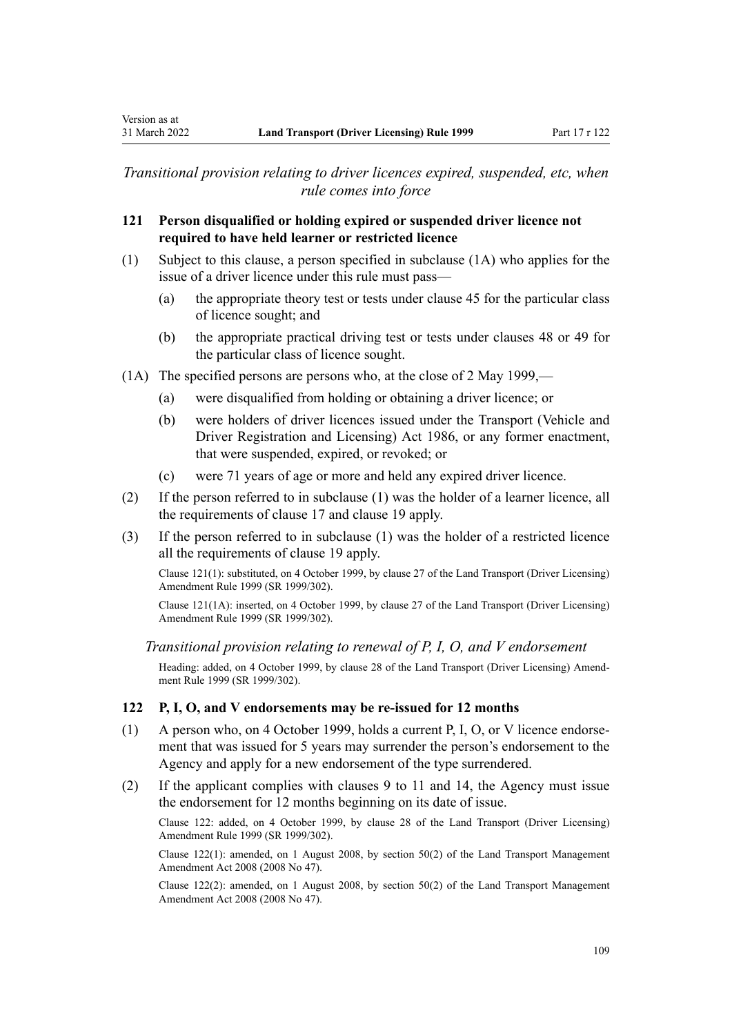*Transitional provision relating to driver licences expired, suspended, etc, when rule comes into force*

### **121 Person disqualified or holding expired or suspended driver licence not required to have held learner or restricted licence**

- (1) Subject to this clause, a person specified in subclause (1A) who applies for the issue of a driver licence under this rule must pass—
	- (a) the appropriate theory test or tests under [clause 45](#page-56-0) for the particular class of licence sought; and
	- (b) the appropriate practical driving test or tests under [clauses 48](#page-57-0) or [49](#page-57-0) for the particular class of licence sought.
- (1A) The specified persons are persons who, at the close of 2 May 1999,—
	- (a) were disqualified from holding or obtaining a driver licence; or
	- (b) were holders of driver licences issued under the [Transport \(Vehicle and](http://legislation.govt.nz/pdflink.aspx?id=DLM90414) [Driver Registration and Licensing\) Act 1986](http://legislation.govt.nz/pdflink.aspx?id=DLM90414), or any former enactment, that were suspended, expired, or revoked; or
	- (c) were 71 years of age or more and held any expired driver licence.
- (2) If the person referred to in subclause (1) was the holder of a learner licence, all the requirements of [clause 17](#page-28-0) and [clause 19](#page-30-0) apply.
- (3) If the person referred to in subclause (1) was the holder of a restricted licence all the requirements of [clause 19](#page-30-0) apply.

Clause 121(1): substituted, on 4 October 1999, by [clause 27](http://legislation.govt.nz/pdflink.aspx?id=DLM293698) of the Land Transport (Driver Licensing) Amendment Rule 1999 (SR 1999/302).

Clause 121(1A): inserted, on 4 October 1999, by [clause 27](http://legislation.govt.nz/pdflink.aspx?id=DLM293698) of the Land Transport (Driver Licensing) Amendment Rule 1999 (SR 1999/302).

*Transitional provision relating to renewal of P, I, O, and V endorsement*

Heading: added, on 4 October 1999, by [clause 28](http://legislation.govt.nz/pdflink.aspx?id=DLM293699) of the Land Transport (Driver Licensing) Amend‐ ment Rule 1999 (SR 1999/302).

### **122 P, I, O, and V endorsements may be re-issued for 12 months**

- (1) A person who, on 4 October 1999, holds a current P, I, O, or V licence endorse‐ ment that was issued for 5 years may surrender the person's endorsement to the Agency and apply for a new endorsement of the type surrendered.
- (2) If the applicant complies with [clauses 9 to 11](#page-21-0) and [14](#page-25-0), the Agency must issue the endorsement for 12 months beginning on its date of issue.

Clause 122: added, on 4 October 1999, by [clause 28](http://legislation.govt.nz/pdflink.aspx?id=DLM293699) of the Land Transport (Driver Licensing) Amendment Rule 1999 (SR 1999/302).

Clause 122(1): amended, on 1 August 2008, by [section 50\(2\)](http://legislation.govt.nz/pdflink.aspx?id=DLM1313622) of the Land Transport Management Amendment Act 2008 (2008 No 47).

Clause 122(2): amended, on 1 August 2008, by [section 50\(2\)](http://legislation.govt.nz/pdflink.aspx?id=DLM1313622) of the Land Transport Management Amendment Act 2008 (2008 No 47).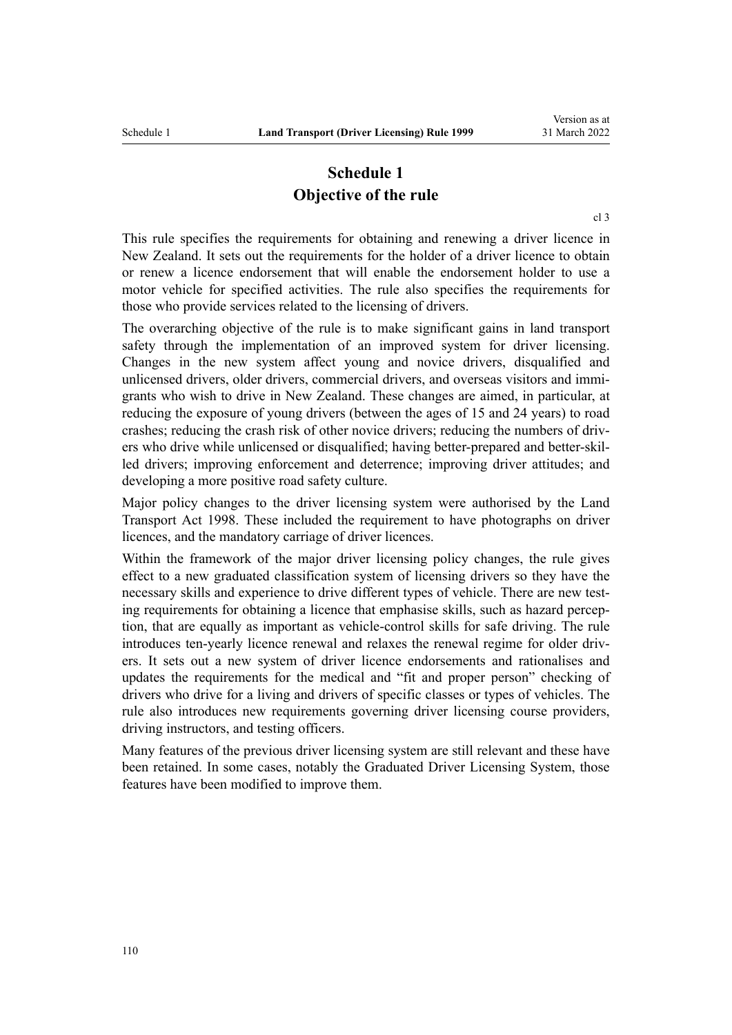## **Schedule 1 Objective of the rule**

[cl 3](#page-18-0)

This rule specifies the requirements for obtaining and renewing a driver licence in New Zealand. It sets out the requirements for the holder of a driver licence to obtain or renew a licence endorsement that will enable the endorsement holder to use a motor vehicle for specified activities. The rule also specifies the requirements for those who provide services related to the licensing of drivers.

The overarching objective of the rule is to make significant gains in land transport safety through the implementation of an improved system for driver licensing. Changes in the new system affect young and novice drivers, disqualified and unlicensed drivers, older drivers, commercial drivers, and overseas visitors and immigrants who wish to drive in New Zealand. These changes are aimed, in particular, at reducing the exposure of young drivers (between the ages of 15 and 24 years) to road crashes; reducing the crash risk of other novice drivers; reducing the numbers of driv‐ ers who drive while unlicensed or disqualified; having better-prepared and better-skilled drivers; improving enforcement and deterrence; improving driver attitudes; and developing a more positive road safety culture.

Major policy changes to the driver licensing system were authorised by the [Land](http://legislation.govt.nz/pdflink.aspx?id=DLM433612) [Transport Act 1998.](http://legislation.govt.nz/pdflink.aspx?id=DLM433612) These included the requirement to have photographs on driver licences, and the mandatory carriage of driver licences.

Within the framework of the major driver licensing policy changes, the rule gives effect to a new graduated classification system of licensing drivers so they have the necessary skills and experience to drive different types of vehicle. There are new testing requirements for obtaining a licence that emphasise skills, such as hazard perception, that are equally as important as vehicle-control skills for safe driving. The rule introduces ten-yearly licence renewal and relaxes the renewal regime for older drivers. It sets out a new system of driver licence endorsements and rationalises and updates the requirements for the medical and "fit and proper person" checking of drivers who drive for a living and drivers of specific classes or types of vehicles. The rule also introduces new requirements governing driver licensing course providers, driving instructors, and testing officers.

Many features of the previous driver licensing system are still relevant and these have been retained. In some cases, notably the Graduated Driver Licensing System, those features have been modified to improve them.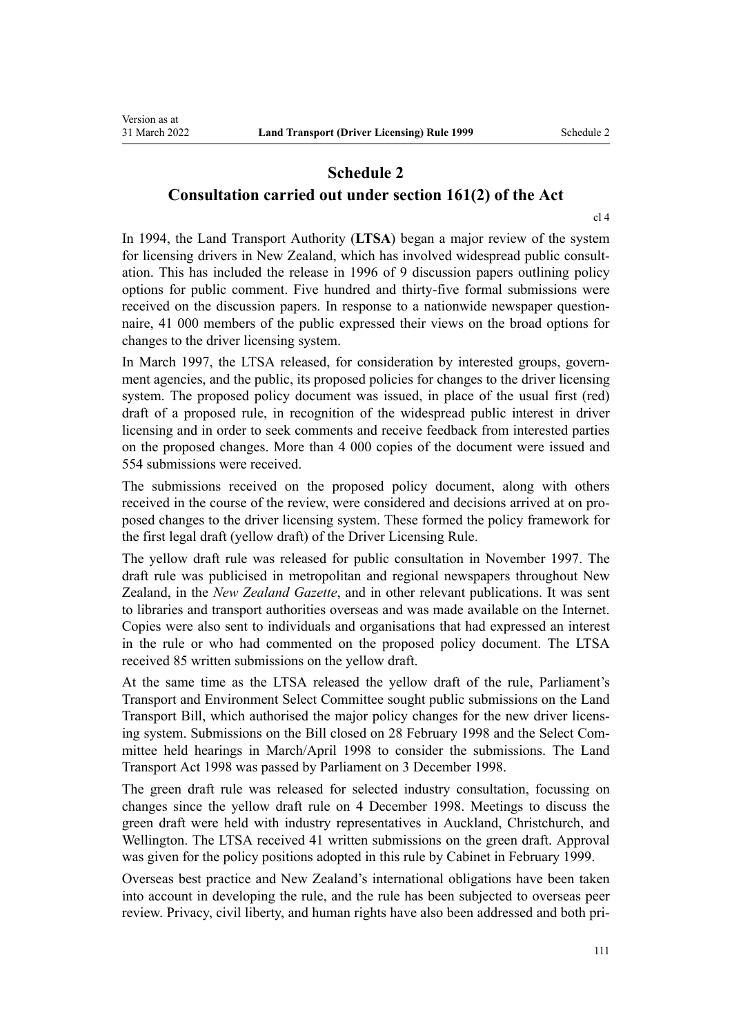## **Schedule 2 Consultation carried out under section 161(2) of the Act**

[cl 4](#page-19-0)

In 1994, the Land Transport Authority (**LTSA**) began a major review of the system for licensing drivers in New Zealand, which has involved widespread public consultation. This has included the release in 1996 of 9 discussion papers outlining policy options for public comment. Five hundred and thirty-five formal submissions were received on the discussion papers. In response to a nationwide newspaper question– naire, 41 000 members of the public expressed their views on the broad options for changes to the driver licensing system.

In March 1997, the LTSA released, for consideration by interested groups, government agencies, and the public, its proposed policies for changes to the driver licensing system. The proposed policy document was issued, in place of the usual first (red) draft of a proposed rule, in recognition of the widespread public interest in driver licensing and in order to seek comments and receive feedback from interested parties on the proposed changes. More than 4 000 copies of the document were issued and 554 submissions were received.

The submissions received on the proposed policy document, along with others received in the course of the review, were considered and decisions arrived at on pro‐ posed changes to the driver licensing system. These formed the policy framework for the first legal draft (yellow draft) of the Driver Licensing Rule.

The yellow draft rule was released for public consultation in November 1997. The draft rule was publicised in metropolitan and regional newspapers throughout New Zealand, in the *New Zealand Gazette*, and in other relevant publications. It was sent to libraries and transport authorities overseas and was made available on the Internet. Copies were also sent to individuals and organisations that had expressed an interest in the rule or who had commented on the proposed policy document. The LTSA received 85 written submissions on the yellow draft.

At the same time as the LTSA released the yellow draft of the rule, Parliament's Transport and Environment Select Committee sought public submissions on the Land Transport Bill, which authorised the major policy changes for the new driver licens‐ ing system. Submissions on the Bill closed on 28 February 1998 and the Select Committee held hearings in March/April 1998 to consider the submissions. The [Land](http://legislation.govt.nz/pdflink.aspx?id=DLM433612) [Transport Act 1998](http://legislation.govt.nz/pdflink.aspx?id=DLM433612) was passed by Parliament on 3 December 1998.

The green draft rule was released for selected industry consultation, focussing on changes since the yellow draft rule on 4 December 1998. Meetings to discuss the green draft were held with industry representatives in Auckland, Christchurch, and Wellington. The LTSA received 41 written submissions on the green draft. Approval was given for the policy positions adopted in this rule by Cabinet in February 1999.

Overseas best practice and New Zealand's international obligations have been taken into account in developing the rule, and the rule has been subjected to overseas peer review. Privacy, civil liberty, and human rights have also been addressed and both pri‐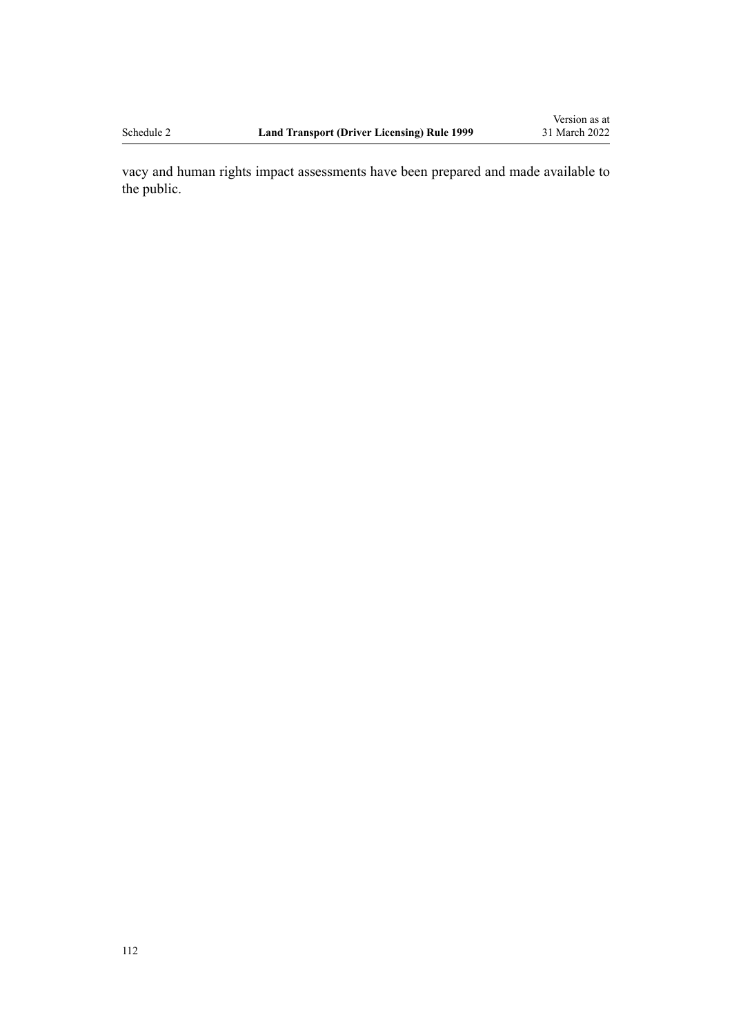vacy and human rights impact assessments have been prepared and made available to the public.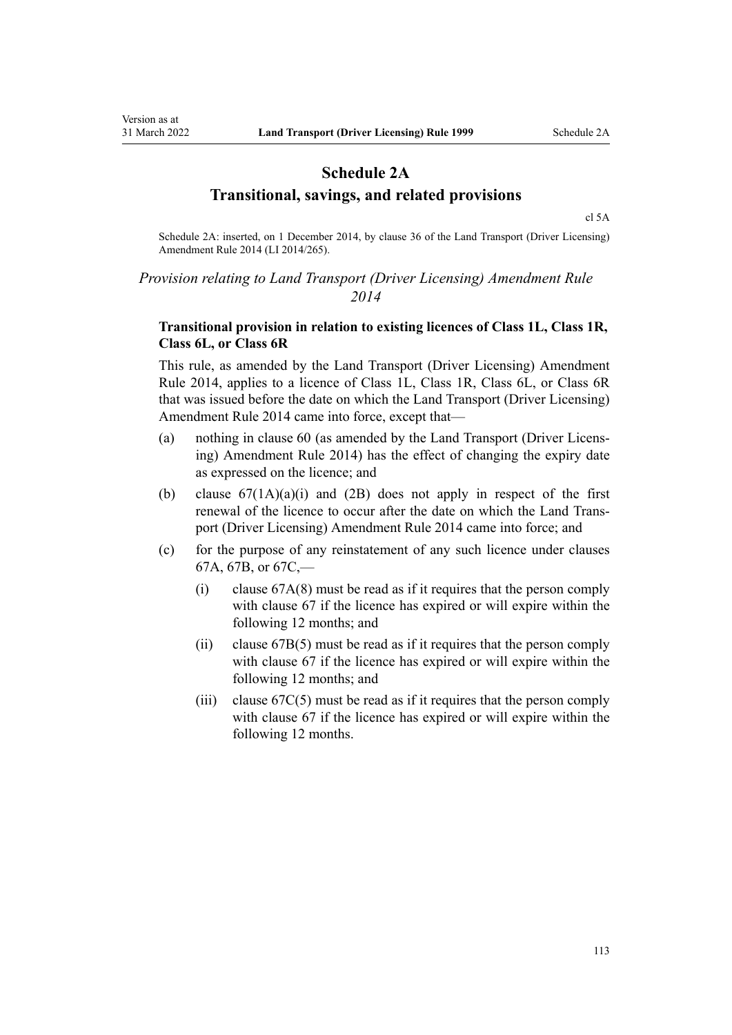## **Schedule 2A Transitional, savings, and related provisions**

[cl 5A](#page-20-0)

Schedule 2A: inserted, on 1 December 2014, by [clause 36](http://legislation.govt.nz/pdflink.aspx?id=DLM6216950) of the Land Transport (Driver Licensing) Amendment Rule 2014 (LI 2014/265).

## *Provision relating to Land Transport (Driver Licensing) Amendment Rule 2014*

## **Transitional provision in relation to existing licences of Class 1L, Class 1R, Class 6L, or Class 6R**

This rule, as amended by the [Land Transport \(Driver Licensing\) Amendment](http://legislation.govt.nz/pdflink.aspx?id=DLM6216900) [Rule 2014,](http://legislation.govt.nz/pdflink.aspx?id=DLM6216900) applies to a licence of Class 1L, Class 1R, Class 6L, or Class 6R that was issued before the date on which the Land Transport (Driver Licensing) Amendment Rule 2014 came into force, except that—

- (a) nothing in [clause 60](#page-62-0) (as amended by the [Land Transport \(Driver Licens‐](http://legislation.govt.nz/pdflink.aspx?id=DLM6216900) [ing\) Amendment Rule 2014](http://legislation.govt.nz/pdflink.aspx?id=DLM6216900)) has the effect of changing the expiry date as expressed on the licence; and
- (b) clause  $67(1A)(a)(i)$  and  $(2B)$  does not apply in respect of the first renewal of the licence to occur after the date on which the [Land Trans‐](http://legislation.govt.nz/pdflink.aspx?id=DLM6216900) [port \(Driver Licensing\) Amendment Rule 2014](http://legislation.govt.nz/pdflink.aspx?id=DLM6216900) came into force; and
- (c) for the purpose of any reinstatement of any such licence under [clauses](#page-71-0) [67A](#page-71-0), [67B,](#page-73-0) or [67C](#page-74-0),—
	- (i) [clause 67A\(8\)](#page-71-0) must be read as if it requires that the person comply with [clause 67](#page-69-0) if the licence has expired or will expire within the following 12 months; and
	- (ii) [clause 67B\(5\)](#page-73-0) must be read as if it requires that the person comply with [clause 67](#page-69-0) if the licence has expired or will expire within the following 12 months; and
	- (iii) clause  $67C(5)$  must be read as if it requires that the person comply with [clause 67](#page-69-0) if the licence has expired or will expire within the following 12 months.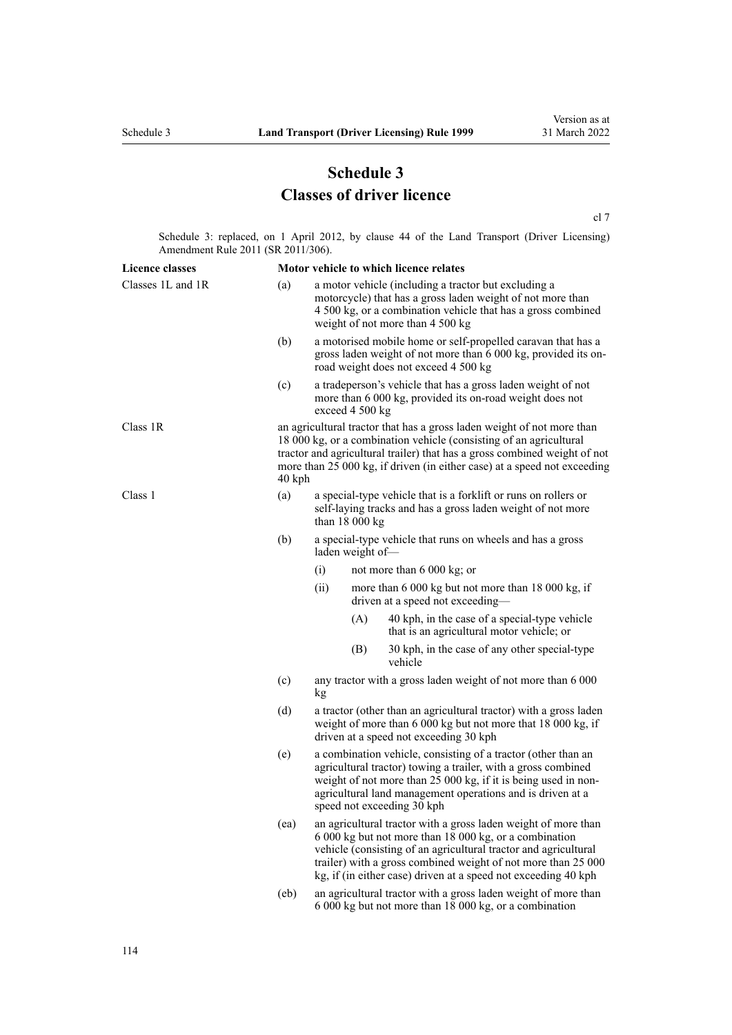## **Schedule 3 Classes of driver licence**

[cl 7](#page-20-0)

Schedule 3: replaced, on 1 April 2012, by [clause 44](http://legislation.govt.nz/pdflink.aspx?id=DLM3956523) of the Land Transport (Driver Licensing) Amendment Rule 2011 (SR 2011/306).

| <b>Licence classes</b> |          | Motor vehicle to which licence relates                                                                                                                                                                                                                                                                                         |                 |                                                                                                                                                                                                                        |  |
|------------------------|----------|--------------------------------------------------------------------------------------------------------------------------------------------------------------------------------------------------------------------------------------------------------------------------------------------------------------------------------|-----------------|------------------------------------------------------------------------------------------------------------------------------------------------------------------------------------------------------------------------|--|
| Classes 1L and 1R      | (a)      |                                                                                                                                                                                                                                                                                                                                |                 | a motor vehicle (including a tractor but excluding a<br>motorcycle) that has a gross laden weight of not more than<br>4 500 kg, or a combination vehicle that has a gross combined<br>weight of not more than 4 500 kg |  |
|                        | (b)      |                                                                                                                                                                                                                                                                                                                                |                 | a motorised mobile home or self-propelled caravan that has a<br>gross laden weight of not more than 6 000 kg, provided its on-<br>road weight does not exceed 4 500 kg                                                 |  |
|                        | (c)      |                                                                                                                                                                                                                                                                                                                                | exceed 4 500 kg | a tradeperson's vehicle that has a gross laden weight of not<br>more than 6 000 kg, provided its on-road weight does not                                                                                               |  |
| Class 1R               | $40$ kph | an agricultural tractor that has a gross laden weight of not more than<br>18 000 kg, or a combination vehicle (consisting of an agricultural<br>tractor and agricultural trailer) that has a gross combined weight of not<br>more than 25 000 kg, if driven (in either case) at a speed not exceeding                          |                 |                                                                                                                                                                                                                        |  |
| Class 1                | (a)      | a special-type vehicle that is a forklift or runs on rollers or<br>self-laying tracks and has a gross laden weight of not more<br>than $18000 kg$                                                                                                                                                                              |                 |                                                                                                                                                                                                                        |  |
|                        | (b)      | a special-type vehicle that runs on wheels and has a gross<br>laden weight of-                                                                                                                                                                                                                                                 |                 |                                                                                                                                                                                                                        |  |
|                        |          | (i)                                                                                                                                                                                                                                                                                                                            |                 | not more than 6 000 kg; or                                                                                                                                                                                             |  |
|                        |          | (ii)                                                                                                                                                                                                                                                                                                                           |                 | more than 6 000 kg but not more than 18 000 kg, if<br>driven at a speed not exceeding-                                                                                                                                 |  |
|                        |          |                                                                                                                                                                                                                                                                                                                                | (A)             | 40 kph, in the case of a special-type vehicle<br>that is an agricultural motor vehicle; or                                                                                                                             |  |
|                        |          |                                                                                                                                                                                                                                                                                                                                | (B)             | 30 kph, in the case of any other special-type<br>vehicle                                                                                                                                                               |  |
|                        | (c)      | any tractor with a gross laden weight of not more than 6 000<br>kg                                                                                                                                                                                                                                                             |                 |                                                                                                                                                                                                                        |  |
|                        | (d)      | a tractor (other than an agricultural tractor) with a gross laden<br>weight of more than 6 000 kg but not more that 18 000 kg, if<br>driven at a speed not exceeding 30 kph                                                                                                                                                    |                 |                                                                                                                                                                                                                        |  |
|                        | (e)      | a combination vehicle, consisting of a tractor (other than an<br>agricultural tractor) towing a trailer, with a gross combined<br>weight of not more than 25 000 kg, if it is being used in non-<br>agricultural land management operations and is driven at a<br>speed not exceeding 30 kph                                   |                 |                                                                                                                                                                                                                        |  |
|                        | (ea)     | an agricultural tractor with a gross laden weight of more than<br>6 000 kg but not more than 18 000 kg, or a combination<br>vehicle (consisting of an agricultural tractor and agricultural<br>trailer) with a gross combined weight of not more than 25 000<br>kg, if (in either case) driven at a speed not exceeding 40 kph |                 |                                                                                                                                                                                                                        |  |
|                        | (eb)     | an agricultural tractor with a gross laden weight of more than<br>6 000 kg but not more than 18 000 kg, or a combination                                                                                                                                                                                                       |                 |                                                                                                                                                                                                                        |  |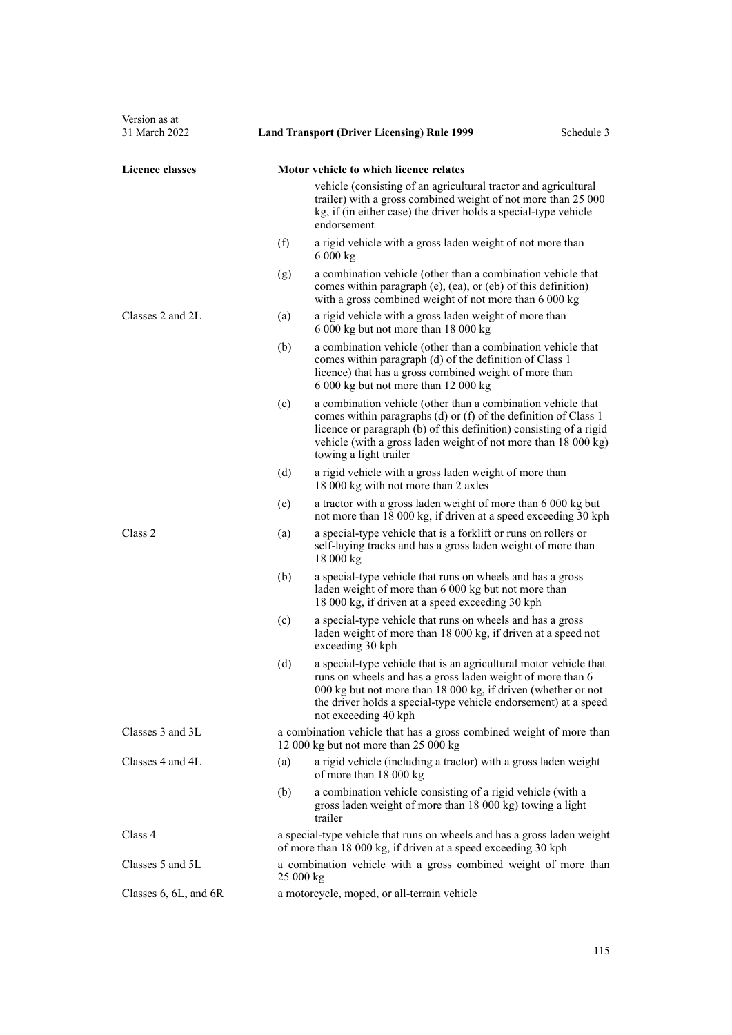| Version as at<br>31 March 2022 |     | <b>Land Transport (Driver Licensing) Rule 1999</b>                                                                                                                                                                                                                                                | Schedule 3 |
|--------------------------------|-----|---------------------------------------------------------------------------------------------------------------------------------------------------------------------------------------------------------------------------------------------------------------------------------------------------|------------|
| <b>Licence classes</b>         |     | Motor vehicle to which licence relates                                                                                                                                                                                                                                                            |            |
|                                |     | vehicle (consisting of an agricultural tractor and agricultural<br>trailer) with a gross combined weight of not more than 25 000<br>kg, if (in either case) the driver holds a special-type vehicle<br>endorsement                                                                                |            |
|                                | (f) | a rigid vehicle with a gross laden weight of not more than<br>6000 kg                                                                                                                                                                                                                             |            |
|                                | (g) | a combination vehicle (other than a combination vehicle that<br>comes within paragraph (e), (ea), or (eb) of this definition)<br>with a gross combined weight of not more than 6 000 kg                                                                                                           |            |
| Classes 2 and 2L               | (a) | a rigid vehicle with a gross laden weight of more than<br>6 000 kg but not more than 18 000 kg                                                                                                                                                                                                    |            |
|                                | (b) | a combination vehicle (other than a combination vehicle that<br>comes within paragraph (d) of the definition of Class 1<br>licence) that has a gross combined weight of more than<br>6 000 kg but not more than 12 000 kg                                                                         |            |
|                                | (c) | a combination vehicle (other than a combination vehicle that<br>comes within paragraphs (d) or (f) of the definition of Class 1<br>licence or paragraph (b) of this definition) consisting of a rigid<br>vehicle (with a gross laden weight of not more than 18 000 kg)<br>towing a light trailer |            |
|                                | (d) | a rigid vehicle with a gross laden weight of more than<br>18 000 kg with not more than 2 axles                                                                                                                                                                                                    |            |
|                                | (e) | a tractor with a gross laden weight of more than 6 000 kg but<br>not more than 18 000 kg, if driven at a speed exceeding 30 kph                                                                                                                                                                   |            |
| Class 2                        | (a) | a special-type vehicle that is a forklift or runs on rollers or<br>self-laying tracks and has a gross laden weight of more than<br>18000 kg                                                                                                                                                       |            |
|                                | (b) | a special-type vehicle that runs on wheels and has a gross<br>laden weight of more than 6 000 kg but not more than<br>18 000 kg, if driven at a speed exceeding 30 kph                                                                                                                            |            |
|                                | (c) | a special-type vehicle that runs on wheels and has a gross<br>laden weight of more than 18 000 kg, if driven at a speed not<br>exceeding 30 kph                                                                                                                                                   |            |
|                                | (d) | a special-type vehicle that is an agricultural motor vehicle that<br>runs on wheels and has a gross laden weight of more than 6<br>000 kg but not more than 18 000 kg, if driven (whether or not<br>the driver holds a special-type vehicle endorsement) at a speed<br>not exceeding 40 kph       |            |
| Classes 3 and 3L               |     | a combination vehicle that has a gross combined weight of more than<br>12 000 kg but not more than 25 000 kg                                                                                                                                                                                      |            |
| Classes 4 and 4L               | (a) | a rigid vehicle (including a tractor) with a gross laden weight<br>of more than 18 000 kg                                                                                                                                                                                                         |            |
|                                | (b) | a combination vehicle consisting of a rigid vehicle (with a<br>gross laden weight of more than 18 000 kg) towing a light<br>trailer                                                                                                                                                               |            |
| Class 4                        |     | a special-type vehicle that runs on wheels and has a gross laden weight<br>of more than 18 000 kg, if driven at a speed exceeding 30 kph                                                                                                                                                          |            |
| Classes 5 and 5L               |     | a combination vehicle with a gross combined weight of more than<br>25000 kg                                                                                                                                                                                                                       |            |
| Classes $6, 6L,$ and $6R$      |     | a motorcycle, moped, or all-terrain vehicle                                                                                                                                                                                                                                                       |            |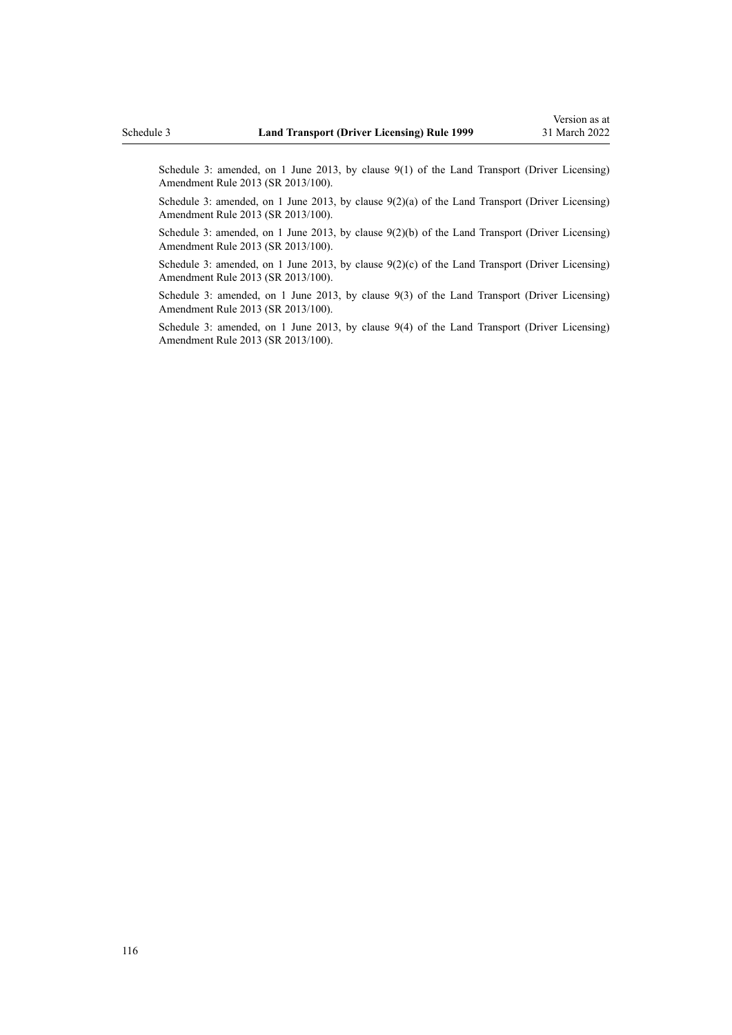Schedule 3: amended, on 1 June 2013, by [clause 9\(1\)](http://legislation.govt.nz/pdflink.aspx?id=DLM5102246) of the Land Transport (Driver Licensing) Amendment Rule 2013 (SR 2013/100).

Schedule 3: amended, on 1 June 2013, by [clause 9\(2\)\(a\)](http://legislation.govt.nz/pdflink.aspx?id=DLM5102246) of the Land Transport (Driver Licensing) Amendment Rule 2013 (SR 2013/100).

Schedule 3: amended, on 1 June 2013, by [clause 9\(2\)\(b\)](http://legislation.govt.nz/pdflink.aspx?id=DLM5102246) of the Land Transport (Driver Licensing) Amendment Rule 2013 (SR 2013/100).

Schedule 3: amended, on 1 June 2013, by clause  $9(2)(c)$  of the Land Transport (Driver Licensing) Amendment Rule 2013 (SR 2013/100).

Schedule 3: amended, on 1 June 2013, by [clause 9\(3\)](http://legislation.govt.nz/pdflink.aspx?id=DLM5102246) of the Land Transport (Driver Licensing) Amendment Rule 2013 (SR 2013/100).

Schedule 3: amended, on 1 June 2013, by [clause 9\(4\)](http://legislation.govt.nz/pdflink.aspx?id=DLM5102246) of the Land Transport (Driver Licensing) Amendment Rule 2013 (SR 2013/100).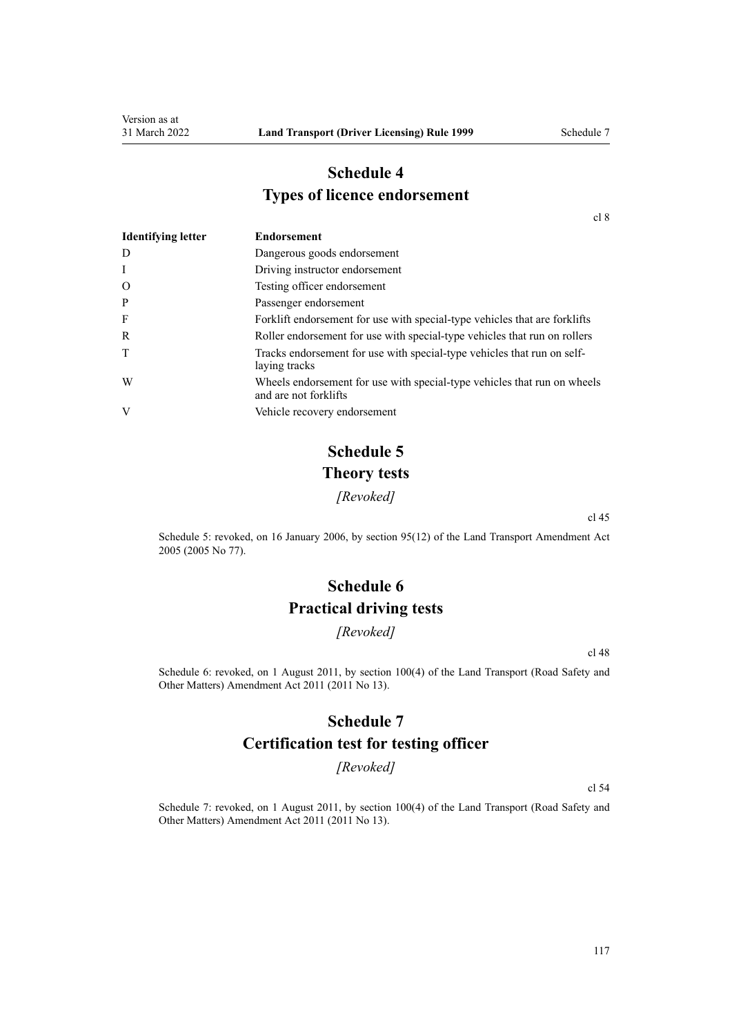## **Schedule 4 Types of licence endorsement**

[cl 8](#page-20-0)

| <b>Identifying letter</b> | <b>Endorsement</b>                                                                                |
|---------------------------|---------------------------------------------------------------------------------------------------|
| D                         | Dangerous goods endorsement                                                                       |
| I                         | Driving instructor endorsement                                                                    |
| $\mathbf{O}$              | Testing officer endorsement                                                                       |
| P                         | Passenger endorsement                                                                             |
| F                         | Forklift endorsement for use with special-type vehicles that are forklifts                        |
| R                         | Roller endorsement for use with special-type vehicles that run on rollers                         |
| T                         | Tracks endorsement for use with special-type vehicles that run on self-<br>laying tracks          |
| W                         | Wheels endorsement for use with special-type vehicles that run on wheels<br>and are not forklifts |
| V                         | Vehicle recovery endorsement                                                                      |

# **Schedule 5 Theory tests**

*[Revoked]*

[cl 45](#page-56-0)

Schedule 5: revoked, on 16 January 2006, by [section 95\(12\)](http://legislation.govt.nz/pdflink.aspx?id=DLM353501) of the Land Transport Amendment Act 2005 (2005 No 77).

# **Schedule 6 Practical driving tests**

*[Revoked]*

[cl 48](#page-57-0)

Schedule 6: revoked, on 1 August 2011, by [section 100\(4\)](http://legislation.govt.nz/pdflink.aspx?id=DLM3231293) of the Land Transport (Road Safety and Other Matters) Amendment Act 2011 (2011 No 13).

## **Schedule 7**

## **Certification test for testing officer**

*[Revoked]*

[cl 54](#page-60-0)

Schedule 7: revoked, on 1 August 2011, by [section 100\(4\)](http://legislation.govt.nz/pdflink.aspx?id=DLM3231293) of the Land Transport (Road Safety and Other Matters) Amendment Act 2011 (2011 No 13).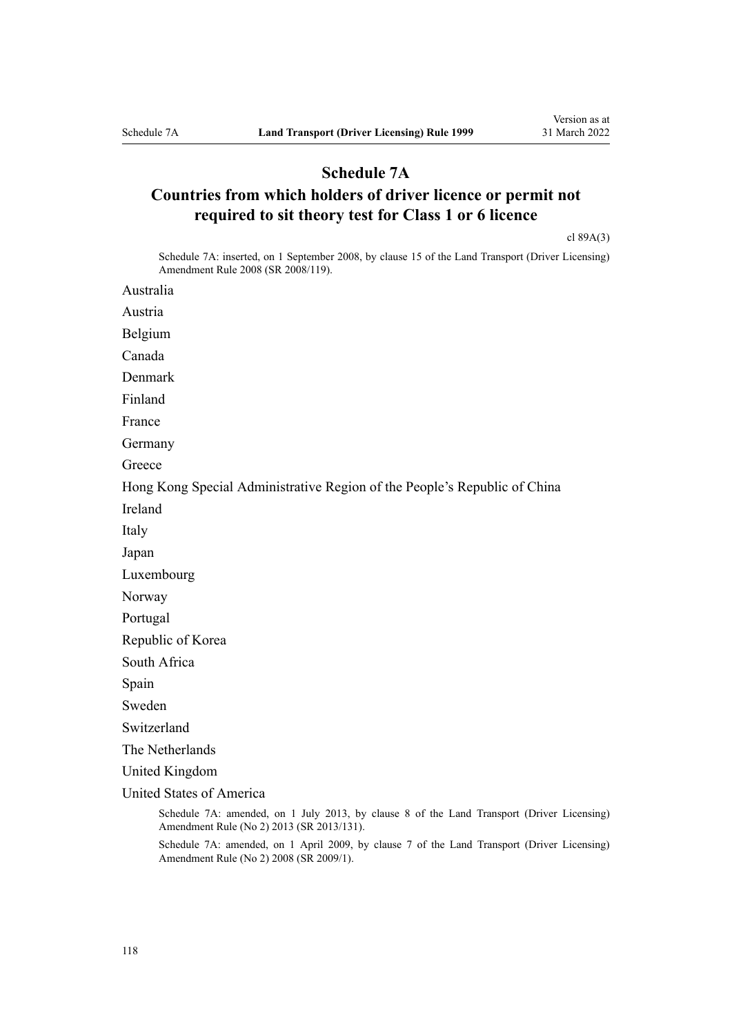## **Schedule 7A**

## **Countries from which holders of driver licence or permit not required to sit theory test for Class 1 or 6 licence**

[cl 89A\(3\)](#page-93-0)

Schedule 7A: inserted, on 1 September 2008, by [clause 15](http://legislation.govt.nz/pdflink.aspx?id=DLM1317922) of the Land Transport (Driver Licensing) Amendment Rule 2008 (SR 2008/119).

Australia

Austria

Belgium

Canada

Denmark

Finland

France

Germany

**Greece** 

Hong Kong Special Administrative Region of the People's Republic of China

Ireland

Italy

Japan

Luxembourg

Norway

Portugal

Republic of Korea

South Africa

Spain

Sweden

Switzerland

The Netherlands

United Kingdom

United States of America

Schedule 7A: amended, on 1 July 2013, by [clause 8](http://legislation.govt.nz/pdflink.aspx?id=DLM5159813) of the Land Transport (Driver Licensing) Amendment Rule (No 2) 2013 (SR 2013/131).

Schedule 7A: amended, on 1 April 2009, by [clause 7](http://legislation.govt.nz/pdflink.aspx?id=DLM1783613) of the Land Transport (Driver Licensing) Amendment Rule (No 2) 2008 (SR 2009/1).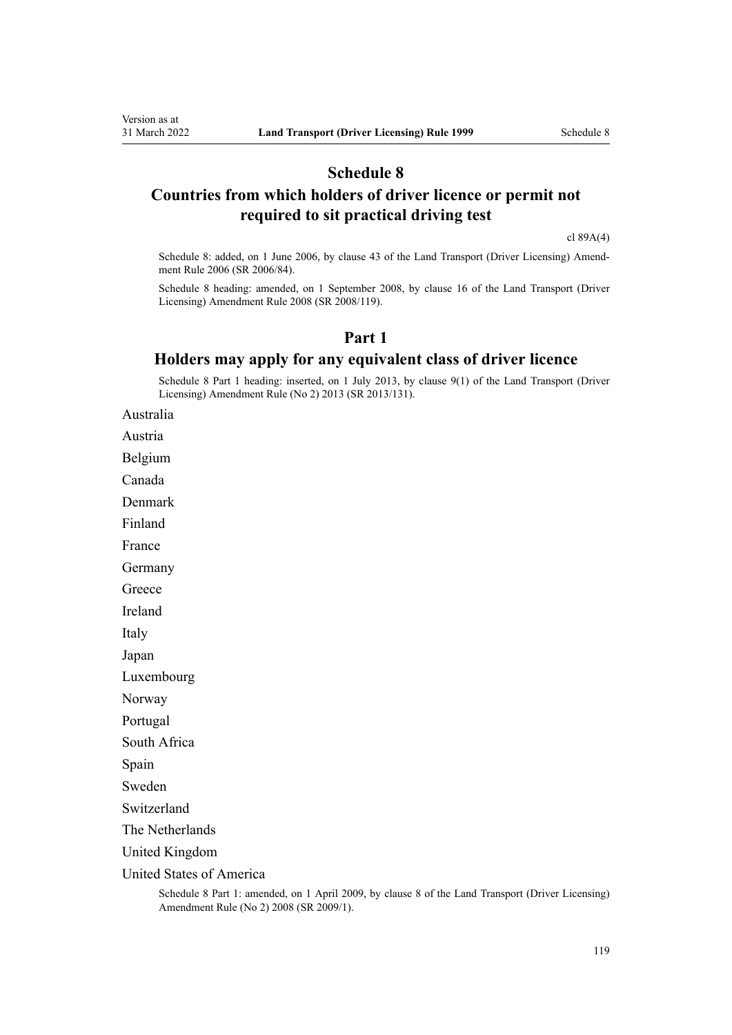## **Schedule 8**

## **Countries from which holders of driver licence or permit not required to sit practical driving test**

[cl 89A\(4\)](#page-93-0)

Schedule 8: added, on 1 June 2006, by [clause 43](http://legislation.govt.nz/pdflink.aspx?id=DLM376146) of the Land Transport (Driver Licensing) Amend‐ ment Rule 2006 (SR 2006/84).

Schedule 8 heading: amended, on 1 September 2008, by [clause 16](http://legislation.govt.nz/pdflink.aspx?id=DLM1317923) of the Land Transport (Driver Licensing) Amendment Rule 2008 (SR 2008/119).

## **Part 1**

## **Holders may apply for any equivalent class of driver licence**

Schedule 8 Part 1 heading: inserted, on 1 July 2013, by [clause 9\(1\)](http://legislation.govt.nz/pdflink.aspx?id=DLM5159814) of the Land Transport (Driver Licensing) Amendment Rule (No 2) 2013 (SR 2013/131).

Australia

Austria

Belgium

Canada

Denmark

Finland

France

Germany

**Greece** 

Ireland

Italy

Japan

Luxembourg

Norway

Portugal

South Africa

Spain

Sweden

Switzerland

The Netherlands

United Kingdom

United States of America

Schedule 8 Part 1: amended, on 1 April 2009, by [clause 8](http://legislation.govt.nz/pdflink.aspx?id=DLM1783614) of the Land Transport (Driver Licensing) Amendment Rule (No 2) 2008 (SR 2009/1).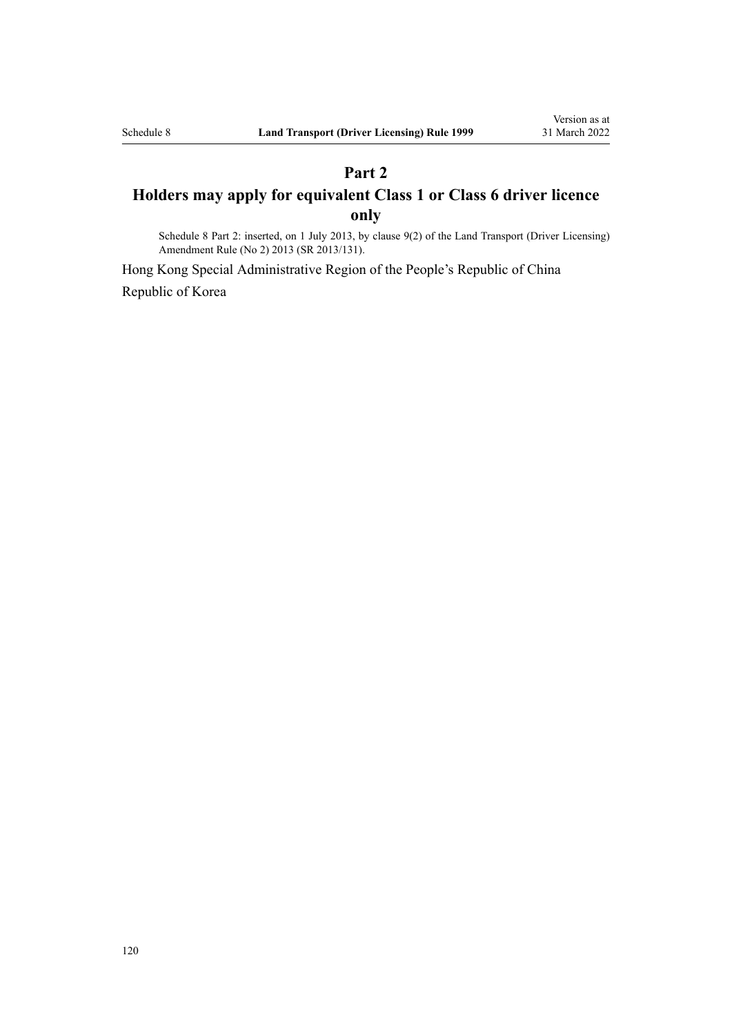## **Part 2 Holders may apply for equivalent Class 1 or Class 6 driver licence only**

Schedule 8 Part 2: inserted, on 1 July 2013, by [clause 9\(2\)](http://legislation.govt.nz/pdflink.aspx?id=DLM5159814) of the Land Transport (Driver Licensing) Amendment Rule (No 2) 2013 (SR 2013/131).

Hong Kong Special Administrative Region of the People's Republic of China Republic of Korea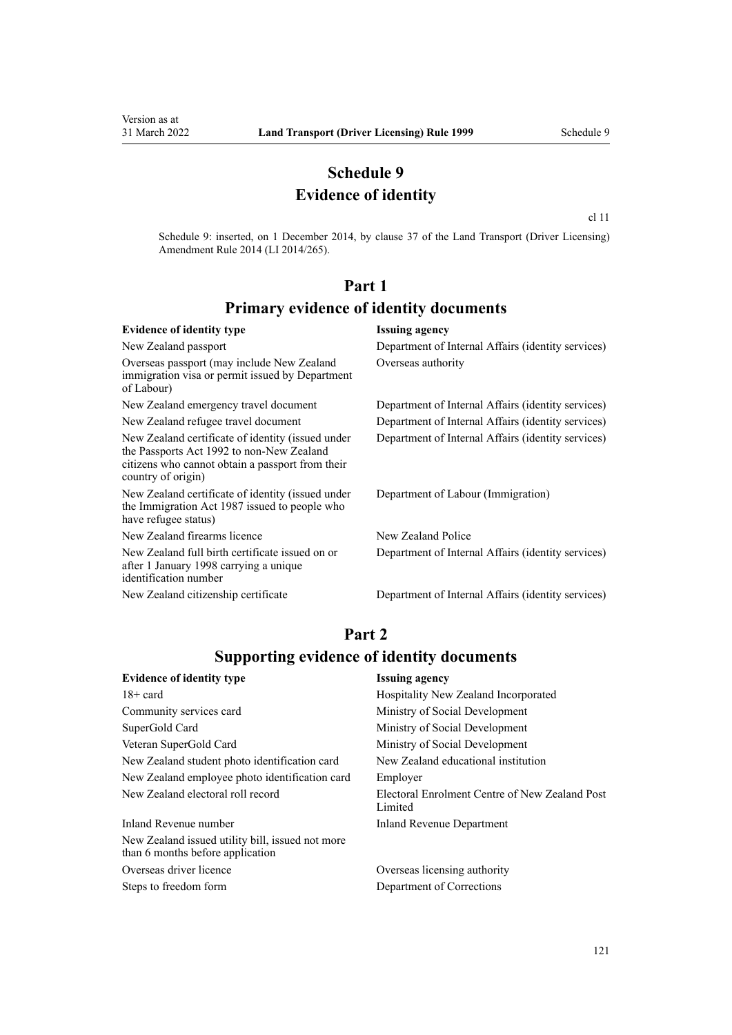## **Schedule 9 Evidence of identity**

[cl 11](#page-22-0)

Schedule 9: inserted, on 1 December 2014, by [clause 37](http://legislation.govt.nz/pdflink.aspx?id=DLM6216951) of the Land Transport (Driver Licensing) Amendment Rule 2014 (LI 2014/265).

## **Part 1 Primary evidence of identity documents**

#### **Evidence of identity type Issuing agency** New Zealand passport Department of Internal Affairs (identity services) Overseas passport (may include New Zealand immigration visa or permit issued by Department of Labour) Overseas authority New Zealand emergency travel document Department of Internal Affairs (identity services) New Zealand refugee travel document Department of Internal Affairs (identity services) New Zealand certificate of identity (issued under the [Passports Act 1992](http://legislation.govt.nz/pdflink.aspx?id=DLM277432) to non-New Zealand citizens who cannot obtain a passport from their country of origin) Department of Internal Affairs (identity services) New Zealand certificate of identity (issued under the [Immigration Act 1987](http://legislation.govt.nz/pdflink.aspx?id=DLM108017) issued to people who have refugee status) Department of Labour (Immigration) New Zealand firearms licence New Zealand Police New Zealand full birth certificate issued on or after 1 January 1998 carrying a unique identification number Department of Internal Affairs (identity services) New Zealand citizenship certificate Department of Internal Affairs (identity services)

## **Part 2 Supporting evidence of identity documents**

| <b>Evidence of identity type</b>                                                     | <b>Issuing agency</b>                                     |
|--------------------------------------------------------------------------------------|-----------------------------------------------------------|
| $18 + \text{card}$                                                                   | Hospitality New Zealand Incorporated                      |
| Community services card                                                              | Ministry of Social Development                            |
| SuperGold Card                                                                       | Ministry of Social Development                            |
| Veteran SuperGold Card                                                               | Ministry of Social Development                            |
| New Zealand student photo identification card                                        | New Zealand educational institution                       |
| New Zealand employee photo identification card                                       | Employer                                                  |
| New Zealand electoral roll record                                                    | Electoral Enrolment Centre of New Zealand Post<br>Limited |
| Inland Revenue number                                                                | Inland Revenue Department                                 |
| New Zealand issued utility bill, issued not more<br>than 6 months before application |                                                           |
|                                                                                      |                                                           |

Overseas driver licence Overseas licensing authority Steps to freedom form Department of Corrections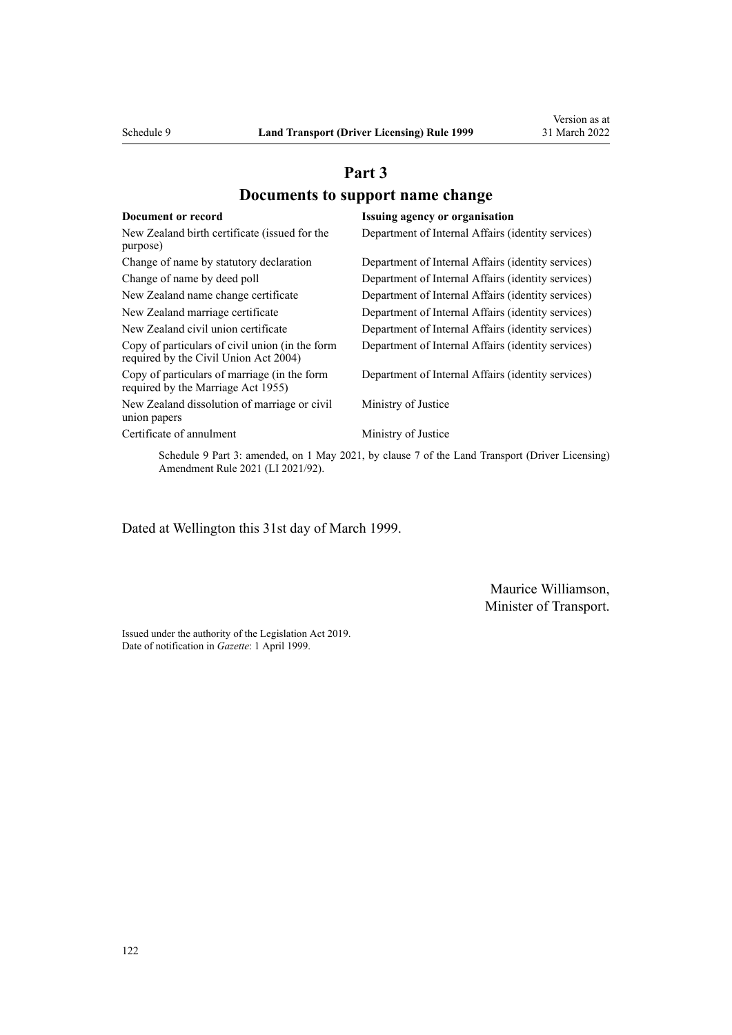## **Part 3 Documents to support name change**

| Document or record                                                                       | <b>Issuing agency or organisation</b>              |
|------------------------------------------------------------------------------------------|----------------------------------------------------|
| New Zealand birth certificate (issued for the                                            | Department of Internal Affairs (identity services) |
| purpose)                                                                                 |                                                    |
| Change of name by statutory declaration                                                  | Department of Internal Affairs (identity services) |
| Change of name by deed poll                                                              | Department of Internal Affairs (identity services) |
| New Zealand name change certificate                                                      | Department of Internal Affairs (identity services) |
| New Zealand marriage certificate                                                         | Department of Internal Affairs (identity services) |
| New Zealand civil union certificate                                                      | Department of Internal Affairs (identity services) |
| Copy of particulars of civil union (in the form<br>required by the Civil Union Act 2004) | Department of Internal Affairs (identity services) |
| Copy of particulars of marriage (in the form<br>required by the Marriage Act 1955)       | Department of Internal Affairs (identity services) |
| New Zealand dissolution of marriage or civil<br>union papers                             | Ministry of Justice                                |
| Certificate of annulment                                                                 | Ministry of Justice                                |

Schedule 9 Part 3: amended, on 1 May 2021, by [clause 7](http://legislation.govt.nz/pdflink.aspx?id=LMS453279) of the Land Transport (Driver Licensing) Amendment Rule 2021 (LI 2021/92).

Dated at Wellington this 31st day of March 1999.

Maurice Williamson, Minister of Transport.

Issued under the authority of the [Legislation Act 2019](http://legislation.govt.nz/pdflink.aspx?id=DLM7298104). Date of notification in *Gazette*: 1 April 1999.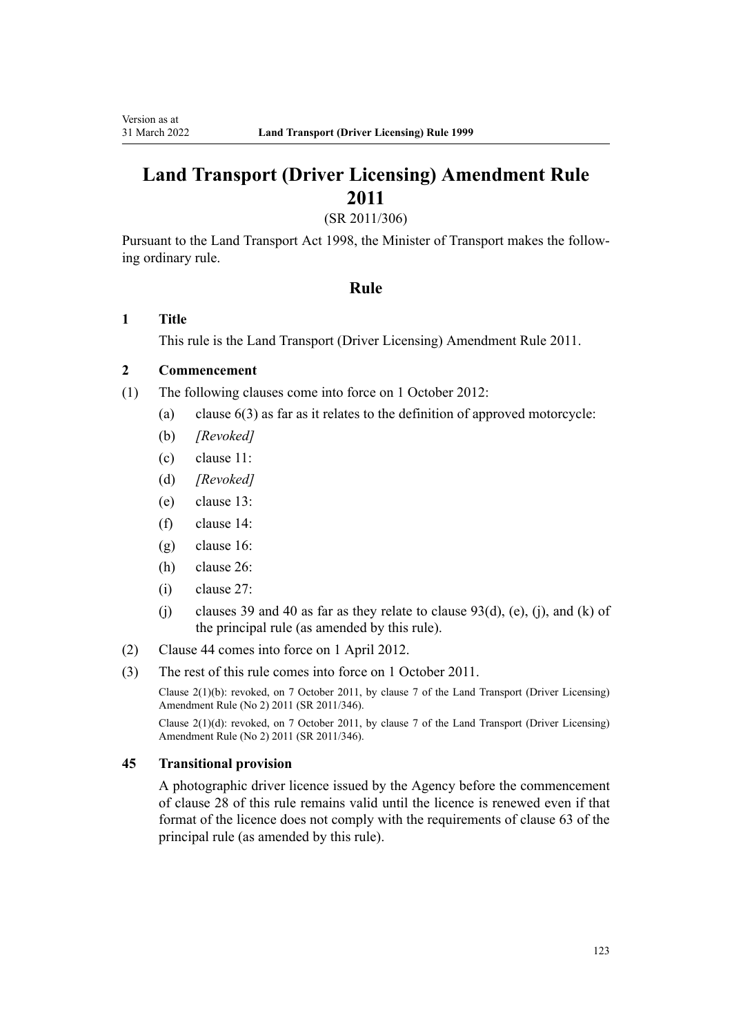# **Land Transport (Driver Licensing) Amendment Rule 2011**

(SR 2011/306)

Pursuant to the Land Transport Act 1998, the Minister of Transport makes the follow‐ ing ordinary rule.

### **Rule**

### **1 Title**

This rule is the [Land Transport \(Driver Licensing\) Amendment Rule 2011](http://legislation.govt.nz/pdflink.aspx?id=DLM3956573).

## **2 Commencement**

- (1) The following clauses come into force on 1 October 2012:
	- (a) clause 6(3) as far as it relates to the definition of approved motorcycle:
	- (b) *[Revoked]*
	- (c) clause 11:
	- (d) *[Revoked]*
	- (e) clause 13:
	- (f) clause 14:
	- (g) clause 16:
	- (h) clause 26:
	- (i) clause 27:
	- (j) clauses 39 and 40 as far as they relate to clause  $93(d)$ , (e), (j), and (k) of the principal rule (as amended by this rule).
- (2) Clause 44 comes into force on 1 April 2012.
- (3) The rest of this rule comes into force on 1 October 2011.

Clause 2(1)(b): revoked, on 7 October 2011, by [clause 7](http://legislation.govt.nz/pdflink.aspx?id=DLM4067013) of the Land Transport (Driver Licensing) Amendment Rule (No 2) 2011 (SR 2011/346).

Clause 2(1)(d): revoked, on 7 October 2011, by [clause 7](http://legislation.govt.nz/pdflink.aspx?id=DLM4067013) of the Land Transport (Driver Licensing) Amendment Rule (No 2) 2011 (SR 2011/346).

### **45 Transitional provision**

A photographic driver licence issued by the Agency before the commencement of clause 28 of this rule remains valid until the licence is renewed even if that format of the licence does not comply with the requirements of clause 63 of the principal rule (as amended by this rule).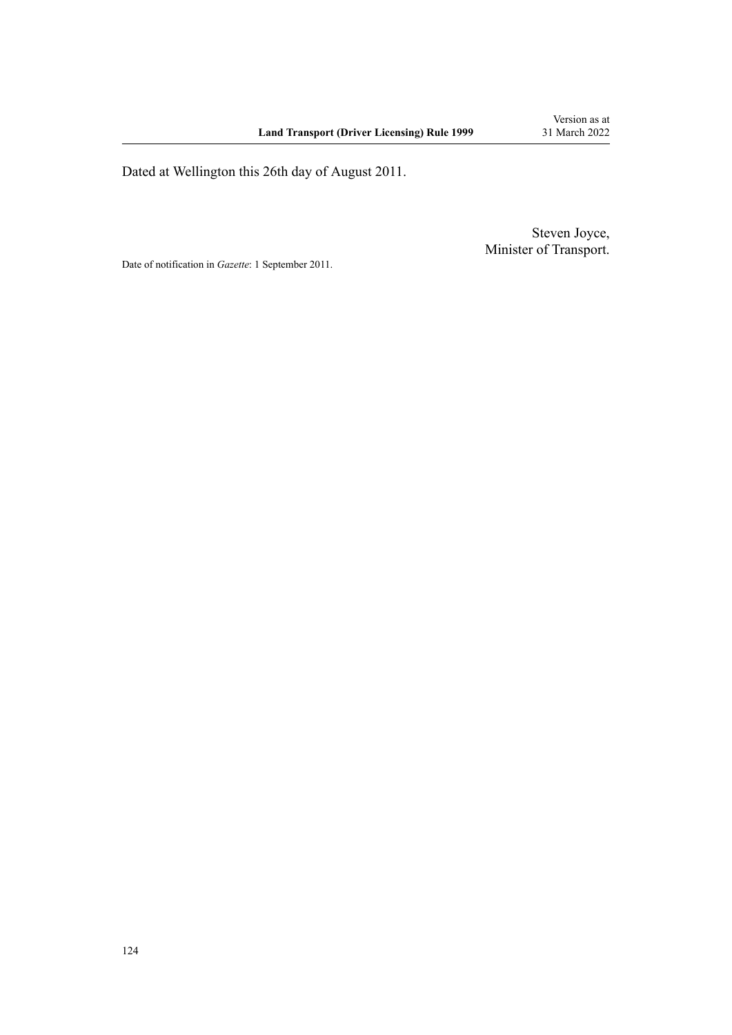Dated at Wellington this 26th day of August 2011.

Steven Joyce, Minister of Transport.

Date of notification in *Gazette*: 1 September 2011.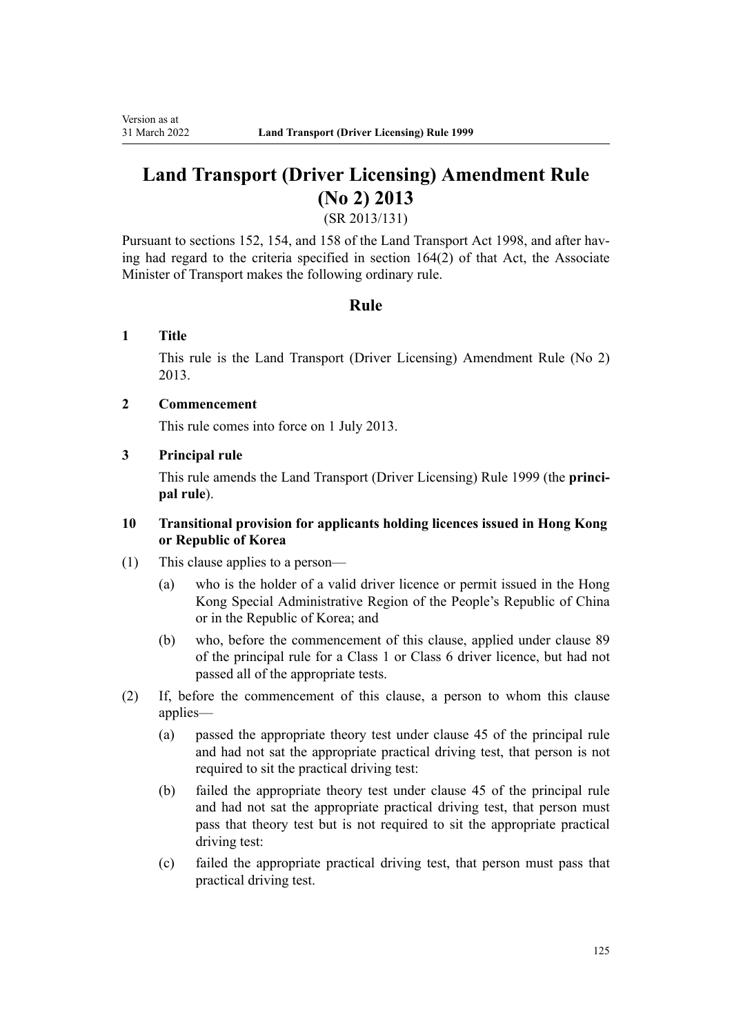# **Land Transport (Driver Licensing) Amendment Rule (No 2) 2013**

(SR 2013/131)

Pursuant to sections 152, 154, and 158 of the Land Transport Act 1998, and after having had regard to the criteria specified in section 164(2) of that Act, the Associate Minister of Transport makes the following ordinary rule.

## **Rule**

## **1 Title**

This rule is the [Land Transport \(Driver Licensing\) Amendment Rule \(No 2\)](http://legislation.govt.nz/pdflink.aspx?id=DLM5159800) [2013](http://legislation.govt.nz/pdflink.aspx?id=DLM5159800).

### **2 Commencement**

This rule comes into force on 1 July 2013.

### **3 Principal rule**

This rule amends the Land Transport (Driver Licensing) Rule 1999 (the **princi‐ pal rule**).

### **10 Transitional provision for applicants holding licences issued in Hong Kong or Republic of Korea**

- (1) This clause applies to a person—
	- (a) who is the holder of a valid driver licence or permit issued in the Hong Kong Special Administrative Region of the People's Republic of China or in the Republic of Korea; and
	- (b) who, before the commencement of this clause, applied under clause 89 of the principal rule for a Class 1 or Class 6 driver licence, but had not passed all of the appropriate tests.
- (2) If, before the commencement of this clause, a person to whom this clause applies—
	- (a) passed the appropriate theory test under clause 45 of the principal rule and had not sat the appropriate practical driving test, that person is not required to sit the practical driving test:
	- (b) failed the appropriate theory test under clause 45 of the principal rule and had not sat the appropriate practical driving test, that person must pass that theory test but is not required to sit the appropriate practical driving test:
	- (c) failed the appropriate practical driving test, that person must pass that practical driving test.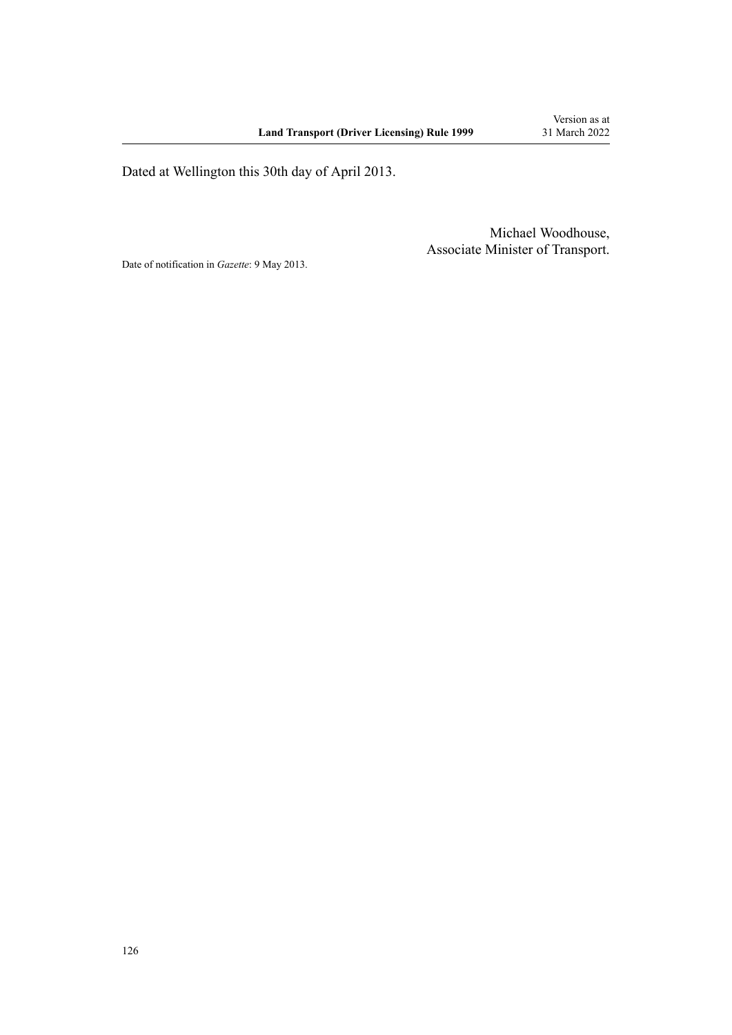Dated at Wellington this 30th day of April 2013.

Michael Woodhouse, Associate Minister of Transport.

Date of notification in *Gazette*: 9 May 2013.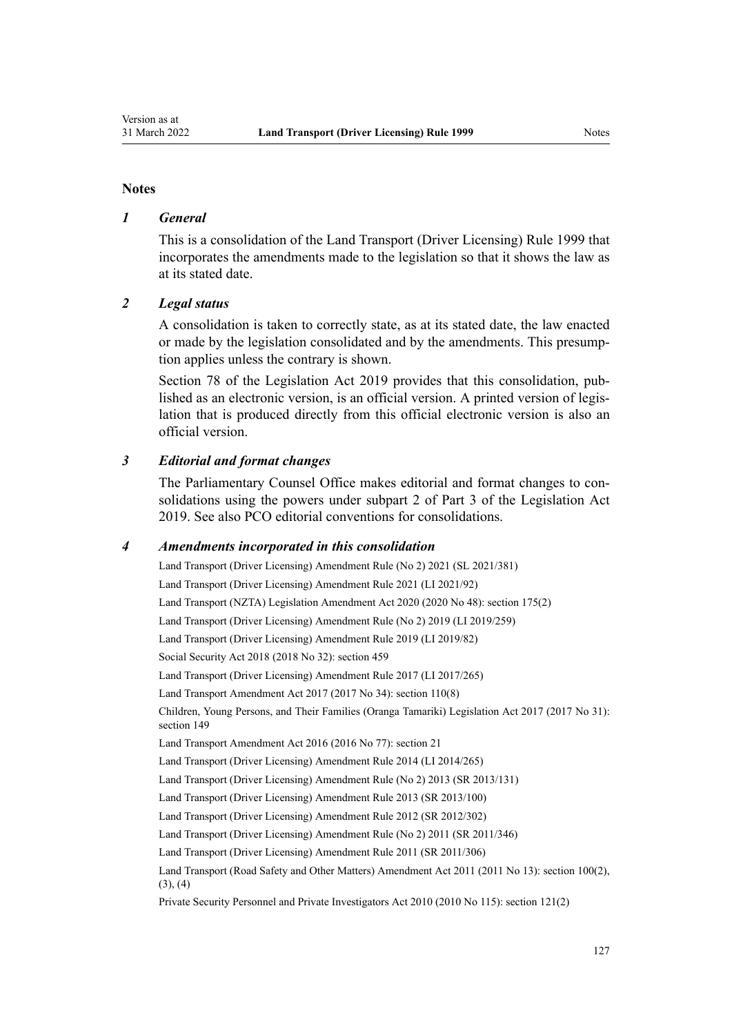### **Notes**

### *1 General*

This is a consolidation of the Land Transport (Driver Licensing) Rule 1999 that incorporates the amendments made to the legislation so that it shows the law as at its stated date.

### *2 Legal status*

A consolidation is taken to correctly state, as at its stated date, the law enacted or made by the legislation consolidated and by the amendments. This presump‐ tion applies unless the contrary is shown.

[Section 78](http://legislation.govt.nz/pdflink.aspx?id=DLM7298365) of the Legislation Act 2019 provides that this consolidation, published as an electronic version, is an official version. A printed version of legis‐ lation that is produced directly from this official electronic version is also an official version.

### *3 Editorial and format changes*

The Parliamentary Counsel Office makes editorial and format changes to con‐ solidations using the powers under [subpart 2](http://legislation.govt.nz/pdflink.aspx?id=DLM7298371) of Part 3 of the Legislation Act 2019. See also [PCO editorial conventions for consolidations](http://www.pco.govt.nz/editorial-conventions/).

### *4 Amendments incorporated in this consolidation*

[Land Transport \(Driver Licensing\) Amendment Rule \(No 2\) 2021](http://legislation.govt.nz/pdflink.aspx?id=LMS590835) (SL 2021/381) [Land Transport \(Driver Licensing\) Amendment Rule 2021](http://legislation.govt.nz/pdflink.aspx?id=LMS453263) (LI 2021/92) Land Transport (NZTA) Legislation Amendment Act 2020 (2020 No 48): [section 175\(2\)](http://legislation.govt.nz/pdflink.aspx?id=LMS286883) [Land Transport \(Driver Licensing\) Amendment Rule \(No 2\) 2019](http://legislation.govt.nz/pdflink.aspx?id=LMS264750) (LI 2019/259) [Land Transport \(Driver Licensing\) Amendment Rule 2019](http://legislation.govt.nz/pdflink.aspx?id=LMS135998) (LI 2019/82) Social Security Act 2018 (2018 No 32): [section 459](http://legislation.govt.nz/pdflink.aspx?id=DLM6784038) [Land Transport \(Driver Licensing\) Amendment Rule 2017](http://legislation.govt.nz/pdflink.aspx?id=DLM7420922) (LI 2017/265) Land Transport Amendment Act 2017 (2017 No 34): [section 110\(8\)](http://legislation.govt.nz/pdflink.aspx?id=DLM6960929) Children, Young Persons, and Their Families (Oranga Tamariki) Legislation Act 2017 (2017 No 31): [section 149](http://legislation.govt.nz/pdflink.aspx?id=DLM7287401) Land Transport Amendment Act 2016 (2016 No 77): [section 21](http://legislation.govt.nz/pdflink.aspx?id=DLM6984133) [Land Transport \(Driver Licensing\) Amendment Rule 2014](http://legislation.govt.nz/pdflink.aspx?id=DLM6216900) (LI 2014/265) [Land Transport \(Driver Licensing\) Amendment Rule \(No 2\) 2013](http://legislation.govt.nz/pdflink.aspx?id=DLM5159800) (SR 2013/131) [Land Transport \(Driver Licensing\) Amendment Rule 2013](http://legislation.govt.nz/pdflink.aspx?id=DLM5102226) (SR 2013/100) [Land Transport \(Driver Licensing\) Amendment Rule 2012](http://legislation.govt.nz/pdflink.aspx?id=DLM4773428) (SR 2012/302) [Land Transport \(Driver Licensing\) Amendment Rule \(No 2\) 2011](http://legislation.govt.nz/pdflink.aspx?id=DLM4067006) (SR 2011/346) [Land Transport \(Driver Licensing\) Amendment Rule 2011](http://legislation.govt.nz/pdflink.aspx?id=DLM3956573) (SR 2011/306) Land Transport (Road Safety and Other Matters) Amendment Act 2011 (2011 No 13): [section 100\(2\),](http://legislation.govt.nz/pdflink.aspx?id=DLM3231293)  $(3), (4)$ Private Security Personnel and Private Investigators Act 2010 (2010 No 115): [section 121\(2\)](http://legislation.govt.nz/pdflink.aspx?id=DLM1594656)